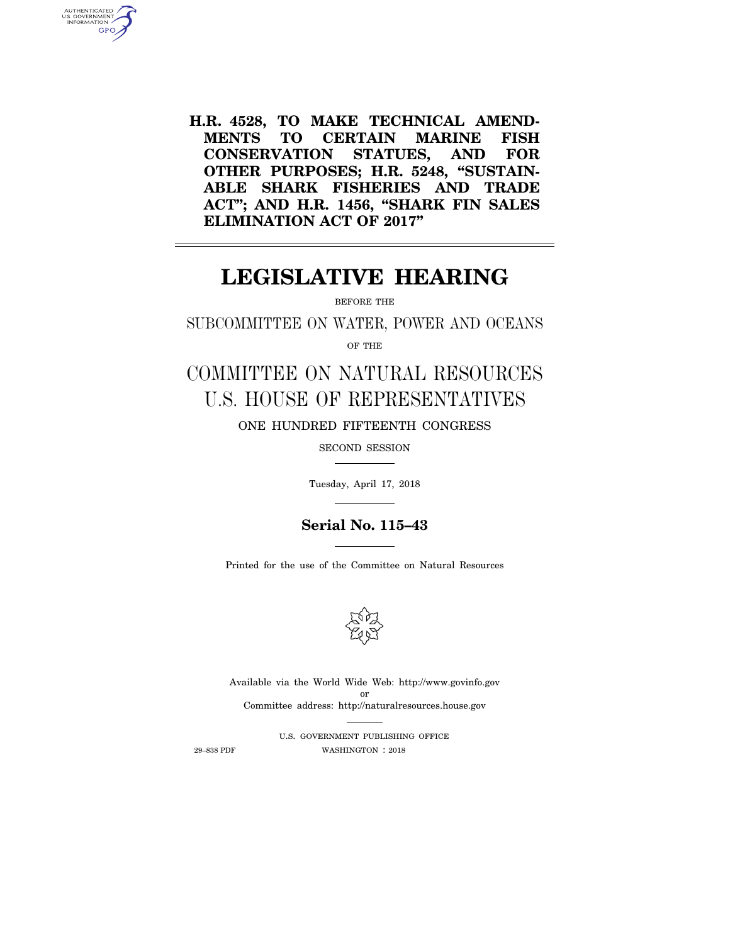**H.R. 4528, TO MAKE TECHNICAL AMEND-MENTS TO CERTAIN MARINE FISH CONSERVATION STATUES, AND FOR OTHER PURPOSES; H.R. 5248, ''SUSTAIN-ABLE SHARK FISHERIES AND TRADE ACT''; AND H.R. 1456, ''SHARK FIN SALES ELIMINATION ACT OF 2017''** 

# **LEGISLATIVE HEARING**

BEFORE THE

SUBCOMMITTEE ON WATER, POWER AND OCEANS

OF THE

COMMITTEE ON NATURAL RESOURCES U.S. HOUSE OF REPRESENTATIVES ONE HUNDRED FIFTEENTH CONGRESS

SECOND SESSION

Tuesday, April 17, 2018

# **Serial No. 115–43**

Printed for the use of the Committee on Natural Resources



Available via the World Wide Web: http://www.govinfo.gov or Committee address: http://naturalresources.house.gov

U.S. GOVERNMENT PUBLISHING OFFICE 29–838 PDF WASHINGTON : 2018

AUTHENTICATED<br>U.S. GOVERNMENT<br>INFORMATION **GPO**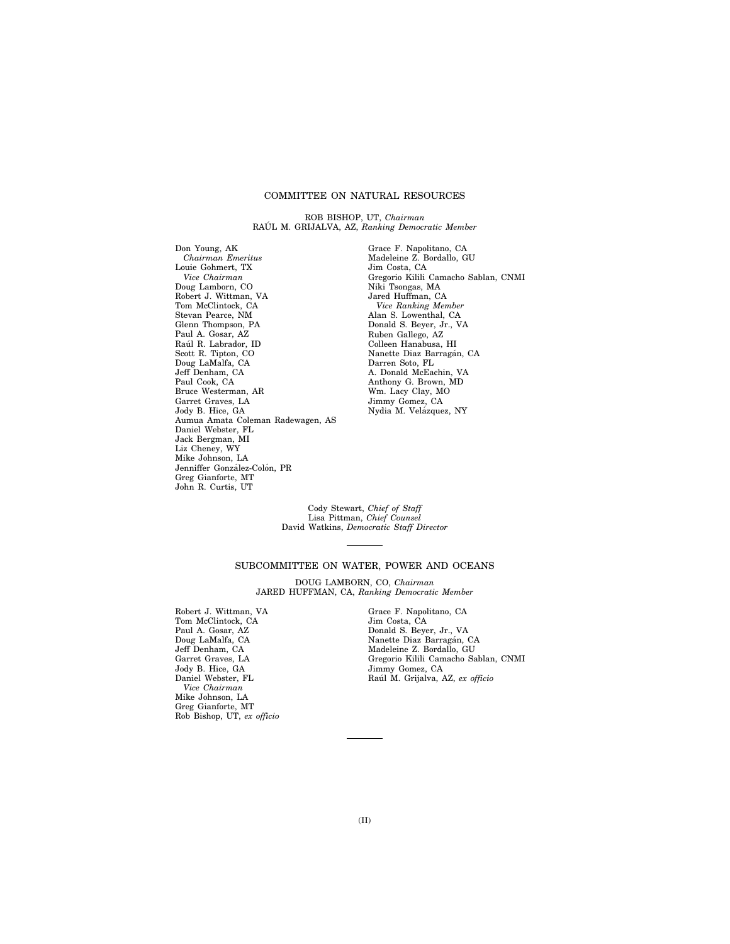# COMMITTEE ON NATURAL RESOURCES

ROB BISHOP, UT, *Chairman*  RAUL M. GRIJALVA, AZ, Ranking Democratic Member

Don Young, AK *Chairman Emeritus*  Louie Gohmert, TX *Vice Chairman*  Doug Lamborn, CO Robert J. Wittman, VA Tom McClintock, CA Stevan Pearce, NM Glenn Thompson, PA Paul A. Gosar, AZ<br>Raúl R. Labrador, ID Scott R. Tipton, CO Doug LaMalfa, CA Jeff Denham, CA Paul Cook, CA Bruce Westerman, AR Garret Graves, LA Jody B. Hice, GA Aumua Amata Coleman Radewagen, AS Daniel Webster, FL Jack Bergman, MI Liz Cheney, WY Mike Johnson, LA Jenniffer González-Colón, PR Greg Gianforte, MT John R. Curtis, UT

Grace F. Napolitano, CA Madeleine Z. Bordallo, GU Jim Costa, CA Gregorio Kilili Camacho Sablan, CNMI Niki Tsongas, MA Jared Huffman, CA *Vice Ranking Member*  Alan S. Lowenthal, CA Donald S. Beyer, Jr., VA Ruben Gallego, AZ Colleen Hanabusa, HI Nanette Diaz Barragán, CA Darren Soto, FL A. Donald McEachin, VA Anthony G. Brown, MD Wm. Lacy Clay, MO Jimmy Gomez, CA Nydia M. Velázquez, NY

Cody Stewart, *Chief of Staff*  Lisa Pittman, *Chief Counsel*  David Watkins, *Democratic Staff Director* 

# SUBCOMMITTEE ON WATER, POWER AND OCEANS

DOUG LAMBORN, CO, *Chairman*  JARED HUFFMAN, CA, *Ranking Democratic Member* 

Robert J. Wittman, VA Tom McClintock, CA Paul A. Gosar, AZ Doug LaMalfa, CA Jeff Denham, CA Garret Graves, LA Jody B. Hice, GA Daniel Webster, FL *Vice Chairman*  Mike Johnson, LA Greg Gianforte, MT Rob Bishop, UT, *ex officio*  Grace F. Napolitano, CA Jim Costa, CA Donald S. Beyer, Jr., VA<br>Nanette Diaz Barragán, CA Madeleine Z. Bordallo, GU Gregorio Kilili Camacho Sablan, CNMI Jimmy Gomez, CA Rau´l M. Grijalva, AZ, *ex officio*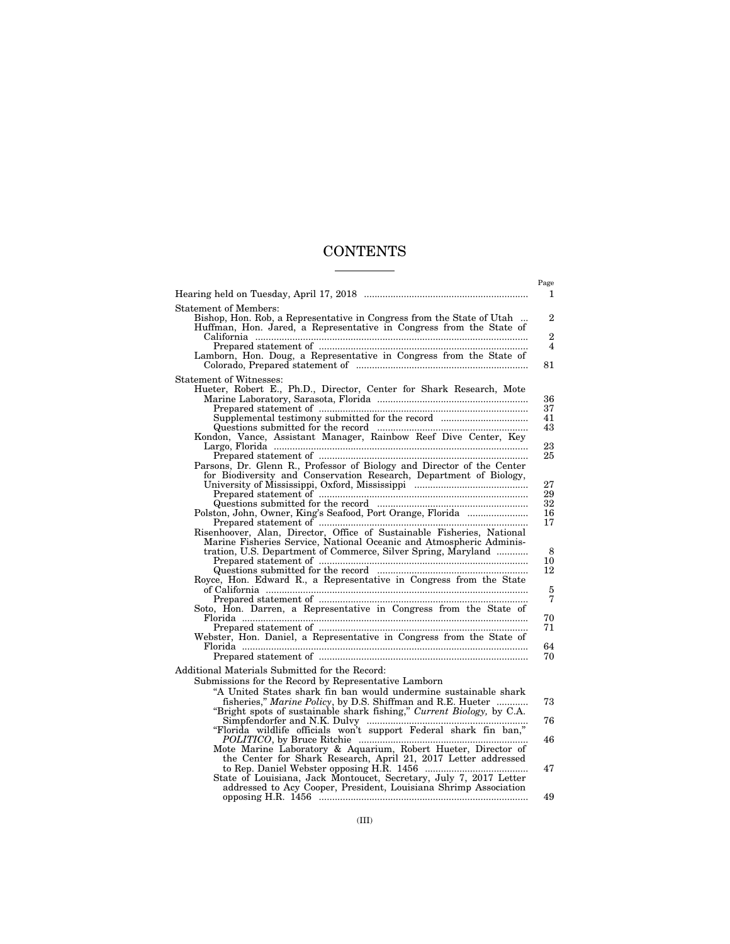# **CONTENTS**  $\begin{array}{c} \begin{array}{c} \begin{array}{c} \begin{array}{c} \end{array} \\ \begin{array}{c} \end{array} \end{array} \end{array} \end{array} \end{array} \end{array} \begin{array}{c} \begin{array}{c} \begin{array}{c} \end{array} \\ \begin{array}{c} \end{array} \end{array} \end{array}$

|                                                                                                                                                                                                                                                                                                                                                                                                                                                                                                                                                                                                                                                                                                                                                                                                                                                                                                                                                                                                                                                                                                         | Page<br>1                                                                                                         |
|---------------------------------------------------------------------------------------------------------------------------------------------------------------------------------------------------------------------------------------------------------------------------------------------------------------------------------------------------------------------------------------------------------------------------------------------------------------------------------------------------------------------------------------------------------------------------------------------------------------------------------------------------------------------------------------------------------------------------------------------------------------------------------------------------------------------------------------------------------------------------------------------------------------------------------------------------------------------------------------------------------------------------------------------------------------------------------------------------------|-------------------------------------------------------------------------------------------------------------------|
| <b>Statement of Members:</b><br>Bishop, Hon. Rob, a Representative in Congress from the State of Utah<br>Huffman, Hon. Jared, a Representative in Congress from the State of<br>Lamborn, Hon. Doug, a Representative in Congress from the State of                                                                                                                                                                                                                                                                                                                                                                                                                                                                                                                                                                                                                                                                                                                                                                                                                                                      | $\overline{2}$<br>$\mathbf{2}$<br>$\overline{\mathbf{4}}$<br>81                                                   |
| <b>Statement of Witnesses:</b><br>Hueter, Robert E., Ph.D., Director, Center for Shark Research, Mote<br>Supplemental testimony submitted for the record<br>Kondon, Vance, Assistant Manager, Rainbow Reef Dive Center, Key<br>Parsons, Dr. Glenn R., Professor of Biology and Director of the Center<br>for Biodiversity and Conservation Research, Department of Biology,<br>Prepared statement of manufactured and all prepared statement of manufactured and all prepared statement of<br>Polston, John, Owner, King's Seafood, Port Orange, Florida<br>Risenhoover, Alan, Director, Office of Sustainable Fisheries, National<br>Marine Fisheries Service, National Oceanic and Atmospheric Adminis-<br>tration, U.S. Department of Commerce, Silver Spring, Maryland<br>Royce, Hon. Edward R., a Representative in Congress from the State<br>Soto, Hon. Darren, a Representative in Congress from the State of<br>Webster, Hon. Daniel, a Representative in Congress from the State of<br>Additional Materials Submitted for the Record:<br>Submissions for the Record by Representative Lamborn | 36<br>37<br>41<br>43<br>23<br>25<br>27<br>29<br>32<br>16<br>17<br>8<br>10<br>12<br>5<br>7<br>70<br>71<br>64<br>70 |
| "A United States shark fin ban would undermine sustainable shark<br>fisheries," Marine Policy, by D.S. Shiffman and R.E. Hueter<br>"Bright spots of sustainable shark fishing," Current Biology, by C.A.<br>"Florida wildlife officials won't support Federal shark fin ban,"<br>Mote Marine Laboratory & Aquarium, Robert Hueter, Director of<br>the Center for Shark Research, April 21, 2017 Letter addressed<br>State of Louisiana, Jack Montoucet, Secretary, July 7, 2017 Letter<br>addressed to Acy Cooper, President, Louisiana Shrimp Association                                                                                                                                                                                                                                                                                                                                                                                                                                                                                                                                              | 73<br>76<br>46<br>47<br>49                                                                                        |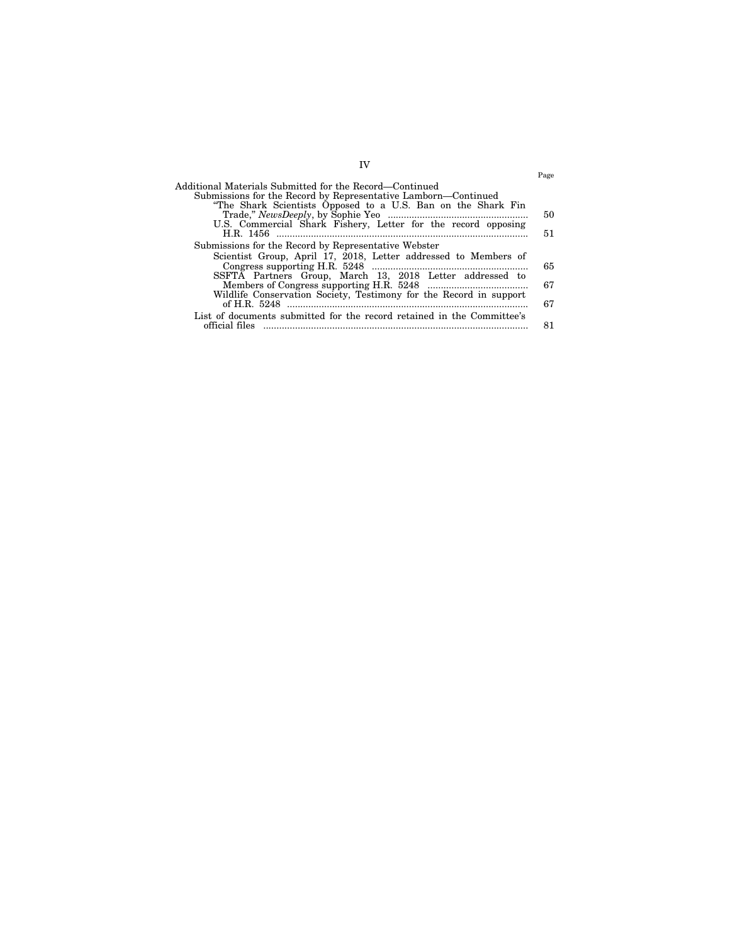|                                                                        | Page |
|------------------------------------------------------------------------|------|
| Additional Materials Submitted for the Record—Continued                |      |
| Submissions for the Record by Representative Lamborn—Continued         |      |
| "The Shark Scientists Opposed to a U.S. Ban on the Shark Fin           |      |
|                                                                        | 50   |
| U.S. Commercial Shark Fishery, Letter for the record opposing          |      |
|                                                                        | 51   |
| Submissions for the Record by Representative Webster                   |      |
| Scientist Group, April 17, 2018, Letter addressed to Members of        |      |
|                                                                        | 65   |
| SSFTA Partners Group, March 13, 2018 Letter addressed to               |      |
|                                                                        | 67   |
| Wildlife Conservation Society, Testimony for the Record in support     |      |
|                                                                        | 67   |
| List of documents submitted for the record retained in the Committee's |      |
| official files                                                         | 81   |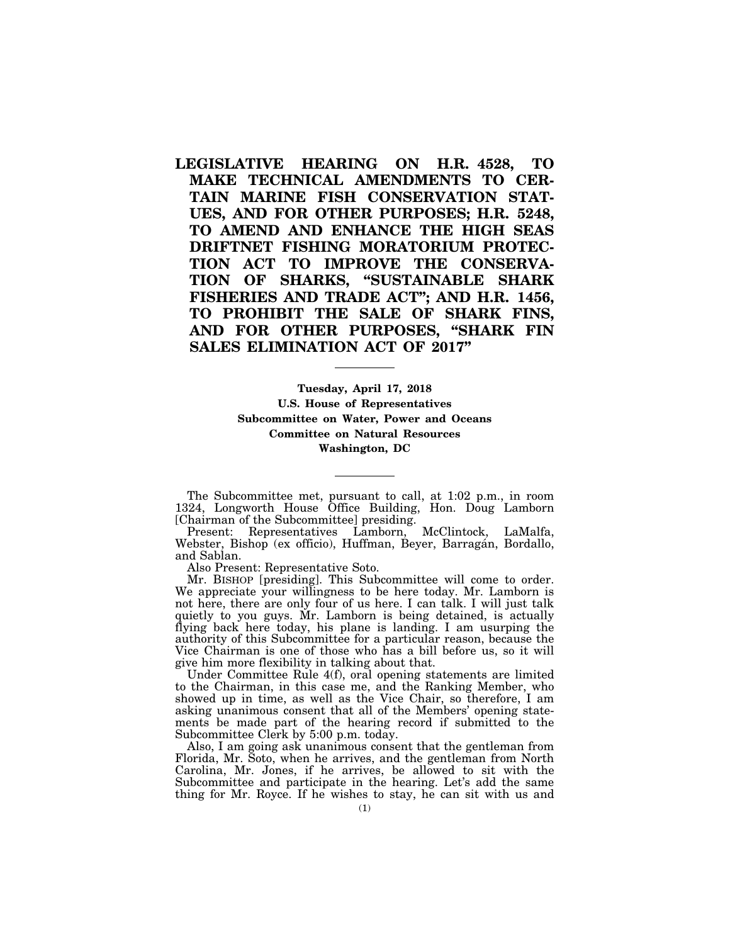**LEGISLATIVE HEARING ON H.R. 4528, TO MAKE TECHNICAL AMENDMENTS TO CER-TAIN MARINE FISH CONSERVATION STAT-UES, AND FOR OTHER PURPOSES; H.R. 5248, TO AMEND AND ENHANCE THE HIGH SEAS DRIFTNET FISHING MORATORIUM PROTEC-TION ACT TO IMPROVE THE CONSERVA-TION OF SHARKS, ''SUSTAINABLE SHARK FISHERIES AND TRADE ACT''; AND H.R. 1456, TO PROHIBIT THE SALE OF SHARK FINS, AND FOR OTHER PURPOSES, ''SHARK FIN SALES ELIMINATION ACT OF 2017''** 

> **Tuesday, April 17, 2018 U.S. House of Representatives Subcommittee on Water, Power and Oceans Committee on Natural Resources Washington, DC**

The Subcommittee met, pursuant to call, at 1:02 p.m., in room 1324, Longworth House Office Building, Hon. Doug Lamborn [Chairman of the Subcommittee] presiding.

Present: Representatives Lamborn, McClintock, LaMalfa, Webster, Bishop (ex officio), Huffman, Beyer, Barragán, Bordallo, and Sablan.

Also Present: Representative Soto.

Mr. BISHOP [presiding]. This Subcommittee will come to order. We appreciate your willingness to be here today. Mr. Lamborn is not here, there are only four of us here. I can talk. I will just talk quietly to you guys. Mr. Lamborn is being detained, is actually flying back here today, his plane is landing. I am usurping the authority of this Subcommittee for a particular reason, because the Vice Chairman is one of those who has a bill before us, so it will give him more flexibility in talking about that.

Under Committee Rule 4(f), oral opening statements are limited to the Chairman, in this case me, and the Ranking Member, who showed up in time, as well as the Vice Chair, so therefore, I am asking unanimous consent that all of the Members' opening statements be made part of the hearing record if submitted to the Subcommittee Clerk by 5:00 p.m. today.

Also, I am going ask unanimous consent that the gentleman from Florida, Mr. Soto, when he arrives, and the gentleman from North Carolina, Mr. Jones, if he arrives, be allowed to sit with the Subcommittee and participate in the hearing. Let's add the same thing for Mr. Royce. If he wishes to stay, he can sit with us and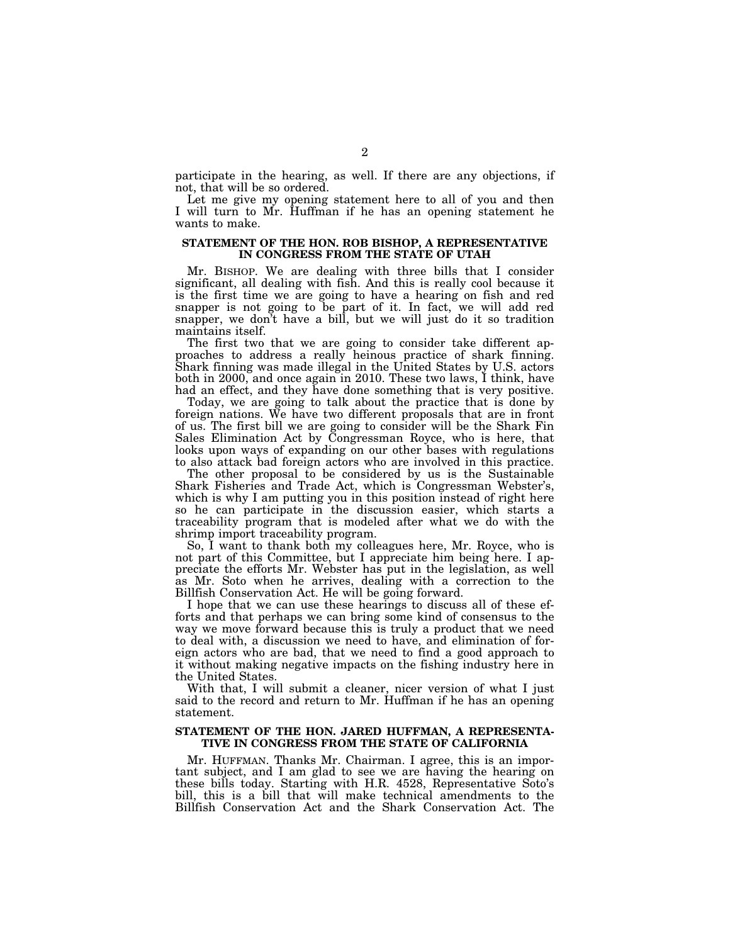participate in the hearing, as well. If there are any objections, if not, that will be so ordered.

Let me give my opening statement here to all of you and then I will turn to Mr. Huffman if he has an opening statement he wants to make.

# **STATEMENT OF THE HON. ROB BISHOP, A REPRESENTATIVE IN CONGRESS FROM THE STATE OF UTAH**

Mr. BISHOP. We are dealing with three bills that I consider significant, all dealing with fish. And this is really cool because it is the first time we are going to have a hearing on fish and red snapper is not going to be part of it. In fact, we will add red snapper, we don't have a bill, but we will just do it so tradition maintains itself.

The first two that we are going to consider take different approaches to address a really heinous practice of shark finning. Shark finning was made illegal in the United States by U.S. actors both in 2000, and once again in 2010. These two laws, I think, have had an effect, and they have done something that is very positive.

Today, we are going to talk about the practice that is done by foreign nations. We have two different proposals that are in front of us. The first bill we are going to consider will be the Shark Fin Sales Elimination Act by Congressman Royce, who is here, that looks upon ways of expanding on our other bases with regulations to also attack bad foreign actors who are involved in this practice.

The other proposal to be considered by us is the Sustainable Shark Fisheries and Trade Act, which is Congressman Webster's, which is why I am putting you in this position instead of right here so he can participate in the discussion easier, which starts a traceability program that is modeled after what we do with the shrimp import traceability program.

So, I want to thank both my colleagues here, Mr. Royce, who is not part of this Committee, but I appreciate him being here. I appreciate the efforts Mr. Webster has put in the legislation, as well as Mr. Soto when he arrives, dealing with a correction to the Billfish Conservation Act. He will be going forward.

I hope that we can use these hearings to discuss all of these efforts and that perhaps we can bring some kind of consensus to the way we move forward because this is truly a product that we need to deal with, a discussion we need to have, and elimination of foreign actors who are bad, that we need to find a good approach to it without making negative impacts on the fishing industry here in the United States.

With that, I will submit a cleaner, nicer version of what I just said to the record and return to Mr. Huffman if he has an opening statement.

# **STATEMENT OF THE HON. JARED HUFFMAN, A REPRESENTA-TIVE IN CONGRESS FROM THE STATE OF CALIFORNIA**

Mr. HUFFMAN. Thanks Mr. Chairman. I agree, this is an important subject, and I am glad to see we are having the hearing on these bills today. Starting with H.R. 4528, Representative Soto's bill, this is a bill that will make technical amendments to the Billfish Conservation Act and the Shark Conservation Act. The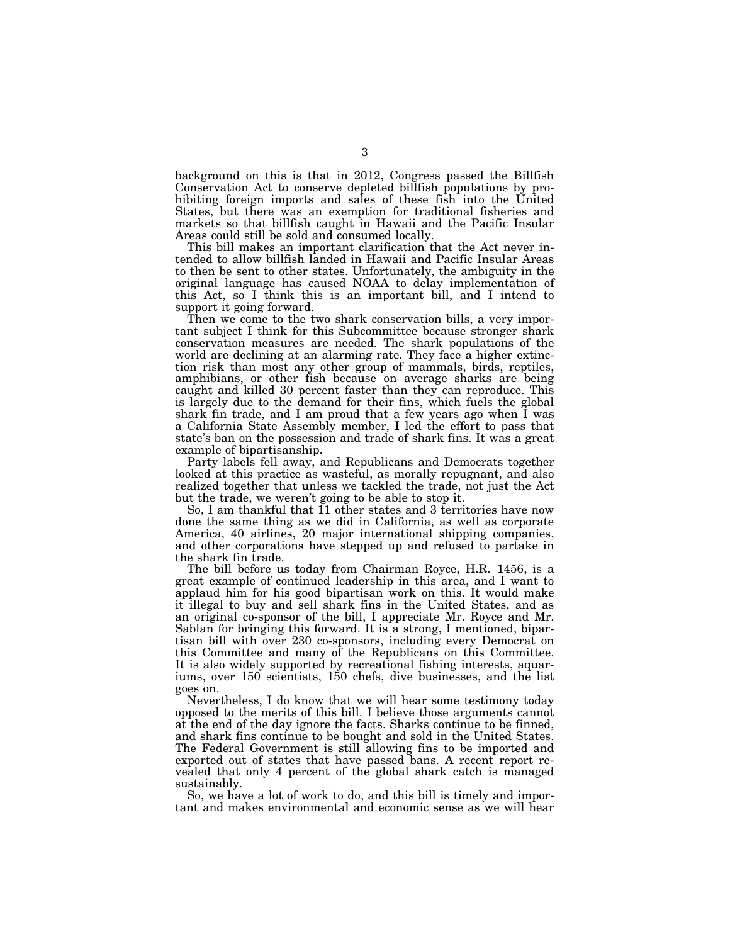background on this is that in 2012, Congress passed the Billfish Conservation Act to conserve depleted billfish populations by prohibiting foreign imports and sales of these fish into the United States, but there was an exemption for traditional fisheries and markets so that billfish caught in Hawaii and the Pacific Insular Areas could still be sold and consumed locally.

This bill makes an important clarification that the Act never intended to allow billfish landed in Hawaii and Pacific Insular Areas to then be sent to other states. Unfortunately, the ambiguity in the original language has caused NOAA to delay implementation of this Act, so I think this is an important bill, and I intend to support it going forward.

Then we come to the two shark conservation bills, a very important subject I think for this Subcommittee because stronger shark conservation measures are needed. The shark populations of the world are declining at an alarming rate. They face a higher extinction risk than most any other group of mammals, birds, reptiles, amphibians, or other fish because on average sharks are being caught and killed 30 percent faster than they can reproduce. This is largely due to the demand for their fins, which fuels the global shark fin trade, and I am proud that a few years ago when I was a California State Assembly member, I led the effort to pass that state's ban on the possession and trade of shark fins. It was a great example of bipartisanship.

Party labels fell away, and Republicans and Democrats together looked at this practice as wasteful, as morally repugnant, and also realized together that unless we tackled the trade, not just the Act but the trade, we weren't going to be able to stop it.

So, I am thankful that  $\overline{11}$  other states and 3 territories have now done the same thing as we did in California, as well as corporate America, 40 airlines, 20 major international shipping companies, and other corporations have stepped up and refused to partake in the shark fin trade.

The bill before us today from Chairman Royce, H.R. 1456, is a great example of continued leadership in this area, and I want to applaud him for his good bipartisan work on this. It would make it illegal to buy and sell shark fins in the United States, and as an original co-sponsor of the bill, I appreciate Mr. Royce and Mr. Sablan for bringing this forward. It is a strong, I mentioned, bipartisan bill with over 230 co-sponsors, including every Democrat on this Committee and many of the Republicans on this Committee. It is also widely supported by recreational fishing interests, aquariums, over 150 scientists, 150 chefs, dive businesses, and the list goes on.

Nevertheless, I do know that we will hear some testimony today opposed to the merits of this bill. I believe those arguments cannot at the end of the day ignore the facts. Sharks continue to be finned, and shark fins continue to be bought and sold in the United States. The Federal Government is still allowing fins to be imported and exported out of states that have passed bans. A recent report revealed that only 4 percent of the global shark catch is managed sustainably.

So, we have a lot of work to do, and this bill is timely and important and makes environmental and economic sense as we will hear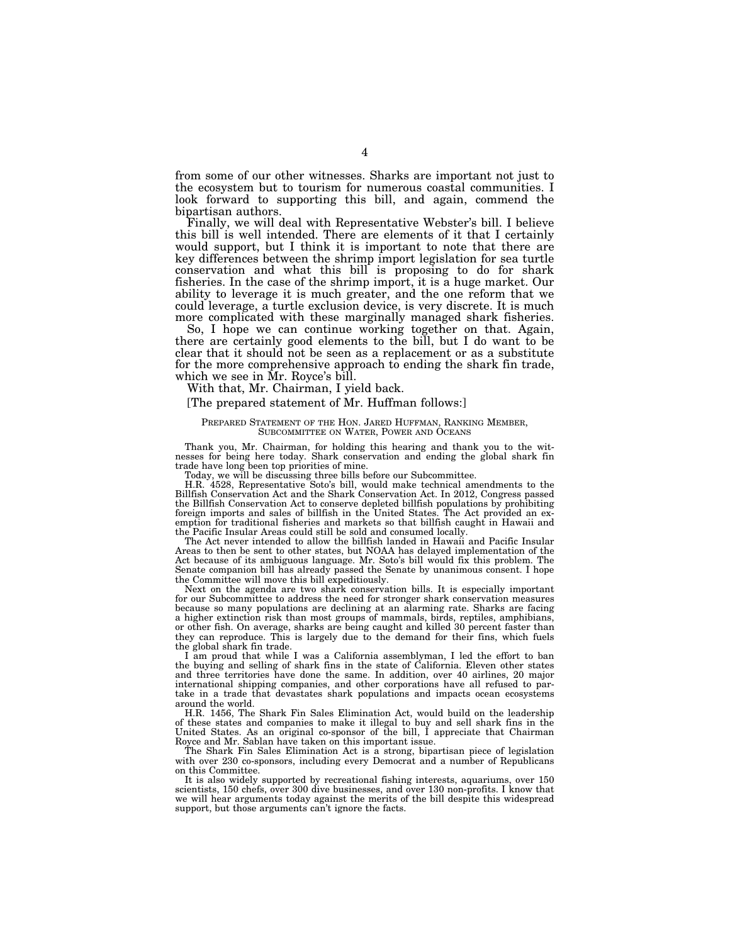from some of our other witnesses. Sharks are important not just to the ecosystem but to tourism for numerous coastal communities. I look forward to supporting this bill, and again, commend the bipartisan authors.

Finally, we will deal with Representative Webster's bill. I believe this bill is well intended. There are elements of it that I certainly would support, but I think it is important to note that there are key differences between the shrimp import legislation for sea turtle conservation and what this bill is proposing to do for shark fisheries. In the case of the shrimp import, it is a huge market. Our ability to leverage it is much greater, and the one reform that we could leverage, a turtle exclusion device, is very discrete. It is much more complicated with these marginally managed shark fisheries.

So, I hope we can continue working together on that. Again, there are certainly good elements to the bill, but I do want to be clear that it should not be seen as a replacement or as a substitute for the more comprehensive approach to ending the shark fin trade, which we see in Mr. Royce's bill.

With that, Mr. Chairman, I yield back.

## [The prepared statement of Mr. Huffman follows:]

# PREPARED STATEMENT OF THE HON. JARED HUFFMAN, RANKING MEMBER, SUBCOMMITTEE ON WATER, POWER AND OCEANS

Thank you, Mr. Chairman, for holding this hearing and thank you to the wit-nesses for being here today. Shark conservation and ending the global shark fin trade have long been top priorities of mine. Today, we will be discussing three bills before our Subcommittee.

H.R. 4528, Representative Soto's bill, would make technical amendments to the Billfish Conservation Act and the Shark Conservation Act. In 2012, Congress passed the Billfish Conservation Act to conserve depleted billfish populations by prohibiting foreign imports and sales of billfish in the United States. The Act provided an exemption for traditional fisheries and markets so that billfish caught in Hawaii and the Pacific Insular Areas could still be sold and consumed locally.

The Act never intended to allow the billfish landed in Hawaii and Pacific Insular Areas to then be sent to other states, but NOAA has delayed implementation of the Act because of its ambiguous language. Mr. Soto's bill would fix this problem. The Senate companion bill has already passed the Senate by unanimous consent. I hope the Committee will move this bill expeditiously.

Next on the agenda are two shark conservation bills. It is especially important for our Subcommittee to address the need for stronger shark conservation measures because so many populations are declining at an alarming rate. Sharks are facing a higher extinction risk than most groups of mammals, birds, reptiles, amphibians, or other fish. On average, sharks are being caught and killed 30 percent faster than they can reproduce. This is largely due to the demand for their fins, which fuels the global shark fin trade.

I am proud that while I was a California assemblyman, I led the effort to ban the buying and selling of shark fins in the state of California. Eleven other states and three territories have done the same. In addition, over 40 airlines, 20 major international shipping companies, and other corporations have all refused to partake in a trade that devastates shark populations and impacts ocean ecosystems around the world.

H.R. 1456, The Shark Fin Sales Elimination Act, would build on the leadership of these states and companies to make it illegal to buy and sell shark fins in the United States. As an original co-sponsor of the bill, I appreciate that Chairman Royce and Mr. Sablan have taken on this important issue.

The Shark Fin Sales Elimination Act is a strong, bipartisan piece of legislation with over 230 co-sponsors, including every Democrat and a number of Republicans on this Committee.

It is also widely supported by recreational fishing interests, aquariums, over 150 scientists, 150 chefs, over 300 dive businesses, and over 130 non-profits. I know that we will hear arguments today against the merits of the bill despite this widespread support, but those arguments can't ignore the facts.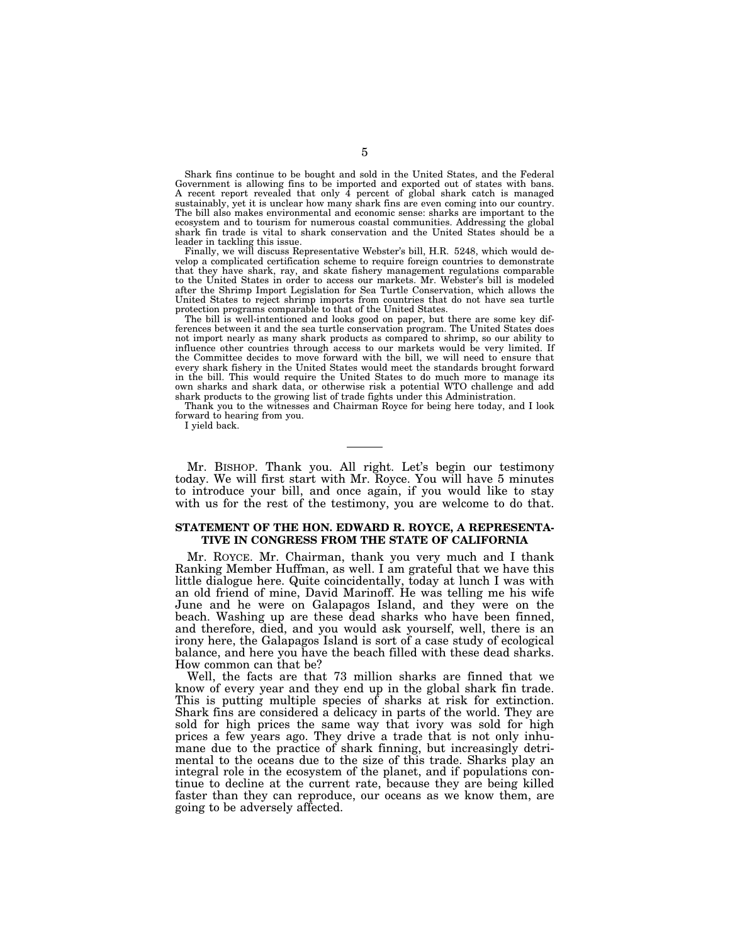Shark fins continue to be bought and sold in the United States, and the Federal Government is allowing fins to be imported and exported out of states with bans. A recent report revealed that only  $\hat{4}$  percent of global shark catch is managed sustainably, yet it is unclear how many shark fins are even coming into our country. The bill also makes environmental and economic sense: sharks are important to the ecosystem and to tourism for numerous coastal communities. Addressing the global shark fin trade is vital to shark conservation and the United States should be a leader in tackling this issue.

Finally, we will discuss Representative Webster's bill, H.R. 5248, which would develop a complicated certification scheme to require foreign countries to demonstrate that they have shark, ray, and skate fishery management regulations comparable to the United States in order to access our markets. Mr. Webster's bill is modeled after the Shrimp Import Legislation for Sea Turtle Conservation, which allows the United States to reject shrimp imports from countries that do not have sea turtle protection programs comparable to that of the United States.

The bill is well-intentioned and looks good on paper, but there are some key differences between it and the sea turtle conservation program. The United States does not import nearly as many shark products as compared to shrimp, so our ability to influence other countries through access to our markets would be very limited. If the Committee decides to move forward with the bill, we will need to ensure that every shark fishery in the United States would meet the standards brought forward in the bill. This would require the United States to do much more to manage its own sharks and shark data, or otherwise risk a potential WTO challenge and add shark products to the growing list of trade fights under this Administration.

Thank you to the witnesses and Chairman Royce for being here today, and I look forward to hearing from you.

I yield back.

Mr. BISHOP. Thank you. All right. Let's begin our testimony today. We will first start with Mr. Royce. You will have 5 minutes to introduce your bill, and once again, if you would like to stay with us for the rest of the testimony, you are welcome to do that.

# **STATEMENT OF THE HON. EDWARD R. ROYCE, A REPRESENTA-TIVE IN CONGRESS FROM THE STATE OF CALIFORNIA**

Mr. ROYCE. Mr. Chairman, thank you very much and I thank Ranking Member Huffman, as well. I am grateful that we have this little dialogue here. Quite coincidentally, today at lunch I was with an old friend of mine, David Marinoff. He was telling me his wife June and he were on Galapagos Island, and they were on the beach. Washing up are these dead sharks who have been finned, and therefore, died, and you would ask yourself, well, there is an irony here, the Galapagos Island is sort of a case study of ecological balance, and here you have the beach filled with these dead sharks. How common can that be?

Well, the facts are that 73 million sharks are finned that we know of every year and they end up in the global shark fin trade. This is putting multiple species of sharks at risk for extinction. Shark fins are considered a delicacy in parts of the world. They are sold for high prices the same way that ivory was sold for high prices a few years ago. They drive a trade that is not only inhumane due to the practice of shark finning, but increasingly detrimental to the oceans due to the size of this trade. Sharks play an integral role in the ecosystem of the planet, and if populations continue to decline at the current rate, because they are being killed faster than they can reproduce, our oceans as we know them, are going to be adversely affected.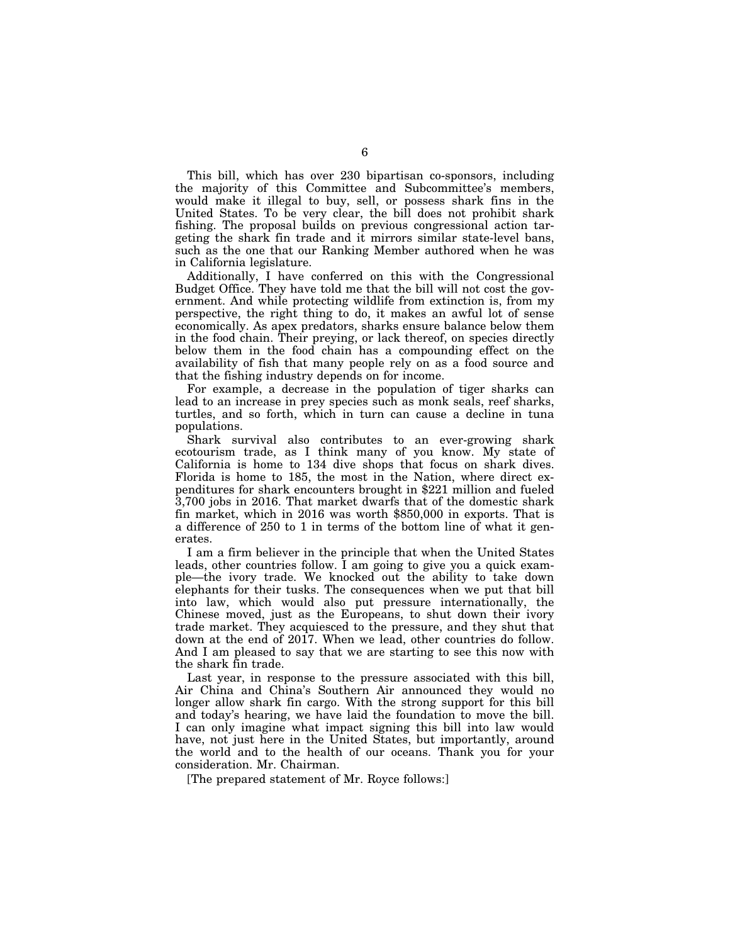This bill, which has over 230 bipartisan co-sponsors, including the majority of this Committee and Subcommittee's members, would make it illegal to buy, sell, or possess shark fins in the United States. To be very clear, the bill does not prohibit shark fishing. The proposal builds on previous congressional action targeting the shark fin trade and it mirrors similar state-level bans, such as the one that our Ranking Member authored when he was in California legislature.

Additionally, I have conferred on this with the Congressional Budget Office. They have told me that the bill will not cost the government. And while protecting wildlife from extinction is, from my perspective, the right thing to do, it makes an awful lot of sense economically. As apex predators, sharks ensure balance below them in the food chain. Their preying, or lack thereof, on species directly below them in the food chain has a compounding effect on the availability of fish that many people rely on as a food source and that the fishing industry depends on for income.

For example, a decrease in the population of tiger sharks can lead to an increase in prey species such as monk seals, reef sharks, turtles, and so forth, which in turn can cause a decline in tuna populations.

Shark survival also contributes to an ever-growing shark ecotourism trade, as I think many of you know. My state of California is home to 134 dive shops that focus on shark dives. Florida is home to 185, the most in the Nation, where direct expenditures for shark encounters brought in \$221 million and fueled 3,700 jobs in 2016. That market dwarfs that of the domestic shark fin market, which in 2016 was worth \$850,000 in exports. That is a difference of 250 to 1 in terms of the bottom line of what it generates.

I am a firm believer in the principle that when the United States leads, other countries follow. I am going to give you a quick example—the ivory trade. We knocked out the ability to take down elephants for their tusks. The consequences when we put that bill into law, which would also put pressure internationally, the Chinese moved, just as the Europeans, to shut down their ivory trade market. They acquiesced to the pressure, and they shut that down at the end of 2017. When we lead, other countries do follow. And I am pleased to say that we are starting to see this now with the shark fin trade.

Last year, in response to the pressure associated with this bill, Air China and China's Southern Air announced they would no longer allow shark fin cargo. With the strong support for this bill and today's hearing, we have laid the foundation to move the bill. I can only imagine what impact signing this bill into law would have, not just here in the United States, but importantly, around the world and to the health of our oceans. Thank you for your consideration. Mr. Chairman.

[The prepared statement of Mr. Royce follows:]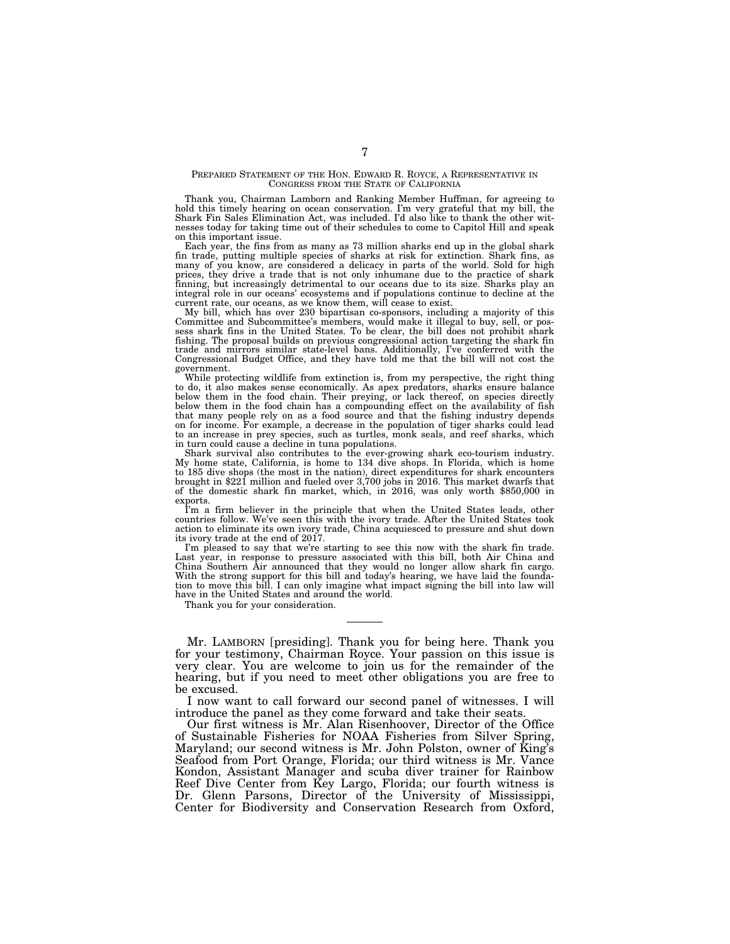#### PREPARED STATEMENT OF THE HON. EDWARD R. ROYCE, A REPRESENTATIVE IN CONGRESS FROM THE STATE OF CALIFORNIA

Thank you, Chairman Lamborn and Ranking Member Huffman, for agreeing to hold this timely hearing on ocean conservation. I'm very grateful that my bill, the Shark Fin Sales Elimination Act, was included. I'd also like to thank the other witnesses today for taking time out of their schedules to come to Capitol Hill and speak on this important issue.

Each year, the fins from as many as 73 million sharks end up in the global shark fin trade, putting multiple species of sharks at risk for extinction. Shark fins, as many of you know, are considered a delicacy in parts of the world. Sold for high prices, they drive a trade that is not only inhumane due to the practice of shark finning, but increasingly detrimental to our oceans due to its size. Sharks play an integral role in our oceans' ecosystems and if populations continue to decline at the current rate, our oceans, as we know them, will cease to exist.

My bill, which has over 230 bipartisan co-sponsors, including a majority of this Committee and Subcommittee's members, would make it illegal to buy, sell, or possess shark fins in the United States. To be clear, the bill d fishing. The proposal builds on previous congressional action targeting the shark fin trade and mirrors similar state-level bans. Additionally, I've conferred with the Congressional Budget Office, and they have told me that the bill will not cost the government.

While protecting wildlife from extinction is, from my perspective, the right thing to do, it also makes sense economically. As apex predators, sharks ensure balance below them in the food chain. Their preying, or lack thereof, on species directly below them in the food chain has a compounding effect on the availability of fish that many people rely on as a food source and that the fishing industry depends on for income. For example, a decrease in the population of tiger sharks could lead to an increase in prey species, such as turtles, monk seals, and reef sharks, which in turn could cause a decline in tuna populations.

Shark survival also contributes to the ever-growing shark eco-tourism industry. My home state, California, is home to 134 dive shops. In Florida, which is home to 185 dive shops (the most in the nation), direct expenditures for shark encounters brought in \$221 million and fueled over 3,700 jobs in 2016. This market dwarfs that of the domestic shark fin market, which, in 2016, was only worth \$850,000 in exports.

I'm a firm believer in the principle that when the United States leads, other countries follow. We've seen this with the ivory trade. After the United States took action to eliminate its own ivory trade, China acquiesced to pressure and shut down its ivory trade at the end of 2017.

I'm pleased to say that we're starting to see this now with the shark fin trade. Last year, in response to pressure associated with this bill, both Air China and China Southern Air announced that they would no longer allow shark fin cargo. With the strong support for this bill and today's hearing, we have laid the founda-tion to move this bill. I can only imagine what impact signing the bill into law will have in the United States and around the world.

Thank you for your consideration.

Mr. LAMBORN [presiding]. Thank you for being here. Thank you for your testimony, Chairman Royce. Your passion on this issue is very clear. You are welcome to join us for the remainder of the hearing, but if you need to meet other obligations you are free to be excused.

I now want to call forward our second panel of witnesses. I will introduce the panel as they come forward and take their seats.

Our first witness is Mr. Alan Risenhoover, Director of the Office of Sustainable Fisheries for NOAA Fisheries from Silver Spring, Maryland; our second witness is Mr. John Polston, owner of King's Seafood from Port Orange, Florida; our third witness is Mr. Vance Kondon, Assistant Manager and scuba diver trainer for Rainbow Reef Dive Center from Key Largo, Florida; our fourth witness is Dr. Glenn Parsons, Director of the University of Mississippi, Center for Biodiversity and Conservation Research from Oxford,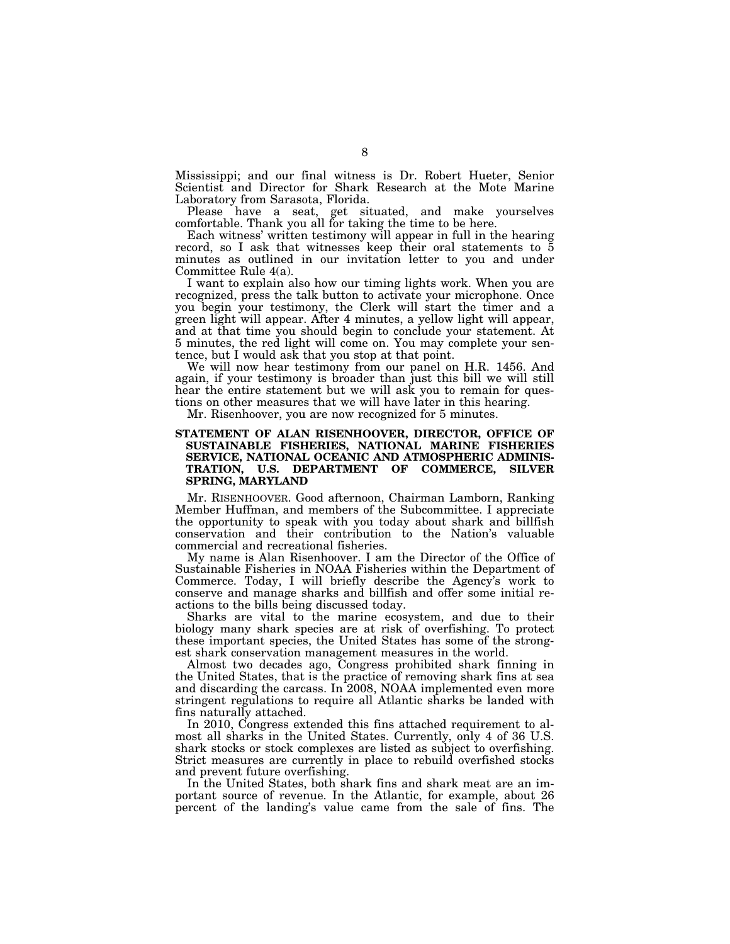Mississippi; and our final witness is Dr. Robert Hueter, Senior Scientist and Director for Shark Research at the Mote Marine Laboratory from Sarasota, Florida.

Please have a seat, get situated, and make yourselves comfortable. Thank you all for taking the time to be here.

Each witness' written testimony will appear in full in the hearing record, so I ask that witnesses keep their oral statements to 5 minutes as outlined in our invitation letter to you and under Committee Rule 4(a).

I want to explain also how our timing lights work. When you are recognized, press the talk button to activate your microphone. Once you begin your testimony, the Clerk will start the timer and a green light will appear. After 4 minutes, a yellow light will appear, and at that time you should begin to conclude your statement. At 5 minutes, the red light will come on. You may complete your sentence, but I would ask that you stop at that point.

We will now hear testimony from our panel on H.R. 1456. And again, if your testimony is broader than just this bill we will still hear the entire statement but we will ask you to remain for questions on other measures that we will have later in this hearing.

Mr. Risenhoover, you are now recognized for 5 minutes.

# **STATEMENT OF ALAN RISENHOOVER, DIRECTOR, OFFICE OF SUSTAINABLE FISHERIES, NATIONAL MARINE FISHERIES SERVICE, NATIONAL OCEANIC AND ATMOSPHERIC ADMINIS-TRATION, U.S. DEPARTMENT OF COMMERCE, SILVER SPRING, MARYLAND**

Mr. RISENHOOVER. Good afternoon, Chairman Lamborn, Ranking Member Huffman, and members of the Subcommittee. I appreciate the opportunity to speak with you today about shark and billfish conservation and their contribution to the Nation's valuable commercial and recreational fisheries.

My name is Alan Risenhoover. I am the Director of the Office of Sustainable Fisheries in NOAA Fisheries within the Department of Commerce. Today, I will briefly describe the Agency's work to conserve and manage sharks and billfish and offer some initial reactions to the bills being discussed today.

Sharks are vital to the marine ecosystem, and due to their biology many shark species are at risk of overfishing. To protect these important species, the United States has some of the strongest shark conservation management measures in the world.

Almost two decades ago, Congress prohibited shark finning in the United States, that is the practice of removing shark fins at sea and discarding the carcass. In 2008, NOAA implemented even more stringent regulations to require all Atlantic sharks be landed with fins naturally attached.

In 2010, Congress extended this fins attached requirement to almost all sharks in the United States. Currently, only 4 of 36 U.S. shark stocks or stock complexes are listed as subject to overfishing. Strict measures are currently in place to rebuild overfished stocks and prevent future overfishing.

In the United States, both shark fins and shark meat are an important source of revenue. In the Atlantic, for example, about 26 percent of the landing's value came from the sale of fins. The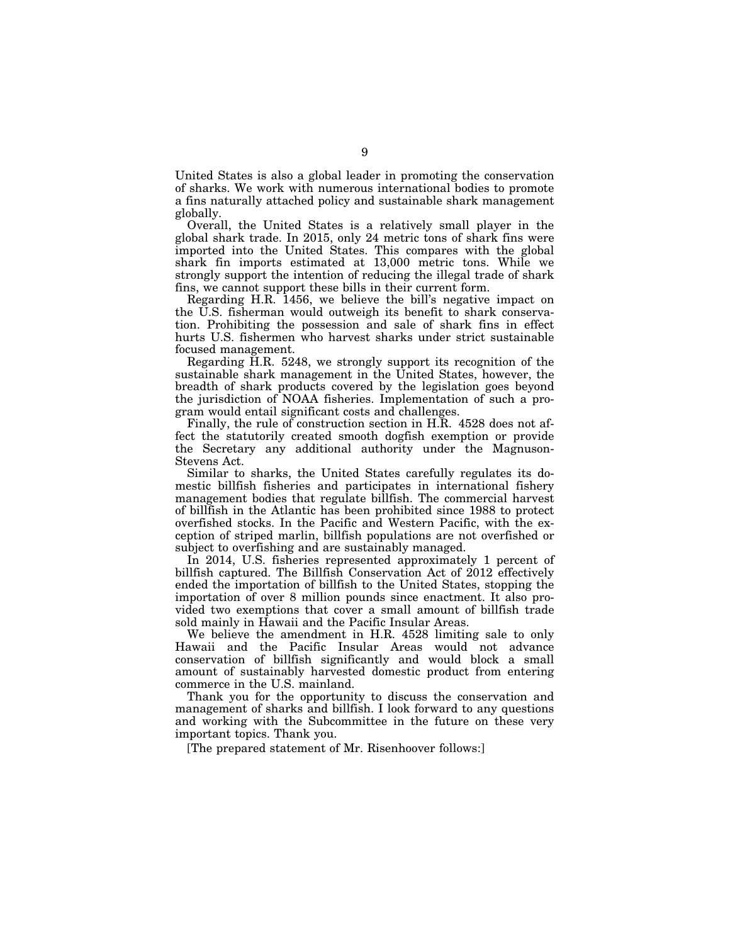United States is also a global leader in promoting the conservation of sharks. We work with numerous international bodies to promote a fins naturally attached policy and sustainable shark management globally.

Overall, the United States is a relatively small player in the global shark trade. In 2015, only 24 metric tons of shark fins were imported into the United States. This compares with the global shark fin imports estimated at 13,000 metric tons. While we strongly support the intention of reducing the illegal trade of shark fins, we cannot support these bills in their current form.

Regarding H.R. 1456, we believe the bill's negative impact on the U.S. fisherman would outweigh its benefit to shark conservation. Prohibiting the possession and sale of shark fins in effect hurts U.S. fishermen who harvest sharks under strict sustainable focused management.

Regarding H.R. 5248, we strongly support its recognition of the sustainable shark management in the United States, however, the breadth of shark products covered by the legislation goes beyond the jurisdiction of NOAA fisheries. Implementation of such a program would entail significant costs and challenges.

Finally, the rule of construction section in H.R. 4528 does not affect the statutorily created smooth dogfish exemption or provide the Secretary any additional authority under the Magnuson-Stevens Act.

Similar to sharks, the United States carefully regulates its domestic billfish fisheries and participates in international fishery management bodies that regulate billfish. The commercial harvest of billfish in the Atlantic has been prohibited since 1988 to protect overfished stocks. In the Pacific and Western Pacific, with the exception of striped marlin, billfish populations are not overfished or subject to overfishing and are sustainably managed.

In 2014, U.S. fisheries represented approximately 1 percent of billfish captured. The Billfish Conservation Act of 2012 effectively ended the importation of billfish to the United States, stopping the importation of over 8 million pounds since enactment. It also provided two exemptions that cover a small amount of billfish trade sold mainly in Hawaii and the Pacific Insular Areas.

We believe the amendment in H.R. 4528 limiting sale to only Hawaii and the Pacific Insular Areas would not advance conservation of billfish significantly and would block a small amount of sustainably harvested domestic product from entering commerce in the U.S. mainland.

Thank you for the opportunity to discuss the conservation and management of sharks and billfish. I look forward to any questions and working with the Subcommittee in the future on these very important topics. Thank you.

[The prepared statement of Mr. Risenhoover follows:]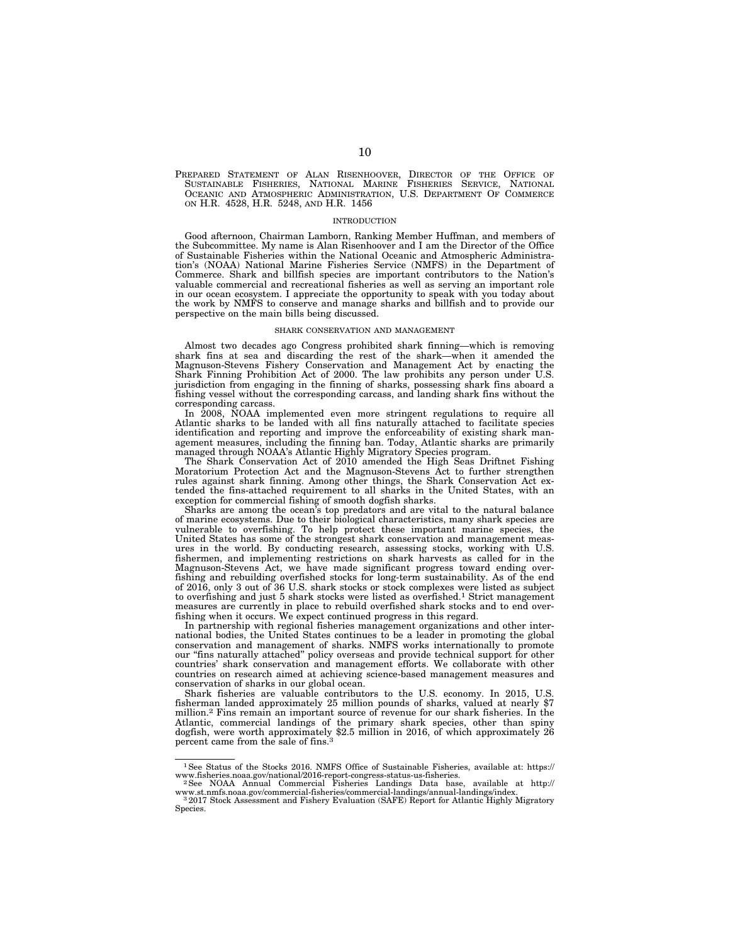PREPARED STATEMENT OF ALAN RISENHOOVER, DIRECTOR OF THE OFFICE OF SUSTAINABLE FISHERIES, NATIONAL MARINE FISHERIES SERVICE, NATIONAL OCEANIC AND ATMOSPHERIC ADMINISTRATION, U.S. DEPARTMENT OF COMMERCE ON H.R. 4528, H.R. 5248, AND H.R. 1456

#### INTRODUCTION

Good afternoon, Chairman Lamborn, Ranking Member Huffman, and members of the Subcommittee. My name is Alan Risenhoover and I am the Director of the Office of Sustainable Fisheries within the National Oceanic and Atmospheric Administration's (NOAA) National Marine Fisheries Service (NMFS) in the Department of Commerce. Shark and billfish species are important contributors to the Nation's valuable commercial and recreational fisheries as well as serving an important role in our ocean ecosystem. I appreciate the opportunity to speak with you today about the work by NMFS to conserve and manage sharks and billfish and to provide our perspective on the main bills being discussed.

#### SHARK CONSERVATION AND MANAGEMENT

Almost two decades ago Congress prohibited shark finning—which is removing shark fins at sea and discarding the rest of the shark—when it amended the Magnuson-Stevens Fishery Conservation and Management Act by enacting the Shark Finning Prohibition Act of 2000. The law prohibits any person under U.S. jurisdiction from engaging in the finning of sharks, possessing shark fins aboard a fishing vessel without the corresponding carcass, and landing shark fins without the corresponding carcass.

In 2008, NOAA implemented even more stringent regulations to require all Atlantic sharks to be landed with all fins naturally attached to facilitate species identification and reporting and improve the enforceability of existing shark management measures, including the finning ban. Today, Atlantic sharks are primarily managed through NOAA's Atlantic Highly Migratory Species program.

The Shark Conservation Act of 2010 amended the High Seas Driftnet Fishing Moratorium Protection Act and the Magnuson-Stevens Act to further strengthen rules against shark finning. Among other things, the Shark Conservation Act extended the fins-attached requirement to all sharks in the United States, with an exception for commercial fishing of smooth dogfish sharks.

Sharks are among the ocean's top predators and are vital to the natural balance of marine ecosystems. Due to their biological characteristics, many shark species are vulnerable to overfishing. To help protect these important marine species, the United States has some of the strongest shark conservation and management measures in the world. By conducting research, assessing stocks, working with U.S. fishermen, and implementing restrictions on shark harvests as called for in the Magnuson-Stevens Act, we have made significant progress toward ending overfishing and rebuilding overfished stocks for long-term sustainability. As of the end of 2016, only 3 out of 36 U.S. shark stocks or stock complexes were listed as subject to overfishing and just 5 shark stocks were listed as overfished.1 Strict management measures are currently in place to rebuild overfished shark stocks and to end overfishing when it occurs. We expect continued progress in this regard.

In partnership with regional fisheries management organizations and other international bodies, the United States continues to be a leader in promoting the global conservation and management of sharks. NMFS works internationally to promote our ''fins naturally attached'' policy overseas and provide technical support for other countries' shark conservation and management efforts. We collaborate with other countries on research aimed at achieving science-based management measures and conservation of sharks in our global ocean.

Shark fisheries are valuable contributors to the U.S. economy. In 2015, U.S. fisherman landed approximately 25 million pounds of sharks, valued at nearly \$7 million.2 Fins remain an important source of revenue for our shark fisheries. In the Atlantic, commercial landings of the primary shark species, other than spiny dogfish, were worth approximately \$2.5 million in 2016, of which approximately 26 percent came from the sale of fins.<sup>3</sup>

<sup>1</sup>See Status of the Stocks 2016. NMFS Office of Sustainable Fisheries, available at: https:// www.fisheries.noaa.gov/national/2016-report-congress-status-us-fisheries. 2See NOAA Annual Commercial Fisheries Landings Data base, available at http://

ww.st.nmfs.noaa.gov/commercial-fisheries/commercial-landings/annual-landings/index.<br>
<sup>3</sup> 2017 Stock Assessment and Fishery Evaluation (SAFE) Report for Atlantic Highly Migratory

Species.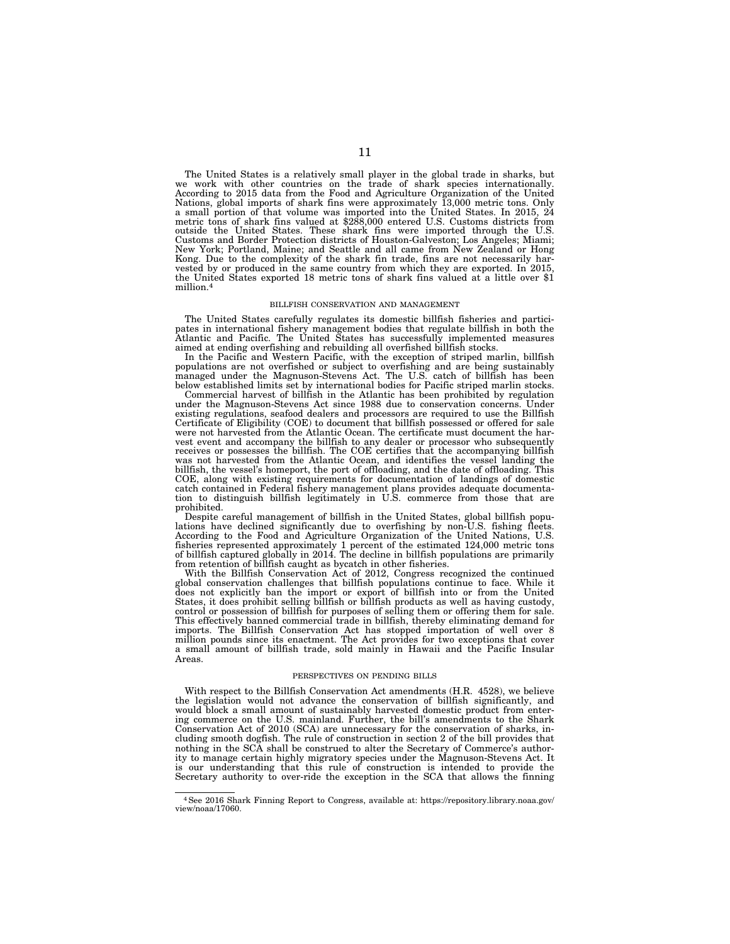The United States is a relatively small player in the global trade in sharks, but we work with other countries on the trade of shark species internationally. According to 2015 data from the Food and Agriculture Organization of the United Nations, global imports of shark fins were approximately 13,000 metric tons. Only a small portion of that volume was imported into the United States. In 2015, 24 metric tons of shark fins valued at \$288,000 entered U.S. Customs districts from outside the United States. These shark fins were imported thr Customs and Border Protection districts of Houston-Galveston; Los Angeles; Miami; New York; Portland, Maine; and Seattle and all came from New Zealand or Hong Kong. Due to the complexity of the shark fin trade, fins are not necessarily harvested by or produced in the same country from which they are exported. In 2015, the United States exported 18 metric tons of shark fins valued at a little over \$1 million.4

#### BILLFISH CONSERVATION AND MANAGEMENT

The United States carefully regulates its domestic billfish fisheries and participates in international fishery management bodies that regulate billfish in both the Atlantic and Pacific. The United States has successfully implemented measures

aimed at ending overfishing and rebuilding all overfished billfish stocks. In the Pacific and Western Pacific, with the exception of striped marlin, billfish populations are not overfished or subject to overfishing and are being sustainably managed under the Magnuson-Stevens Act. The U.S. catch of billfish has been below established limits set by international bodies for Pacific striped marlin stocks. Commercial harvest of billfish in the Atlantic has been prohibited by regulation

under the Magnuson-Stevens Act since 1988 due to conservation concerns. Under existing regulations, seafood dealers and processors are required to use the Billfish Certificate of Eligibility (COE) to document that billfish possessed or offered for sale were not harvested from the Atlantic Ocean. The certificate must document the harvest event and accompany the billfish to any dealer or processor who subsequently receives or possesses the billfish. The COE certifies that the accompanying billfish was not harvested from the Atlantic Ocean, and identifies the vessel landing the billfish, the vessel's homeport, the port of offloading, and the date of offloading. This COE, along with existing requirements for documentation of landings of domestic catch contained in Federal fishery management plans provides adequate documentation to distinguish billfish legitimately in U.S. commerce from those that are prohibited.

Despite careful management of billfish in the United States, global billfish populations have declined significantly due to overfishing by non-U.S. fishing fleets. According to the Food and Agriculture Organization of the United Nations, U.S. fisheries represented approximately 1 percent of the estimated 124,000 metric tons<br>of billfish captured globally in 2014. The decline in billfish populations are primarily<br>from retention of billfish caught as bycatch in ot

With the Billfish Conservation Act of 2012, Congress recognized the continued global conservation challenges that billfish populations continue to face. While it does not explicitly ban the import or export of billfish into or from the United States, it does prohibit selling billfish or billfish products as well as having custody, control or possession of billfish for purposes of selling them or offering them for sale. This effectively banned commercial trade in billfish, thereby eliminating demand for imports. The Billfish Conservation Act has stopped importation of well over 8 million pounds since its enactment. The Act provides for two exceptions that cover a small amount of billfish trade, sold mainly in Hawaii and the Pacific Insular Areas.

#### PERSPECTIVES ON PENDING BILLS

With respect to the Billfish Conservation Act amendments (H.R. 4528), we believe the legislation would not advance the conservation of billfish significantly, and would block a small amount of sustainably harvested domestic product from entering commerce on the U.S. mainland. Further, the bill's amendments to the Shark Conservation Act of 2010 (SCA) are unnecessary for the conservation of sharks, including smooth dogfish. The rule of construction in section 2 of the bill provides that nothing in the SCA shall be construed to alter the Secretary of Commerce's authority to manage certain highly migratory species under the Magnuson-Stevens Act. It is our understanding that this rule of construction is intended to provide the Secretary authority to over-ride the exception in the SCA that allows the finning

<sup>4</sup>See 2016 Shark Finning Report to Congress, available at: https://repository.library.noaa.gov/ view/noaa/17060.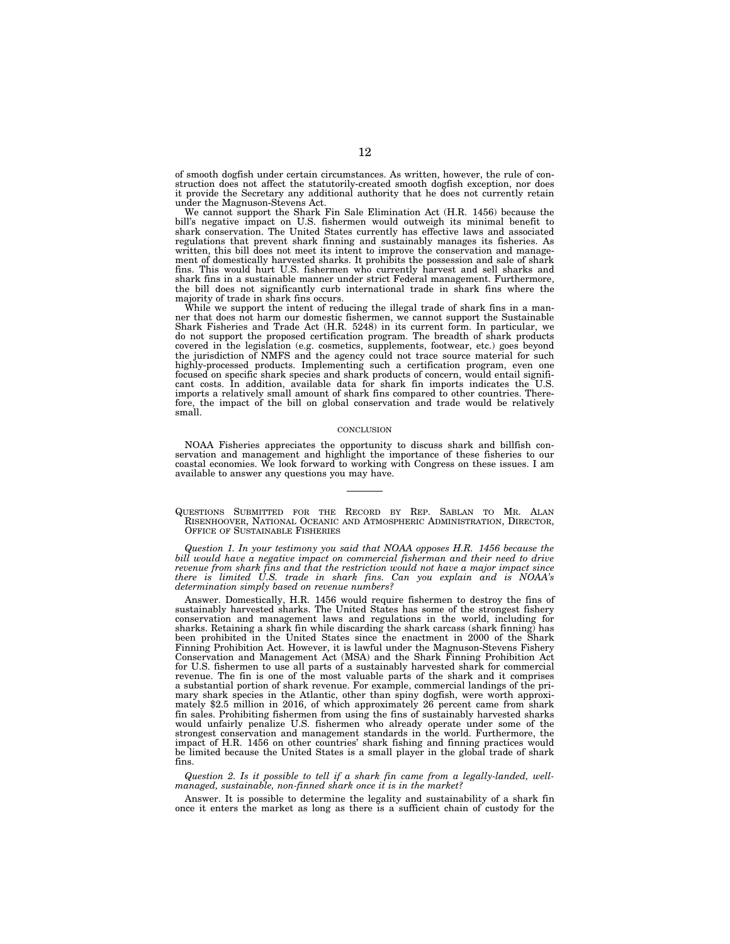of smooth dogfish under certain circumstances. As written, however, the rule of construction does not affect the statutorily-created smooth dogfish exception, nor does it provide the Secretary any additional authority that he does not currently retain under the Magnuson-Stevens Act.

We cannot support the Shark Fin Sale Elimination Act (H.R. 1456) because the bill's negative impact on U.S. fishermen would outweigh its minimal benefit to shark conservation. The United States currently has effective laws and associated regulations that prevent shark finning and sustainably manages its fisheries. As written, this bill does not meet its intent to improve the conservation and management of domestically harvested sharks. It prohibits the possession and sale of shark fins. This would hurt U.S. fishermen who currently harvest and sell sharks and shark fins in a sustainable manner under strict Federal management. Furthermore, the bill does not significantly curb international trade in shark fins where the majority of trade in shark fins occurs.

While we support the intent of reducing the illegal trade of shark fins in a manner that does not harm our domestic fishermen, we cannot support the Sustainable Shark Fisheries and Trade Act (H.R. 5248) in its current form. In particular, we do not support the proposed certification program. The breadth of shark products covered in the legislation (e.g. cosmetics, supplements, footwear, etc.) goes beyond the jurisdiction of NMFS and the agency could not trace source material for such highly-processed products. Implementing such a certification program, even one focused on specific shark species and shark products of concern, would entail significant costs. In addition, available data for shark fin imports indicates the U.S. imports a relatively small amount of shark fins compared to other countries. Thereimports a relatively small amount of shark fins compared to other countries. Therefore, the impact of the bill on global conservation and trade would be relatively small.

#### **CONCLUSION**

NOAA Fisheries appreciates the opportunity to discuss shark and billfish conservation and management and highlight the importance of these fisheries to our coastal economies. We look forward to working with Congress on these issues. I am available to answer any questions you may have.

QUESTIONS SUBMITTED FOR THE RECORD BY REP. SABLAN TO MR. ALAN RISENHOOVER, NATIONAL OCEANIC AND ATMOSPHERIC ADMINISTRATION, DIRECTOR, OFFICE OF SUSTAINABLE FISHERIES

*Question 1. In your testimony you said that NOAA opposes H.R. 1456 because the*  bill would have a negative impact on commercial fisherman and their need to drive *revenue from shark fins and that the restriction would not have a major impact since there is limited U.S. trade in shark fins. Can you explain and is NOAA's determination simply based on revenue numbers?* 

Answer. Domestically, H.R. 1456 would require fishermen to destroy the fins of sustainably harvested sharks. The United States has some of the strongest fishery conservation and management laws and regulations in the world, including for sharks. Retaining a shark fin while discarding the shark carcass (shark finning) has been prohibited in the United States since the enactment in 2000 of the Shark Finning Prohibition Act. However, it is lawful under the Magnuson-Stevens Fishery Conservation and Management Act (MSA) and the Shark Finning Prohibition Act for U.S. fishermen to use all parts of a sustainably harvested shark for commercial revenue. The fin is one of the most valuable parts of the shark and it comprises a substantial portion of shark revenue. For example, commercial landings of the primary shark species in the Atlantic, other than spiny dogfish, were worth approximately \$2.5 million in 2016, of which approximately 26 percent came from shark fin sales. Prohibiting fishermen from using the fins of sustainably harvested sharks would unfairly penalize U.S. fishermen who already operate under some of the strongest conservation and management standards in the world. Furthermore, the impact of H.R. 1456 on other countries' shark fishing and finning practices would be limited because the United States is a small player in the global trade of shark fins.

*Question 2. Is it possible to tell if a shark fin came from a legally-landed, wellmanaged, sustainable, non-finned shark once it is in the market?* 

Answer. It is possible to determine the legality and sustainability of a shark fin once it enters the market as long as there is a sufficient chain of custody for the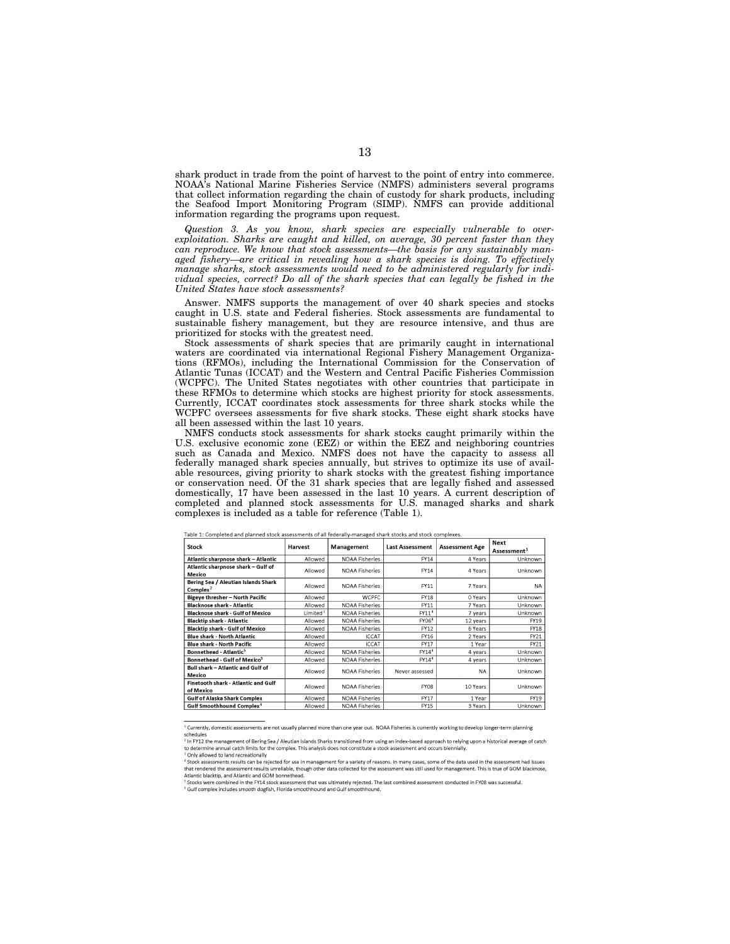shark product in trade from the point of harvest to the point of entry into commerce. NOAA's National Marine Fisheries Service (NMFS) administers several programs that collect information regarding the chain of custody for shark products, including the Seafood Import Monitoring Program (SIMP). NMFS can provide additional information regarding the programs upon request.

*Question 3. As you know, shark species are especially vulnerable to overexploitation. Sharks are caught and killed, on average, 30 percent faster than they can reproduce. We know that stock assessments—the basis for any sustainably man*aged fishery—are critical in revealing how a shark species is doing. To effectively *manage sharks, stock assessments would need to be administered regularly for individual species, correct? Do all of the shark species that can legally be fished in the United States have stock assessments?* 

Answer. NMFS supports the management of over 40 shark species and stocks caught in U.S. state and Federal fisheries. Stock assessments are fundamental to sustainable fishery management, but they are resource intensive, and thus are prioritized for stocks with the greatest need.

Stock assessments of shark species that are primarily caught in international waters are coordinated via international Regional Fishery Management Organizations (RFMOs), including the International Commission for the Conservation of Atlantic Tunas (ICCAT) and the Western and Central Pacific Fisheries Commission (WCPFC). The United States negotiates with other countries that participate in these RFMOs to determine which stocks are highest priority for stock assessments. Currently, ICCAT coordinates stock assessments for three shark stocks while the WCPFC oversees assessments for five shark stocks. These eight shark stocks have all been assessed within the last 10 years.

NMFS conducts stock assessments for shark stocks caught primarily within the U.S. exclusive economic zone (EEZ) or within the EEZ and neighboring countries such as Canada and Mexico. NMFS does not have the capacity to assess all federally managed shark species annually, but strives to optimize its use of available resources, giving priority to shark stocks with the greatest fishing importance or conservation need. Of the 31 shark species that are legally fished and assessed domestically, 17 have been assessed in the last 10 years. A current description of completed and planned stock assessments for U.S. managed sharks and shark complexes is included as a table for reference (Table 1).

| Stock                                              | Harvest     | Management            | <b>Last Assessment</b> | <b>Assessment Age</b> | Next<br>Assessment <sup>1</sup> |
|----------------------------------------------------|-------------|-----------------------|------------------------|-----------------------|---------------------------------|
| Atlantic sharpnose shark – Atlantic                | Allowed     | <b>NOAA Fisheries</b> | FY14                   | 4 Years               | Unknown                         |
| Atlantic sharpnose shark – Gulf of<br>Mexico       | Allowed     | <b>NOAA Fisheries</b> | FY14                   | 4 Years               | Unknown                         |
| Bering Sea / Aleutian Islands Shark<br>Complex $2$ | Allowed     | <b>NOAA Fisheries</b> | FY11                   | 7 Years               | <b>NA</b>                       |
| Bigeye thresher – North Pacific                    | Allowed     | <b>WCPFC</b>          | <b>FY18</b>            | 0 Years               | Unknown                         |
| <b>Blacknose shark - Atlantic</b>                  | Allowed     | <b>NOAA Fisheries</b> | FY11                   | 7 Years               | Unknown                         |
| <b>Blacknose shark - Gulf of Mexico</b>            | Limited $3$ | <b>NOAA Fisheries</b> | FY11 <sup>4</sup>      | 7 years               | Unknown                         |
| <b>Blacktip shark - Atlantic</b>                   | Allowed     | <b>NOAA Fisheries</b> | FY06 <sup>4</sup>      | 12 years              | FY19                            |
| <b>Blacktip shark - Gulf of Mexico</b>             | Allowed     | <b>NOAA Fisheries</b> | FY12                   | 6 Years               | <b>FY18</b>                     |
| Blue shark - North Atlantic                        | Allowed     | <b>ICCAT</b>          | FY16                   | 2 Years               | FY21                            |
| <b>Blue shark - North Pacific</b>                  | Allowed     | <b>ICCAT</b>          | FY17                   | 1 Year                | FY21                            |
| Bonnethead - Atlantic <sup>5</sup>                 | Allowed     | <b>NOAA Fisheries</b> | FY14 <sup>4</sup>      | 4 years               | Unknown                         |
| Bonnethead - Gulf of Mexico <sup>5</sup>           | Allowed     | <b>NOAA Fisheries</b> | FY14 <sup>4</sup>      | 4 years               | Unknown                         |
| Bull shark - Atlantic and Gulf of<br>Mexico        | Allowed     | <b>NOAA Fisheries</b> | Never assessed         | <b>NA</b>             | Unknown                         |
| Finetooth shark - Atlantic and Gulf<br>of Mexico   | Allowed     | NOAA Fisheries        | FY08                   | 10 Years              | Unknown                         |
| Gulf of Alaska Shark Complex                       | Allowed     | NOAA Fisheries        | FY17                   | 1 Year                | FY19                            |
| Gulf Smoothhound Complex <sup>6</sup>              | Allowed     | <b>NOAA Fisheries</b> | FY15                   | 3 Years               | Unknown                         |

Table 1: Completed and planned stock assessments of all federally-managed shark stocks and stock complexes.

<sup>1</sup> Currently, domestic assessments are not usually planned more than one year out. NOAA Fisheries is currently working to develop longer-term planning schedules

to determine annual catch limits for the complex. This analysis does not constitute a stock assessment and occurs biennially.<br><sup>3</sup> Only allowed to land recreationally constant and a stock assessment and occurs biennially.<br><sup></sup> Atlantic blacktip, and Atlantic and GOM bonnethead.

<sup>-----------&</sup>lt;br>- In FY12 the management of Bering Sea / Aleutian Islands Sharks transitioned from using an index-based approach to relving upon a historical average of catch

stember business and material care of processes and that was ultimately relected. The last combined assessment conducted in FY08 was successful.<br>'Stocks were combined in the FY14 stock assessment that was ultimately relect <sup>6</sup> Gulf complex includes smooth dogfish, Florida smoothhound and Gulf smoothhound.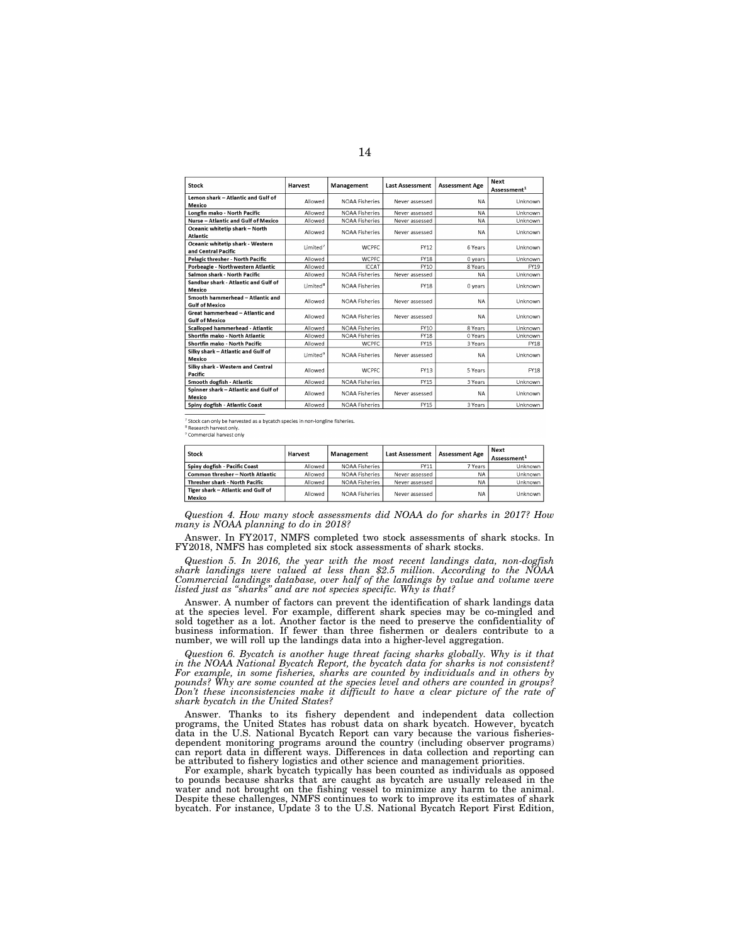| Stock                                                     | Harvest              | Management            | <b>Last Assessment</b> | <b>Assessment Age</b> | <b>Next</b><br>Assessment <sup>1</sup> |
|-----------------------------------------------------------|----------------------|-----------------------|------------------------|-----------------------|----------------------------------------|
| Lemon shark - Atlantic and Gulf of<br>Mexico              | Allowed              | <b>NOAA Fisheries</b> | Never assessed         | <b>NA</b>             | Unknown                                |
| Longfin mako - North Pacific                              | Allowed              | <b>NOAA Fisheries</b> | Never assessed         | <b>NA</b>             | Unknown                                |
| Nurse - Atlantic and Gulf of Mexico                       | Allowed              | <b>NOAA Fisheries</b> | Never assessed         | <b>NA</b>             | Unknown                                |
| Oceanic whitetip shark - North<br>Atlantic                | Allowed              | <b>NOAA Fisheries</b> | Never assessed         | <b>NA</b>             | Unknown                                |
| Oceanic whitetip shark - Western<br>and Central Pacific   | Limited <sup>7</sup> | <b>WCPFC</b>          | FY12                   | 6 Years               | Unknown                                |
| Pelagic thresher - North Pacific                          | Allowed              | <b>WCPFC</b>          | FY18                   | 0 years               | Unknown                                |
| Porbeagle - Northwestern Atlantic                         | Allowed              | <b>ICCAT</b>          | FY10                   | 8 Years               | FY19                                   |
| Salmon shark - North Pacific                              | Allowed              | <b>NOAA Fisheries</b> | Never assessed         | <b>NA</b>             | Unknown                                |
| Sandbar shark - Atlantic and Gulf of<br>Mexico            | Limited <sup>8</sup> | <b>NOAA Fisheries</b> | <b>FY18</b>            | 0 years               | Unknown                                |
| Smooth hammerhead - Atlantic and<br><b>Gulf of Mexico</b> | Allowed              | <b>NOAA Fisheries</b> | Never assessed         | <b>NA</b>             | Unknown                                |
| Great hammerhead - Atlantic and<br><b>Gulf of Mexico</b>  | Allowed              | <b>NOAA Fisheries</b> | Never assessed         | <b>NA</b>             | Unknown                                |
| Scalloped hammerhead - Atlantic                           | Allowed              | <b>NOAA Fisheries</b> | FY10                   | 8 Years               | Unknown                                |
| Shortfin mako - North Atlantic                            | Allowed              | <b>NOAA Fisheries</b> | <b>FY18</b>            | 0 Years               | Unknown                                |
| Shortfin mako - North Pacific                             | Allowed              | <b>WCPFC</b>          | <b>FY15</b>            | 3 Years               | <b>FY18</b>                            |
| Silky shark - Atlantic and Gulf of<br>Mexico              | Limited <sup>9</sup> | <b>NOAA Fisheries</b> | Never assessed         | <b>NA</b>             | Unknown                                |
| Silky shark - Western and Central<br>Pacific              | Allowed              | <b>WCPFC</b>          | FY13                   | 5 Years               | <b>FY18</b>                            |
| Smooth dogfish - Atlantic                                 | Allowed              | <b>NOAA Fisheries</b> | <b>FY15</b>            | 3 Years               | Unknown                                |
| Spinner shark - Atlantic and Gulf of<br>Mexico            | Allowed              | <b>NOAA Fisheries</b> | Never assessed         | <b>NA</b>             | Unknown                                |
| Spiny dogfish - Atlantic Coast                            | Allowed              | <b>NOAA Fisheries</b> | FY15                   | 3 Years               | Unknown                                |

<sup>7</sup> Stock can only be harvested as a bycatch species in non-longline fisheries.<br><sup>8</sup> Research harvest only.<br><sup>9</sup> Commercial harvest only

| Stock                                        | Harvest | Management     | <b>Last Assessment</b> | <b>Assessment Age</b> | Next<br>Assessment <sup>1</sup> |
|----------------------------------------------|---------|----------------|------------------------|-----------------------|---------------------------------|
| Spiny dogfish - Pacific Coast                | Allowed | NOAA Fisheries | FY11                   | 7 Years               | Unknown                         |
| Common thresher - North Atlantic             | Allowed | NOAA Fisheries | Never assessed         | NA.                   | Unknown                         |
| Thresher shark - North Pacific               | Allowed | NOAA Fisheries | Never assessed         | NA                    | Unknown                         |
| Tiger shark - Atlantic and Gulf of<br>Mexico | Allowed | NOAA Fisheries | Never assessed         | <b>NA</b>             | Unknown                         |

*Question 4. How many stock assessments did NOAA do for sharks in 2017? How many is NOAA planning to do in 2018?* 

Answer. In FY2017, NMFS completed two stock assessments of shark stocks. In FY2018, NMFS has completed six stock assessments of shark stocks.

Question 5. In 2016, the year with the most recent landings data, non-dogfish shark landings were valued at less than \$2.5 million. According to the NOAA Commercial landings database, over half of the landings by value an

Answer. A number of factors can prevent the identification of shark landings data at the species level. For example, different shark species may be co-mingled and sold together as a lot. Another factor is the need to preserve the confidentiality of business information. If fewer than three fishermen or dealers contribute to a number, we will roll up the landings data into a higher-level aggregation.

*Question 6. Bycatch is another huge threat facing sharks globally. Why is it that in the NOAA National Bycatch Report, the bycatch data for sharks is not consistent? For example, in some fisheries, sharks are counted by individuals and in others by pounds? Why are some counted at the species level and others are counted in groups? Don't these inconsistencies make it difficult to have a clear picture of the rate of shark bycatch in the United States?* 

Answer. Thanks to its fishery dependent and independent data collection programs, the United States has robust data on shark bycatch. However, bycatch data in the U.S. National Bycatch Report can vary because the various fisheriesdependent monitoring programs around the country (including observer programs) can report data in different ways. Differences in data collection and reporting can be attributed to fishery logistics and other science and management priorities.

For example, shark bycatch typically has been counted as individuals as opposed to pounds because sharks that are caught as bycatch are usually released in the water and not brought on the fishing vessel to minimize any harm to the animal. Despite these challenges, NMFS continues to work to improve its estimates of shark bycatch. For instance, Update 3 to the U.S. National Bycatch Report First Edition,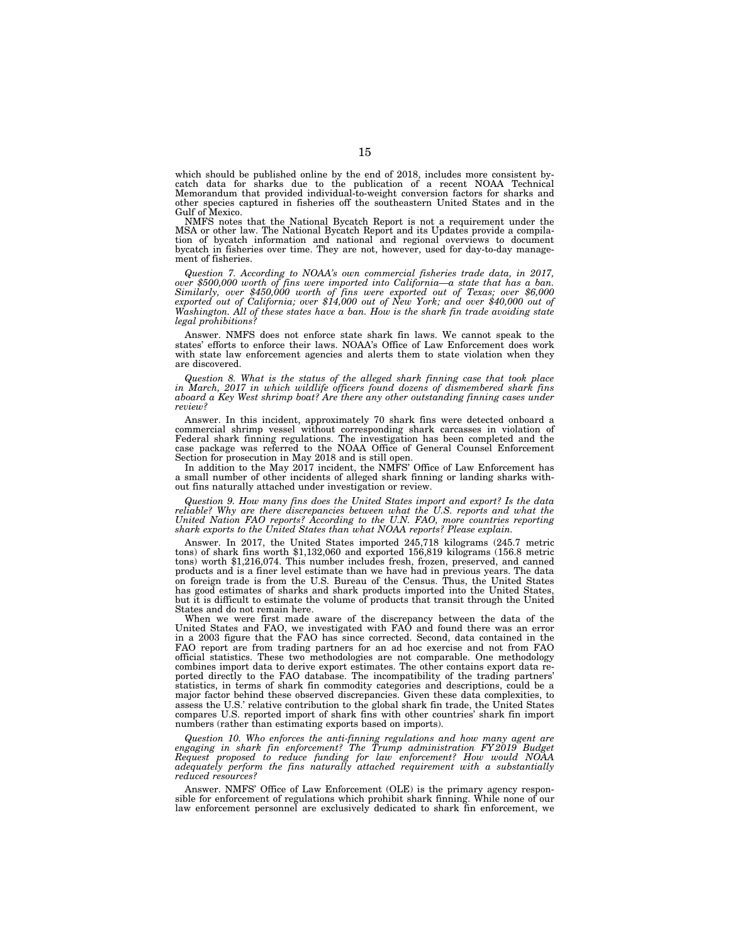which should be published online by the end of 2018, includes more consistent bycatch data for sharks due to the publication of a recent NOAA Technical Memorandum that provided individual-to-weight conversion factors for sharks and other species captured in fisheries off the southeastern United States and in the Gulf of Mexico.

NMFS notes that the National Bycatch Report is not a requirement under the MSA or other law. The National Bycatch Report and its Updates provide a compilation of bycatch information and national and regional overviews to document bycatch in fisheries over time. They are not, however, used for day-to-day management of fisheries.

*Question 7. According to NOAA's own commercial fisheries trade data, in 2017, over \$500,000 worth of fins were imported into California—a state that has a ban. Similarly, over \$450,000 worth of fins were exported out of Texas; over \$6,000 exported out of California; over \$14,000 out of New York; and over \$40,000 out of Washington. All of these states have a ban. How is the shark fin trade avoiding state legal prohibitions?* 

Answer. NMFS does not enforce state shark fin laws. We cannot speak to the states' efforts to enforce their laws. NOAA's Office of Law Enforcement does work with state law enforcement agencies and alerts them to state violation when they are discovered.

*Question 8. What is the status of the alleged shark finning case that took place in March, 2017 in which wildlife officers found dozens of dismembered shark fins aboard a Key West shrimp boat? Are there any other outstanding finning cases under review?* 

Answer. In this incident, approximately 70 shark fins were detected onboard a commercial shrimp vessel without corresponding shark carcasses in violation of Federal shark finning regulations. The investigation has been completed and the case package was referred to the NOAA Office of General Counsel Enforcement Section for prosecution in May 2018 and is still open.

In addition to the May 2017 incident, the NMFS' Office of Law Enforcement has a small number of other incidents of alleged shark finning or landing sharks without fins naturally attached under investigation or review.

*Question 9. How many fins does the United States import and export? Is the data reliable? Why are there discrepancies between what the U.S. reports and what the United Nation FAO reports? According to the U.N. FAO, more countries reporting shark exports to the United States than what NOAA reports? Please explain.* 

Answer. In 2017, the United States imported 245,718 kilograms (245.7 metric tons) of shark fins worth \$1,132,060 and exported 156,819 kilograms (156.8 metric tons) worth \$1,216,074. This number includes fresh, frozen, preserved, and canned products and is a finer level estimate than we have had in previous years. The data on foreign trade is from the U.S. Bureau of the Census. Thus, the United States has good estimates of sharks and shark products imported into the United States, but it is difficult to estimate the volume of products that transit through the United States and do not remain here.

When we were first made aware of the discrepancy between the data of the United States and FAO, we investigated with FAO and found there was an error in a 2003 figure that the FAO has since corrected. Second, data contained in the FAO report are from trading partners for an ad hoc exercise and not from FAO official statistics. These two methodologies are not comparable. One methodology combines import data to derive export estimates. The other contains export data reported directly to the FAO database. The incompatibility of the trading partners' statistics, in terms of shark fin commodity categories and descriptions, could be a major factor behind these observed discrepancies. Given these data complexities, to assess the U.S.' relative contribution to the global shark fin trade, the United States compares U.S. reported import of shark fins with other countries' shark fin import numbers (rather than estimating exports based on imports).

*Question 10. Who enforces the anti-finning regulations and how many agent are engaging in shark fin enforcement? The Trump administration FY 2019 Budget Request proposed to reduce funding for law enforcement? How would NOAA adequately perform the fins naturally attached requirement with a substantially reduced resources?* 

Answer. NMFS' Office of Law Enforcement (OLE) is the primary agency responsible for enforcement of regulations which prohibit shark finning. While none of our law enforcement personnel are exclusively dedicated to shark fin enforcement, we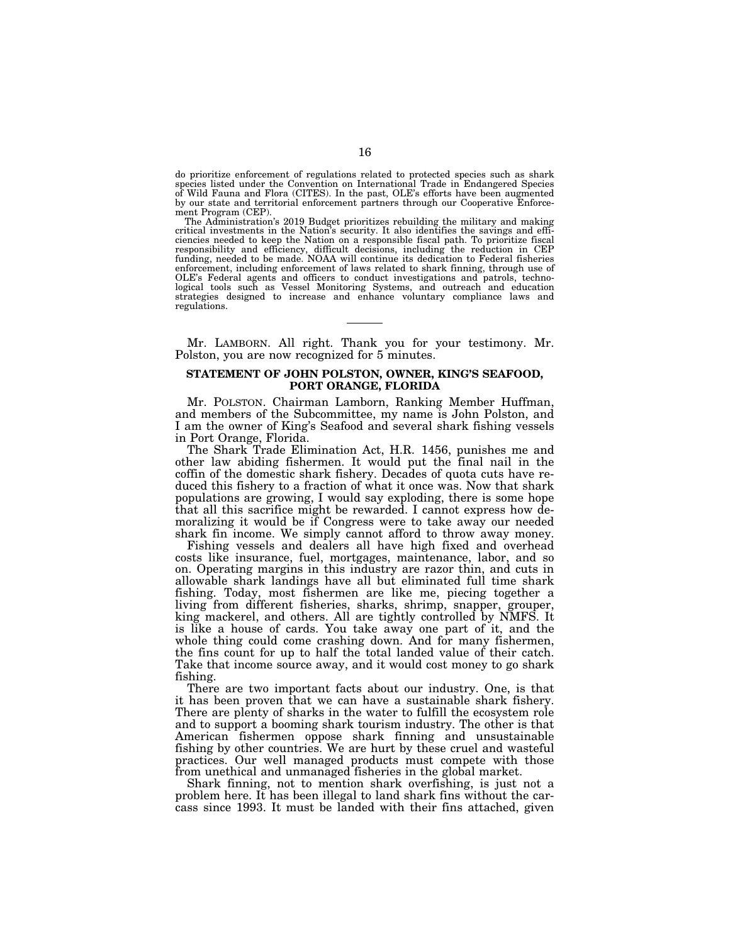do prioritize enforcement of regulations related to protected species such as shark species listed under the Convention on International Trade in Endangered Species of Wild Fauna and Flora (CITES). In the past, OLE's efforts have been augmented by our state and territorial enforcement partners through our Cooperative Enforcement Program (CEP).

The Administration's 2019 Budget prioritizes rebuilding the military and making critical investments in the Nation's security. It also identifies the savings and efficiencies needed to keep the Nation on a responsible fiscal path. To prioritize fiscal responsibility and efficiency, difficult decisions, including the reduction in CEP funding, needed to be made. NOAA will continue its dedication to Federal fisheries enforcement, including enforcement of laws related to shark finning, through use of OLE's Federal agents and officers to conduct investigations and patrols, techno-logical tools such as Vessel Monitoring Systems, and outreach and education strategies designed to increase and enhance voluntary compliance laws and regulations.

Mr. LAMBORN. All right. Thank you for your testimony. Mr. Polston, you are now recognized for 5 minutes.

# **STATEMENT OF JOHN POLSTON, OWNER, KING'S SEAFOOD, PORT ORANGE, FLORIDA**

Mr. POLSTON. Chairman Lamborn, Ranking Member Huffman, and members of the Subcommittee, my name is John Polston, and I am the owner of King's Seafood and several shark fishing vessels in Port Orange, Florida.

The Shark Trade Elimination Act, H.R. 1456, punishes me and other law abiding fishermen. It would put the final nail in the coffin of the domestic shark fishery. Decades of quota cuts have reduced this fishery to a fraction of what it once was. Now that shark populations are growing, I would say exploding, there is some hope that all this sacrifice might be rewarded. I cannot express how demoralizing it would be if Congress were to take away our needed shark fin income. We simply cannot afford to throw away money.

Fishing vessels and dealers all have high fixed and overhead costs like insurance, fuel, mortgages, maintenance, labor, and so on. Operating margins in this industry are razor thin, and cuts in allowable shark landings have all but eliminated full time shark fishing. Today, most fishermen are like me, piecing together a living from different fisheries, sharks, shrimp, snapper, grouper, king mackerel, and others. All are tightly controlled by NMFS. It is like a house of cards. You take away one part of it, and the whole thing could come crashing down. And for many fishermen, the fins count for up to half the total landed value of their catch. Take that income source away, and it would cost money to go shark fishing.

There are two important facts about our industry. One, is that it has been proven that we can have a sustainable shark fishery. There are plenty of sharks in the water to fulfill the ecosystem role and to support a booming shark tourism industry. The other is that American fishermen oppose shark finning and unsustainable fishing by other countries. We are hurt by these cruel and wasteful practices. Our well managed products must compete with those from unethical and unmanaged fisheries in the global market.

Shark finning, not to mention shark overfishing, is just not a problem here. It has been illegal to land shark fins without the carcass since 1993. It must be landed with their fins attached, given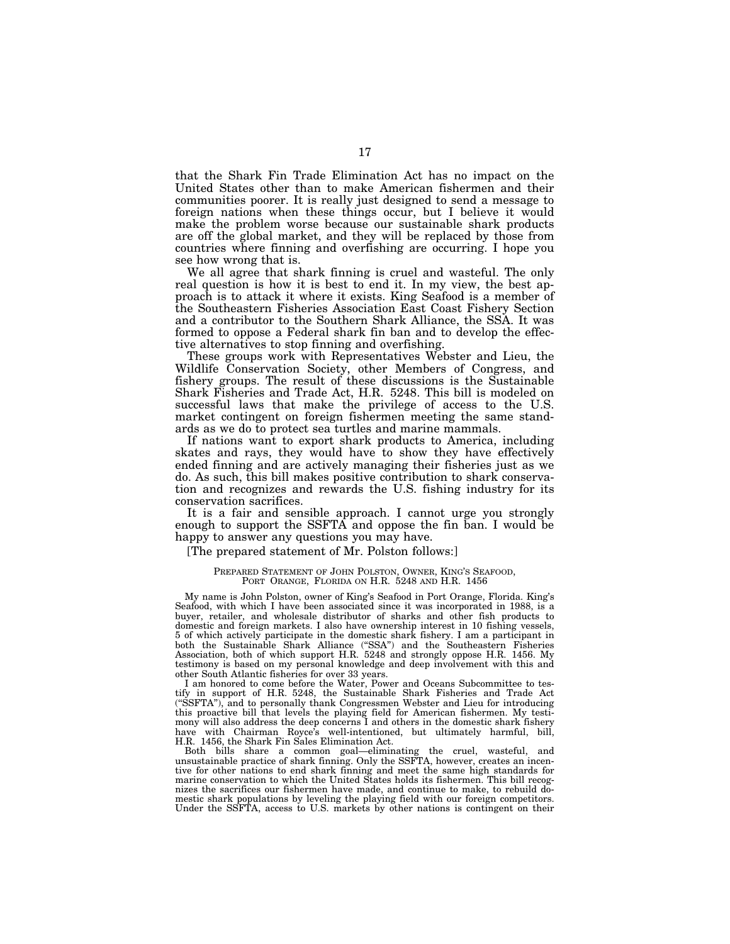that the Shark Fin Trade Elimination Act has no impact on the United States other than to make American fishermen and their communities poorer. It is really just designed to send a message to foreign nations when these things occur, but I believe it would make the problem worse because our sustainable shark products are off the global market, and they will be replaced by those from countries where finning and overfishing are occurring. I hope you see how wrong that is.

We all agree that shark finning is cruel and wasteful. The only real question is how it is best to end it. In my view, the best approach is to attack it where it exists. King Seafood is a member of the Southeastern Fisheries Association East Coast Fishery Section and a contributor to the Southern Shark Alliance, the SSA. It was formed to oppose a Federal shark fin ban and to develop the effective alternatives to stop finning and overfishing.

These groups work with Representatives Webster and Lieu, the Wildlife Conservation Society, other Members of Congress, and fishery groups. The result of these discussions is the Sustainable Shark Fisheries and Trade Act, H.R. 5248. This bill is modeled on successful laws that make the privilege of access to the U.S. market contingent on foreign fishermen meeting the same standards as we do to protect sea turtles and marine mammals.

If nations want to export shark products to America, including skates and rays, they would have to show they have effectively ended finning and are actively managing their fisheries just as we do. As such, this bill makes positive contribution to shark conservation and recognizes and rewards the U.S. fishing industry for its conservation sacrifices.

It is a fair and sensible approach. I cannot urge you strongly enough to support the SSFTA and oppose the fin ban. I would be happy to answer any questions you may have.

# [The prepared statement of Mr. Polston follows:]

### PREPARED STATEMENT OF JOHN POLSTON, OWNER, KING'S SEAFOOD, PORT ORANGE, FLORIDA ON H.R. 5248 AND H.R. 1456

My name is John Polston, owner of King's Seafood in Port Orange, Florida. King's Seafood, with which I have been associated since it was incorporated in 1988, is a buyer, retailer, and wholesale distributor of sharks and other fish products to domestic and foreign markets. I also have ownership interest in 10 fishing vessels, 5 of which actively participate in the domestic shark fishery. I am a participant in both the Sustainable Shark Alliance (''SSA'') and the Southeastern Fisheries Association, both of which support H.R. 5248 and strongly oppose H.R. 1456. My testimony is based on my personal knowledge and deep involvement with this and other South Atlantic fisheries for over 33 years.

I am honored to come before the Water, Power and Oceans Subcommittee to testify in support of H.R. 5248, the Sustainable Shark Fisheries and Trade Act (''SSFTA''), and to personally thank Congressmen Webster and Lieu for introducing this proactive bill that levels the playing field for American fishermen. My testimony will also address the deep concerns I and others in the domestic shark fishery have with Chairman Royce's well-intentioned, but ultimately harmful, bill, H.R. 1456, the Shark Fin Sales Elimination Act.

Both bills share a common goal—eliminating the cruel, wasteful, and unsustainable practice of shark finning. Only the SSFTA, however, creates an incentive for other nations to end shark finning and meet the same high standards for marine conservation to which the United States holds its fishermen. This bill recognizes the sacrifices our fishermen have made, and continue to make, to rebuild domestic shark populations by leveling the playing field with our foreign competitors. Under the SSFTA, access to U.S. markets by other nations is contingent on their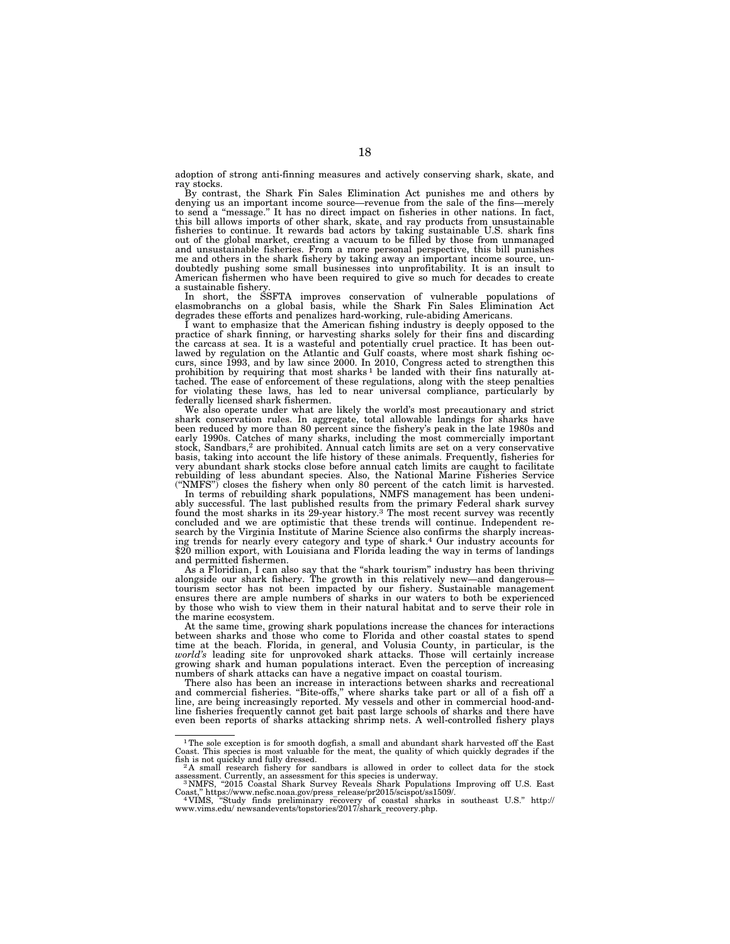adoption of strong anti-finning measures and actively conserving shark, skate, and ray stocks.

By contrast, the Shark Fin Sales Elimination Act punishes me and others by denying us an important income source—revenue from the sale of the fins—merely to send a ''message.'' It has no direct impact on fisheries in other nations. In fact, this bill allows imports of other shark, skate, and ray products from unsustainable fisheries to continue. It rewards bad actors by taking sustainable U.S. shark fins out of the global market, creating a vacuum to be filled by those from unmanaged and unsustainable fisheries. From a more personal perspective, this bill punishes me and others in the shark fishery by taking away an important income source, undoubtedly pushing some small businesses into unprofitability. It is an insult to American fishermen who have been required to give so much for decades to create a sustainable fishery.

In short, the SSFTA improves conservation of vulnerable populations of elasmobranchs on a global basis, while the Shark Fin Sales Elimination Act degrades these efforts and penalizes hard-working, rule-abiding Americans.

I want to emphasize that the American fishing industry is deeply opposed to the practice of shark finning, or harvesting sharks solely for their fins and discarding the carcass at sea. It is a wasteful and potentially cruel practice. It has been outlawed by regulation on the Atlantic and Gulf coasts, where most shark fishing oc-curs, since 1993, and by law since 2000. In 2010, Congress acted to strengthen this prohibition by requiring that most sharks<sup>1</sup> be landed with their fins naturally attached. The ease of enforcement of these regulations, along with the steep penalties for violating these laws, has led to near universal compliance, particularly by federally licensed shark fishermen.

We also operate under what are likely the world's most precautionary and strict shark conservation rules. In aggregate, total allowable landings for sharks have been reduced by more than 80 percent since the fishery's peak in the late 1980s and early 1990s. Catches of many sharks, including the most commercially important<br>stock, Sandbars,<sup>2</sup> are prohibited. Annual catch limits are set on a very conservative<br>basis, taking into account the life history of these ani very abundant shark stocks close before annual catch limits are caught to facilitate rebuilding of less abundant species. Also, the National Marine Fisheries Service (''NMFS'') closes the fishery when only 80 percent of the catch limit is harvested.

In terms of rebuilding shark populations, NMFS management has been undeni-ably successful. The last published results from the primary Federal shark survey found the most sharks in its 29-year history.3 The most recent survey was recently concluded and we are optimistic that these trends will continue. Independent research by the Virginia Institute of Marine Science also confirms the sharply increasing trends for nearly every category and type of shark.<sup>4</sup> Our industry accounts for ing trends for nearly every category and type of shark.4 Our industry accounts for \$20 million export, with Louisiana and Florida leading the way in terms of landings and permitted fishermen.

As a Floridian, I can also say that the ''shark tourism'' industry has been thriving alongside our shark fishery. The growth in this relatively new—and dangerous tourism sector has not been impacted by our fishery. Sustainable management ensures there are ample numbers of sharks in our waters to both be experienced by those who wish to view them in their natural habitat and to serve their role in the marine ecosystem.

At the same time, growing shark populations increase the chances for interactions between sharks and those who come to Florida and other coastal states to spend time at the beach. Florida, in general, and Volusia County, in particular, is the *world's* leading site for unprovoked shark attacks. Those will certainly increase growing shark and human populations interact. Even the perception of increasing numbers of shark attacks can have a negative impact on coastal tourism.

There also has been an increase in interactions between sharks and recreational and commercial fisheries. ''Bite-offs,'' where sharks take part or all of a fish off a line, are being increasingly reported. My vessels and other in commercial hood-andline fisheries frequently cannot get bait past large schools of sharks and there have even been reports of sharks attacking shrimp nets. A well-controlled fishery plays

<sup>&</sup>lt;sup>1</sup>The sole exception is for smooth dogfish, a small and abundant shark harvested off the East Coast. This species is most valuable for the meat, the quality of which quickly degrades if the fish is not quickly and fully dressed.<br><sup>2</sup>A small research fishery for sandbars is allowed in order to collect data for the stock

assessment. Currently, an assessment for this species is underway.<br><sup>3</sup> NMFS, "2015 Coastal Shark Survey Reveals Shark Populations Improving off U.S. East<br>Coast," https://www.nefsc.noaa.gov/press\_release/pr2015/scispot/ss15

Coast," https://www.nefsc.noaa.gov/press\_release/pr2015/scispot/ss1509/.<br>"WIMS, "Study finds preliminary recovery of coastal sharks in southeast U.S." http://<br>www.vims.edu/newsandevents/topstories/2017/shark recovery.php.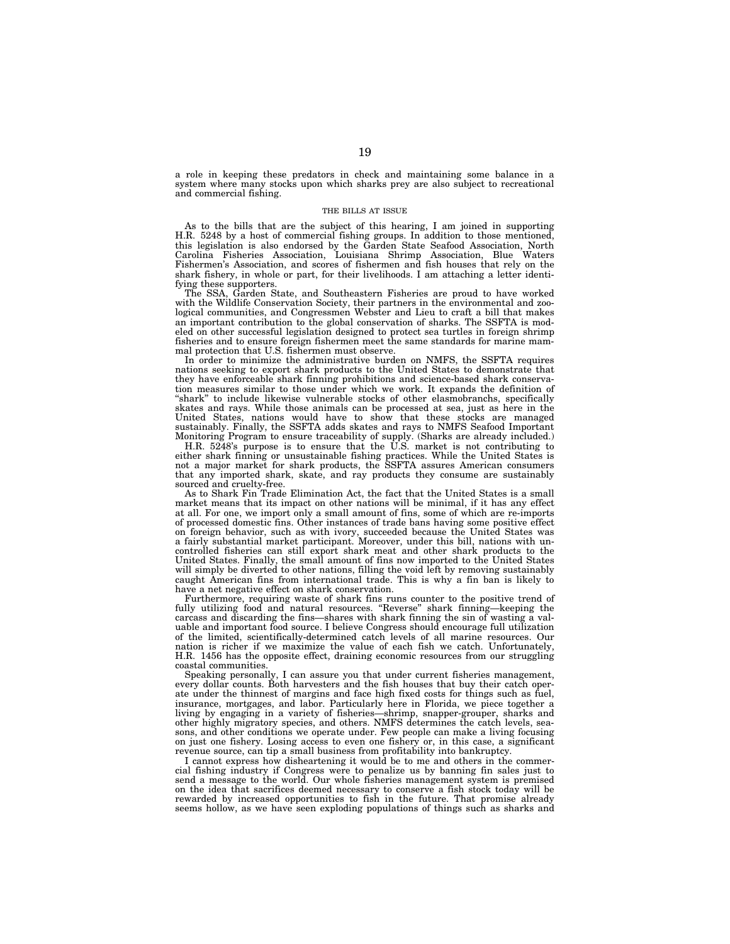a role in keeping these predators in check and maintaining some balance in a system where many stocks upon which sharks prey are also subject to recreational and commercial fishing.

#### THE BILLS AT ISSUE

As to the bills that are the subject of this hearing, I am joined in supporting H.R. 5248 by a host of commercial fishing groups. In addition to those mentioned, this legislation is also endorsed by the Garden State Seafood Association, North Carolina Fisheries Association, Louisiana Shrimp Association, Blue Waters Fishermen's Association, and scores of fishermen and fish houses that rely on the shark fishery, in whole or part, for their livelihoods. I am attaching a letter identifying these supporters.

The SSA, Garden State, and Southeastern Fisheries are proud to have worked with the Wildlife Conservation Society, their partners in the environmental and zoological communities, and Congressmen Webster and Lieu to craft a bill that makes an important contribution to the global conservation of sharks. The SSFTA is modeled on other successful legislation designed to protect sea turtles in foreign shrimp fisheries and to ensure foreign fishermen meet the same standards for marine mammal protection that U.S. fishermen must observe.

In order to minimize the administrative burden on NMFS, the SSFTA requires nations seeking to export shark products to the United States to demonstrate that they have enforceable shark finning prohibitions and science-based shark conservation measures similar to those under which we work. It expands the definition of "shark" to include likewise vulnerable stocks of other elasmobranchs, specifically skates and rays. While those animals can be processed at sea, just as here in the United States, nations would have to show that these stocks are managed sustainably. Finally, the SSFTA adds skates and rays to NMFS Seafood Important Monitoring Program to ensure traceability of supply. (Sharks are already included.)

H.R. 5248's purpose is to ensure that the U.S. market is not contributing to either shark finning or unsustainable fishing practices. While the United States is not a major market for shark products, the SSFTA assures American consumers that any imported shark, skate, and ray products they consume are sustainably sourced and cruelty-free.

As to Shark Fin Trade Elimination Act, the fact that the United States is a small market means that its impact on other nations will be minimal, if it has any effect at all. For one, we import only a small amount of fins, some of which are re-imports of processed domestic fins. Other instances of trade bans having some positive effect on foreign behavior, such as with ivory, succeeded because the United States was a fairly substantial market participant. Moreover, under this bill, nations with uncontrolled fisheries can still export shark meat and other shark products to the United States. Finally, the small amount of fins now imported to the United States will simply be diverted to other nations, filling the void left by removing sustainably caught American fins from international trade. This is why a fin ban is likely to have a net negative effect on shark conservation.

Furthermore, requiring waste of shark fins runs counter to the positive trend of fully utilizing food and natural resources. ''Reverse'' shark finning—keeping the carcass and discarding the fins—shares with shark finning the sin of wasting a valuable and important food source. I believe Congress should encourage full utilization of the limited, scientifically-determined catch levels of all marine resources. Our nation is richer if we maximize the value of each fish we catch. Unfortunately, H.R. 1456 has the opposite effect, draining economic resources from our struggling coastal communities.

Speaking personally, I can assure you that under current fisheries management, every dollar counts. Both harvesters and the fish houses that buy their catch operate under the thinnest of margins and face high fixed costs for things such as fuel, insurance, mortgages, and labor. Particularly here in Florida, we piece together a living by engaging in a variety of fisheries—shrimp, snapper-grouper, sharks and other highly migratory species, and others. NMFS determines the catch levels, seasons, and other conditions we operate under. Few people can make a living focusing on just one fishery. Losing access to even one fishery or, in this case, a significant revenue source, can tip a small business from profitability into bankruptcy.

I cannot express how disheartening it would be to me and others in the commercial fishing industry if Congress were to penalize us by banning fin sales just to send a message to the world. Our whole fisheries management system is premised on the idea that sacrifices deemed necessary to conserve a fish stock today will be rewarded by increased opportunities to fish in the future. That promise already seems hollow, as we have seen exploding populations of things such as sharks and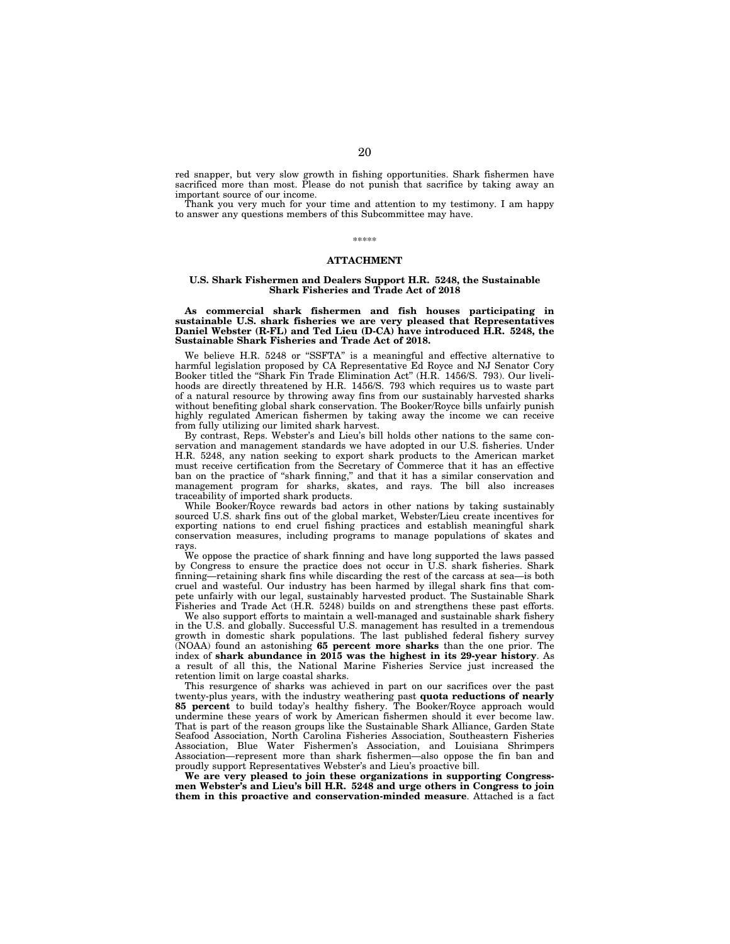red snapper, but very slow growth in fishing opportunities. Shark fishermen have sacrificed more than most. Please do not punish that sacrifice by taking away an important source of our income.

Thank you very much for your time and attention to my testimony. I am happy to answer any questions members of this Subcommittee may have.

#### \*\*\*\*\*

## **ATTACHMENT**

#### **U.S. Shark Fishermen and Dealers Support H.R. 5248, the Sustainable Shark Fisheries and Trade Act of 2018**

**As commercial shark fishermen and fish houses participating in sustainable U.S. shark fisheries we are very pleased that Representatives Daniel Webster (R-FL) and Ted Lieu (D-CA) have introduced H.R. 5248, the Sustainable Shark Fisheries and Trade Act of 2018.** 

We believe H.R. 5248 or "SSFTA" is a meaningful and effective alternative to harmful legislation proposed by CA Representative Ed Royce and NJ Senator Cory Booker titled the "Shark Fin Trade Elimination Act" (H.R. 1456/S. 793). Our livelihoods are directly threatened by H.R. 1456/S. 793 which requires us to waste part of a natural resource by throwing away fins from our sustainably harvested sharks without benefiting global shark conservation. The Booker/Royce bills unfairly punish highly regulated American fishermen by taking away the income we can receive from fully utilizing our limited shark harvest.

By contrast, Reps. Webster's and Lieu's bill holds other nations to the same conservation and management standards we have adopted in our U.S. fisheries. Under H.R. 5248, any nation seeking to export shark products to the American market must receive certification from the Secretary of Commerce that it has an effective ban on the practice of ''shark finning,'' and that it has a similar conservation and management program for sharks, skates, and rays. The bill also increases traceability of imported shark products.

While Booker/Royce rewards bad actors in other nations by taking sustainably sourced U.S. shark fins out of the global market, Webster/Lieu create incentives for exporting nations to end cruel fishing practices and establish meaningful shark conservation measures, including programs to manage populations of skates and rays

We oppose the practice of shark finning and have long supported the laws passed by Congress to ensure the practice does not occur in U.S. shark fisheries. Shark finning—retaining shark fins while discarding the rest of the carcass at sea—is both cruel and wasteful. Our industry has been harmed by illegal shark fins that compete unfairly with our legal, sustainably harvested product. The Sustainable Shark Fisheries and Trade Act (H.R. 5248) builds on and strengthens these past efforts.

We also support efforts to maintain a well-managed and sustainable shark fishery in the U.S. and globally. Successful U.S. management has resulted in a tremendous growth in domestic shark populations. The last published federal fishery survey (NOAA) found an astonishing **65 percent more sharks** than the one prior. The index of **shark abundance in 2015 was the highest in its 29-year history**. As a result of all this, the National Marine Fisheries Service just increased the retention limit on large coastal sharks.

This resurgence of sharks was achieved in part on our sacrifices over the past twenty-plus years, with the industry weathering past **quota reductions of nearly 85 percent** to build today's healthy fishery. The Booker/Royce approach would undermine these years of work by American fishermen should it ever become law. That is part of the reason groups like the Sustainable Shark Alliance, Garden State Seafood Association, North Carolina Fisheries Association, Southeastern Fisheries Association, Blue Water Fishermen's Association, and Louisiana Shrimpers Association—represent more than shark fishermen—also oppose the fin ban and proudly support Representatives Webster's and Lieu's proactive bill.

**We are very pleased to join these organizations in supporting Congressmen Webster's and Lieu's bill H.R. 5248 and urge others in Congress to join them in this proactive and conservation-minded measure**. Attached is a fact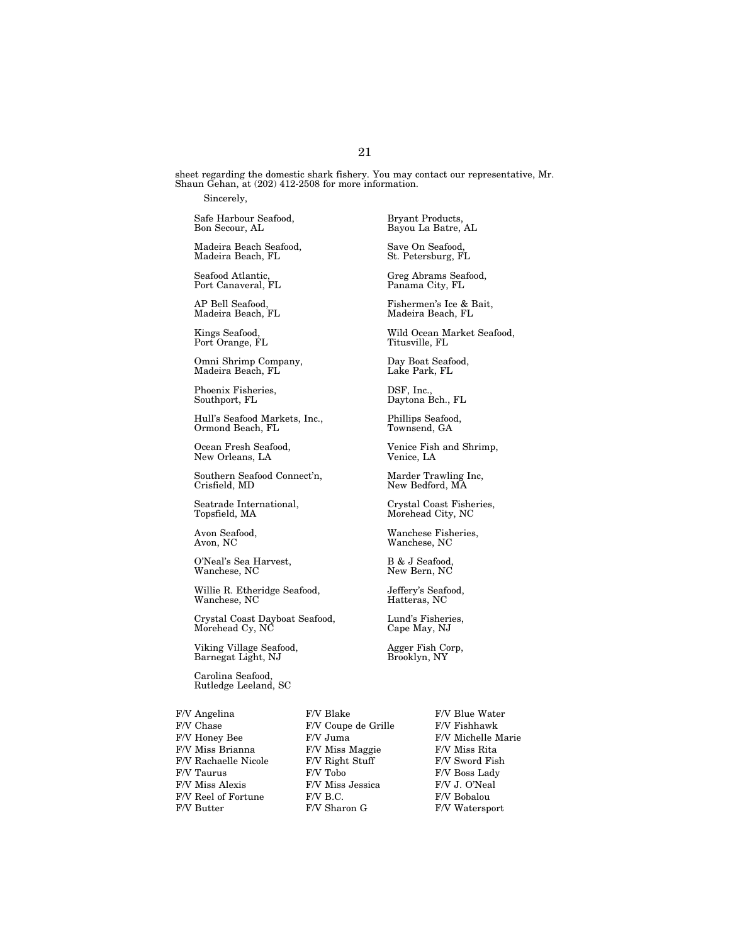sheet regarding the domestic shark fishery. You may contact our representative, Mr. Shaun Gehan, at (202) 412-2508 for more information.

Sincerely,

Safe Harbour Seafood, Bryant Products,

Madeira Beach Seafood, Save On Seafood, Madeira Beach, FL

Port Canaveral, FL

Port Orange, FL

Omni Shrimp Company, Day Boat Seafood, Madeira Beach, FL

Phoenix Fisheries,  $S$ DSF, Inc., DSF, Inc., Daytona F

Hull's Seafood Markets, Inc., Phillips Seafood, Ormond Beach, FL

New Orleans, LA

Southern Seafood Connect'n, Marder Trawling Inc, Crisfield, MD New Bedford, MA

O'Neal's Sea Harvest, B & J Seafood,

Willie R. Etheridge Seafood, Jeffery's Seafood, Wanchese, NC

Crystal Coast Dayboat Seafood, Lund's Fisheries,<br>Morehead Cy, NC Cape May, NJ Morehead Cy, NC

Viking Village Seafood, Agger Fish Corp, Barnegat Light, NJ Brooklyn, NY Barnegat Light, NJ

Carolina Seafood, Rutledge Leeland, SC

F/V Chase F/V Coupe de Grille F/V Fishhawk<br>F/V Honey Bee F/V Juma F/V Michelle N F/V Honey Bee F/V Juma F/V Michelle Marie<br>F/V Miss Brianna F/V Miss Maggie F/V Miss Rita F/V Rachaelle Nicole F/V Right Stuff<br>F/V Taurus F/V Tobo F/V Taurus F/V Tobo F/V Boss Lady F/V Reel of Fortune F/V B.C. F/V Bobalou

Bayou La Batre, AL

Seafood Atlantic, Greg Abrams Seafood, Port Canaveral, FL Greg Abrams Seafood, Port Canaveral, FL

AP Bell Seafood, Fishermen's Ice & Bait, Madeira Beach, FL

Kings Seafood, Wild Ocean Market Seafood,

Daytona Bch., FL

Ocean Fresh Seafood, Venice Fish and Shrimp,<br>New Orleans, LA Venice, LA

New Bedford, MA

Seatrade International,  $$\rm{Crystal\ Coast\ Fisher}$  Topsfield, MA  $$\rm{Morehead\ City\, NC}$$ Morehead City, NC

Avon Seafood, Wanchese Fisheries, Wanchese, NC

New Bern, NC

F/V Angelina F/V Blake F/V Blue Water F/V Miss Maggie F/V Miss Rita<br>F/V Right Stuff F/V Sword Fish  ${\rm F}/{\rm V}$  Miss Jessica  $$\rm F/{\rm V}$  J. O'Neal F/V Butter F/V Sharon G F/V Watersport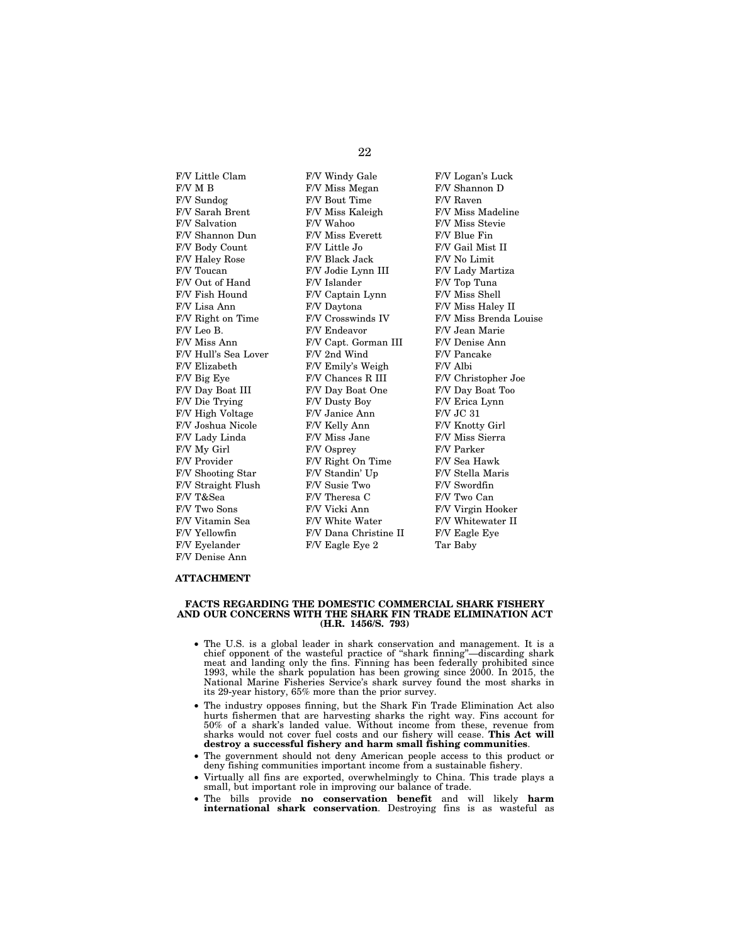F/V M B F/V Miss Megan F/V Shannon D F/V Sundog F/V Bout Time F/V Raven F/V Salvation F/V Wahoo F/V Miss Stevie F/V Shannon Dun F/V Miss Everett F/V Blue Fin F/V Body Count F/V Little Jo F/V Gail Mist II F/V Haley Rose F/V Black Jack F/V No Limit F/V Toucan F/V Jodie Lynn III F/V Lady Martiza F/V Out of Hand F/V Islander F/V Top Tuna F/V Fish Hound F/V Captain Lynn F/V Miss Shell<br>F/V Lisa Ann F/V Daytona F/V Miss Hale F/V Leo B. F/V Endeavor F/V Jean Marie F/V Miss Ann F/V Capt. Gorman III F/V Denise Ann F/V Hull's Sea Lover F/V 2nd Wind F/V Pancake<br>F/V Elizabeth F/V Emily's Weigh F/V Albi F/V Big Eye F/V Chances R III F/V Christopher Joe F/V Day Boat III F/V Day Boat One F/V Day Boat Too F/V Die Trying F/V Dusty Boy F/V Erica Lynn F/V High Voltage F/V Janice Ann F/V JC 31 F/V Joshua Nicole F/V Kelly Ann F/V Knotty Girl F/V Lady Linda F/V Miss Jane F/V Miss Sierra F/V My Girl F/V Osprey F/V Parker F/V Provider F/V Right On Time F/V Sea Hawk<br>F/V Shooting Star F/V Standin' Up F/V Stella Maris F/V Shooting Star F/V Standin' Up F/V Straight Flush F/V Susie Two F/V Swordfin F/V T&Sea F/V Theresa C F/V Two Can F/V Two Can F/V Virgin H<br>F/V Virgin H F/V Virgin H F/V Two Sons F/V Vicki Ann F/V Virgin Hooker F/V Vitamin Sea F/V White Water F/V Whitewater II F/V Vellowfin F/V Dana Christine II F/V Eagle Eye F/V Yellowfin F/V Dana Christine II F/V Eyelander F/V Eagle Eye 2 Tar Baby F/V Denise Ann

F/V Little Clam F/V Windy Gale F/V Logan's Luck F/V Daytona F/V Miss Haley II F/V Emily's Weigh

F/V Miss Madeline F/V Right on Time F/V Crosswinds IV F/V Miss Brenda Louise

# **ATTACHMENT**

#### **FACTS REGARDING THE DOMESTIC COMMERCIAL SHARK FISHERY AND OUR CONCERNS WITH THE SHARK FIN TRADE ELIMINATION ACT (H.R. 1456/S. 793)**

- The U.S. is a global leader in shark conservation and management. It is a chief opponent of the wasteful practice of ''shark finning''—discarding shark meat and landing only the fins. Finning has been federally prohibited since 1993, while the shark population has been growing since 2000. In 2015, the National Marine Fisheries Service's shark survey found the most sharks in its 29-year history, 65% more than the prior survey.
- The industry opposes finning, but the Shark Fin Trade Elimination Act also hurts fishermen that are harvesting sharks the right way. Fins account for 50% of a shark's landed value. Without income from these, revenue from sharks would not cover fuel costs and our fishery will cease. **This Act will destroy a successful fishery and harm small fishing communities**.
- The government should not deny American people access to this product or deny fishing communities important income from a sustainable fishery.
- Virtually all fins are exported, overwhelmingly to China. This trade plays a small, but important role in improving our balance of trade.
- The bills provide **no conservation benefit** and will likely **harm international shark conservation**. Destroying fins is as wasteful as

# 22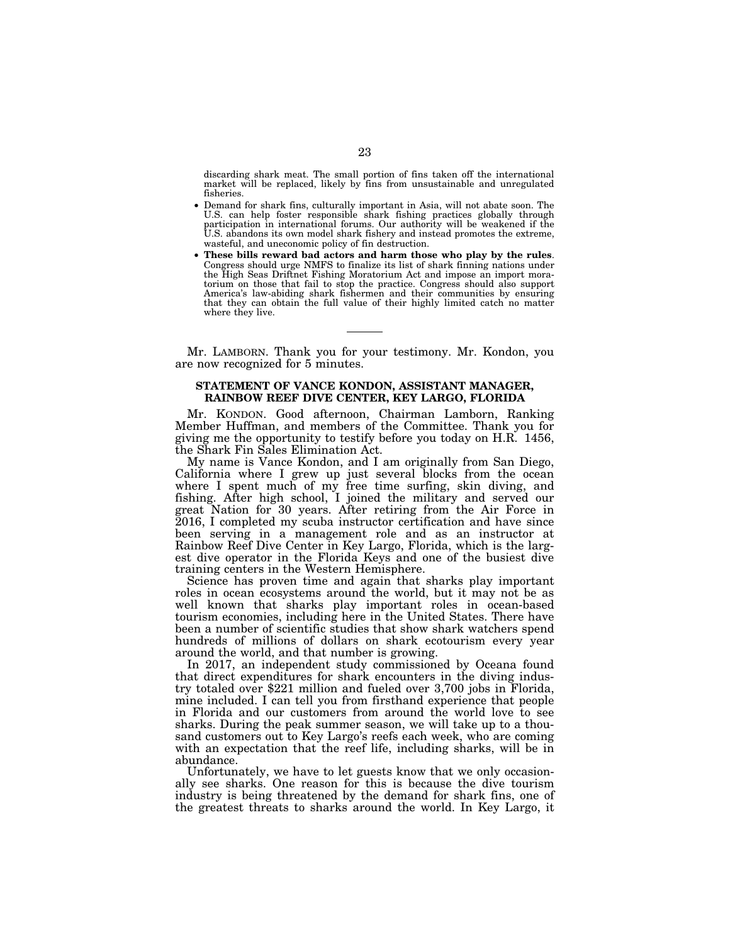discarding shark meat. The small portion of fins taken off the international market will be replaced, likely by fins from unsustainable and unregulated fisheries.

- Demand for shark fins, culturally important in Asia, will not abate soon. The U.S. can help foster responsible shark fishing practices globally through participation in international forums. Our authority will be weakened if the U.S. abandons its own model shark fishery and instead promotes the extreme, wasteful, and uneconomic policy of fin destruction.
- **These bills reward bad actors and harm those who play by the rules**. Congress should urge NMFS to finalize its list of shark finning nations under the High Seas Driftnet Fishing Moratorium Act and impose an import moratorium on those that fail to stop the practice. Congress should also support America's law-abiding shark fishermen and their communities by ensuring that they can obtain the full value of their highly limited catch no matter where they live.

Mr. LAMBORN. Thank you for your testimony. Mr. Kondon, you are now recognized for 5 minutes.

# **STATEMENT OF VANCE KONDON, ASSISTANT MANAGER, RAINBOW REEF DIVE CENTER, KEY LARGO, FLORIDA**

Mr. KONDON. Good afternoon, Chairman Lamborn, Ranking Member Huffman, and members of the Committee. Thank you for giving me the opportunity to testify before you today on H.R. 1456, the Shark Fin Sales Elimination Act.

My name is Vance Kondon, and I am originally from San Diego, California where I grew up just several blocks from the ocean where I spent much of my free time surfing, skin diving, and fishing. After high school, I joined the military and served our great Nation for 30 years. After retiring from the Air Force in 2016, I completed my scuba instructor certification and have since been serving in a management role and as an instructor at Rainbow Reef Dive Center in Key Largo, Florida, which is the largest dive operator in the Florida Keys and one of the busiest dive training centers in the Western Hemisphere.

Science has proven time and again that sharks play important roles in ocean ecosystems around the world, but it may not be as well known that sharks play important roles in ocean-based tourism economies, including here in the United States. There have been a number of scientific studies that show shark watchers spend hundreds of millions of dollars on shark ecotourism every year around the world, and that number is growing.

In 2017, an independent study commissioned by Oceana found that direct expenditures for shark encounters in the diving industry totaled over \$221 million and fueled over 3,700 jobs in Florida, mine included. I can tell you from firsthand experience that people in Florida and our customers from around the world love to see sharks. During the peak summer season, we will take up to a thousand customers out to Key Largo's reefs each week, who are coming with an expectation that the reef life, including sharks, will be in abundance.

Unfortunately, we have to let guests know that we only occasionally see sharks. One reason for this is because the dive tourism industry is being threatened by the demand for shark fins, one of the greatest threats to sharks around the world. In Key Largo, it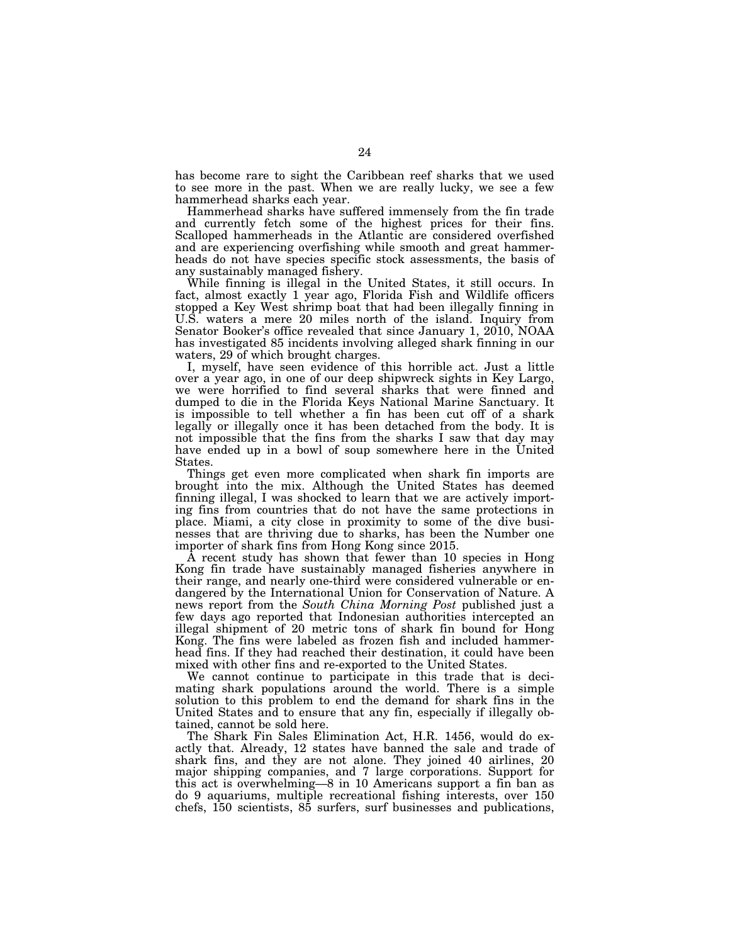has become rare to sight the Caribbean reef sharks that we used to see more in the past. When we are really lucky, we see a few hammerhead sharks each year.

Hammerhead sharks have suffered immensely from the fin trade and currently fetch some of the highest prices for their fins. Scalloped hammerheads in the Atlantic are considered overfished and are experiencing overfishing while smooth and great hammerheads do not have species specific stock assessments, the basis of any sustainably managed fishery.

While finning is illegal in the United States, it still occurs. In fact, almost exactly 1 year ago, Florida Fish and Wildlife officers stopped a Key West shrimp boat that had been illegally finning in U.S. waters a mere 20 miles north of the island. Inquiry from Senator Booker's office revealed that since January 1, 2010, NOAA has investigated 85 incidents involving alleged shark finning in our waters, 29 of which brought charges.

I, myself, have seen evidence of this horrible act. Just a little over a year ago, in one of our deep shipwreck sights in Key Largo, we were horrified to find several sharks that were finned and dumped to die in the Florida Keys National Marine Sanctuary. It is impossible to tell whether a fin has been cut off of a shark legally or illegally once it has been detached from the body. It is not impossible that the fins from the sharks I saw that day may have ended up in a bowl of soup somewhere here in the United States.

Things get even more complicated when shark fin imports are brought into the mix. Although the United States has deemed finning illegal, I was shocked to learn that we are actively importing fins from countries that do not have the same protections in place. Miami, a city close in proximity to some of the dive businesses that are thriving due to sharks, has been the Number one importer of shark fins from Hong Kong since 2015.

A recent study has shown that fewer than 10 species in Hong Kong fin trade have sustainably managed fisheries anywhere in their range, and nearly one-third were considered vulnerable or endangered by the International Union for Conservation of Nature. A news report from the *South China Morning Post* published just a few days ago reported that Indonesian authorities intercepted an illegal shipment of 20 metric tons of shark fin bound for Hong Kong. The fins were labeled as frozen fish and included hammerhead fins. If they had reached their destination, it could have been mixed with other fins and re-exported to the United States.

We cannot continue to participate in this trade that is decimating shark populations around the world. There is a simple solution to this problem to end the demand for shark fins in the United States and to ensure that any fin, especially if illegally obtained, cannot be sold here.

The Shark Fin Sales Elimination Act, H.R. 1456, would do exactly that. Already, 12 states have banned the sale and trade of shark fins, and they are not alone. They joined 40 airlines, 20 major shipping companies, and 7 large corporations. Support for this act is overwhelming—8 in 10 Americans support a fin ban as do 9 aquariums, multiple recreational fishing interests, over 150 chefs, 150 scientists, 85 surfers, surf businesses and publications,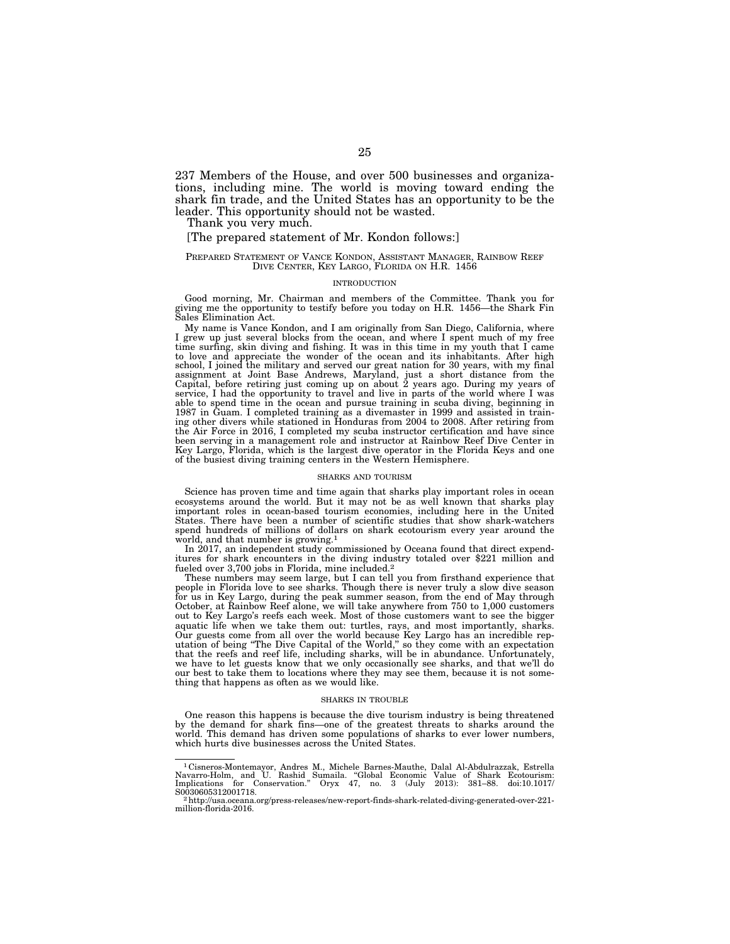237 Members of the House, and over 500 businesses and organizations, including mine. The world is moving toward ending the shark fin trade, and the United States has an opportunity to be the leader. This opportunity should not be wasted.

Thank you very much.

# [The prepared statement of Mr. Kondon follows:]

## PREPARED STATEMENT OF VANCE KONDON, ASSISTANT MANAGER, RAINBOW REEF DIVE CENTER, KEY LARGO, FLORIDA ON H.R. 1456

#### **NTRODUCTION**

Good morning, Mr. Chairman and members of the Committee. Thank you for giving me the opportunity to testify before you today on H.R. 1456—the Shark Fin Sales Elimination Act.

My name is Vance Kondon, and I am originally from San Diego, California, where I grew up just several blocks from the ocean, and where I spent much of my free time surfing, skin diving and fishing. It was in this time in my youth that I came to love and appreciate the wonder of the ocean and its inhabitants. After high school, I joined the military and served our great nation for 30 years, with my final assignment at Joint Base Andrews, Maryland, just a short distance from the Capital, before retring just coming up on about 2 years ago. able to spend time in the ocean and pursue training in scuba diving, beginning in 1987 in Guam. I completed training as a divemaster in 1999 and assisted in training other divers while stationed in Honduras from 2004 to 2008. After retiring from the Air Force in 2016, I completed my scuba instructor certification and have since been serving in a management role and instructor at Rainbow Reef Dive Center in Key Largo, Florida, which is the largest dive operator in the Florida Keys and one of the busiest diving training centers in the Western Hemisphere.

#### SHARKS AND TOURISM

Science has proven time and time again that sharks play important roles in ocean ecosystems around the world. But it may not be as well known that sharks play important roles in ocean-based tourism economies, including here in the United States. There have been a number of scientific studies that show shark-watchers spend hundreds of millions of dollars on shark ecotourism every year around the world, and that number is growing.<sup>1</sup>

In 2017, an independent study commissioned by Oceana found that direct expenditures for shark encounters in the diving industry totaled over \$221 million and fueled over 3,700 jobs in Florida, mine included.<sup>2</sup>

These numbers may seem large, but I can tell you from firsthand experience that people in Florida love to see sharks. Though there is never truly a slow dive season for us in Key Largo, during the peak summer season, from the end of May through October, at Rainbow Reef alone, we will take anywhere from 750 to 1,000 customers out to Key Largo's reefs each week. Most of those customers want to see the bigger aquatic life when we take them out: turtles, rays, and most importantly, sharks. Our guests come from all over the world because Key Largo has an incredible reputation of being ''The Dive Capital of the World,'' so they come with an expectation that the reefs and reef life, including sharks, will be in abundance. Unfortunately, we have to let guests know that we only occasionally see sharks, and that we'll do our best to take them to locations where they may see them, because it is not something that happens as often as we would like.

#### SHARKS IN TROUBLE

One reason this happens is because the dive tourism industry is being threatened by the demand for shark fins—one of the greatest threats to sharks around the world. This demand has driven some populations of sharks to ever lower numbers, which hurts dive businesses across the United States.

<sup>&</sup>lt;sup>1</sup>Cisneros-Montemayor, Andres M., Michele Barnes-Mauthe, Dalal Al-Abdulrazzak, Estrella<br>Navarro-Holm, and U. Rashid Sumaila. "Global Economic Value of Shark Ecotourism:<br>Implications for Conservation." Oryx 47, no. 3 (July

S0030605312001718.<br>- 2 http://usa.oceana.org/press-releases/new-report-finds-shark-related-diving-generated-over-221-<br>million-florida-2016.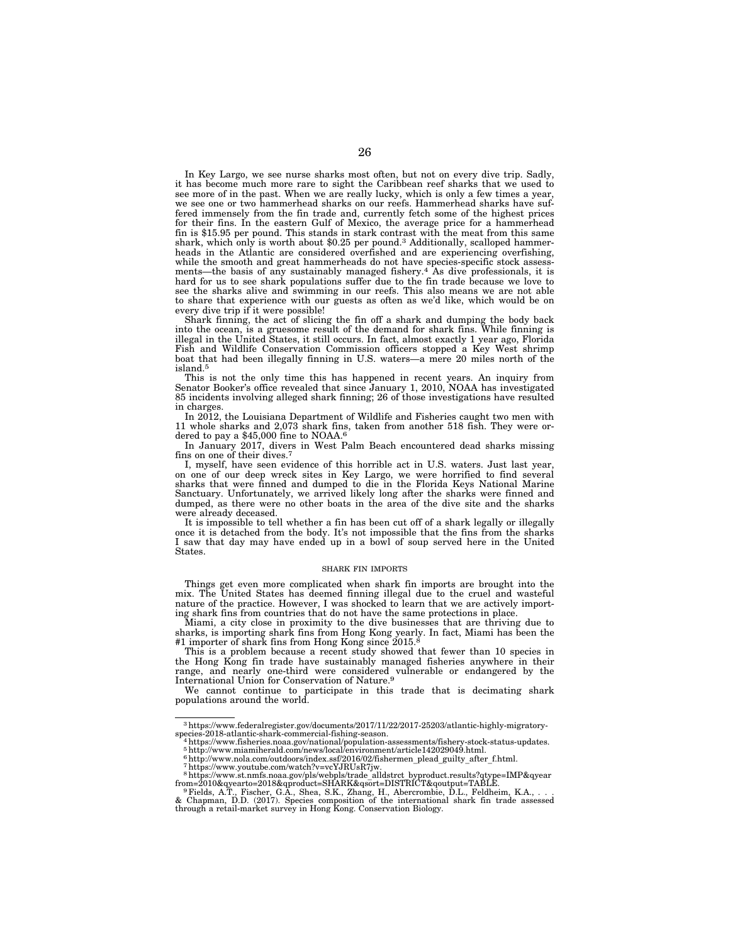In Key Largo, we see nurse sharks most often, but not on every dive trip. Sadly, it has become much more rare to sight the Caribbean reef sharks that we used to see more of in the past. When we are really lucky, which is only a few times a year, we see one or two hammerhead sharks on our reefs. Hammerhead sharks have suffered immensely from the fin trade and, currently fetch some of the highest prices for their fins. In the eastern Gulf of Mexico, the average price for a hammerhead fin is \$15.95 per pound. This stands in stark contrast with the meat from this same shark, which only is worth about \$0.25 per pound.<sup>3</sup> Additionally, scalloped hammerheads in the Atlantic are considered overfished and are experiencing overfishing, while the smooth and great hammerheads do not have species-specific stock assessments—the basis of any sustainably managed fishery.<sup>4</sup> As dive professionals, it is hard for us to see shark populations suffer due to the fin trade because we love to see the sharks alive and swimming in our reefs. This also means we are not able to share that experience with our guests as often as we'd like, which would be on every dive trip if it were possible!

Shark finning, the act of slicing the fin off a shark and dumping the body back into the ocean, is a gruesome result of the demand for shark fins. While finning is illegal in the United States, it still occurs. In fact, almost exactly 1 year ago, Florida Fish and Wildlife Conservation Commission officers stopped a Key West shrimp boat that had been illegally finning in U.S. waters—a mere 20 miles north of the island.5

This is not the only time this has happened in recent years. An inquiry from Senator Booker's office revealed that since January 1, 2010, NOAA has investigated 85 incidents involving alleged shark finning; 26 of those investigations have resulted in charges.

In 2012, the Louisiana Department of Wildlife and Fisheries caught two men with 11 whole sharks and 2,073 shark fins, taken from another 518 fish. They were ordered to pay a \$45,000 fine to NOAA.6

In January 2017, divers in West Palm Beach encountered dead sharks missing fins on one of their dives.7

I, myself, have seen evidence of this horrible act in U.S. waters. Just last year, on one of our deep wreck sites in Key Largo, we were horrified to find several sharks that were finned and dumped to die in the Florida Keys National Marine Sanctuary. Unfortunately, we arrived likely long after the sharks were finned and dumped, as there were no other boats in the area of the dive site and the sharks were already deceased.

It is impossible to tell whether a fin has been cut off of a shark legally or illegally once it is detached from the body. It's not impossible that the fins from the sharks I saw that day may have ended up in a bowl of soup served here in the United States.

#### SHARK FIN IMPORTS

Things get even more complicated when shark fin imports are brought into the mix. The United States has deemed finning illegal due to the cruel and wasteful nature of the practice. However, I was shocked to learn that we are actively importing shark fins from countries that do not have the same protections in place.

Miami, a city close in proximity to the dive businesses that are thriving due to sharks, is importing shark fins from Hong Kong yearly. In fact, Miami has been the #1 importer of shark fins from Hong Kong since 2015.<sup>8</sup>

This is a problem because a recent study showed that fewer than 10 species in the Hong Kong fin trade have sustainably managed fisheries anywhere in their range, and nearly one-third were considered vulnerable or endangered by the International Union for Conservation of Nature.9

We cannot continue to participate in this trade that is decimating shark populations around the world.

 $^3$ https://www.federalregister.gov/documents/2017/11/22/2017-25203/atlantic-highly-migratory-species-2018-atlantic-shark-commercial-fishing-season.

 $4$ https://www.fisheries.noaa.gov/national/population-assessments/fishery-stock-status-updates.

<sup>5</sup>http://www.miamiherald.com/news/local/environment/article142029049.html. 6http://www.nola.com/outdoors/index.ssf/2016/02/fishermen\_plead\_guilty\_after\_f.html. 7https://www.youtube.com/watch?v=vcYJRUsR7jw.

<sup>&</sup>lt;sup>8</sup>https://www.st.nmfs.noaa.gov/pls/webpls/trade\_alldstrct\_byproduct.results?qtype=IMP&qyear<br>from=2010&qyearto=2018&qproduct=SHARK&qsort=DISTRICT&qoutput=TABLE.<br><sup>9</sup>Fields, A.T., Fischer, G.A., Shea, S.K., Zhang, H., Abercr

<sup>&</sup>amp; Chapman, D.D. (2017). Species composition of the international shark fin trade assessed through a retail-market survey in Hong Kong. Conservation Biology.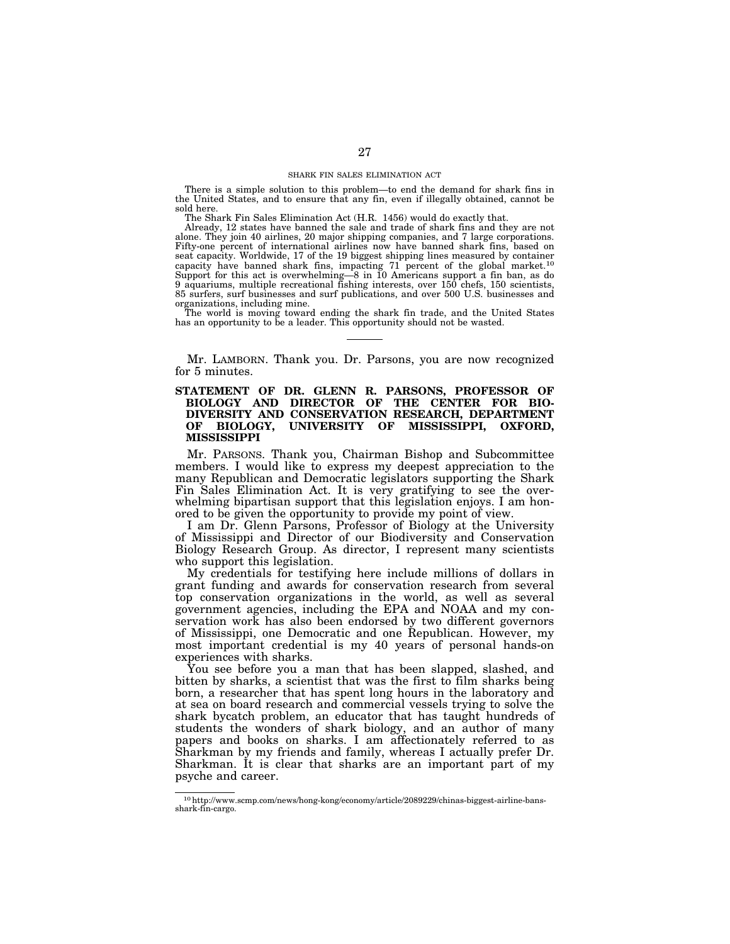#### SHARK FIN SALES ELIMINATION ACT

There is a simple solution to this problem—to end the demand for shark fins in the United States, and to ensure that any fin, even if illegally obtained, cannot be sold here.

The Shark Fin Sales Elimination Act (H.R. 1456) would do exactly that.

Already, 12 states have banned the sale and trade of shark fins and they are not alone. They join 40 airlines, 20 major shipping companies, and 7 large corporations. Fifty-one percent of international airlines now have banned shark fins, based on seat capacity. Worldwide, 17 of the 19 biggest shipping lines measured by container capacity have banned shark fins, impacting 71 percent of the global market.<sup>10</sup> Support for this act is overwhelming—8 in 10 Americans support a fin ban, as do 9 aquariums, multiple recreational fishing interests, over 150 chefs, 150 scientists, 85 surfers, surf businesses and surf publications, and over 500 U.S. businesses and organizations, including mine.

The world is moving toward ending the shark fin trade, and the United States has an opportunity to be a leader. This opportunity should not be wasted.

Mr. LAMBORN. Thank you. Dr. Parsons, you are now recognized for 5 minutes.

# **STATEMENT OF DR. GLENN R. PARSONS, PROFESSOR OF BIOLOGY AND DIRECTOR OF THE CENTER FOR BIO-DIVERSITY AND CONSERVATION RESEARCH, DEPARTMENT OF BIOLOGY, UNIVERSITY OF MISSISSIPPI, OXFORD, MISSISSIPPI**

Mr. PARSONS. Thank you, Chairman Bishop and Subcommittee members. I would like to express my deepest appreciation to the many Republican and Democratic legislators supporting the Shark Fin Sales Elimination Act. It is very gratifying to see the overwhelming bipartisan support that this legislation enjoys. I am honored to be given the opportunity to provide my point of view.

I am Dr. Glenn Parsons, Professor of Biology at the University of Mississippi and Director of our Biodiversity and Conservation Biology Research Group. As director, I represent many scientists who support this legislation.

My credentials for testifying here include millions of dollars in grant funding and awards for conservation research from several top conservation organizations in the world, as well as several government agencies, including the EPA and NOAA and my conservation work has also been endorsed by two different governors of Mississippi, one Democratic and one Republican. However, my most important credential is my 40 years of personal hands-on experiences with sharks.

You see before you a man that has been slapped, slashed, and bitten by sharks, a scientist that was the first to film sharks being born, a researcher that has spent long hours in the laboratory and at sea on board research and commercial vessels trying to solve the shark bycatch problem, an educator that has taught hundreds of students the wonders of shark biology, and an author of many papers and books on sharks. I am affectionately referred to as Sharkman by my friends and family, whereas I actually prefer Dr. Sharkman. It is clear that sharks are an important part of my psyche and career.

 $^{10}\mathrm{http://www.scmp.com/news/hong-kong/economy/article/2089229/chinas-bigger.10}$ shark-fin-cargo.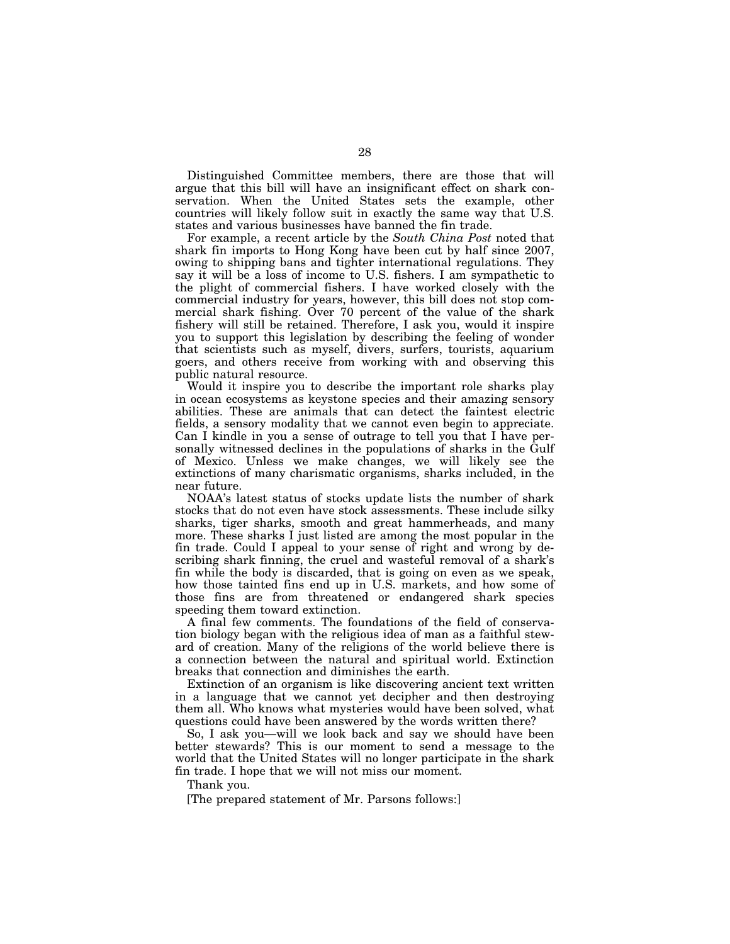Distinguished Committee members, there are those that will argue that this bill will have an insignificant effect on shark conservation. When the United States sets the example, other countries will likely follow suit in exactly the same way that U.S. states and various businesses have banned the fin trade.

For example, a recent article by the *South China Post* noted that shark fin imports to Hong Kong have been cut by half since 2007, owing to shipping bans and tighter international regulations. They say it will be a loss of income to U.S. fishers. I am sympathetic to the plight of commercial fishers. I have worked closely with the commercial industry for years, however, this bill does not stop commercial shark fishing. Over 70 percent of the value of the shark fishery will still be retained. Therefore, I ask you, would it inspire you to support this legislation by describing the feeling of wonder that scientists such as myself, divers, surfers, tourists, aquarium goers, and others receive from working with and observing this public natural resource.

Would it inspire you to describe the important role sharks play in ocean ecosystems as keystone species and their amazing sensory abilities. These are animals that can detect the faintest electric fields, a sensory modality that we cannot even begin to appreciate. Can I kindle in you a sense of outrage to tell you that I have personally witnessed declines in the populations of sharks in the Gulf of Mexico. Unless we make changes, we will likely see the extinctions of many charismatic organisms, sharks included, in the near future.

NOAA's latest status of stocks update lists the number of shark stocks that do not even have stock assessments. These include silky sharks, tiger sharks, smooth and great hammerheads, and many more. These sharks I just listed are among the most popular in the fin trade. Could I appeal to your sense of right and wrong by describing shark finning, the cruel and wasteful removal of a shark's fin while the body is discarded, that is going on even as we speak, how those tainted fins end up in U.S. markets, and how some of those fins are from threatened or endangered shark species speeding them toward extinction.

A final few comments. The foundations of the field of conservation biology began with the religious idea of man as a faithful steward of creation. Many of the religions of the world believe there is a connection between the natural and spiritual world. Extinction breaks that connection and diminishes the earth.

Extinction of an organism is like discovering ancient text written in a language that we cannot yet decipher and then destroying them all. Who knows what mysteries would have been solved, what questions could have been answered by the words written there?

So, I ask you—will we look back and say we should have been better stewards? This is our moment to send a message to the world that the United States will no longer participate in the shark fin trade. I hope that we will not miss our moment.

Thank you.

[The prepared statement of Mr. Parsons follows:]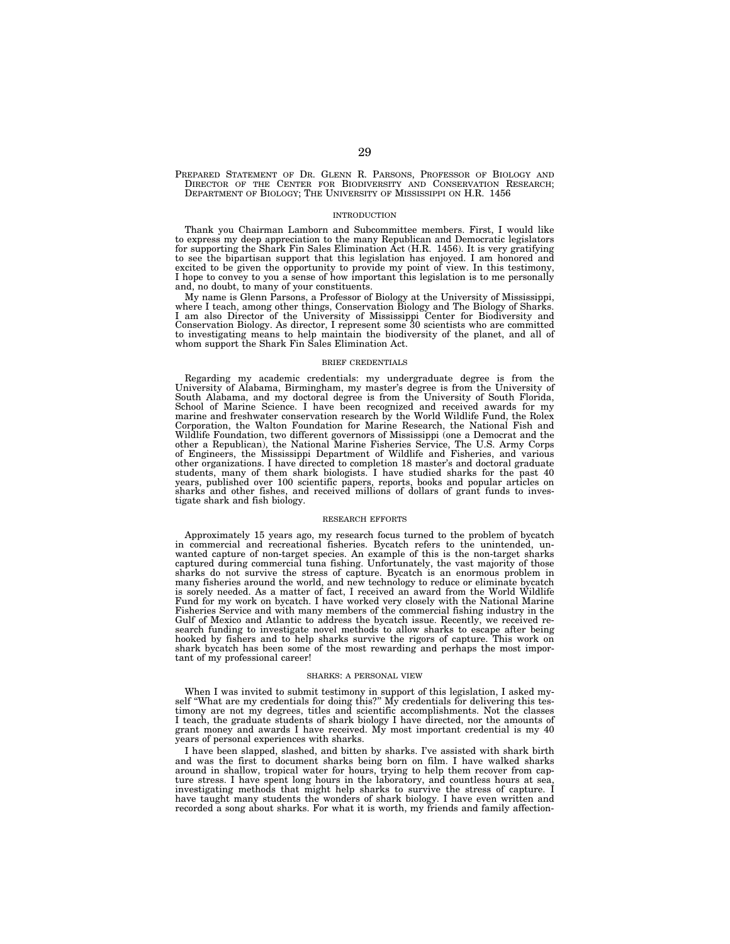PREPARED STATEMENT OF DR. GLENN R. PARSONS, PROFESSOR OF BIOLOGY AND DIRECTOR OF THE CENTER FOR BIODIVERSITY AND CONSERVATION RESEARCH; DEPARTMENT OF BIOLOGY; THE UNIVERSITY OF MISSISSIPPI ON H.R. 1456

#### INTRODUCTION

Thank you Chairman Lamborn and Subcommittee members. First, I would like to express my deep appreciation to the many Republican and Democratic legislators for supporting the Shark Fin Sales Elimination Act (H.R. 1456). It is very gratifying to see the bipartisan support that this legislation has enjoyed. I am honored and excited to be given the opportunity to provide my point of view. In this testimony, I hope to convey to you a sense of how important this legislation is to me personally and, no doubt, to many of your constituents.

My name is Glenn Parsons, a Professor of Biology at the University of Mississippi, where I teach, among other things, Conservation Biology and The Biology of Sharks. I am also Director of the University of Mississippi Center for Biodiversity and Conservation Biology. As director, I represent some 30 scientists who are committed to investigating means to help maintain the biodiversity of the planet, and all of whom support the Shark Fin Sales Elimination Act.

#### BRIEF CREDENTIALS

Regarding my academic credentials: my undergraduate degree is from the University of Alabama, Birmingham, my master's degree is from the University of South Alabama, and my doctoral degree is from the University of South Florida, School of Marine Science. I have been recognized and received awards for my marine and freshwater conservation research by the World Wildlife Fund, the Rolex Corporation, the Walton Foundation for Marine Research, the National Fish and Wildlife Foundation, two different governors of Mississippi (one a Democrat and the<br>other a Republican), the National Marine Fisheries Service, The U.S. Army Corps<br>of Engineers, the Mississippi Department of Wildlife and F other organizations. I have directed to completion 18 master's and doctoral graduate<br>students, many of them shark biologists. I have studied sharks for the past 40<br>years, published over 100 scientific papers, reports, book sharks and other fishes, and received millions of dollars of grant funds to investigate shark and fish biology.

#### RESEARCH EFFORTS

Approximately 15 years ago, my research focus turned to the problem of bycatch in commercial and recreational fisheries. Bycatch refers to the unintended, unwanted capture of non-target species. An example of this is the non-target sharks captured during commercial tuna fishing. Unfortunately, the vast majority of those sharks do not survive the stress of capture. Bycatch is an enormous problem in many fisheries around the world, and new technology to reduce or eliminate bycatch is sorely needed. As a matter of fact, I received an award from the World Wildlife Fund for my work on bycatch. I have worked very closely with the National Marine Fisheries Service and with many members of the commercial fishing industry in the Gulf of Mexico and Atlantic to address the bycatch issue. Recently, we received research funding to investigate novel methods to allow sharks to escape after being hooked by fishers and to help sharks survive the rigors of capture. This work on shark bycatch has been some of the most rewarding and perhaps the most important of my professional career!

#### SHARKS: A PERSONAL VIEW

When I was invited to submit testimony in support of this legislation, I asked my-self ''What are my credentials for doing this?'' My credentials for delivering this testimony are not my degrees, titles and scientific accomplishments. Not the classes I teach, the graduate students of shark biology I have directed, nor the amounts of grant money and awards I have received. My most important credential is my  $40$ years of personal experiences with sharks.

I have been slapped, slashed, and bitten by sharks. I've assisted with shark birth and was the first to document sharks being born on film. I have walked sharks around in shallow, tropical water for hours, trying to help them recover from capture stress. I have spent long hours in the laboratory, and countless hours at sea, investigating methods that might help sharks to survive the stress of capture. I have taught many students the wonders of shark biology. I have even written and recorded a song about sharks. For what it is worth, my friends and family affection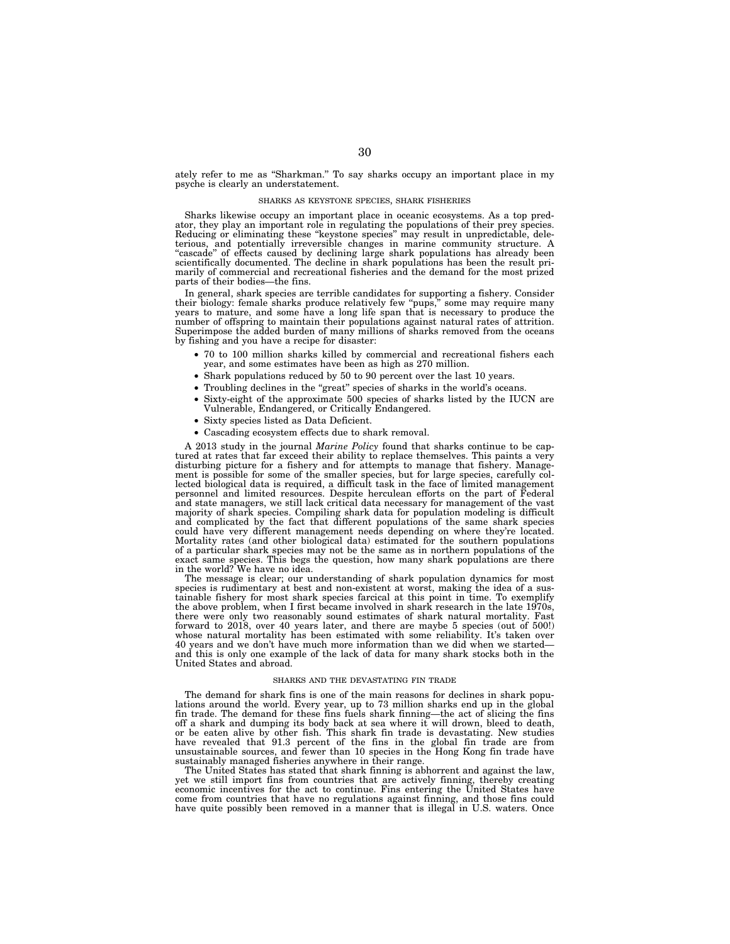ately refer to me as "Sharkman." To say sharks occupy an important place in my psyche is clearly an understatement.

#### SHARKS AS KEYSTONE SPECIES, SHARK FISHERIES

Sharks likewise occupy an important place in oceanic ecosystems. As a top predator, they play an important role in regulating the populations of their prey species. Reducing or eliminating these "keystone species" may result in unpredictable, deleterious, and potentially irreversible changes in marine community structure. A ''cascade'' of effects caused by declining large shark populations has already been scientifically documented. The decline in shark populations has been the result primarily of commercial and recreational fisheries and the demand for the most prized parts of their bodies—the fins.

In general, shark species are terrible candidates for supporting a fishery. Consider<br>their biology: female sharks produce relatively few "pups," some may require many<br>years to mature, and some have a long life span that is number of offspring to maintain their populations against natural rates of attrition. Superimpose the added burden of many millions of sharks removed from the oceans by fishing and you have a recipe for disaster:

- 70 to 100 million sharks killed by commercial and recreational fishers each year, and some estimates have been as high as 270 million.
- Shark populations reduced by 50 to 90 percent over the last 10 years.
- Troubling declines in the "great" species of sharks in the world's oceans.
- Sixty-eight of the approximate 500 species of sharks listed by the IUCN are Vulnerable, Endangered, or Critically Endangered.
- Sixty species listed as Data Deficient.
- Cascading ecosystem effects due to shark removal.

A 2013 study in the journal *Marine Policy* found that sharks continue to be captured at rates that far exceed their ability to replace themselves. This paints a very disturbing picture for a fishery and for attempts to manage that fishery. Management is possible for some of the smaller species, but for large species, carefully col-lected biological data is required, a difficult task in the face of limited management personnel and limited resources. Despite herculean efforts on the part of Federal and state managers, we still lack critical data necessary for management of the vast majority of shark species. Compiling shark data for population modeling is difficult and complicated by the fact that different populations of the same shark species could have very different management needs depending on where they're located. Mortality rates (and other biological data) estimated for the southern populations of a particular shark species may not be the same as in northern populations of the exact same species. This begs the question, how many shark populations are there in the world? We have no idea.

The message is clear; our understanding of shark population dynamics for most species is rudimentary at best and non-existent at worst, making the idea of a sustainable fishery for most shark species farcical at this point in time. To exemplify the above problem, when I first became involved in shark research in the late 1970s, there were only two reasonably sound estimates of shark natural mortality. Fast forward to 2018, over 40 years later, and there are maybe 5 species (out of 500!) whose natural mortality has been estimated with some reliability. It's taken over 40 years and we don't have much more information than we did when we started and this is only one example of the lack of data for many shark stocks both in the United States and abroad.

#### SHARKS AND THE DEVASTATING FIN TRADE

The demand for shark fins is one of the main reasons for declines in shark populations around the world. Every year, up to 73 million sharks end up in the global fin trade. The demand for these fins fuels shark finning—the act of slicing the fins off a shark and dumping its body back at sea where it will drown, bleed to death, or be eaten alive by other fish. This shark fin trade is devastating. New studies have revealed that 91.3 percent of the fins in the global fin trade are from unsustainable sources, and fewer than 10 species in the Hong Kong fin trade have sustainably managed fisheries anywhere in their range.

The United States has stated that shark finning is abhorrent and against the law, yet we still import fins from countries that are actively finning, thereby creating economic incentives for the act to continue. Fins entering the United States have come from countries that have no regulations against finning, and those fins could have quite possibly been removed in a manner that is illegal in U.S. waters. Once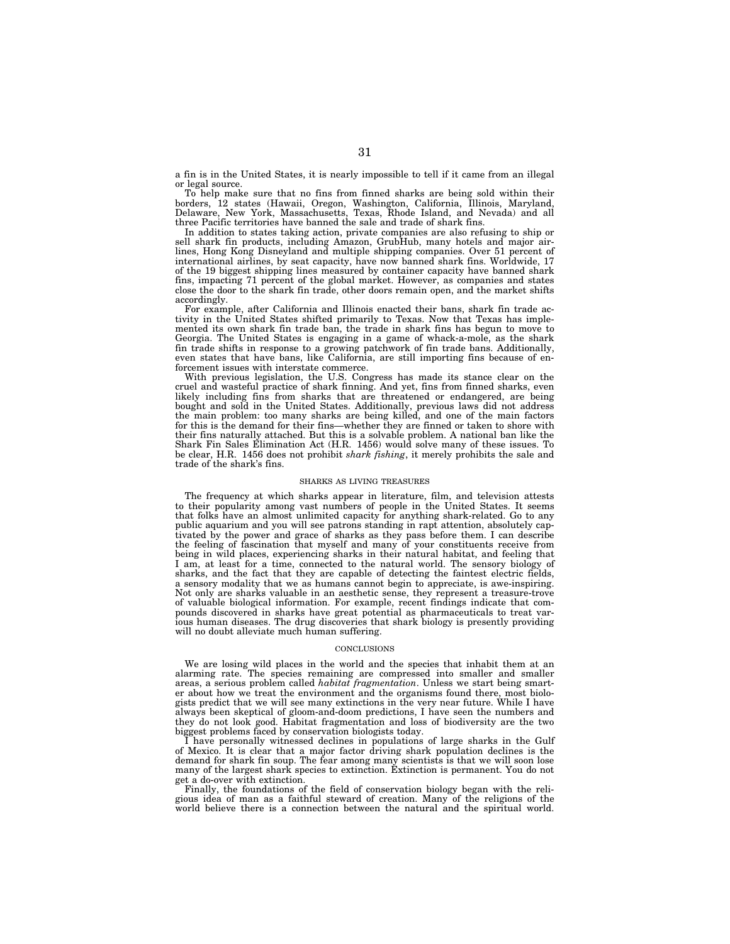a fin is in the United States, it is nearly impossible to tell if it came from an illegal or legal source.

To help make sure that no fins from finned sharks are being sold within their borders, 12 states (Hawaii, Oregon, Washington, California, Illinois, Maryland, Delaware, New York, Massachusetts, Texas, Rhode Island, and Nevada) and all three Pacific territories have banned the sale and trade of shark fins.

In addition to states taking action, private companies are also refusing to ship or sell shark fin products, including Amazon, GrubHub, many hotels and major airlines, Hong Kong Disneyland and multiple shipping companies. Over 51 percent of international airlines, by seat capacity, have now banned shark fins. Worldwide, 17 of the 19 biggest shipping lines measured by container capacity have banned shark fins, impacting 71 percent of the global market. However, as companies and states close the door to the shark fin trade, other doors remain open, and the market shifts accordingly.

For example, after California and Illinois enacted their bans, shark fin trade activity in the United States shifted primarily to Texas. Now that Texas has implemented its own shark fin trade ban, the trade in shark fins has begun to move to Georgia. The United States is engaging in a game of whack-a-mole, as the shark fin trade shifts in response to a growing patchwork of fin trade bans. Additionally, even states that have bans, like California, are still importing fins because of enforcement issues with interstate commerce.

With previous legislation, the U.S. Congress has made its stance clear on the cruel and wasteful practice of shark finning. And yet, fins from finned sharks, even likely including fins from sharks that are threatened or endangered, are being bought and sold in the United States. Additionally, previous laws did not address the main problem: too many sharks are being killed, and one of the main factors for this is the demand for their fins—whether they are finned or taken to shore with their fins naturally attached. But this is a solvable problem. A national ban like the Shark Fin Sales Elimination Act (H.R. 1456) would solve many of these issues. To be clear, H.R. 1456 does not prohibit *shark fishing*, it merely prohibits the sale and trade of the shark's fins.

#### SHARKS AS LIVING TREASURES

The frequency at which sharks appear in literature, film, and television attests to their popularity among vast numbers of people in the United States. It seems that folks have an almost unlimited capacity for anything shark-related. Go to any public aquarium and you will see patrons standing in rapt attention, absolutely captivated by the power and grace of sharks as they pass before them. I can describe the feeling of fascination that myself and many of your constituents receive from being in wild places, experiencing sharks in their natural habitat, and feeling that I am, at least for a time, connected to the natural world. The sensory biology of sharks, and the fact that they are capable of detecting the faintest electric fields, a sensory modality that we as humans cannot begin to appreciate, is awe-inspiring. Not only are sharks valuable in an aesthetic sense, they represent a treasure-trove of valuable biological information. For example, recent findings indicate that compounds discovered in sharks have great potential as pharmaceuticals to treat various human diseases. The drug discoveries that shark biology is presently providing will no doubt alleviate much human suffering.

#### **CONCLUSIONS**

We are losing wild places in the world and the species that inhabit them at an alarming rate. The species remaining are compressed into smaller and smaller areas, a serious problem called *habitat fragmentation*. Unless we start being smarter about how we treat the environment and the organisms found there, most biologists predict that we will see many extinctions in the very near future. While I have always been skeptical of gloom-and-doom predictions, I have seen the numbers and they do not look good. Habitat fragmentation and loss of biodiversity are the two biggest problems faced by conservation biologists today.

I have personally witnessed declines in populations of large sharks in the Gulf of Mexico. It is clear that a major factor driving shark population declines is the demand for shark fin soup. The fear among many scientists is that we will soon lose many of the largest shark species to extinction. Extinction is permanent. You do not get a do-over with extinction.

Finally, the foundations of the field of conservation biology began with the religious idea of man as a faithful steward of creation. Many of the religions of the world believe there is a connection between the natural and the spiritual world.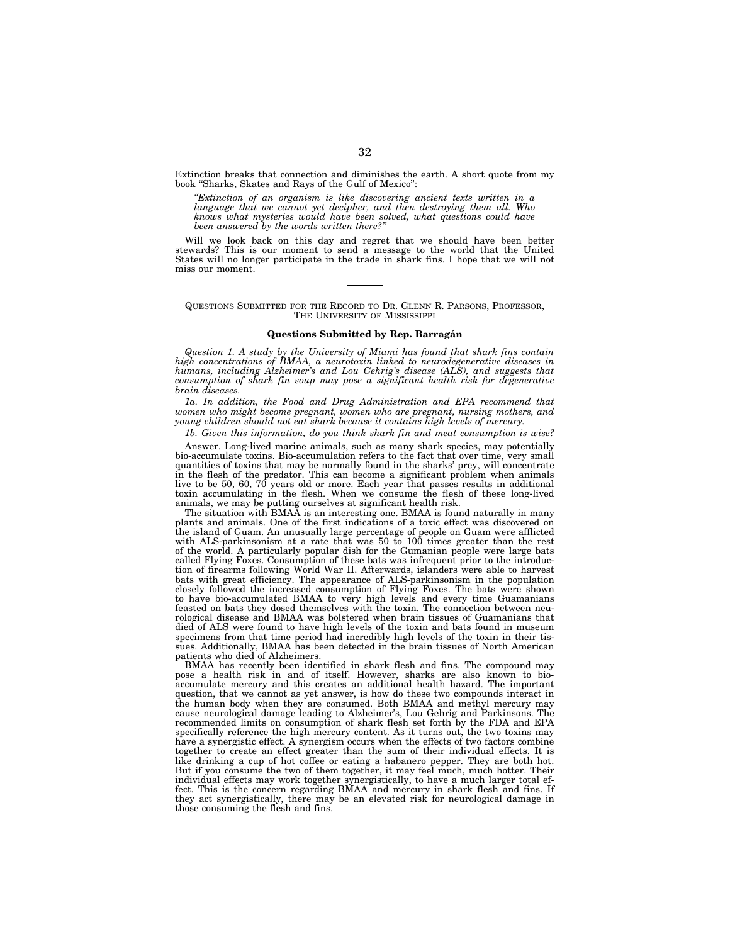Extinction breaks that connection and diminishes the earth. A short quote from my book ''Sharks, Skates and Rays of the Gulf of Mexico'':

*''Extinction of an organism is like discovering ancient texts written in a language that we cannot yet decipher, and then destroying them all. Who knows what mysteries would have been solved, what questions could have been answered by the words written there?''* 

Will we look back on this day and regret that we should have been better stewards? This is our moment to send a message to the world that the United States will no longer participate in the trade in shark fins. I hope that we will not miss our moment.

# QUESTIONS SUBMITTED FOR THE RECORD TO DR. GLENN R. PARSONS, PROFESSOR, THE UNIVERSITY OF MISSISSIPPI

## **Questions Submitted by Rep. Barraga´n**

*Question 1. A study by the University of Miami has found that shark fins contain high concentrations of BMAA, a neurotoxin linked to neurodegenerative diseases in humans, including Alzheimer's and Lou Gehrig's disease (ALS), and suggests that consumption of shark fin soup may pose a significant health risk for degenerative brain diseases.* 

*1a. In addition, the Food and Drug Administration and EPA recommend that women who might become pregnant, women who are pregnant, nursing mothers, and young children should not eat shark because it contains high levels of mercury.* 

*1b. Given this information, do you think shark fin and meat consumption is wise?* 

Answer. Long-lived marine animals, such as many shark species, may potentially bio-accumulate toxins. Bio-accumulation refers to the fact that over time, very small quantities of toxins that may be normally found in the sharks' prey, will concentrate in the flesh of the predator. This can become a significant problem when animals live to be 50, 60, 70 years old or more. Each year that passes results in additional toxin accumulating in the flesh. When we consume the flesh of these long-lived animals, we may be putting ourselves at significant health risk.

The situation with BMAA is an interesting one. BMAA is found naturally in many plants and animals. One of the first indications of a toxic effect was discovered on the island of Guam. An unusually large percentage of people on Guam were afflicted with ALS-parkinsonism at a rate that was 50 to 100 times greater than the rest of the world. A particularly popular dish for the Gumanian people were large bats called Flying Foxes. Consumption of these bats was infrequent prior to the introduction of firearms following World War II. Afterwards, islanders were able to harvest bats with great efficiency. The appearance of ALS-parkinsonism in the population closely followed the increased consumption of Flying Foxes. The bats were shown to have bio-accumulated BMAA to very high levels and every time Guamanians feasted on bats they dosed themselves with the toxin. The connection between neurological disease and BMAA was bolstered when brain tissues of Guamanians that died of ALS were found to have high levels of the toxin and bats found in museum specimens from that time period had incredibly high levels of the toxin in their tissues. Additionally, BMAA has been detected in the brain tissues of North American patients who died of Alzheimers.

BMAA has recently been identified in shark flesh and fins. The compound may pose a health risk in and of itself. However, sharks are also known to bioaccumulate mercury and this creates an additional health hazard. The important question, that we cannot as yet answer, is how do these two compounds interact in the human body when they are consumed. Both BMAA and methyl mercury may cause neurological damage leading to Alzheimer's, Lou Gehrig and Parkinsons. The recommended limits on consumption of shark flesh set forth by the FDA and EPA specifically reference the high mercury content. As it turns out, the two toxins may have a synergistic effect. A synergism occurs when the effects of two factors combine together to create an effect greater than the sum of their individual effects. It is like drinking a cup of hot coffee or eating a habanero pepper. They are both hot. But if you consume the two of them together, it may feel much, much hotter. Their individual effects may work together synergistically, to have a much larger total effect. This is the concern regarding BMAA and mercury in shark flesh and fins. If they act synergistically, there may be an elevated risk for neurological damage in those consuming the flesh and fins.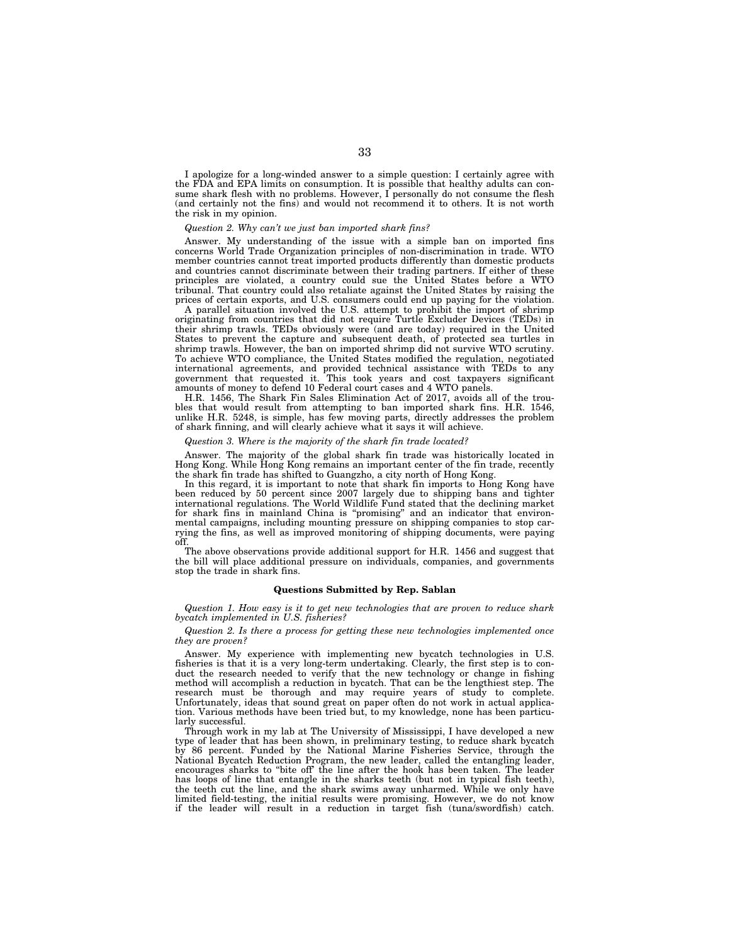I apologize for a long-winded answer to a simple question: I certainly agree with the FDA and EPA limits on consumption. It is possible that healthy adults can consume shark flesh with no problems. However, I personally do not consume the flesh (and certainly not the fins) and would not recommend it to others. It is not worth the risk in my opinion.

### *Question 2. Why can't we just ban imported shark fins?*

Answer. My understanding of the issue with a simple ban on imported fins concerns World Trade Organization principles of non-discrimination in trade. WTO member countries cannot treat imported products differently than domestic products and countries cannot discriminate between their trading partners. If either of these principles are violated, a country could sue the United States before a WTO tribunal. That country could also retaliate against the United States by raising the prices of certain exports, and U.S. consumers could end up paying for the violation.

A parallel situation involved the U.S. attempt to prohibit the import of shrimp originating from countries that did not require Turtle Excluder Devices (TEDs) in their shrimp trawls. TEDs obviously were (and are today) required in the United States to prevent the capture and subsequent death, of protected sea turtles in shrimp trawls. However, the ban on imported shrimp did not survive WTO scrutiny. To achieve WTO compliance, the United States modified the regulation, negotiated international agreements, and provided technical assistance with TEDs to any government that requested it. This took years and cost taxpayers significant amounts of money to defend 10 Federal court cases and 4 WTO panels.

H.R. 1456, The Shark Fin Sales Elimination Act of 2017, avoids all of the troubles that would result from attempting to ban imported shark fins. H.R. 1546, unlike H.R. 5248, is simple, has few moving parts, directly addresses the problem of shark finning, and will clearly achieve what it says it will achieve.

# *Question 3. Where is the majority of the shark fin trade located?*

Answer. The majority of the global shark fin trade was historically located in Hong Kong. While Hong Kong remains an important center of the fin trade, recently the shark fin trade has shifted to Guangzho, a city north of Hong Kong.

In this regard, it is important to note that shark fin imports to Hong Kong have been reduced by 50 percent since 2007 largely due to shipping bans and tighter international regulations. The World Wildlife Fund stated that the declining market for shark fins in mainland China is ''promising'' and an indicator that environmental campaigns, including mounting pressure on shipping companies to stop carrying the fins, as well as improved monitoring of shipping documents, were paying off.

The above observations provide additional support for H.R. 1456 and suggest that the bill will place additional pressure on individuals, companies, and governments stop the trade in shark fins.

#### **Questions Submitted by Rep. Sablan**

*Question 1. How easy is it to get new technologies that are proven to reduce shark bycatch implemented in U.S. fisheries?* 

*Question 2. Is there a process for getting these new technologies implemented once they are proven?* 

Answer. My experience with implementing new bycatch technologies in U.S. fisheries is that it is a very long-term undertaking. Clearly, the first step is to conduct the research needed to verify that the new technology or change in fishing method will accomplish a reduction in bycatch. That can be the lengthiest step. The research must be thorough and may require years of study to complete. Unfortunately, ideas that sound great on paper often do not work in actual application. Various methods have been tried but, to my knowledge, none has been particularly successful.

Through work in my lab at The University of Mississippi, I have developed a new type of leader that has been shown, in preliminary testing, to reduce shark bycatch by 86 percent. Funded by the National Marine Fisheries Service, through the National Bycatch Reduction Program, the new leader, called the entangling leader, encourages sharks to ''bite off' the line after the hook has been taken. The leader has loops of line that entangle in the sharks teeth (but not in typical fish teeth), the teeth cut the line, and the shark swims away unharmed. While we only have limited field-testing, the initial results were promising. However, we do not know if the leader will result in a reduction in target fish (tuna/swordfish) catch.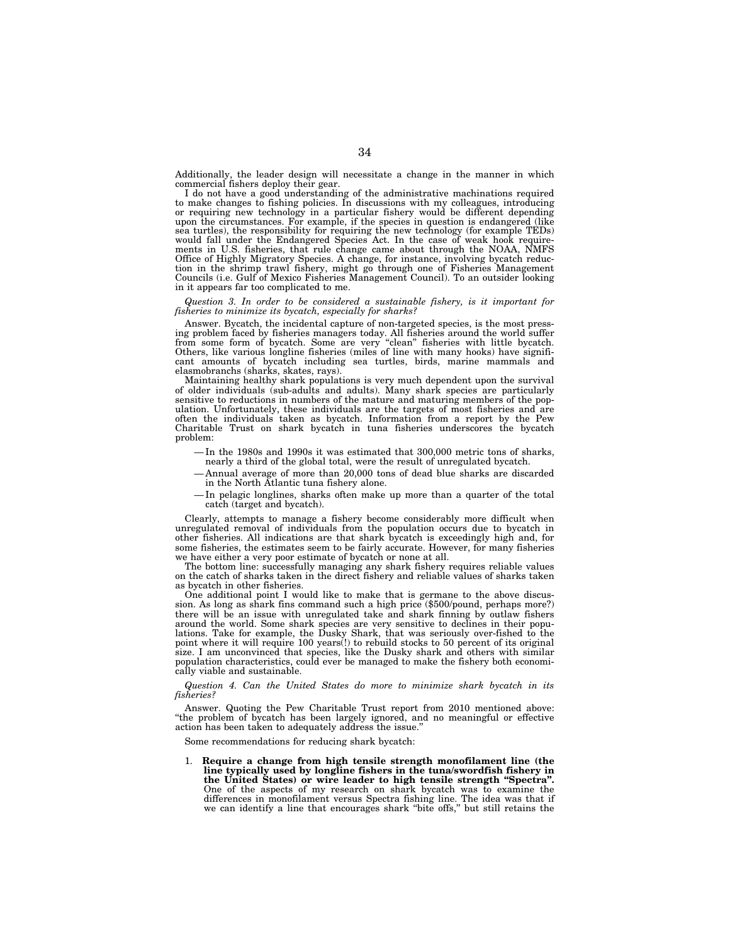Additionally, the leader design will necessitate a change in the manner in which commercial fishers deploy their gear.

I do not have a good understanding of the administrative machinations required to make changes to fishing policies. In discussions with my colleagues, introducing or requiring new technology in a particular fishery would be different depending upon the circumstances. For example, if the species in question is endangered (like sea turtles), the responsibility for requiring the new technology (for example TEDs) would fall under the Endangered Species Act. In the case of weak hook requirements in U.S. fisheries, that rule change came about through the NOAA, NMFS Office of Highly Migratory Species. A change, for instance, involving bycatch reduc-tion in the shrimp trawl fishery, might go through one of Fisheries Management Councils (i.e. Gulf of Mexico Fisheries Management Council). To an outsider looking in it appears far too complicated to me.

### *Question 3. In order to be considered a sustainable fishery, is it important for fisheries to minimize its bycatch, especially for sharks?*

Answer. Bycatch, the incidental capture of non-targeted species, is the most pressing problem faced by fisheries managers today. All fisheries around the world suffer from some form of bycatch. Some are very ''clean'' fisheries with little bycatch. Others, like various longline fisheries (miles of line with many hooks) have significant amounts of bycatch including sea turtles, birds, marine mammals and elasmobranchs (sharks, skates, rays).

Maintaining healthy shark populations is very much dependent upon the survival of older individuals (sub-adults and adults). Many shark species are particularly sensitive to reductions in numbers of the mature and maturing members of the population. Unfortunately, these individuals are the targets of most fisheries and are often the individuals taken as bycatch. Information from a report by the Pew Charitable Trust on shark bycatch in tuna fisheries underscores the bycatch problem:

- In the 1980s and 1990s it was estimated that 300,000 metric tons of sharks, nearly a third of the global total, were the result of unregulated bycatch.
- Annual average of more than 20,000 tons of dead blue sharks are discarded in the North Atlantic tuna fishery alone.
- In pelagic longlines, sharks often make up more than a quarter of the total catch (target and bycatch).

Clearly, attempts to manage a fishery become considerably more difficult when unregulated removal of individuals from the population occurs due to bycatch in other fisheries. All indications are that shark bycatch is exceedingly high and, for some fisheries, the estimates seem to be fairly accurate. However, for many fisheries we have either a very poor estimate of bycatch or none at all.

The bottom line: successfully managing any shark fishery requires reliable values on the catch of sharks taken in the direct fishery and reliable values of sharks taken as bycatch in other fisheries.

One additional point I would like to make that is germane to the above discussion. As long as shark fins command such a high price (\$500/pound, perhaps more?) there will be an issue with unregulated take and shark finning by outlaw fishers around the world. Some shark species are very sensitive to declines in their populations. Take for example, the Dusky Shark, that was seriously over-fished to the point where it will require 100 years(!) to rebuild stocks to 50 percent of its original size. I am unconvinced that species, like the Dusky shark and others with similar population characteristics, could ever be managed to make the fishery both economically viable and sustainable.

*Question 4. Can the United States do more to minimize shark bycatch in its fisheries?* 

Answer. Quoting the Pew Charitable Trust report from 2010 mentioned above: ''the problem of bycatch has been largely ignored, and no meaningful or effective action has been taken to adequately address the issue.''

Some recommendations for reducing shark bycatch:

1. **Require a change from high tensile strength monofilament line (the line typically used by longline fishers in the tuna/swordfish fishery in the United States) or wire leader to high tensile strength ''Spectra''.**  One of the aspects of my research on shark bycatch was to examine the differences in monofilament versus Spectra fishing line. The idea was that if we can identify a line that encourages shark ''bite offs,'' but still retains the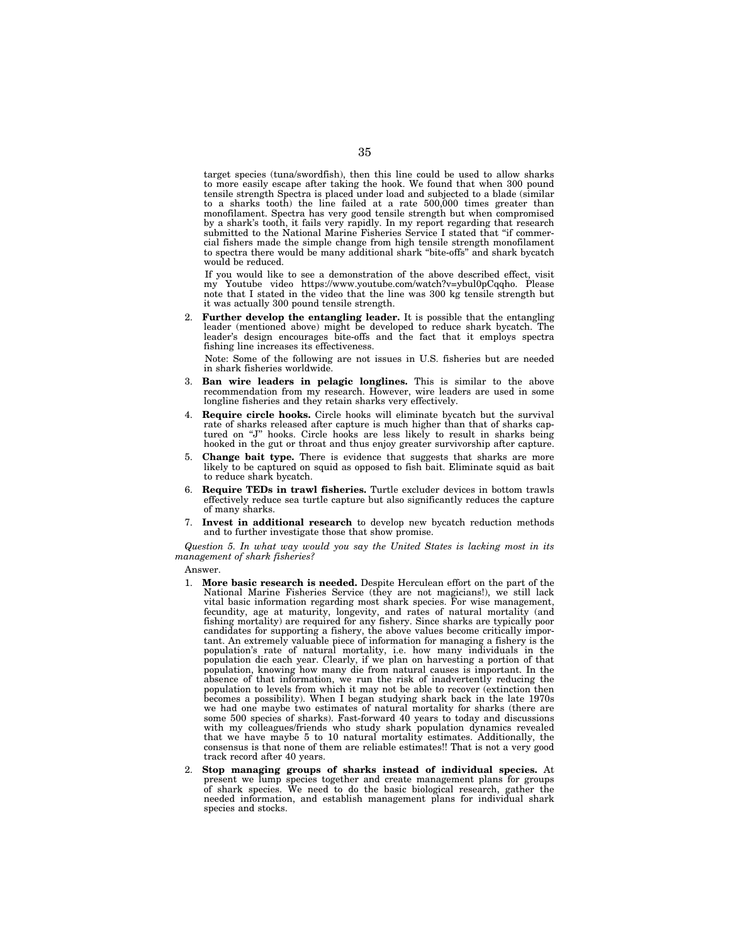target species (tuna/swordfish), then this line could be used to allow sharks to more easily escape after taking the hook. We found that when 300 pound tensile strength Spectra is placed under load and subjected to a blade (similar to a sharks tooth) the line failed at a rate 500,000 times greater than monofilament. Spectra has very good tensile strength but when compromised by a shark's tooth, it fails very rapidly. In my report regarding that research submitted to the National Marine Fisheries Service I stated that "if commercial fishers made the simple change from high tensile strength monofilament to spectra there would be many additional shark ''bite-offs'' and shark bycatch would be reduced.

If you would like to see a demonstration of the above described effect, visit my Youtube video https://www.youtube.com/watch?v=ybul0pCqqho. Please note that I stated in the video that the line was 300 kg tensile strength but it was actually 300 pound tensile strength.

2. **Further develop the entangling leader.** It is possible that the entangling leader (mentioned above) might be developed to reduce shark bycatch. The leader's design encourages bite-offs and the fact that it employs spectra fishing line increases its effectiveness.

Note: Some of the following are not issues in U.S. fisheries but are needed in shark fisheries worldwide.

- 3. **Ban wire leaders in pelagic longlines.** This is similar to the above recommendation from my research. However, wire leaders are used in some longline fisheries and they retain sharks very effectively.
- 4. **Require circle hooks.** Circle hooks will eliminate bycatch but the survival rate of sharks released after capture is much higher than that of sharks captured on "J" hooks. Circle hooks are less likely to result in sharks being hooked in the gut or throat and thus enjoy greater survivorship after capture.
- 5. **Change bait type.** There is evidence that suggests that sharks are more likely to be captured on squid as opposed to fish bait. Eliminate squid as bait to reduce shark bycatch.
- 6. **Require TEDs in trawl fisheries.** Turtle excluder devices in bottom trawls effectively reduce sea turtle capture but also significantly reduces the capture of many sharks.
- 7. **Invest in additional research** to develop new bycatch reduction methods and to further investigate those that show promise.

*Question 5. In what way would you say the United States is lacking most in its management of shark fisheries?* 

Answer.

- 1. **More basic research is needed.** Despite Herculean effort on the part of the National Marine Fisheries Service (they are not magicians!), we still lack vital basic information regarding most shark species. For wise management, fecundity, age at maturity, longevity, and rates of natural mortality (and fishing mortality) are required for any fishery. Since sharks are typically poor candidates for supporting a fishery, the above values become critically important. An extremely valuable piece of information for managing a fishery is the population's rate of natural mortality, i.e. how many individuals in the population die each year. Clearly, if we plan on harvesting a portion of that population, knowing how many die from natural causes is important. In the absence of that information, we run the risk of inadvertently reducing the population to levels from which it may not be able to recover (extinction then becomes a possibility). When I began studying shark back in the late 1970s we had one maybe two estimates of natural mortality for sharks (there are some 500 species of sharks). Fast-forward 40 years to today and discussions with my colleagues/friends who study shark population dynamics revealed that we have maybe 5 to 10 natural mortality estimates. Additionally, the consensus is that none of them are reliable estimates!! That is not a very good track record after 40 years.
- 2. **Stop managing groups of sharks instead of individual species.** At present we lump species together and create management plans for groups of shark species. We need to do the basic biological research, gather the needed information, and establish management plans for individual shark species and stocks.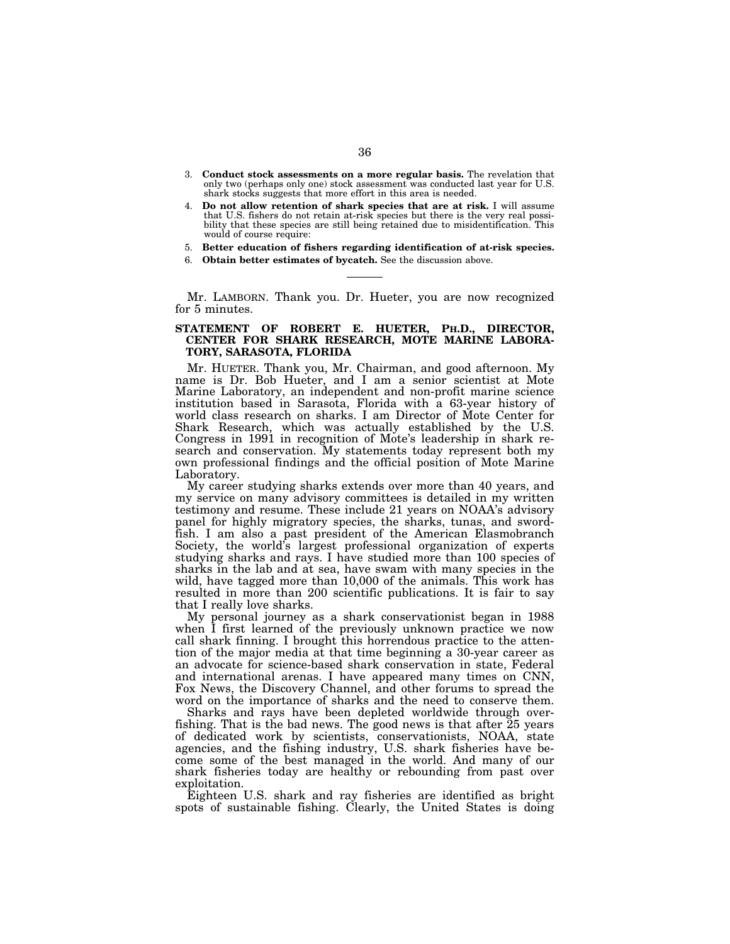- 3. **Conduct stock assessments on a more regular basis.** The revelation that only two (perhaps only one) stock assessment was conducted last year for U.S. shark stocks suggests that more effort in this area is needed.
- 4. **Do not allow retention of shark species that are at risk.** I will assume that U.S. fishers do not retain at-risk species but there is the very real possibility that these species are still being retained due to misidentification. This would of course require:
- 5. **Better education of fishers regarding identification of at-risk species.**
- 6. **Obtain better estimates of bycatch.** See the discussion above.

Mr. LAMBORN. Thank you. Dr. Hueter, you are now recognized for 5 minutes.

# **STATEMENT OF ROBERT E. HUETER, PH.D., DIRECTOR, CENTER FOR SHARK RESEARCH, MOTE MARINE LABORA-TORY, SARASOTA, FLORIDA**

Mr. HUETER. Thank you, Mr. Chairman, and good afternoon. My name is Dr. Bob Hueter, and I am a senior scientist at Mote Marine Laboratory, an independent and non-profit marine science institution based in Sarasota, Florida with a 63-year history of world class research on sharks. I am Director of Mote Center for Shark Research, which was actually established by the U.S. Congress in 1991 in recognition of Mote's leadership in shark research and conservation. My statements today represent both my own professional findings and the official position of Mote Marine Laboratory.

My career studying sharks extends over more than 40 years, and my service on many advisory committees is detailed in my written testimony and resume. These include 21 years on NOAA's advisory panel for highly migratory species, the sharks, tunas, and swordfish. I am also a past president of the American Elasmobranch Society, the world's largest professional organization of experts studying sharks and rays. I have studied more than 100 species of sharks in the lab and at sea, have swam with many species in the wild, have tagged more than 10,000 of the animals. This work has resulted in more than 200 scientific publications. It is fair to say that I really love sharks.

My personal journey as a shark conservationist began in 1988 when I first learned of the previously unknown practice we now call shark finning. I brought this horrendous practice to the attention of the major media at that time beginning a 30-year career as an advocate for science-based shark conservation in state, Federal and international arenas. I have appeared many times on CNN, Fox News, the Discovery Channel, and other forums to spread the word on the importance of sharks and the need to conserve them.

Sharks and rays have been depleted worldwide through overfishing. That is the bad news. The good news is that after 25 years of dedicated work by scientists, conservationists, NOAA, state agencies, and the fishing industry, U.S. shark fisheries have become some of the best managed in the world. And many of our shark fisheries today are healthy or rebounding from past over exploitation.

Eighteen U.S. shark and ray fisheries are identified as bright spots of sustainable fishing. Clearly, the United States is doing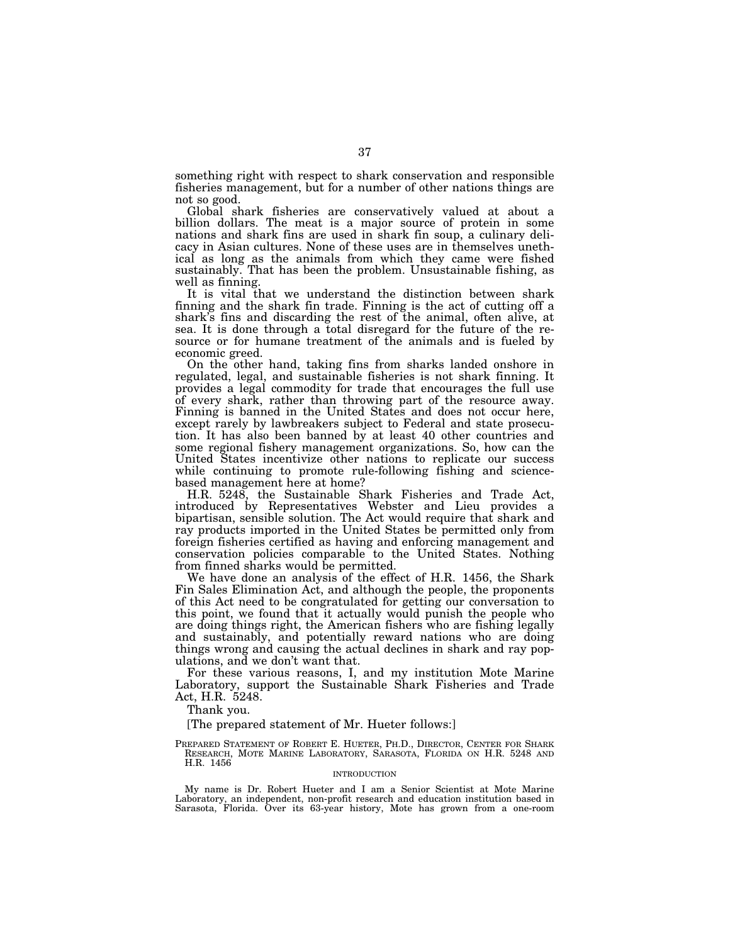something right with respect to shark conservation and responsible fisheries management, but for a number of other nations things are not so good.

Global shark fisheries are conservatively valued at about a billion dollars. The meat is a major source of protein in some nations and shark fins are used in shark fin soup, a culinary delicacy in Asian cultures. None of these uses are in themselves unethical as long as the animals from which they came were fished sustainably. That has been the problem. Unsustainable fishing, as well as finning.

It is vital that we understand the distinction between shark finning and the shark fin trade. Finning is the act of cutting off a shark's fins and discarding the rest of the animal, often alive, at sea. It is done through a total disregard for the future of the resource or for humane treatment of the animals and is fueled by economic greed.

On the other hand, taking fins from sharks landed onshore in regulated, legal, and sustainable fisheries is not shark finning. It provides a legal commodity for trade that encourages the full use of every shark, rather than throwing part of the resource away. Finning is banned in the United States and does not occur here, except rarely by lawbreakers subject to Federal and state prosecution. It has also been banned by at least 40 other countries and some regional fishery management organizations. So, how can the United States incentivize other nations to replicate our success while continuing to promote rule-following fishing and sciencebased management here at home?

H.R. 5248, the Sustainable Shark Fisheries and Trade Act, introduced by Representatives Webster and Lieu provides a bipartisan, sensible solution. The Act would require that shark and ray products imported in the United States be permitted only from foreign fisheries certified as having and enforcing management and conservation policies comparable to the United States. Nothing from finned sharks would be permitted.

We have done an analysis of the effect of H.R. 1456, the Shark Fin Sales Elimination Act, and although the people, the proponents of this Act need to be congratulated for getting our conversation to this point, we found that it actually would punish the people who are doing things right, the American fishers who are fishing legally and sustainably, and potentially reward nations who are doing things wrong and causing the actual declines in shark and ray populations, and we don't want that.

For these various reasons, I, and my institution Mote Marine Laboratory, support the Sustainable Shark Fisheries and Trade Act, H.R. 5248.

Thank you.

[The prepared statement of Mr. Hueter follows:]

PREPARED STATEMENT OF ROBERT E. HUETER, PH.D., DIRECTOR, CENTER FOR SHARK RESEARCH, MOTE MARINE LABORATORY, SARASOTA, FLORIDA ON H.R. 5248 AND H.R. 1456

#### INTRODUCTION

My name is Dr. Robert Hueter and I am a Senior Scientist at Mote Marine Laboratory, an independent, non-profit research and education institution based in Sarasota, Florida. Over its 63-year history, Mote has grown from a one-room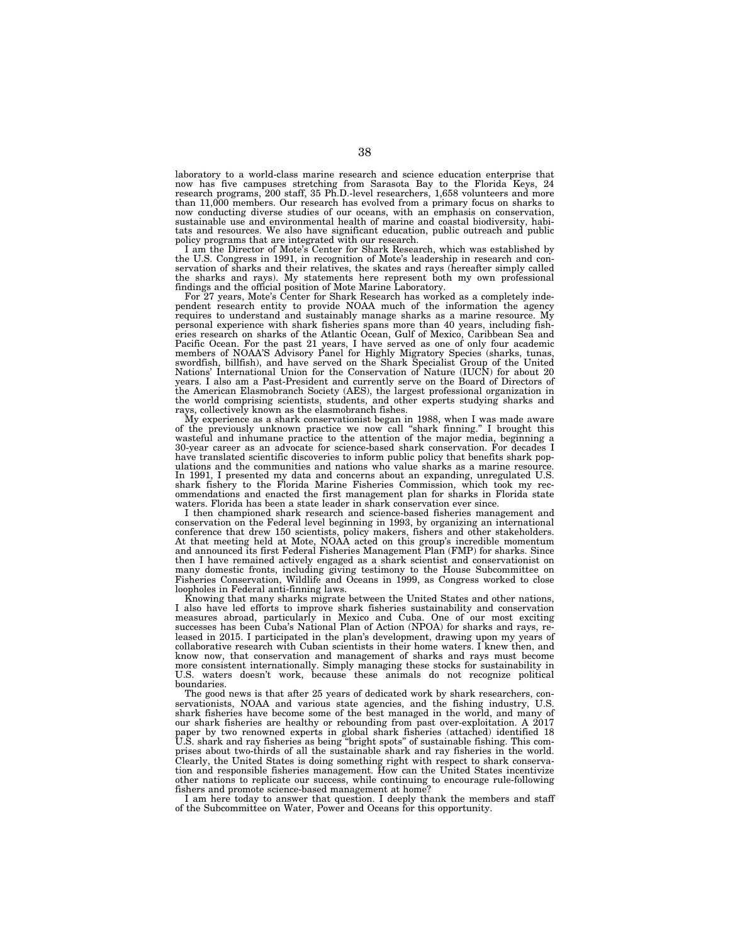laboratory to a world-class marine research and science education enterprise that now has five campuses stretching from Sarasota Bay to the Florida Keys, 24 research programs, 200 staff, 35 Ph.D.-level researchers, 1,658 volunteers and more than 11,000 members. Our research has evolved from a primary focus on sharks to now conducting diverse studies of our oceans, with an emphasis on conservation, sustainable use and environmental health of marine and coastal biodiversity, habitats and resources. We also have significant education, public outreach and public policy programs that are integrated with our research.

I am the Director of Mote's Center for Shark Research, which was established by the U.S. Congress in 1991, in recognition of Mote's leadership in research and conservation of sharks and their relatives, the skates and rays (hereafter simply called the sharks and rays). My statements here represent both my own professional findings and the official position of Mote Marine Laboratory.

For 27 years, Mote's Center for Shark Research has worked as a completely inde-pendent research entity to provide NOAA much of the information the agency requires to understand and sustainably manage sharks as a marine resource. My personal experience with shark fisheries spans more than 40 years, including fisheries research on sharks of the Atlantic Ocean, Gulf of Mexico, Caribbean Sea and Pacific Ocean. For the past 21 years, I have served as one of only four academic members of NOAA'S Advisory Panel for Highly Migratory Species (sharks, tunas, swordfish, billfish), and have served on the Shark Specialist Group of the United Nations' International Union for the Conservation of Nature (IUCN) for about 20 years. I also am a Past-President and currently serve on the Board of Directors of the American Elasmobranch Society (AES), the largest professional organization in the world comprising scientists, students, and other experts studying sharks and rays, collectively known as the elasmobranch fishes.

My experience as a shark conservationist began in 1988, when I was made aware of the previously unknown practice we now call ''shark finning.'' I brought this wasteful and inhumane practice to the attention of the major media, beginning a 30-year career as an advocate for science-based shark conservation. For decades I have translated scientific discoveries to inform public policy that benefits shark populations and the communities and nations who value sharks as a marine resource. In 1991, I presented my data and concerns about an expanding, unregulated U.S. shark fishery to the Florida Marine Fisheries Commission, which took my recommendations and enacted the first management plan for sharks in Florida state waters. Florida has been a state leader in shark conservation ever since.

I then championed shark research and science-based fisheries management and conservation on the Federal level beginning in 1993, by organizing an international conference that drew 150 scientists, policy makers, fishers and other stakeholders. At that meeting held at Mote, NOAA acted on this group's incredible momentum and announced its first Federal Fisheries Management Plan (FMP) for sharks. Since then I have remained actively engaged as a shark scientist and conservationist on many domestic fronts, including giving testimony to the House Subcommittee on Fisheries Conservation, Wildlife and Oceans in 1999, as Congress worked to close loopholes in Federal anti-finning laws.

Knowing that many sharks migrate between the United States and other nations, I also have led efforts to improve shark fisheries sustainability and conservation measures abroad, particularly in Mexico and Cuba. One of our most exciting successes has been Cuba's National Plan of Action (NPOA) for sharks and rays, released in 2015. I participated in the plan's development, drawing upon my years of collaborative research with Cuban scientists in their home waters. I knew then, and know now, that conservation and management of sharks and rays must become more consistent internationally. Simply managing these stocks for sustainability in U.S. waters doesn't work, because these animals do not recognize political boundaries.

The good news is that after 25 years of dedicated work by shark researchers, conservationists, NOAA and various state agencies, and the fishing industry, U.S. shark fisheries have become some of the best managed in the world, and many of our shark fisheries are healthy or rebounding from past over-exploitation. A 2017 paper by two renowned experts in global shark fisheries (attached) identified 18 U.S. shark and ray fisheries as being ''bright spots'' of sustainable fishing. This comprises about two-thirds of all the sustainable shark and ray fisheries in the world. Clearly, the United States is doing something right with respect to shark conservation and responsible fisheries management. How can the United States incentivize other nations to replicate our success, while continuing to encourage rule-following fishers and promote science-based management at home?

I am here today to answer that question. I deeply thank the members and staff of the Subcommittee on Water, Power and Oceans for this opportunity.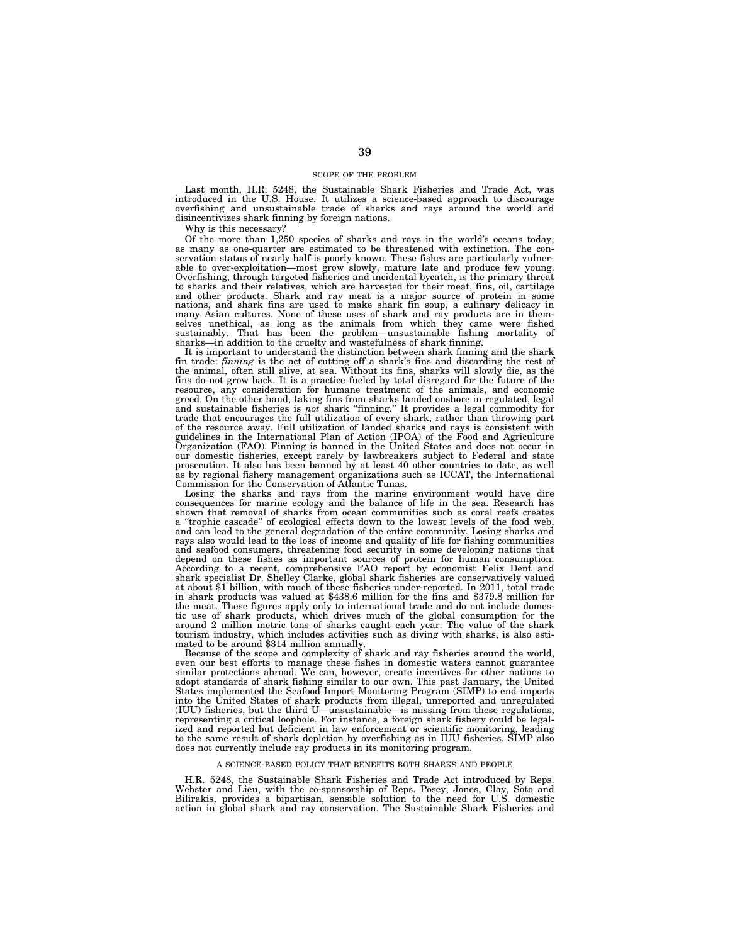### SCOPE OF THE PROBLEM

Last month, H.R. 5248, the Sustainable Shark Fisheries and Trade Act, was introduced in the U.S. House. It utilizes a science-based approach to discourage overfishing and unsustainable trade of sharks and rays around the world and disincentivizes shark finning by foreign nations.

Why is this necessary?

Of the more than 1,250 species of sharks and rays in the world's oceans today, as many as one-quarter are estimated to be threatened with extinction. The conservation status of nearly half is poorly known. These fishes are particularly vulnerable to over-exploitation—most grow slowly, mature late and produce few young. Overfishing, through targeted fisheries and incidental bycatch, is the primary threat to sharks and their relatives, which are harvested for their meat, fins, oil, cartilage and other products. Shark and ray meat is a major source of protein in some nations, and shark fins are used to make shark fin soup, a culinary delicacy in many Asian cultures. None of these uses of shark and ray products are in themselves unethical, as long as the animals from which they came were fished sustainably. That has been the problem—unsustainable fishing mortality of sharks—in addition to the cruelty and wastefulness of shark finning.

It is important to understand the distinction between shark finning and the shark fin trade: *finning* is the act of cutting off a shark's fins and discarding the rest of the animal, often still alive, at sea. Without its fins, sharks will slowly die, as the fins do not grow back. It is a practice fuele resource, any consideration for humane treatment of the animals, and economic greed. On the other hand, taking fins from sharks landed onshore in regulated, legal<br>and sustainable fisheries is *not* shark "finning." It provides a legal commodity for<br>trade that encourages the full utilization of every of the resource away. Full utilization of landed sharks and rays is consistent with guidelines in the International Plan of Action (IPOA) of the Food and Agriculture Organization (FAO). Finning is banned in the United States and does not occur in our domestic fisheries, except rarely by lawbreakers subject to Federal and state prosecution. It also has been banned by at least 40 other countries to date, as well as by regional fishery management organizations such as ICCAT, the International Commission for the Conservation of Atlantic Tunas.

Losing the sharks and rays from the marine environment would have dire consequences for marine ecology and the balance of life in the sea. Research has shown that removal of sharks from ocean communities such as coral reefs creates a ''trophic cascade'' of ecological effects down to the lowest levels of the food web, and can lead to the general degradation of the entire community. Losing sharks and rays also would lead to the loss of income and quality of life for fishing communities and seafood consumers, threatening food security in some developing nations that depend on these fishes as important sources of protein for human consumption. According to a recent, comprehensive FAO report by economist Felix Dent and shark specialist Dr. Shelley Clarke, global shark fisheries are conservatively valued at about \$1 billion, with much of these fisheries under-reported. In 2011, total trade in shark products was valued at \$438.6 million for the fins and \$379.8 million for the meat. These figures apply only to international trade and do not include domestic use of shark products, which drives much of the global consumption for the around 2 million metric tons of sharks caught each year. The value of the shark tourism industry, which includes activities such as diving with sharks, is also estimated to be around \$314 million annually.

Because of the scope and complexity of shark and ray fisheries around the world, even our best efforts to manage these fishes in domestic waters cannot guarantee similar protections abroad. We can, however, create incentives for other nations to adopt standards of shark fishing similar to our own. This past January, the United States implemented the Seafood Import Monitoring Program (SIMP) to end imports into the United States of shark products from illegal, unreported and unregulated (IUU) fisheries, but the third U—unsustainable—is missing from these regulations, representing a critical loophole. For instance, a foreign ized and reported but deficient in law enforcement or scientific monitoring, leading to the same result of shark depletion by overfishing as in IUU fisheries. SIMP also does not currently include ray products in its monitoring program.

### A SCIENCE-BASED POLICY THAT BENEFITS BOTH SHARKS AND PEOPLE

H.R. 5248, the Sustainable Shark Fisheries and Trade Act introduced by Reps. Webster and Lieu, with the co-sponsorship of Reps. Posey, Jones, Clay, Soto and Bilirakis, provides a bipartisan, sensible solution to the need for U.S. domestic action in global shark and ray conservation. The Sustainable Shark Fisheries and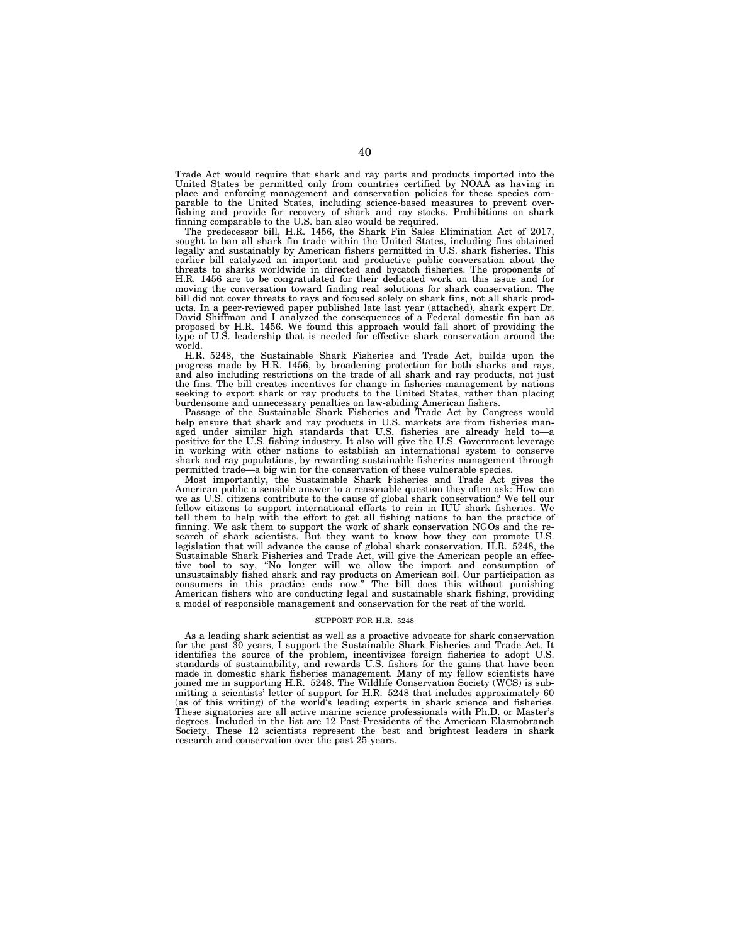Trade Act would require that shark and ray parts and products imported into the United States be permitted only from countries certified by NOAA as having in place and enforcing management and conservation policies for these species comparable to the United States, including science-based measures to prevent overfishing and provide for recovery of shark and ray stocks. Prohibitions on shark finning comparable to the U.S. ban also would be required.

The predecessor bill, H.R. 1456, the Shark Fin Sales Elimination Act of 2017, sought to ban all shark fin trade within the United States, including fins obtained legally and sustainably by American fishers permitted in U.S. shark fisheries. This earlier bill catalyzed an important and productive public conversation about the threats to sharks worldwide in directed and bycatch fisheries. The proponents of H.R. 1456 are to be congratulated for their dedicated work on this issue and for moving the conversation toward finding real solutions for shark conservation. The bill did not cover threats to rays and focused solely on shark fins, not all shark products. In a peer-reviewed paper published late last year (attached), shark expert Dr. David Shiffman and I analyzed the consequences of a Federal domestic fin ban as proposed by H.R. 1456. We found this approach would fall short of providing the type of U.S. leadership that is needed for effective shark conservation around the world.

H.R. 5248, the Sustainable Shark Fisheries and Trade Act, builds upon the progress made by H.R. 1456, by broadening protection for both sharks and rays, and also including restrictions on the trade of all shark and ray products, not just the fins. The bill creates incentives for change in fisheries management by nations seeking to export shark or ray products to the United States, rather than placing burdensome and unnecessary penalties on law-abiding American fishers.

Passage of the Sustainable Shark Fisheries and Trade Act by Congress would help ensure that shark and ray products in U.S. markets are from fisheries managed under similar high standards that U.S. fisheries are already held to—a positive for the U.S. fishing industry. It also will give the U.S. Government leverage in working with other nations to establish an international system to conserve shark and ray populations, by rewarding sustainable fisheries management through permitted trade—a big win for the conservation of these vulnerable species.

Most importantly, the Sustainable Shark Fisheries and Trade Act gives the American public a sensible answer to a reasonable question they often ask: How can we as U.S. citizens contribute to the cause of global shark conservation? We tell our fellow citizens to support international efforts to rein in IUU shark fisheries. We tell them to help with the effort to get all fishing nations to ban the practice of finning. We ask them to support the work of shark conservation NGOs and the research of shark scientists. But they want to know how they can promote U.S. legislation that will advance the cause of global shark conservation. H.R. 5248, the Sustainable Shark Fisheries and Trade Act, will give the American people an effective tool to say, ''No longer will we allow the import and consumption of unsustainably fished shark and ray products on American soil. Our participation as consumers in this practice ends now.'' The bill does this without punishing American fishers who are conducting legal and sustainable shark fishing, providing a model of responsible management and conservation for the rest of the world.

#### SUPPORT FOR H.R. 5248

As a leading shark scientist as well as a proactive advocate for shark conservation for the past 30 years, I support the Sustainable Shark Fisheries and Trade Act. It identifies the source of the problem, incentivizes foreign fisheries to adopt U.S. standards of sustainability, and rewards U.S. fishers for the gains that have been made in domestic shark fisheries management. Many of my fellow scientists have joined me in supporting H.R. 5248. The Wildlife Conservation Society (WCS) is submitting a scientists' letter of support for H.R. 5248 that includes approximately 60 (as of this writing) of the world's leading experts in shark science and fisheries. These signatories are all active marine science professionals with Ph.D. or Master's degrees. Included in the list are 12 Past-Presidents of the American Elasmobranch Society. These 12 scientists represent the best and brightest leaders in shark research and conservation over the past 25 years.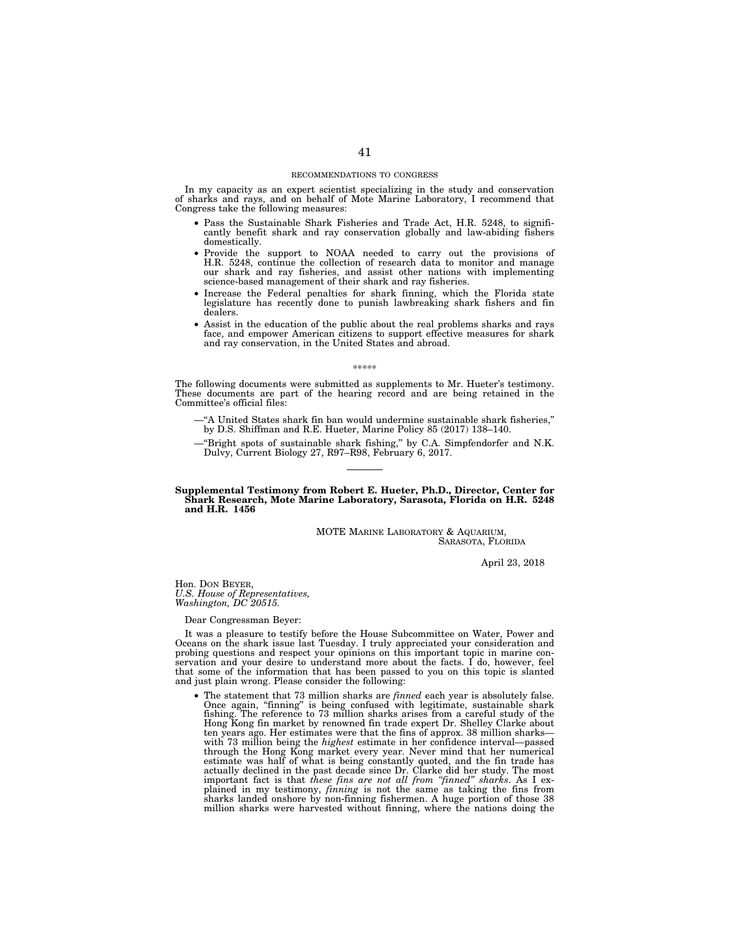### RECOMMENDATIONS TO CONGRESS

In my capacity as an expert scientist specializing in the study and conservation of sharks and rays, and on behalf of Mote Marine Laboratory, I recommend that Congress take the following measures:

- Pass the Sustainable Shark Fisheries and Trade Act, H.R. 5248, to significantly benefit shark and ray conservation globally and law-abiding fishers domestically.
- Provide the support to NOAA needed to carry out the provisions of H.R. 5248, continue the collection of research data to monitor and manage our shark and ray fisheries, and assist other nations with implementing science-based management of their shark and ray fisheries.
- Increase the Federal penalties for shark finning, which the Florida state legislature has recently done to punish lawbreaking shark fishers and fin dealers.
- Assist in the education of the public about the real problems sharks and rays face, and empower American citizens to support effective measures for shark and ray conservation, in the United States and abroad.

#### \*\*\*\*\*

The following documents were submitted as supplements to Mr. Hueter's testimony. These documents are part of the hearing record and are being retained in the Committee's official files:

- —''A United States shark fin ban would undermine sustainable shark fisheries,'' by D.S. Shiffman and R.E. Hueter, Marine Policy 85 (2017) 138–140.
- —''Bright spots of sustainable shark fishing,'' by C.A. Simpfendorfer and N.K. Dulvy, Current Biology 27, R97–R98, February 6, 2017.

### **Supplemental Testimony from Robert E. Hueter, Ph.D., Director, Center for Shark Research, Mote Marine Laboratory, Sarasota, Florida on H.R. 5248 and H.R. 1456**

### MOTE MARINE LABORATORY & AQUARIUM, SARASOTA, FLORIDA

April 23, 2018

Hon. DON BEYER, *U.S. House of Representatives, Washington, DC 20515.* 

Dear Congressman Beyer:

It was a pleasure to testify before the House Subcommittee on Water, Power and Oceans on the shark issue last Tuesday. I truly appreciated your consideration and probing questions and respect your opinions on this important topic in marine conservation and your desire to understand more about the facts. I do, however, feel that some of the information that has been passed to you on this topic is slanted and just plain wrong. Please consider the following:

• The statement that 73 million sharks are *finned* each year is absolutely false. Once again, ''finning'' is being confused with legitimate, sustainable shark fishing. The reference to 73 million sharks arises from a careful study of the Hong Kong fin market by renowned fin trade expert Dr. Shelley Clarke about ten years ago. Her estimates were that the fins of approx. 38 million sharks with 73 million being the *highest* estimate in her confidence interval—passed through the Hong Kong market every year. Never mind that her numerical estimate was half of what is being constantly quoted, and the fin trade has actually declined in the past decade since  $Dr$ . Clarke did her study. The million sharks were harvested without finning, where the nations doing the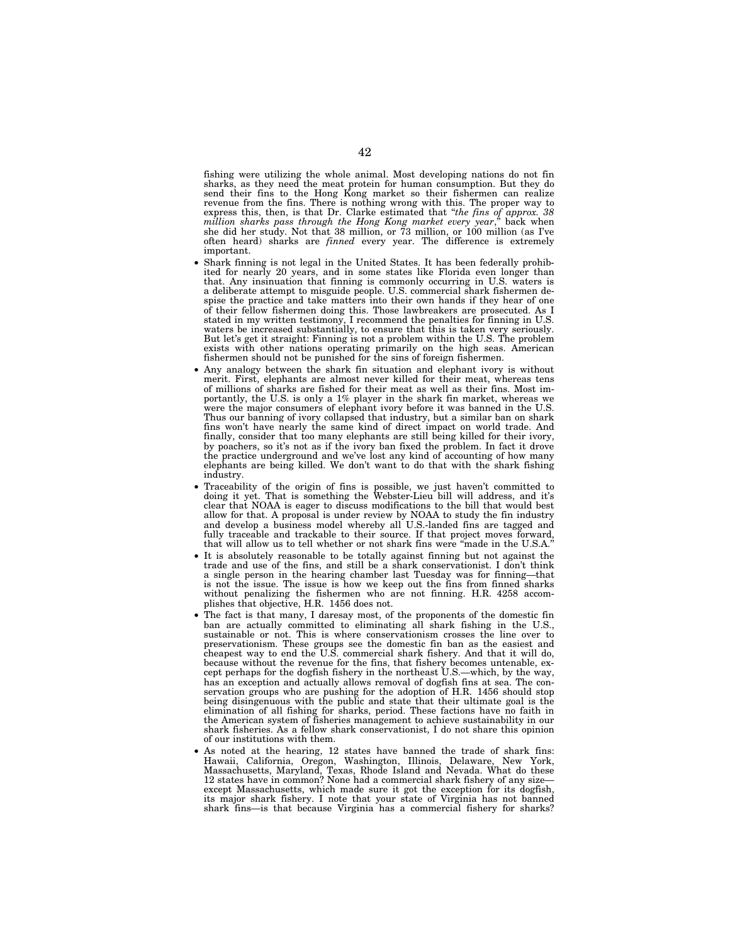fishing were utilizing the whole animal. Most developing nations do not fin sharks, as they need the meat protein for human consumption. But they do send their fins to the Hong Kong market so their fishermen can realize revenue from the fins. There is nothing wrong with this. The proper way to express this, then, is that Dr. Clarke estimated that ''*the fins of approx. 38 million sharks pass through the Hong Kong market every year*,'' back when she did her study. Not that 38 million, or 73 million, or 100 million (as I've often heard) sharks are *finned* every year. The difference is extremely important.

- Shark finning is not legal in the United States. It has been federally prohibited for nearly 20 years, and in some states like Florida even longer than that. Any insinuation that finning is commonly occurring in U.S. waters is a deliberate attempt to misguide people. U.S. commercial shark fishermen despise the practice and take matters into their own hands if they hear of one of their fellow fishermen doing this. Those lawbreakers are prosecuted. As I stated in my written testimony, I recommend the penalties for finning in U.S. waters be increased substantially, to ensure that this is taken very seriously. But let's get it straight: Finning is not a problem within the U.S. The problem exists with other nations operating primarily on the high seas. American fishermen should not be punished for the sins of foreign fishermen.
- Any analogy between the shark fin situation and elephant ivory is without merit. First, elephants are almost never killed for their meat, whereas tens of millions of sharks are fished for their meat as well as their fins. Most importantly, the U.S. is only a 1% player in the shark fin market, whereas we were the major consumers of elephant ivory before it was banned in the U.S. Thus our banning of ivory collapsed that industry, but a similar ban on shark fins won't have nearly the same kind of direct impact on world trade. And finally, consider that too many elephants are still being killed for their ivory, by poachers, so it's not as if the ivory ban fixed the problem. In fact it drove the practice underground and we've lost any kind of accounting of how many elephants are being killed. We don't want to do that with the shark fishing industry.
- Traceability of the origin of fins is possible, we just haven't committed to doing it yet. That is something the Webster-Lieu bill will address, and it's clear that NOAA is eager to discuss modifications to the bill that would best allow for that. A proposal is under review by NOAA to study the fin industry and develop a business model whereby all U.S.-landed fins are tagged and fully traceable and trackable to their source. If that project moves forward, that will allow us to tell whether or not shark fins were ''made in the U.S.A.''
- It is absolutely reasonable to be totally against finning but not against the trade and use of the fins, and still be a shark conservationist. I don't think a single person in the hearing chamber last Tuesday was for finning—that is not the issue. The issue is how we keep out the fins from finned sharks without penalizing the fishermen who are not finning. H.R. 4258 accomplishes that objective, H.R. 1456 does not.
- The fact is that many, I daresay most, of the proponents of the domestic fin ban are actually committed to eliminating all shark fishing in the U.S., sustainable or not. This is where conservationism crosses the line over to preservationism. These groups see the domestic fin ban as the easiest and cheapest way to end the U.S. commercial shark fishery. And that it will do, because without the revenue for the fins, that fishery becomes untenable, except perhaps for the dogfish fishery in the northeast U.S.—which, by the way, has an exception and actually allows removal of dogfish fins at sea. The conservation groups who are pushing for the adoption of H.R. 1456 should stop being disingenuous with the public and state that their ultimate goal is the elimination of all fishing for sharks, period. These factions have no faith in the American system of fisheries management to achieve sustainability in our shark fisheries. As a fellow shark conservationist, I do not share this opinion of our institutions with them.
- As noted at the hearing, 12 states have banned the trade of shark fins: Hawaii, California, Oregon, Washington, Illinois, Delaware, New York, Massachusetts, Maryland, Texas, Rhode Island and Nevada. What do these 12 states have in common? None had a commercial shark fishery of any size except Massachusetts, which made sure it got the exception for its dogfish, its major shark fishery. I note that your state of Virginia has not banned shark fins—is that because Virginia has a commercial fishery for sharks?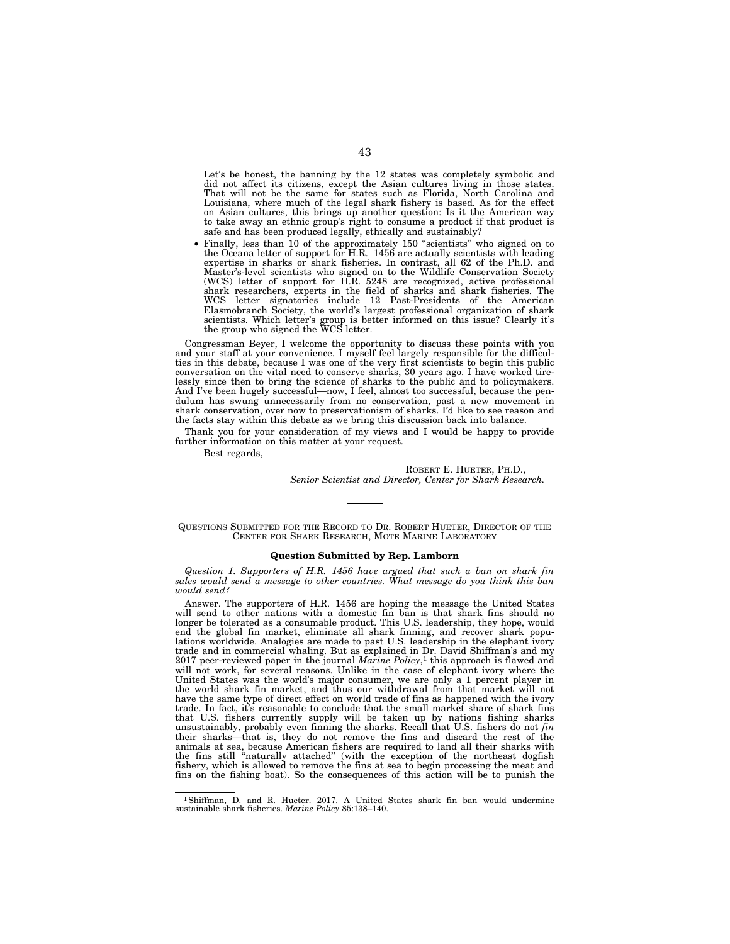Let's be honest, the banning by the 12 states was completely symbolic and did not affect its citizens, except the Asian cultures living in those states. That will not be the same for states such as Florida, North Carolina and Louisiana, where much of the legal shark fishery is based. As for the effect on Asian cultures, this brings up another question: Is it the American way to take away an ethnic group's right to consume a product if that product is safe and has been produced legally, ethically and sustainably?

• Finally, less than 10 of the approximately 150 ''scientists'' who signed on to the Oceana letter of support for H.R. 1456 are actually scientists with leading expertise in sharks or shark fisheries. In contrast, all 62 of the Ph.D. and Master's-level scientists who signed on to the Wildlife Conservation Society (WCS) letter of support for H.R. 5248 are recognized, active professional shark researchers, experts in the field of sharks and shark fisheries. The WCS letter signatories include 12 Past-Presidents of the American Elasmobranch Society, the world's largest professional organization of shark scientists. Which letter's group is better informed on this issue? Clearly it's the group who signed the WCS letter.

Congressman Beyer, I welcome the opportunity to discuss these points with you and your staff at your convenience. I myself feel largely responsible for the difficulties in this debate, because I was one of the very first scientists to begin this public conversation on the vital need to conserve sharks, 30 years ago. I have worked tirelessly since then to bring the science of sharks to the public and to policymakers. And I've been hugely successful—now, I feel, almost too successful, because the pendulum has swung unnecessarily from no conservation, past a new movement in shark conservation, over now to preservationism of sharks. I'd like to see reason and the facts stay within this debate as we bring this discussion back into balance.

Thank you for your consideration of my views and I would be happy to provide further information on this matter at your request.

Best regards,

ROBERT E. HUETER, PH.D., *Senior Scientist and Director, Center for Shark Research.* 

QUESTIONS SUBMITTED FOR THE RECORD TO DR. ROBERT HUETER, DIRECTOR OF THE CENTER FOR SHARK RESEARCH, MOTE MARINE LABORATORY

### **Question Submitted by Rep. Lamborn**

*Question 1. Supporters of H.R. 1456 have argued that such a ban on shark fin sales would send a message to other countries. What message do you think this ban would send?* 

Answer. The supporters of H.R. 1456 are hoping the message the United States will send to other nations with a domestic fin ban is that shark fins should no longer be tolerated as a consumable product. This U.S. leadership, they hope, would end the global fin market, eliminate all shark finning, and recover shark populations worldwide. Analogies are made to past U.S. leadership in the elephant ivory trade and in commercial whaling. But as explained in Dr. David Shiffman's and my 2017 peer-reviewed paper in the journal *Marine Policy*,<sup>1</sup> this approach is flawed and will not work, for several reasons. Unlike in the case of elephant ivory where the United States was the world's major consumer, we are only a 1 percent player in the world shark fin market, and thus our withdrawal from that market will not have the same type of direct effect on world trade of fins as happened with the ivory trade. In fact, it's reasonable to conclude that the small market share of shark fins that U.S. fishers currently supply will be taken up by nations fishing sharks unsustainably, probably even finning the sharks. Recall that U.S. fishers do not *fin*  their sharks—that is, they do not remove the fins and discard the rest of the animals at sea, because American fishers are required to land all their sharks with the fins still ''naturally attached'' (with the exception of the northeast dogfish fishery, which is allowed to remove the fins at sea to begin processing the meat and fins on the fishing boat). So the consequences of this action will be to punish the

<sup>1</sup>Shiffman, D. and R. Hueter. 2017. A United States shark fin ban would undermine sustainable shark fisheries. *Marine Policy* 85:138–140.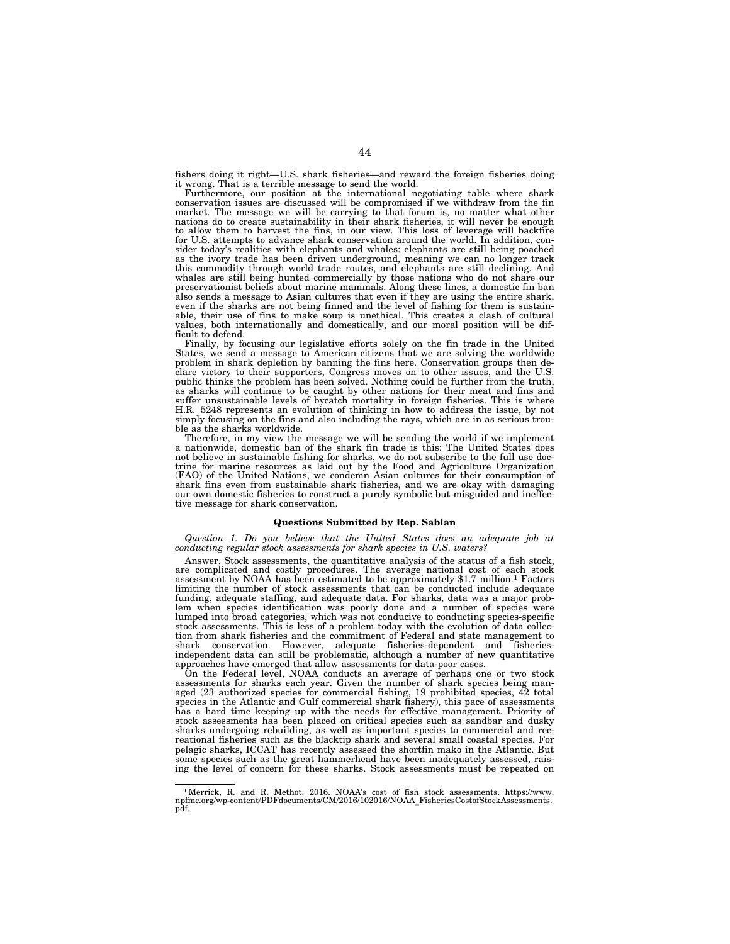fishers doing it right—U.S. shark fisheries—and reward the foreign fisheries doing it wrong. That is a terrible message to send the world.

Furthermore, our position at the international negotiating table where shark conservation issues are discussed will be compromised if we withdraw from the fin market. The message we will be carrying to that forum is, no matter what other nations do to create sustainability in their shark fisheries, it will never be enough to allow them to harvest the fins, in our view. This loss of leverage will backfire for U.S. attempts to advance shark conservation around the world. In addition, consider today's realities with elephants and whales: elephants are still being poached as the ivory trade has been driven underground, meaning we can no longer track this commodity through world trade routes, and elephants are still declining. And whales are still being hunted commercially by those nations who do not share our preservationist beliefs about marine mammals. Along these lines, a domestic fin ban also sends a message to Asian cultures that even if they are using the entire shark, even if the sharks are not being finned and the level of fishing for them is sustainable, their use of fins to make soup is unethical. This creates a clash of cultural values, both internationally and domestically, and our moral position will be difficult to defend.

Finally, by focusing our legislative efforts solely on the fin trade in the United States, we send a message to American citizens that we are solving the worldwide problem in shark depletion by banning the fins here. Conservation groups then declare victory to their supporters, Congress moves on to other issues, and the U.S. public thinks the problem has been solved. Nothing could be further from the truth, as sharks will continue to be caught by other nations for their meat and fins and suffer unsustainable levels of bycatch mortality in foreign fisheries. This is where H.R. 5248 represents an evolution of thinking in how to address the issue, by not simply focusing on the fins and also including the rays, which are in as serious trouble as the sharks worldwide.

Therefore, in my view the message we will be sending the world if we implement a nationwide, domestic ban of the shark fin trade is this: The United States does not believe in sustainable fishing for sharks, we do not subscribe to the full use doctrine for marine resources as laid out by the Food and Agriculture Organization (FAO) of the United Nations, we condemn Asian cultures for their consumption of shark fins even from sustainable shark fisheries, and we are okay with damaging our own domestic fisheries to construct a purely symbolic but misguided and ineffective message for shark conservation.

### **Questions Submitted by Rep. Sablan**

*Question 1. Do you believe that the United States does an adequate job at conducting regular stock assessments for shark species in U.S. waters?* 

Answer. Stock assessments, the quantitative analysis of the status of a fish stock, are complicated and costly procedures. The average national cost of each stock assessment by NOAA has been estimated to be approximately \$1.7 million.<sup>1</sup> Factors limiting the number of stock assessments that can be conducted include adequate funding, adequate staffing, and adequate data. For sharks, data was a major prob-lem when species identification was poorly done and a number of species were lumped into broad categories, which was not conducive to conducting species-specific stock assessments. This is less of a problem today with the evolution of data collection from shark fisheries and the commitment of Federal and state management to shark conservation. However, adequate fisheries-dependent and fisheriesindependent data can still be problematic, although a number of new quantitative approaches have emerged that allow assessments for data-poor cases.

On the Federal level, NOAA conducts an average of perhaps one or two stock assessments for sharks each year. Given the number of shark species being managed (23 authorized species for commercial fishing, 19 prohibited species, 42 total<br>species in the Atlantic and Gulf commercial shark fishery), this pace of assessments<br>has a hard time keeping up with the needs for effecti stock assessments has been placed on critical species such as sandbar and dusky sharks undergoing rebuilding, as well as important species to commercial and recreational fisheries such as the blacktip shark and several small coastal species. For pelagic sharks, ICCAT has recently assessed the shortfin mako in the Atlantic. But some species such as the great hammerhead have been inadequately assessed, raising the level of concern for these sharks. Stock assessments must be repeated on

<sup>1</sup>Merrick, R. and R. Methot. 2016. NOAA's cost of fish stock assessments. https://www. npfmc.org/wp-content/PDFdocuments/CM/2016/102016/NOAA\_FisheriesCostofStockAssessments. pdf.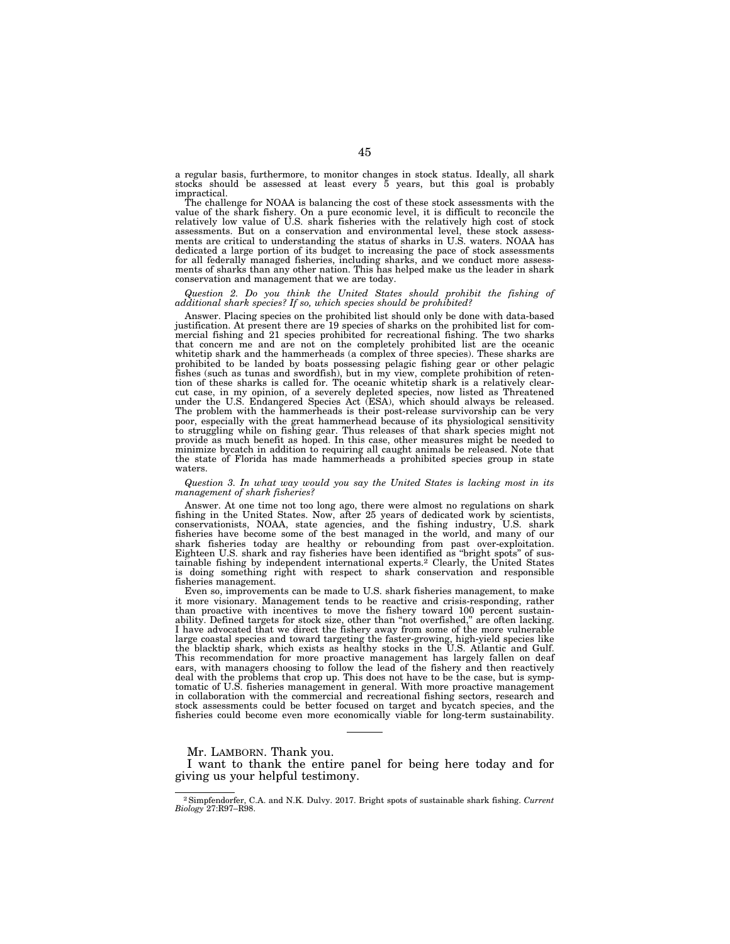a regular basis, furthermore, to monitor changes in stock status. Ideally, all shark stocks should be assessed at least every 5 years, but this goal is probably impractical.

The challenge for NOAA is balancing the cost of these stock assessments with the value of the shark fishery. On a pure economic level, it is difficult to reconcile the relatively low value of U.S. shark fisheries with the relatively high cost of stock assessments. But on a conservation and environmental level, these stock assessments are critical to understanding the status of sharks in U.S. waters. NOAA has dedicated a large portion of its budget to increasing the pace of stock assessments for all federally managed fisheries, including sharks, and we conduct more assessments of sharks than any other nation. This has helped make us the leader in shark conservation and management that we are today.

*Question 2. Do you think the United States should prohibit the fishing of additional shark species? If so, which species should be prohibited?* 

Answer. Placing species on the prohibited list should only be done with data-based justification. At present there are 19 species of sharks on the prohibited list for commercial fishing and 21 species prohibited for recreational fishing. The two sharks that concern me and are not on the completely prohibited list are the oceanic whitetip shark and the hammerheads (a complex of three species). These sharks are prohibited to be landed by boats possessing pelagic fishing gear or other pelagic fishes (such as tunas and swordfish), but in my view, complete prohibition of retention of these sharks is called for. The oceanic whitetip shark is a relatively clearcut case, in my opinion, of a severely depleted species, now listed as Threatened under the U.S. Endangered Species Act (ESA), which should always be released. The problem with the hammerheads is their post-release survivorship can be very poor, especially with the great hammerhead because of its physiological sensitivity to struggling while on fishing gear. Thus releases of that shark species might not provide as much benefit as hoped. In this case, other measures might be needed to minimize bycatch in addition to requiring all caught animals be released. Note that the state of Florida has made hammerheads a prohibited species group in state waters.

#### *Question 3. In what way would you say the United States is lacking most in its management of shark fisheries?*

Answer. At one time not too long ago, there were almost no regulations on shark fishing in the United States. Now, after 25 years of dedicated work by scientists, conservationists, NOAA, state agencies, and the fishing industry, U.S. shark fisheries have become some of the best managed in the world, and many of our shark fisheries today are healthy or rebounding from past over-exploitation. Eighteen U.S. shark and ray fisheries have been identified as ''bright spots'' of sustainable fishing by independent international experts.2 Clearly, the United States is doing something right with respect to shark conservation and responsible fisheries management.

Even so, improvements can be made to U.S. shark fisheries management, to make it more visionary. Management tends to be reactive and crisis-responding, rather than proactive with incentives to move the fishery toward 100 percent sustainability. Defined targets for stock size, other than ''not overfished,'' are often lacking. I have advocated that we direct the fishery away from some of the more vulnerable large coastal species and toward targeting the faster-growing, high-yield species like the blacktip shark, which exists as healthy stocks in the U.S. Atlantic and Gulf. This recommendation for more proactive management has largely fallen on deaf ears, with managers choosing to follow the lead of the fishery and then reactively deal with the problems that crop up. This does not have to be the case, but is symptomatic of U.S. fisheries management in general. With more proactive management in collaboration with the commercial and recreational fishing sectors, research and stock assessments could be better focused on target and bycatch species, and the fisheries could become even more economically viable for long-term sustainability.

Mr. LAMBORN. Thank you.

I want to thank the entire panel for being here today and for giving us your helpful testimony.

<sup>2</sup>Simpfendorfer, C.A. and N.K. Dulvy. 2017. Bright spots of sustainable shark fishing. *Current Biology* 27:R97–R98.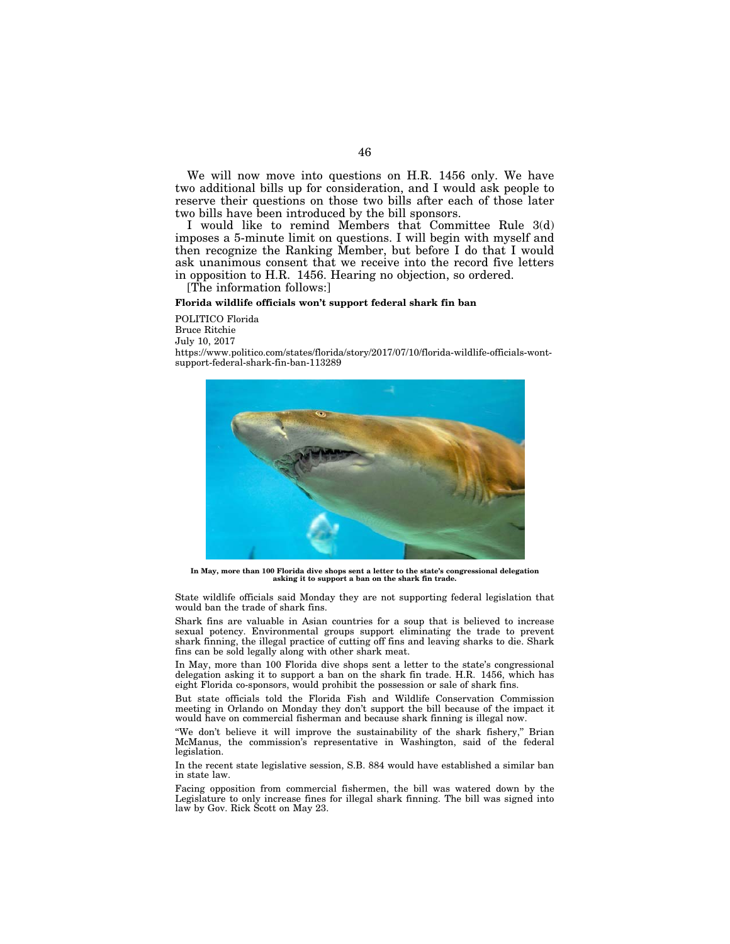We will now move into questions on H.R. 1456 only. We have two additional bills up for consideration, and I would ask people to reserve their questions on those two bills after each of those later two bills have been introduced by the bill sponsors.

I would like to remind Members that Committee Rule 3(d) imposes a 5-minute limit on questions. I will begin with myself and then recognize the Ranking Member, but before I do that I would ask unanimous consent that we receive into the record five letters in opposition to H.R. 1456. Hearing no objection, so ordered.

[The information follows:]

### **Florida wildlife officials won't support federal shark fin ban**

POLITICO Florida Bruce Ritchie July 10, 2017 https://www.politico.com/states/florida/story/2017/07/10/florida-wildlife-officials-wontsupport-federal-shark-fin-ban-113289



**In May, more than 100 Florida dive shops sent a letter to the state's congressional delegation asking it to support a ban on the shark fin trade.** 

State wildlife officials said Monday they are not supporting federal legislation that would ban the trade of shark fins.

Shark fins are valuable in Asian countries for a soup that is believed to increase sexual potency. Environmental groups support eliminating the trade to prevent shark finning, the illegal practice of cutting off fins and leaving sharks to die. Shark fins can be sold legally along with other shark meat.

In May, more than 100 Florida dive shops sent a letter to the state's congressional delegation asking it to support a ban on the shark fin trade. H.R. 1456, which has eight Florida co-sponsors, would prohibit the possession or sale of shark fins.

But state officials told the Florida Fish and Wildlife Conservation Commission meeting in Orlando on Monday they don't support the bill because of the impact it would have on commercial fisherman and because shark finning is illegal now.

"We don't believe it will improve the sustainability of the shark fishery," Brian McManus, the commission's representative in Washington, said of the federal legislation.

In the recent state legislative session, S.B. 884 would have established a similar ban in state law.

Facing opposition from commercial fishermen, the bill was watered down by the Legislature to only increase fines for illegal shark finning. The bill was signed into law by Gov. Rick Scott on May 23.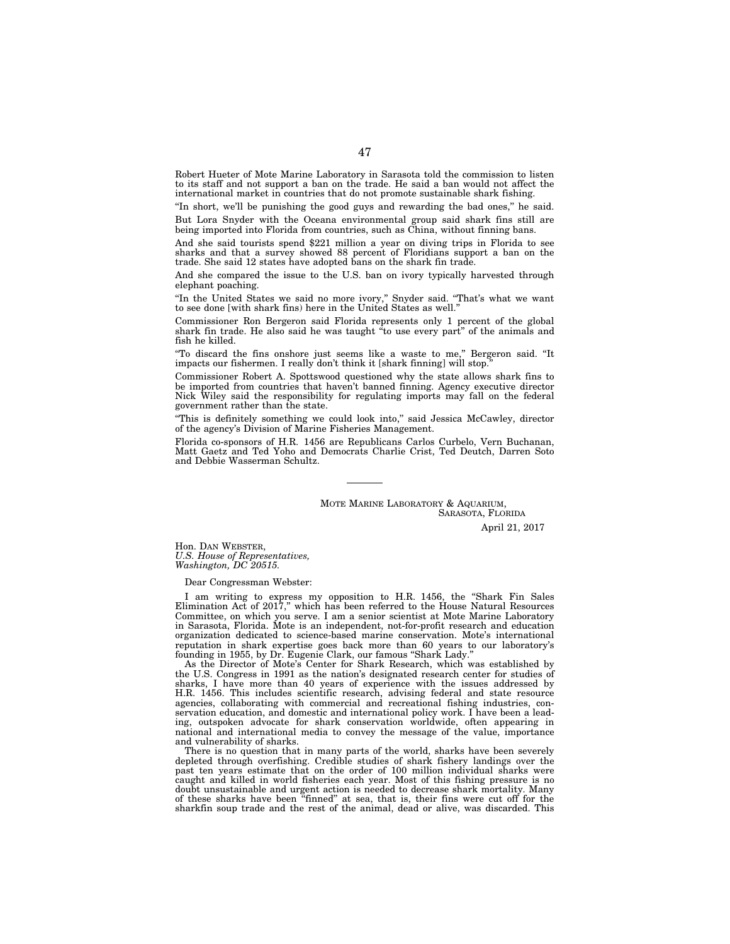Robert Hueter of Mote Marine Laboratory in Sarasota told the commission to listen to its staff and not support a ban on the trade. He said a ban would not affect the international market in countries that do not promote sustainable shark fishing.

''In short, we'll be punishing the good guys and rewarding the bad ones,'' he said.

But Lora Snyder with the Oceana environmental group said shark fins still are being imported into Florida from countries, such as China, without finning bans.

And she said tourists spend \$221 million a year on diving trips in Florida to see sharks and that a survey showed 88 percent of Floridians support a ban on the trade. She said 12 states have adopted bans on the shark fin trade.

And she compared the issue to the U.S. ban on ivory typically harvested through elephant poaching.

"In the United States we said no more ivory," Snyder said. "That's what we want to see done [with shark fins) here in the United States as well.

Commissioner Ron Bergeron said Florida represents only 1 percent of the global shark fin trade. He also said he was taught ''to use every part'' of the animals and fish he killed.

''To discard the fins onshore just seems like a waste to me,'' Bergeron said. ''It impacts our fishermen. I really don't think it [shark finning] will stop.

Commissioner Robert A. Spottswood questioned why the state allows shark fins to be imported from countries that haven't banned finning. Agency executive director Nick Wiley said the responsibility for regulating imports may fall on the federal government rather than the state.

''This is definitely something we could look into,'' said Jessica McCawley, director of the agency's Division of Marine Fisheries Management.

Florida co-sponsors of H.R. 1456 are Republicans Carlos Curbelo, Vern Buchanan, Matt Gaetz and Ted Yoho and Democrats Charlie Crist, Ted Deutch, Darren Soto and Debbie Wasserman Schultz.

> MOTE MARINE LABORATORY & AQUARIUM, SARASOTA, FLORIDA

> > April 21, 2017

Hon. DAN WEBSTER, *U.S. House of Representatives, Washington, DC 20515.* 

Dear Congressman Webster:

I am writing to express my opposition to H.R. 1456, the ''Shark Fin Sales Elimination Act of 2017,'' which has been referred to the House Natural Resources Committee, on which you serve. I am a senior scientist at Mote Marine Laboratory in Sarasota, Florida. Mote is an independent, not-for-profit research and education organization dedicated to science-based marine conservation. Mote's international reputation in shark expertise goes back more than 60 years to our laboratory's founding in 1955, by Dr. Eugenie Clark, our famous ''Shark Lady.''

As the Director of Mote's Center for Shark Research, which was established by the U.S. Congress in 1991 as the nation's designated research center for studies of sharks, I have more than 40 years of experience with the issues addressed by H.R. 1456. This includes scientific research, advising federal and state resource agencies, collaborating with commercial and recreational fishing industries, conservation education, and domestic and international policy work. I have been a leading, outspoken advocate for shark conservation worldwide, often appearing in national and international media to convey the message of the value, importance and vulnerability of sharks.

There is no question that in many parts of the world, sharks have been severely depleted through overfishing. Credible studies of shark fishery landings over the past ten years estimate that on the order of 100 million individual sharks were caught and killed in world fisheries each year. Most of this fishing pressure is no doubt unsustainable and urgent action is needed to decrease shark mortality. Many of these sharks have been ''finned'' at sea, that is, their fins were cut off for the sharkfin soup trade and the rest of the animal, dead or alive, was discarded. This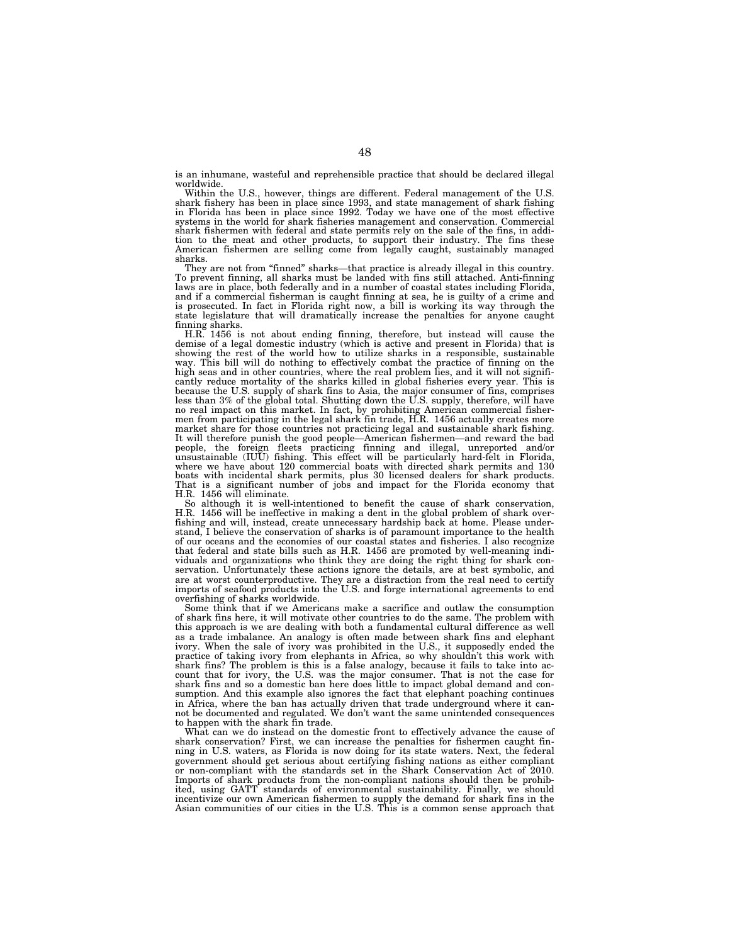is an inhumane, wasteful and reprehensible practice that should be declared illegal worldwide.

Within the U.S., however, things are different. Federal management of the U.S.<br>shark fishery has been in place since 1993, and state management of shark fishing<br>in Florida has been in place since 1992. Today we have one of systems in the world for shark fisheries management and conservation. Commercial shark fishermen with federal and state permits rely on the sale of the fins, in addition to the meat and other products, to support their industry. The fins these American fishermen are selling come from legally caught, sustainably managed sharks.

They are not from ''finned'' sharks—that practice is already illegal in this country. To prevent finning, all sharks must be landed with fins still attached. Anti-finning laws are in place, both federally and in a number of coastal states including Florida, and if a commercial fisherman is caught finning at sea, he is guilty of a crime and is prosecuted. In fact in Florida right now, a bill is working its way through the state legislature that will dramatically increase the penalties for anyone caught finning sharks.

H.R. 1456 is not about ending finning, therefore, but instead will cause the demise of a legal domestic industry (which is active and present in Florida) that is showing the rest of the world how to utilize sharks in a responsible, sustainable way. This bill will do nothing to effectively combat the practice of finning on the high seas and in other countries, where the real problem lies, and it will not signifi-cantly reduce mortality of the sharks killed in global fisheries every year. This is because the U.S. supply of shark fins to Asia, the major consumer of fins, comprises less than 3% of the global total. Shutting down the U.S. supply, therefore, will have no real impact on this market. In fact, by prohibiting American commercial fisher-men from participating in the legal shark fin trade, H.R. 1456 actually creates more market share for those countries not practicing legal and sustainable shark fishing. It will therefore punish the good people—American fishermen—and reward the bad<br>people, the foreign fleets practicing finning and illegal, unreported and/or<br>unsustainable (IUU) fishing. This effect will be particularly hard where we have about 120 commercial boats with directed shark permits and 130 boats with incidental shark permits, plus 30 licensed dealers for shark products. That is a significant number of jobs and impact for the Florida economy that H.R. 1456 will eliminate.

So although it is well-intentioned to benefit the cause of shark conservation, H.R. 1456 will be ineffective in making a dent in the global problem of shark overfishing and will, instead, create unnecessary hardship back at home. Please understand, I believe the conservation of sharks is of paramount importance to the health of our oceans and the economies of our coastal states and fisheries. I also recognize that federal and state bills such as H.R. 1456 are promoted by well-meaning individuals and organizations who think they are doing the right thing for shark conservation. Unfortunately these actions ignore the details, are at best symbolic, and are at worst counterproductive. They are a distraction from the real need to certify imports of seafood products into the U.S. and forge international agreements to end overfishing of sharks worldwide.

Some think that if we Americans make a sacrifice and outlaw the consumption of shark fins here, it will motivate other countries to do the same. The problem with this approach is we are dealing with both a fundamental cultural difference as well as a trade imbalance. An analogy is often made between shark fins and elephant ivory. When the sale of ivory was prohibited in the U.S., it supposedly ended the practice of taking ivory from elephants in Africa, so why shouldn't this work with shark fins? The problem is this is a false analogy, because it fails to take into account that for ivory, the U.S. was the major consumer. That is not the case for shark fins and so a domestic ban here does little to impact global demand and consumption. And this example also ignores the fact that elephant poaching continues in Africa, where the ban has actually driven that trade underground where it cannot be documented and regulated. We don't want the same unintended consequences to happen with the shark fin trade.

What can we do instead on the domestic front to effectively advance the cause of shark conservation? First, we can increase the penalties for fishermen caught finning in U.S. waters, as Florida is now doing for its state waters. Next, the federal government should get serious about certifying fishing nations as either compliant or non-compliant with the standards set in the Shark Conservation Act of 2010. Imports of shark products from the non-compliant nations should then be prohibited, using GATT standards of environmental sustainability. Finally, we should incentivize our own American fishermen to supply the demand for shark fins in the Asian communities of our cities in the U.S. This is a common sense approach that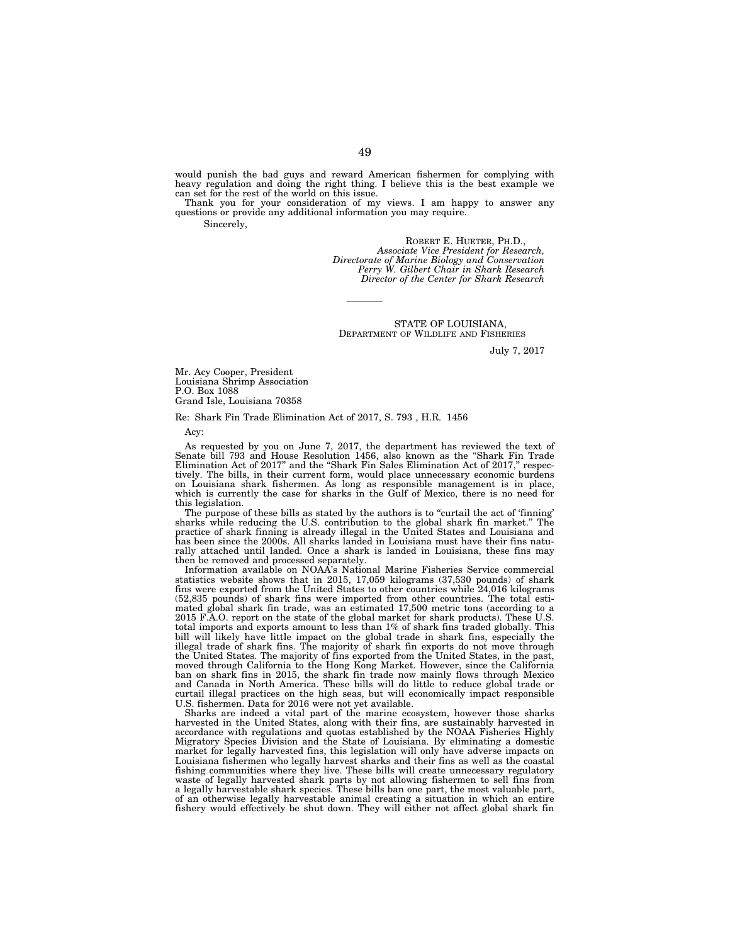would punish the bad guys and reward American fishermen for complying with heavy regulation and doing the right thing. I believe this is the best example we can set for the rest of the world on this issue.

Thank you for your consideration of my views. I am happy to answer any questions or provide any additional information you may require.

Sincerely,

ROBERT E. HUETER, PH.D., *Associate Vice President for Research, Directorate of Marine Biology and Conservation Perry W. Gilbert Chair in Shark Research Director of the Center for Shark Research* 

STATE OF LOUISIANA, DEPARTMENT OF WILDLIFE AND FISHERIES

July 7, 2017

Mr. Acy Cooper, President Louisiana Shrimp Association P.O. Box 1088 Grand Isle, Louisiana 70358

Re: Shark Fin Trade Elimination Act of 2017, S. 793 , H.R. 1456

Acy:

As requested by you on June 7, 2017, the department has reviewed the text of Senate bill 793 and House Resolution 1456, also known as the ''Shark Fin Trade Elimination Act of 2017" and the "Shark Fin Sales Elimination Act of 2017," respectively. The bills, in their current form, would place unnecessary economic burdens on Louisiana shark fishermen. As long as responsible management is in place, which is currently the case for sharks in the Gulf of Mexico, there is no need for this legislation.

The purpose of these bills as stated by the authors is to "curtail the act of 'finning' sharks while reducing the U.S. contribution to the global shark fin market.'' The practice of shark finning is already illegal in the United States and Louisiana and has been since the 2000s. All sharks landed in Louisiana must have their fins naturally attached until landed. Once a shark is landed in Louisiana, these fins may then be removed and processed separately.

Information available on NOAA's National Marine Fisheries Service commercial statistics website shows that in 2015, 17,059 kilograms (37,530 pounds) of shark fins were exported from the United States to other countries while 24,016 kilograms (52,835 pounds) of shark fins were imported from other countries. The total estimated global shark fin trade, was an estimated 17,500 metric tons (according to a 2015 F.A.O. report on the state of the global market for shark products). These U.S. total imports and exports amount to less than 1% of shark fins traded globally. This bill will likely have little impact on the global trade in shark fins, especially the illegal trade of shark fins. The majority of shark fin exports do not move through the United States. The majority of fins exported from the United States, in the past, moved through California to the Hong Kong Market. However, since the California ban on shark fins in 2015, the shark fin trade now mainly flows through Mexico and Canada in North America. These bills will do little to reduce global trade or curtail illegal practices on the high seas, but will economically impact responsible U.S. fishermen. Data for 2016 were not yet available.

Sharks are indeed a vital part of the marine ecosystem, however those sharks harvested in the United States, along with their fins, are sustainably harvested in accordance with regulations and quotas established by the NOAA Fisheries Highly Migratory Species Division and the State of Louisiana. By eliminating a domestic market for legally harvested fins, this legislation will only have adverse impacts on Louisiana fishermen who legally harvest sharks and their fins as well as the coastal fishing communities where they live. These bills will create unnecessary regulatory waste of legally harvested shark parts by not allowing fishermen to sell fins from a legally harvestable shark species. These bills ban one part, the most valuable part, of an otherwise legally harvestable animal creating a situation in which an entire fishery would effectively be shut down. They will either not affect global shark fin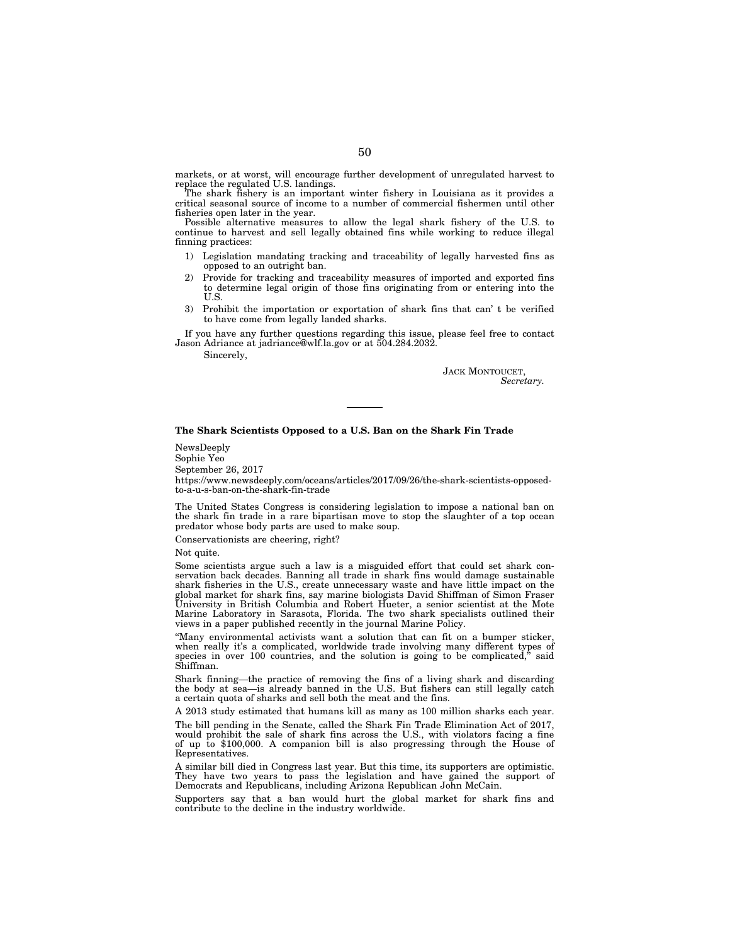markets, or at worst, will encourage further development of unregulated harvest to replace the regulated U.S. landings.

The shark fishery is an important winter fishery in Louisiana as it provides a critical seasonal source of income to a number of commercial fishermen until other fisheries open later in the year.

Possible alternative measures to allow the legal shark fishery of the U.S. to continue to harvest and sell legally obtained fins while working to reduce illegal finning practices:

- 1) Legislation mandating tracking and traceability of legally harvested fins as opposed to an outright ban.
- 2) Provide for tracking and traceability measures of imported and exported fins to determine legal origin of those fins originating from or entering into the U.S.
- 3) Prohibit the importation or exportation of shark fins that can' t be verified to have come from legally landed sharks.

If you have any further questions regarding this issue, please feel free to contact Jason Adriance at jadriance@wlf.la.gov or at 504.284.2032.

Sincerely,

JACK MONTOUCET, *Secretary.* 

# **The Shark Scientists Opposed to a U.S. Ban on the Shark Fin Trade**

NewsDeeply

Sophie Yeo

September 26, 2017

https://www.newsdeeply.com/oceans/articles/2017/09/26/the-shark-scientists-opposedto-a-u-s-ban-on-the-shark-fin-trade

The United States Congress is considering legislation to impose a national ban on the shark fin trade in a rare bipartisan move to stop the slaughter of a top ocean predator whose body parts are used to make soup.

Conservationists are cheering, right?

Not quite.

Some scientists argue such a law is a misguided effort that could set shark conservation back decades. Banning all trade in shark fins would damage sustainable shark fisheries in the U.S., create unnecessary waste and have little impact on the global market for shark fins, say marine biologists David Shiffman of Simon Fraser University in British Columbia and Robert Hueter, a senior scientist at the Mote Marine Laboratory in Sarasota, Florida. The two shark specialists outlined their views in a paper published recently in the journal Marine Policy.

''Many environmental activists want a solution that can fit on a bumper sticker, when really it's a complicated, worldwide trade involving many different types of species in over 100 countries, and the solution is going to be complicated," said species in over  $100$  countries, and the solution is going to be complicated, Shiffman.

Shark finning—the practice of removing the fins of a living shark and discarding the body at sea—is already banned in the U.S. But fishers can still legally catch a certain quota of sharks and sell both the meat and the fins.

A 2013 study estimated that humans kill as many as 100 million sharks each year.

The bill pending in the Senate, called the Shark Fin Trade Elimination Act of 2017, would prohibit the sale of shark fins across the U.S., with violators facing a fine of up to \$100,000. A companion bill is also progressing through the House of Representatives.

A similar bill died in Congress last year. But this time, its supporters are optimistic. They have two years to pass the legislation and have gained the support of Democrats and Republicans, including Arizona Republican John McCain.

Supporters say that a ban would hurt the global market for shark fins and contribute to the decline in the industry worldwide.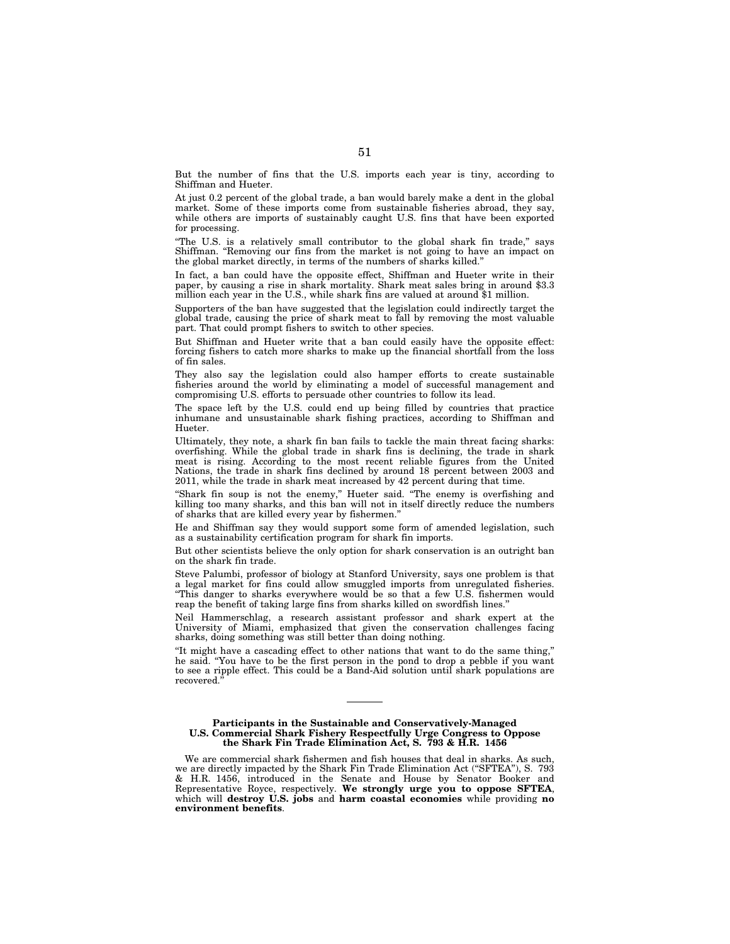But the number of fins that the U.S. imports each year is tiny, according to Shiffman and Hueter.

At just 0.2 percent of the global trade, a ban would barely make a dent in the global market. Some of these imports come from sustainable fisheries abroad, they say, while others are imports of sustainably caught U.S. fins that have been exported for processing.

"The U.S. is a relatively small contributor to the global shark fin trade," says Shiffman. ''Removing our fins from the market is not going to have an impact on the global market directly, in terms of the numbers of sharks killed.''

In fact, a ban could have the opposite effect, Shiffman and Hueter write in their paper, by causing a rise in shark mortality. Shark meat sales bring in around \$3.3 million each year in the U.S., while shark fins are valued at around \$1 million.

Supporters of the ban have suggested that the legislation could indirectly target the global trade, causing the price of shark meat to fall by removing the most valuable part. That could prompt fishers to switch to other species.

But Shiffman and Hueter write that a ban could easily have the opposite effect: forcing fishers to catch more sharks to make up the financial shortfall from the loss of fin sales.

They also say the legislation could also hamper efforts to create sustainable fisheries around the world by eliminating a model of successful management and compromising U.S. efforts to persuade other countries to follow its lead.

The space left by the U.S. could end up being filled by countries that practice inhumane and unsustainable shark fishing practices, according to Shiffman and Hueter.

Ultimately, they note, a shark fin ban fails to tackle the main threat facing sharks: overfishing. While the global trade in shark fins is declining, the trade in shark meat is rising. According to the most recent reliable figures from the United Nations, the trade in shark fins declined by around 18 percent between 2003 and 2011, while the trade in shark meat increased by 42 percent during that time.

''Shark fin soup is not the enemy,'' Hueter said. ''The enemy is overfishing and killing too many sharks, and this ban will not in itself directly reduce the numbers of sharks that are killed every year by fishermen.''

He and Shiffman say they would support some form of amended legislation, such as a sustainability certification program for shark fin imports.

But other scientists believe the only option for shark conservation is an outright ban on the shark fin trade.

Steve Palumbi, professor of biology at Stanford University, says one problem is that a legal market for fins could allow smuggled imports from unregulated fisheries. ''This danger to sharks everywhere would be so that a few U.S. fishermen would reap the benefit of taking large fins from sharks killed on swordfish lines.''

Neil Hammerschlag, a research assistant professor and shark expert at the University of Miami, emphasized that given the conservation challenges facing sharks, doing something was still better than doing nothing.

''It might have a cascading effect to other nations that want to do the same thing,'' he said. ''You have to be the first person in the pond to drop a pebble if you want to see a ripple effect. This could be a Band-Aid solution until shark populations are recovered.

**Participants in the Sustainable and Conservatively-Managed U.S. Commercial Shark Fishery Respectfully Urge Congress to Oppose the Shark Fin Trade Elimination Act, S. 793 & H.R. 1456** 

We are commercial shark fishermen and fish houses that deal in sharks. As such, we are directly impacted by the Shark Fin Trade Elimination Act ("SFTEA"), S. 793 & H.R. 1456, introduced in the Senate and House by Senator Booker and Representative Royce, respectively. **We strongly urge you to oppose SFTEA**, which will **destroy U.S. jobs** and **harm coastal economies** while providing **no environment benefits**.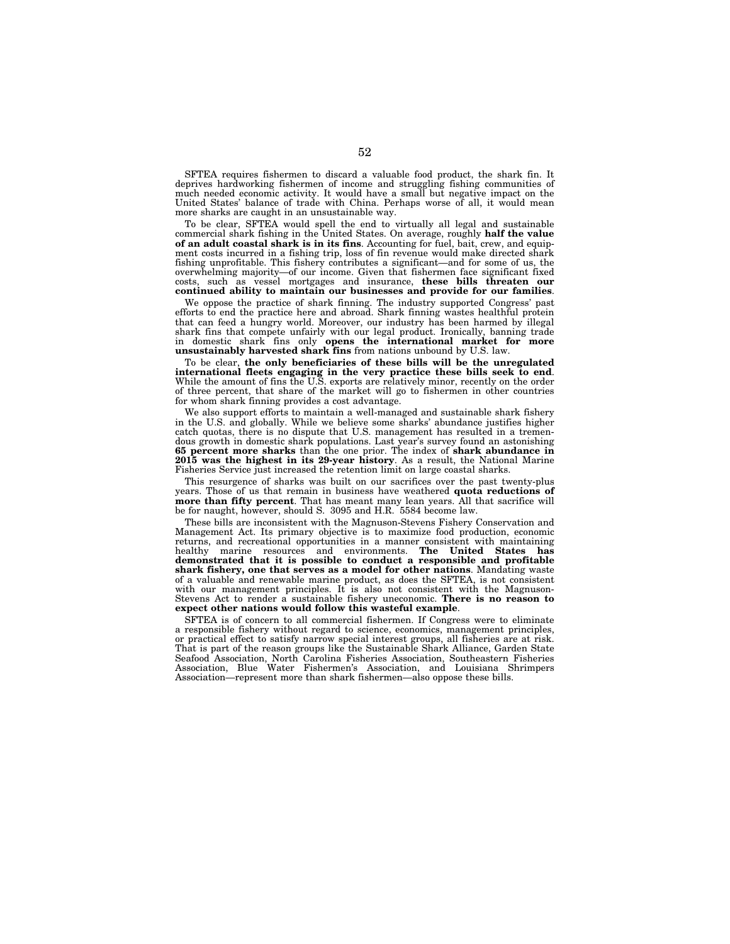SFTEA requires fishermen to discard a valuable food product, the shark fin. It deprives hardworking fishermen of income and struggling fishing communities of much needed economic activity. It would have a small but negative impact on the United States' balance of trade with China. Perhaps worse of all, it would mean more sharks are caught in an unsustainable way.

To be clear, SFTEA would spell the end to virtually all legal and sustainable commercial shark fishing in the United States. On average, roughly **half the value of an adult coastal shark is in its fins**. Accounting for fuel, bait, crew, and equipment costs incurred in a fishing trip, loss of fin revenue would make directed shark fishing unprofitable. This fishery contributes a significant—and for some of us, the overwhelming majority—of our income. Given that fishermen face significant fixed costs, such as vessel mortgages and insurance, **these bills threaten our continued ability to maintain our businesses and provide for our families**.

We oppose the practice of shark finning. The industry supported Congress' past efforts to end the practice here and abroad. Shark finning wastes healthful protein that can feed a hungry world. Moreover, our industry has been harmed by illegal shark fins that compete unfairly with our legal product. Ironically, banning trade in domestic shark fins only **opens the international market for more unsustainably harvested shark fins** from nations unbound by U.S. law.

To be clear, **the only beneficiaries of these bills will be the unregulated international fleets engaging in the very practice these bills seek to end**. While the amount of fins the U.S. exports are relatively minor, recently on the order of three percent, that share of the market will go to fishermen in other countries for whom shark finning provides a cost advantage.

We also support efforts to maintain a well-managed and sustainable shark fishery in the U.S. and globally. While we believe some sharks' abundance justifies higher catch quotas, there is no dispute that U.S. management has resulted in a tremendous growth in domestic shark populations. Last year's survey found an astonishing **65 percent more sharks** than the one prior. The index of **shark abundance in 2015 was the highest in its 29-year history**. As a result, the National Marine Fisheries Service just increased the retention limit on large coastal sharks.

This resurgence of sharks was built on our sacrifices over the past twenty-plus years. Those of us that remain in business have weathered **quota reductions of more than fifty percent**. That has meant many lean years. All that sacrifice will be for naught, however, should S. 3095 and H.R. 5584 become law.

These bills are inconsistent with the Magnuson-Stevens Fishery Conservation and Management Act. Its primary objective is to maximize food production, economic returns, and recreational opportunities in a manner consistent with maintaining healthy marine resources and environments. **The United States has demonstrated that it is possible to conduct a responsible and profitable shark fishery, one that serves as a model for other nations**. Mandating waste of a valuable and renewable marine product, as does the SFTEA, is not consistent with our management principles. It is also not consistent with the Magnuson-Stevens Act to render a sustainable fishery uneconomic. **There is no reason to expect other nations would follow this wasteful example**.

SFTEA is of concern to all commercial fishermen. If Congress were to eliminate a responsible fishery without regard to science, economics, management principles, or practical effect to satisfy narrow special interest groups, all fisheries are at risk. That is part of the reason groups like the Sustainable Shark Alliance, Garden State Seafood Association, North Carolina Fisheries Association, Southeastern Fisheries Association, Blue Water Fishermen's Association, and Louisiana Shrimpers Association—represent more than shark fishermen—also oppose these bills.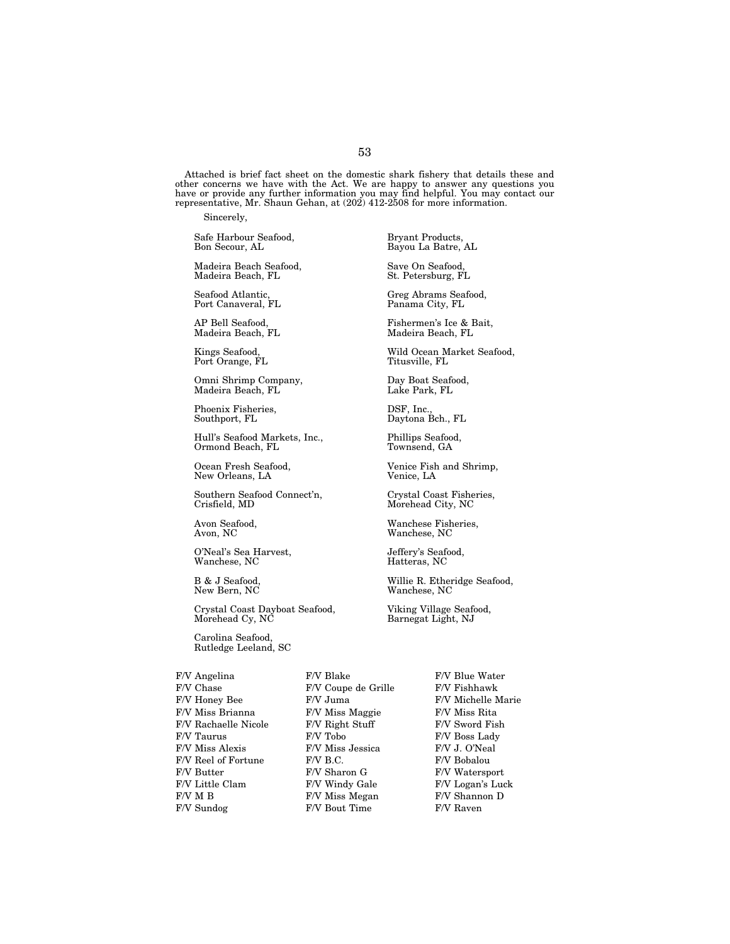Attached is brief fact sheet on the domestic shark fishery that details these and other concerns we have with the Act. We are happy to answer any questions you have or provide any further information you may find helpful. You may contact our representative, Mr. Shaun Gehan, at (202) 412-2508 for more information.

Sincerely,

Safe Harbour Seafood, Bryant Products,

Madeira Beach Seafood, Save On Seafood, Madeira Beach, FL

Port Canaveral, FL

Madeira Beach, FL

Port Orange, FL

Omni Shrimp Company, Day Boat Seafood, Madeira Beach, FL

Phoenix Fisheries,  $S$ DSF, Inc., DSF, Inc., Daytona F

Hull's Seafood Markets, Inc., Phillips Seafood, Ormond Beach, FL

New Orleans, LA

Southern Seafood Connect'n, Crystal Coast Fisheries,<br>Crisfield, MD Morehead City, NC

O'Neal's Sea Harvest, <br/> $\begin{array}{ll} \textbf{O}'\textbf{N}\textbf{e} \textbf{a} \textbf{P}'\textbf{S} & \textbf{S}\textbf{e} \textbf{a} \textbf{f} \textbf{0} \textbf{0} \textbf{d},\\ \textbf{W}\textbf{a} \textbf{n} \textbf{c} \textbf{h} \textbf{S} & \textbf{N} \textbf{C} & \textbf{S} \textbf{e} \textbf{a} \textbf{f} \textbf{0} \textbf{I} \textbf{I} \textbf{S} \textbf{B} & \textbf{S}$ Wanchese, NC

Crystal Coast Dayboat Seafood, Viking Village Seafood,<br>Morehead Cy, NC Barnegat Light, NJ

Carolina Seafood, Rutledge Leeland, SC

F/V Chase F/V Coupe de Grille F/V Fishhawk  $\begin{array}{lll} {\rm F/V~Honey~Be} & \hspace*{2.5cm} {\rm F/V~Mines~Brianna} & \hspace*{2.5cm} {\rm F/V~Mises~Rita} \\ \end{array}$ F/V Miss Brianna F/V Miss Maggie F/V Miss Rita F/V Rachaelle Nicole F/V Right Stuff F/V Sword Fish F/V Taurus F/V Tobo F/V Boss Lady F/V Miss Alexis F/V Miss Jessica F/V J. O'Neal<br>F/V Reel of Fortune F/V B.C. F/V Bobalou  $\begin{tabular}{ll} F/V \; Reel \; of \; For tune & F/V \; B.C. \\ F/V \; Butter & F/V \; Sharon \; G \end{tabular}$ F/V Butter F/V Sharon G F/V Watersport F/V Little Clam F/V Windy Gale F/V Logan's Luck F/V M B F/V Miss Megan F/V Shannon D

F/V Sundog F/V Bout Time F/V Raven

Bayou La Batre, AL

Seafood Atlantic, Seafood, Greg Abrams Seafood, Port Canaveral, FL

AP Bell Seafood, Fishermen's Ice & Bait,

Kings Seafood, Wild Ocean Market Seafood,

Daytona Bch., FL

Ocean Fresh Seafood, Venice Fish and Shrimp,<br>New Orleans, LA Venice, LA

Morehead City, NC

Avon Seafood, Wanchese Fisheries, NC<br>
Avon, NC<br>
Wanchese, NC Wanchese, NC

B & J Seafood, Willie R. Etheridge Seafood, Wanchese, NC

Barnegat Light, NJ

F/V Angelina F/V Blake F/V Blue Water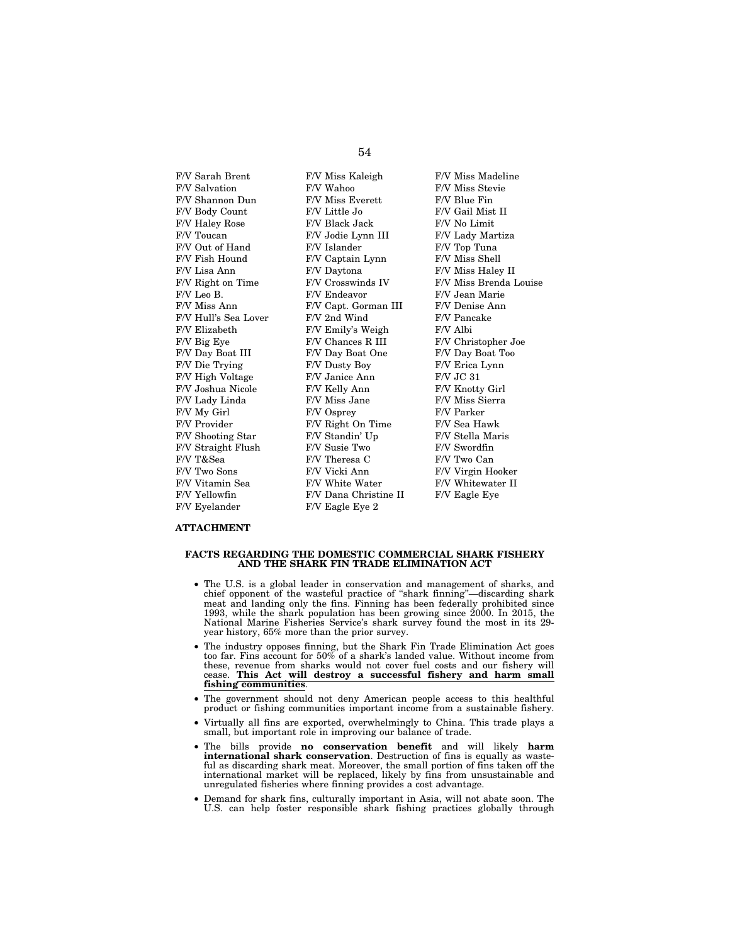F/V Salvation F/V Wahoo F/V Miss Stevie<br>F/V Shannon Dun F/V Miss Everett F/V Blue Fin F/V Shannon Dun F/V Body Count F/V Little Jo F/V Gail Mist II F/V Haley Rose F/V Black Jack F/V No Limit F/V Toucan F/V Jodie Lynn III F/V Lady Martiza F/V Out of Hand F/V Islander F/V Top Tuna F/V Fish Hound F/V Captain Lynn F/V Miss Shell F/V Lisa Ann F/V Daytona F/V Miss Haley II F/V Leo B. F/V Endeavor F/V Jean Marie F/V Miss Ann F/V Capt. Gorman III F/V Denise Ann F/V Hull's Sea Lover F/V 2nd Wind F/V Pancake F/V Elizabeth F/V Emily's Weigh F/V Albi F/V Big Eye F/V Chances R III F/V Christopher Joe<br>F/V Day Boat III F/V Day Boat One F/V Day Boat Too F/V Die Trying F/V Dusty Boy F/V Erica Lynn F/V High Voltage F/V Janice Ann F/V JC 31 F/V Joshua Nicole F/V Kelly Ann F/V Knotty Girl F/V Lady Linda F/V Miss Jane F/V Miss Sierra<br>F/V Mv Girl F/V Osprev F/V Parker F/V My Girl F/V Osprey F/V Provider F/V Right On Time F/V Sea Hawk F/V Shooting Star F/V Standin' Up F/V Stella Maris F/V Straight Flush F/V Susie Two F/V Swordfin F/V T&Sea F/V Theresa C F/V Two Can F/V Two Sons F/V Vicki Ann F/V Virgin Hooker F/V Vitamin Sea F/V White Water F/V Whitewater II F/V Vitamin Sea F/V White Water F/V Whitewater II F/V Yellowfin F/V Dana Christine II F/V Eagle Eye F/V Eyelander F/V Eagle Eye 2

F/V Day Boat One

F/V Sarah Brent F/V Miss Kaleigh F/V Miss Madeline F/V Right on Time F/V Crosswinds IV F/V Miss Brenda Louise<br>F/V Leo B. F/V Endeavor F/V Jean Marie

### **ATTACHMENT**

### **FACTS REGARDING THE DOMESTIC COMMERCIAL SHARK FISHERY AND THE SHARK FIN TRADE ELIMINATION ACT**

- The U.S. is a global leader in conservation and management of sharks, and chief opponent of the wasteful practice of ''shark finning''—discarding shark meat and landing only the fins. Finning has been federally prohibited since 1993, while the shark population has been growing since 2000. In 2015, the National Marine Fisheries Service's shark survey found the most in its 29 year history, 65% more than the prior survey.
- The industry opposes finning, but the Shark Fin Trade Elimination Act goes too far. Fins account for  $50\%$  of a shark's landed value. Without income from these, revenue from sharks would not cover fuel costs and our fishery will cease. **This Act will destroy a successful fishery and harm small fishing communities**.
- The government should not deny American people access to this healthful product or fishing communities important income from a sustainable fishery.
- Virtually all fins are exported, overwhelmingly to China. This trade plays a small, but important role in improving our balance of trade.
- The bills provide **no conservation benefit** and will likely **harm international shark conservation**. Destruction of fins is equally as wasteful as discarding shark meat. Moreover, the small portion of fins taken off the international market will be replaced, likely by fins from unsustainable and unregulated fisheries where finning provides a cost advantage.
- Demand for shark fins, culturally important in Asia, will not abate soon. The U.S. can help foster responsible shark fishing practices globally through

# 54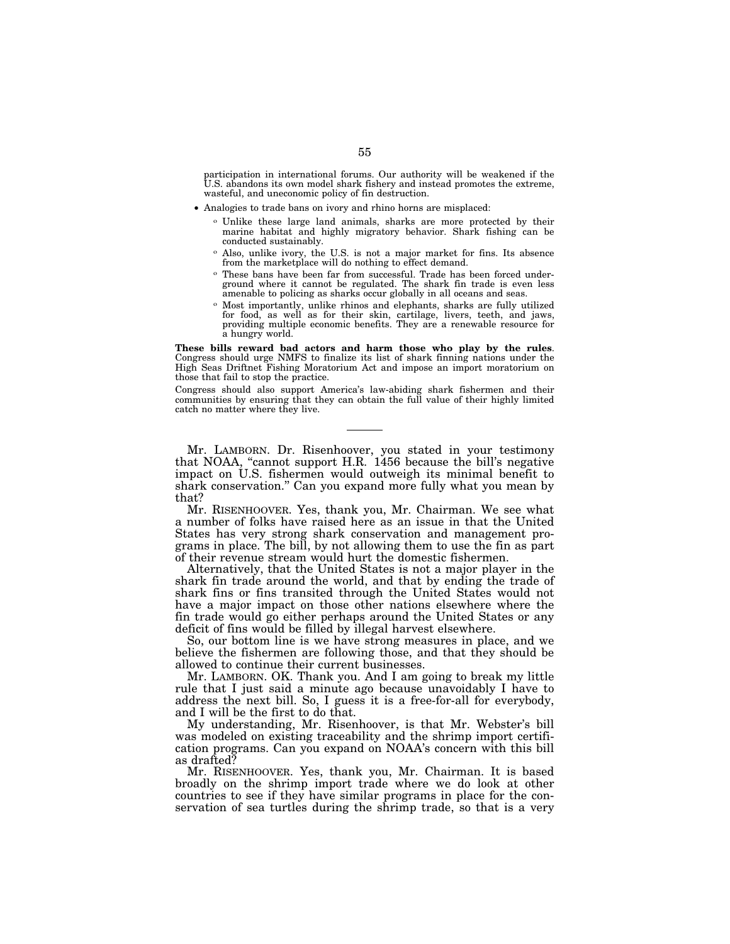participation in international forums. Our authority will be weakened if the U.S. abandons its own model shark fishery and instead promotes the extreme, wasteful, and uneconomic policy of fin destruction.

- Analogies to trade bans on ivory and rhino horns are misplaced:
	- o Unlike these large land animals, sharks are more protected by their marine habitat and highly migratory behavior. Shark fishing can be conducted sustainably.
	- o Also, unlike ivory, the U.S. is not a major market for fins. Its absence from the marketplace will do nothing to effect demand.
	- o These bans have been far from successful. Trade has been forced underground where it cannot be regulated. The shark fin trade is even less amenable to policing as sharks occur globally in all oceans and seas.
	- o Most importantly, unlike rhinos and elephants, sharks are fully utilized for food, as well as for their skin, cartilage, livers, teeth, and jaws, providing multiple economic benefits. They are a renewable resource for a hungry world.

**These bills reward bad actors and harm those who play by the rules**. Congress should urge NMFS to finalize its list of shark finning nations under the High Seas Driftnet Fishing Moratorium Act and impose an import moratorium on those that fail to stop the practice.

Congress should also support America's law-abiding shark fishermen and their communities by ensuring that they can obtain the full value of their highly limited catch no matter where they live.

Mr. LAMBORN. Dr. Risenhoover, you stated in your testimony that NOAA, ''cannot support H.R. 1456 because the bill's negative impact on U.S. fishermen would outweigh its minimal benefit to shark conservation.'' Can you expand more fully what you mean by that?

Mr. RISENHOOVER. Yes, thank you, Mr. Chairman. We see what a number of folks have raised here as an issue in that the United States has very strong shark conservation and management programs in place. The bill, by not allowing them to use the fin as part of their revenue stream would hurt the domestic fishermen.

Alternatively, that the United States is not a major player in the shark fin trade around the world, and that by ending the trade of shark fins or fins transited through the United States would not have a major impact on those other nations elsewhere where the fin trade would go either perhaps around the United States or any deficit of fins would be filled by illegal harvest elsewhere.

So, our bottom line is we have strong measures in place, and we believe the fishermen are following those, and that they should be allowed to continue their current businesses.

Mr. LAMBORN. OK. Thank you. And I am going to break my little rule that I just said a minute ago because unavoidably I have to address the next bill. So, I guess it is a free-for-all for everybody, and I will be the first to do that.

My understanding, Mr. Risenhoover, is that Mr. Webster's bill was modeled on existing traceability and the shrimp import certification programs. Can you expand on NOAA's concern with this bill as drafted?

Mr. RISENHOOVER. Yes, thank you, Mr. Chairman. It is based broadly on the shrimp import trade where we do look at other countries to see if they have similar programs in place for the conservation of sea turtles during the shrimp trade, so that is a very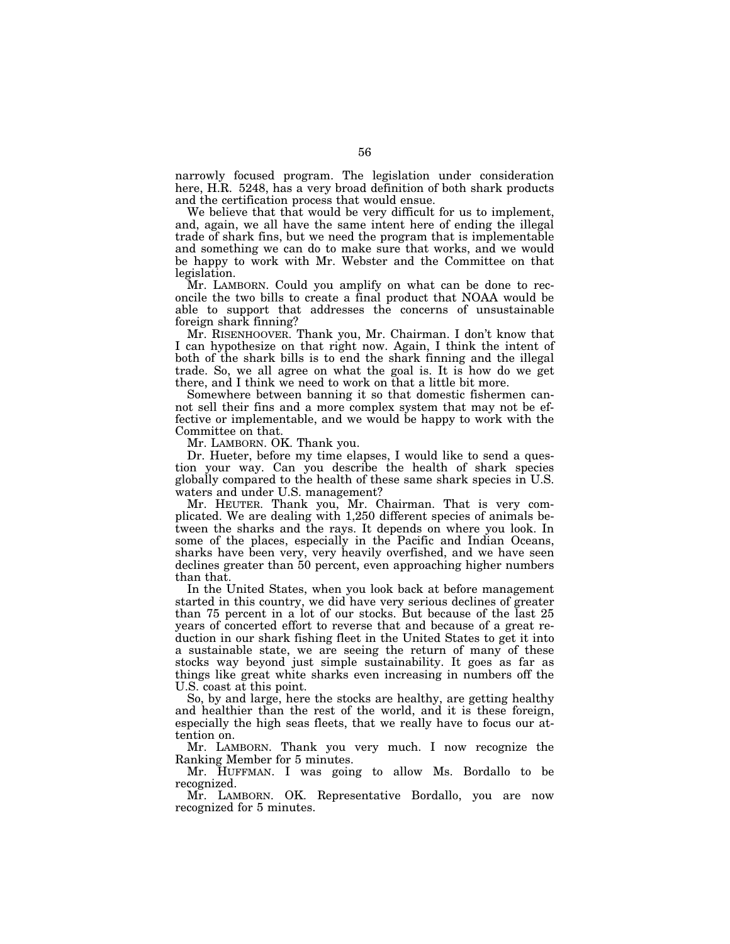narrowly focused program. The legislation under consideration here, H.R. 5248, has a very broad definition of both shark products and the certification process that would ensue.

We believe that that would be very difficult for us to implement, and, again, we all have the same intent here of ending the illegal trade of shark fins, but we need the program that is implementable and something we can do to make sure that works, and we would be happy to work with Mr. Webster and the Committee on that legislation.

Mr. LAMBORN. Could you amplify on what can be done to reconcile the two bills to create a final product that NOAA would be able to support that addresses the concerns of unsustainable foreign shark finning?

Mr. RISENHOOVER. Thank you, Mr. Chairman. I don't know that I can hypothesize on that right now. Again, I think the intent of both of the shark bills is to end the shark finning and the illegal trade. So, we all agree on what the goal is. It is how do we get there, and I think we need to work on that a little bit more.

Somewhere between banning it so that domestic fishermen cannot sell their fins and a more complex system that may not be effective or implementable, and we would be happy to work with the Committee on that.

Mr. LAMBORN. OK. Thank you.

Dr. Hueter, before my time elapses, I would like to send a question your way. Can you describe the health of shark species globally compared to the health of these same shark species in U.S. waters and under U.S. management?

Mr. HEUTER. Thank you, Mr. Chairman. That is very complicated. We are dealing with 1,250 different species of animals between the sharks and the rays. It depends on where you look. In some of the places, especially in the Pacific and Indian Oceans, sharks have been very, very heavily overfished, and we have seen declines greater than 50 percent, even approaching higher numbers than that.

In the United States, when you look back at before management started in this country, we did have very serious declines of greater than 75 percent in a lot of our stocks. But because of the last 25 years of concerted effort to reverse that and because of a great reduction in our shark fishing fleet in the United States to get it into a sustainable state, we are seeing the return of many of these stocks way beyond just simple sustainability. It goes as far as things like great white sharks even increasing in numbers off the U.S. coast at this point.

So, by and large, here the stocks are healthy, are getting healthy and healthier than the rest of the world, and it is these foreign, especially the high seas fleets, that we really have to focus our attention on.

Mr. LAMBORN. Thank you very much. I now recognize the Ranking Member for 5 minutes.

Mr. HUFFMAN. I was going to allow Ms. Bordallo to be recognized.

Mr. LAMBORN. OK. Representative Bordallo, you are now recognized for 5 minutes.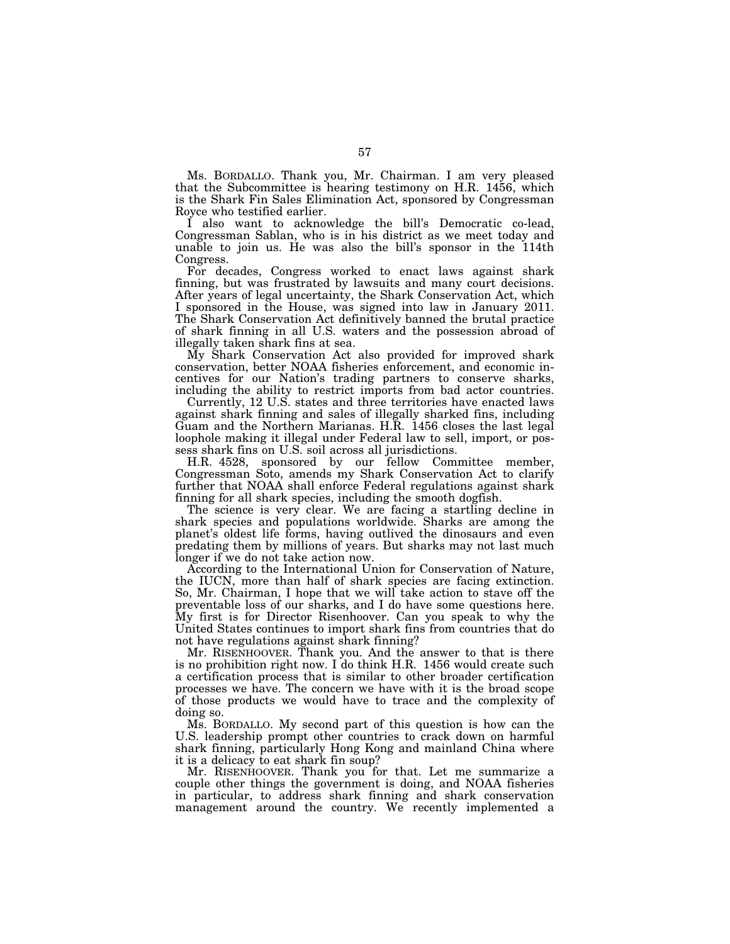Ms. BORDALLO. Thank you, Mr. Chairman. I am very pleased that the Subcommittee is hearing testimony on H.R. 1456, which is the Shark Fin Sales Elimination Act, sponsored by Congressman Royce who testified earlier.

I also want to acknowledge the bill's Democratic co-lead, Congressman Sablan, who is in his district as we meet today and unable to join us. He was also the bill's sponsor in the 114th Congress.

For decades, Congress worked to enact laws against shark finning, but was frustrated by lawsuits and many court decisions. After years of legal uncertainty, the Shark Conservation Act, which I sponsored in the House, was signed into law in January 2011. The Shark Conservation Act definitively banned the brutal practice of shark finning in all U.S. waters and the possession abroad of illegally taken shark fins at sea.

My Shark Conservation Act also provided for improved shark conservation, better NOAA fisheries enforcement, and economic incentives for our Nation's trading partners to conserve sharks, including the ability to restrict imports from bad actor countries.

Currently, 12 U.S. states and three territories have enacted laws against shark finning and sales of illegally sharked fins, including Guam and the Northern Marianas. H.R. 1456 closes the last legal loophole making it illegal under Federal law to sell, import, or possess shark fins on U.S. soil across all jurisdictions.

H.R. 4528, sponsored by our fellow Committee member, Congressman Soto, amends my Shark Conservation Act to clarify further that NOAA shall enforce Federal regulations against shark finning for all shark species, including the smooth dogfish.

The science is very clear. We are facing a startling decline in shark species and populations worldwide. Sharks are among the planet's oldest life forms, having outlived the dinosaurs and even predating them by millions of years. But sharks may not last much longer if we do not take action now.

According to the International Union for Conservation of Nature, the IUCN, more than half of shark species are facing extinction. So, Mr. Chairman, I hope that we will take action to stave off the preventable loss of our sharks, and I do have some questions here. My first is for Director Risenhoover. Can you speak to why the United States continues to import shark fins from countries that do not have regulations against shark finning?

Mr. RISENHOOVER. Thank you. And the answer to that is there is no prohibition right now. I do think H.R. 1456 would create such a certification process that is similar to other broader certification processes we have. The concern we have with it is the broad scope of those products we would have to trace and the complexity of doing so.

Ms. BORDALLO. My second part of this question is how can the U.S. leadership prompt other countries to crack down on harmful shark finning, particularly Hong Kong and mainland China where it is a delicacy to eat shark fin soup?

Mr. RISENHOOVER. Thank you for that. Let me summarize a couple other things the government is doing, and NOAA fisheries in particular, to address shark finning and shark conservation management around the country. We recently implemented a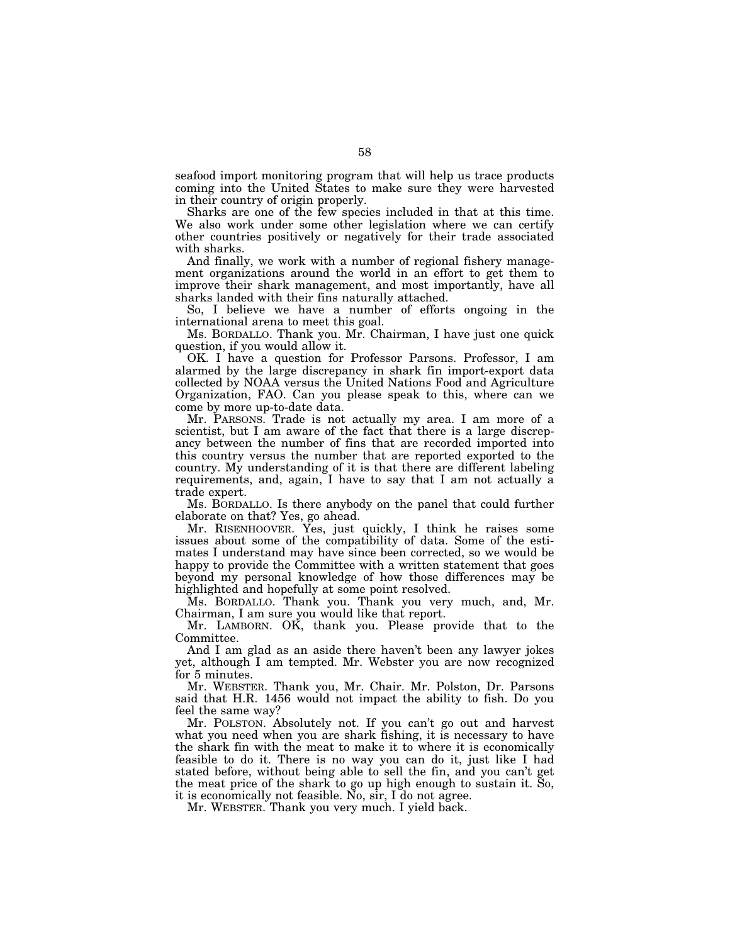seafood import monitoring program that will help us trace products coming into the United States to make sure they were harvested in their country of origin properly.

Sharks are one of the few species included in that at this time. We also work under some other legislation where we can certify other countries positively or negatively for their trade associated with sharks.

And finally, we work with a number of regional fishery management organizations around the world in an effort to get them to improve their shark management, and most importantly, have all sharks landed with their fins naturally attached.

So, I believe we have a number of efforts ongoing in the international arena to meet this goal.

Ms. BORDALLO. Thank you. Mr. Chairman, I have just one quick question, if you would allow it.

OK. I have a question for Professor Parsons. Professor, I am alarmed by the large discrepancy in shark fin import-export data collected by NOAA versus the United Nations Food and Agriculture Organization, FAO. Can you please speak to this, where can we come by more up-to-date data.

Mr. PARSONS. Trade is not actually my area. I am more of a scientist, but I am aware of the fact that there is a large discrepancy between the number of fins that are recorded imported into this country versus the number that are reported exported to the country. My understanding of it is that there are different labeling requirements, and, again, I have to say that I am not actually a trade expert.

Ms. BORDALLO. Is there anybody on the panel that could further elaborate on that? Yes, go ahead.

Mr. RISENHOOVER. Yes, just quickly, I think he raises some issues about some of the compatibility of data. Some of the estimates I understand may have since been corrected, so we would be happy to provide the Committee with a written statement that goes beyond my personal knowledge of how those differences may be highlighted and hopefully at some point resolved.

Ms. BORDALLO. Thank you. Thank you very much, and, Mr. Chairman, I am sure you would like that report.

Mr. LAMBORN. OK, thank you. Please provide that to the Committee.

And I am glad as an aside there haven't been any lawyer jokes yet, although I am tempted. Mr. Webster you are now recognized for 5 minutes.

Mr. WEBSTER. Thank you, Mr. Chair. Mr. Polston, Dr. Parsons said that H.R. 1456 would not impact the ability to fish. Do you feel the same way?

Mr. POLSTON. Absolutely not. If you can't go out and harvest what you need when you are shark fishing, it is necessary to have the shark fin with the meat to make it to where it is economically feasible to do it. There is no way you can do it, just like I had stated before, without being able to sell the fin, and you can't get the meat price of the shark to go up high enough to sustain it. So, it is economically not feasible. No, sir, I do not agree.

Mr. WEBSTER. Thank you very much. I yield back.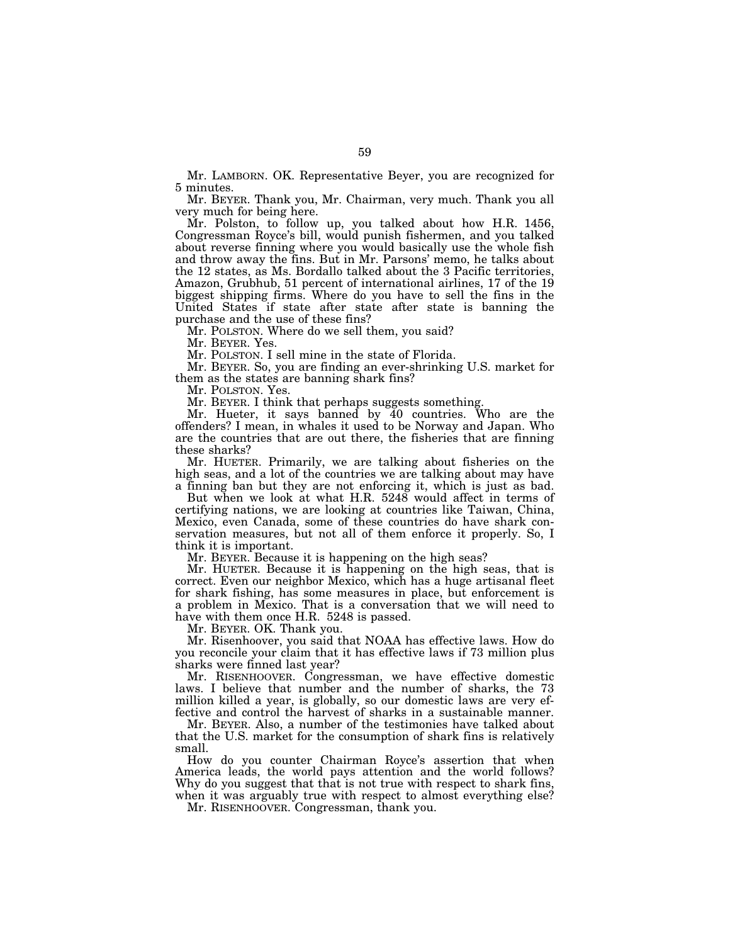Mr. LAMBORN. OK. Representative Beyer, you are recognized for 5 minutes.

Mr. BEYER. Thank you, Mr. Chairman, very much. Thank you all very much for being here.

Mr. Polston, to follow up, you talked about how H.R. 1456, Congressman Royce's bill, would punish fishermen, and you talked about reverse finning where you would basically use the whole fish and throw away the fins. But in Mr. Parsons' memo, he talks about the 12 states, as Ms. Bordallo talked about the 3 Pacific territories, Amazon, Grubhub, 51 percent of international airlines, 17 of the 19 biggest shipping firms. Where do you have to sell the fins in the United States if state after state after state is banning the purchase and the use of these fins?

Mr. POLSTON. Where do we sell them, you said?

Mr. BEYER. Yes.

Mr. POLSTON. I sell mine in the state of Florida.

Mr. BEYER. So, you are finding an ever-shrinking U.S. market for them as the states are banning shark fins?

Mr. POLSTON. Yes.

Mr. BEYER. I think that perhaps suggests something.

Mr. Hueter, it says banned by 40 countries. Who are the offenders? I mean, in whales it used to be Norway and Japan. Who are the countries that are out there, the fisheries that are finning these sharks?

Mr. HUETER. Primarily, we are talking about fisheries on the high seas, and a lot of the countries we are talking about may have a finning ban but they are not enforcing it, which is just as bad.

But when we look at what H.R. 5248 would affect in terms of

certifying nations, we are looking at countries like Taiwan, China, Mexico, even Canada, some of these countries do have shark conservation measures, but not all of them enforce it properly. So, I think it is important.

Mr. BEYER. Because it is happening on the high seas?

Mr. HUETER. Because it is happening on the high seas, that is correct. Even our neighbor Mexico, which has a huge artisanal fleet for shark fishing, has some measures in place, but enforcement is a problem in Mexico. That is a conversation that we will need to have with them once H.R. 5248 is passed.

Mr. BEYER. OK. Thank you.

Mr. Risenhoover, you said that NOAA has effective laws. How do you reconcile your claim that it has effective laws if 73 million plus sharks were finned last year?

Mr. RISENHOOVER. Congressman, we have effective domestic laws. I believe that number and the number of sharks, the 73 million killed a year, is globally, so our domestic laws are very effective and control the harvest of sharks in a sustainable manner.

Mr. BEYER. Also, a number of the testimonies have talked about that the U.S. market for the consumption of shark fins is relatively small.

How do you counter Chairman Royce's assertion that when America leads, the world pays attention and the world follows? Why do you suggest that that is not true with respect to shark fins, when it was arguably true with respect to almost everything else?

Mr. RISENHOOVER. Congressman, thank you.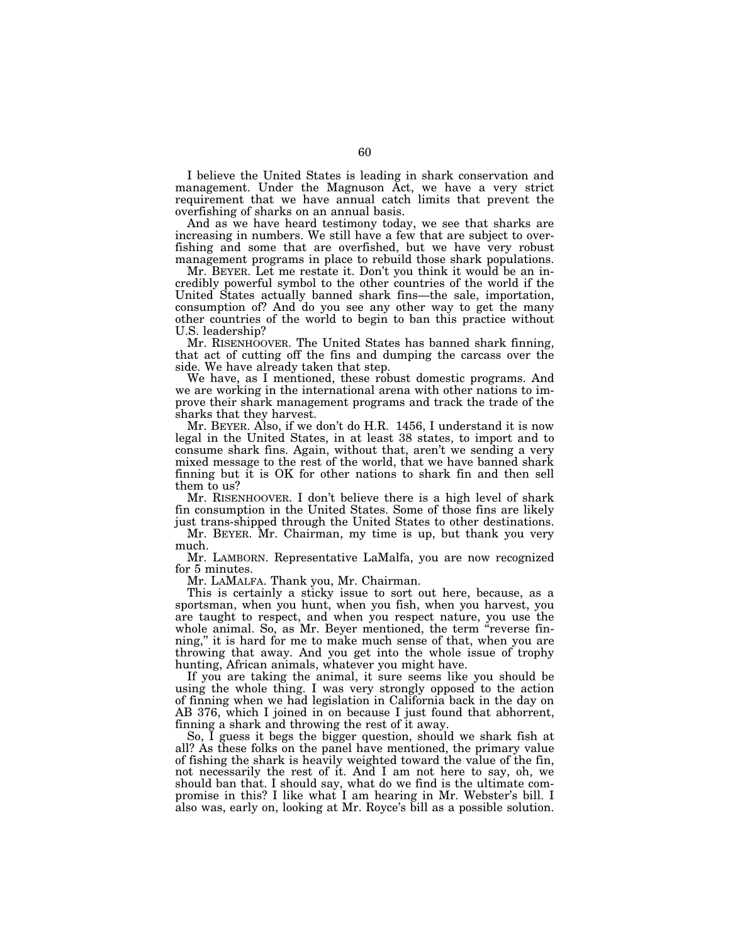I believe the United States is leading in shark conservation and management. Under the Magnuson Act, we have a very strict requirement that we have annual catch limits that prevent the overfishing of sharks on an annual basis.

And as we have heard testimony today, we see that sharks are increasing in numbers. We still have a few that are subject to overfishing and some that are overfished, but we have very robust management programs in place to rebuild those shark populations.

Mr. BEYER. Let me restate it. Don't you think it would be an incredibly powerful symbol to the other countries of the world if the United States actually banned shark fins—the sale, importation, consumption of? And do you see any other way to get the many other countries of the world to begin to ban this practice without U.S. leadership?

Mr. RISENHOOVER. The United States has banned shark finning, that act of cutting off the fins and dumping the carcass over the side. We have already taken that step.

We have, as I mentioned, these robust domestic programs. And we are working in the international arena with other nations to improve their shark management programs and track the trade of the sharks that they harvest.

Mr. BEYER. Also, if we don't do H.R. 1456, I understand it is now legal in the United States, in at least 38 states, to import and to consume shark fins. Again, without that, aren't we sending a very mixed message to the rest of the world, that we have banned shark finning but it is OK for other nations to shark fin and then sell them to us?

Mr. RISENHOOVER. I don't believe there is a high level of shark fin consumption in the United States. Some of those fins are likely just trans-shipped through the United States to other destinations.

Mr. BEYER. Mr. Chairman, my time is up, but thank you very much.

Mr. LAMBORN. Representative LaMalfa, you are now recognized for 5 minutes.

Mr. LAMALFA. Thank you, Mr. Chairman.

This is certainly a sticky issue to sort out here, because, as a sportsman, when you hunt, when you fish, when you harvest, you are taught to respect, and when you respect nature, you use the whole animal. So, as Mr. Beyer mentioned, the term "reverse finning,'' it is hard for me to make much sense of that, when you are throwing that away. And you get into the whole issue of trophy hunting, African animals, whatever you might have.

If you are taking the animal, it sure seems like you should be using the whole thing. I was very strongly opposed to the action of finning when we had legislation in California back in the day on AB 376, which I joined in on because I just found that abhorrent, finning a shark and throwing the rest of it away.

So, I guess it begs the bigger question, should we shark fish at all? As these folks on the panel have mentioned, the primary value of fishing the shark is heavily weighted toward the value of the fin, not necessarily the rest of it. And I am not here to say, oh, we should ban that. I should say, what do we find is the ultimate compromise in this? I like what I am hearing in Mr. Webster's bill. I also was, early on, looking at Mr. Royce's bill as a possible solution.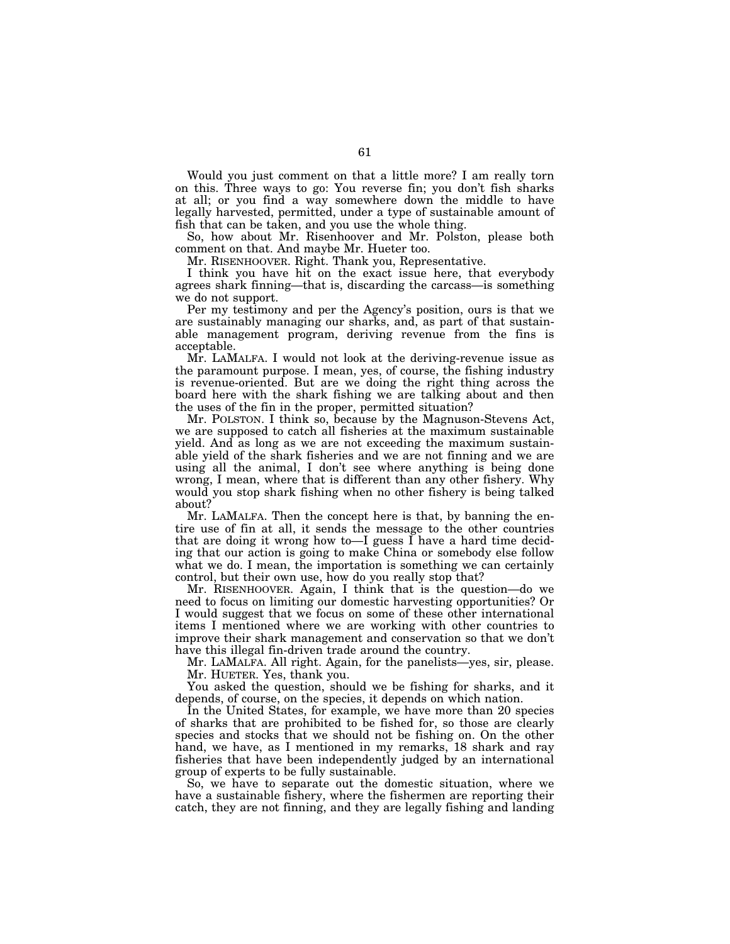Would you just comment on that a little more? I am really torn on this. Three ways to go: You reverse fin; you don't fish sharks at all; or you find a way somewhere down the middle to have legally harvested, permitted, under a type of sustainable amount of fish that can be taken, and you use the whole thing.

So, how about Mr. Risenhoover and Mr. Polston, please both comment on that. And maybe Mr. Hueter too.

Mr. RISENHOOVER. Right. Thank you, Representative.

I think you have hit on the exact issue here, that everybody agrees shark finning—that is, discarding the carcass—is something we do not support.

Per my testimony and per the Agency's position, ours is that we are sustainably managing our sharks, and, as part of that sustainable management program, deriving revenue from the fins is acceptable.

Mr. LAMALFA. I would not look at the deriving-revenue issue as the paramount purpose. I mean, yes, of course, the fishing industry is revenue-oriented. But are we doing the right thing across the board here with the shark fishing we are talking about and then the uses of the fin in the proper, permitted situation?

Mr. POLSTON. I think so, because by the Magnuson-Stevens Act, we are supposed to catch all fisheries at the maximum sustainable yield. And as long as we are not exceeding the maximum sustainable yield of the shark fisheries and we are not finning and we are using all the animal, I don't see where anything is being done wrong, I mean, where that is different than any other fishery. Why would you stop shark fishing when no other fishery is being talked about?

Mr. LAMALFA. Then the concept here is that, by banning the entire use of fin at all, it sends the message to the other countries that are doing it wrong how to—I guess I have a hard time deciding that our action is going to make China or somebody else follow what we do. I mean, the importation is something we can certainly control, but their own use, how do you really stop that?

Mr. RISENHOOVER. Again, I think that is the question—do we need to focus on limiting our domestic harvesting opportunities? Or I would suggest that we focus on some of these other international items I mentioned where we are working with other countries to improve their shark management and conservation so that we don't have this illegal fin-driven trade around the country.

Mr. LAMALFA. All right. Again, for the panelists—yes, sir, please. Mr. HUETER. Yes, thank you.

You asked the question, should we be fishing for sharks, and it depends, of course, on the species, it depends on which nation.

In the United States, for example, we have more than 20 species of sharks that are prohibited to be fished for, so those are clearly species and stocks that we should not be fishing on. On the other hand, we have, as I mentioned in my remarks, 18 shark and ray fisheries that have been independently judged by an international group of experts to be fully sustainable.

So, we have to separate out the domestic situation, where we have a sustainable fishery, where the fishermen are reporting their catch, they are not finning, and they are legally fishing and landing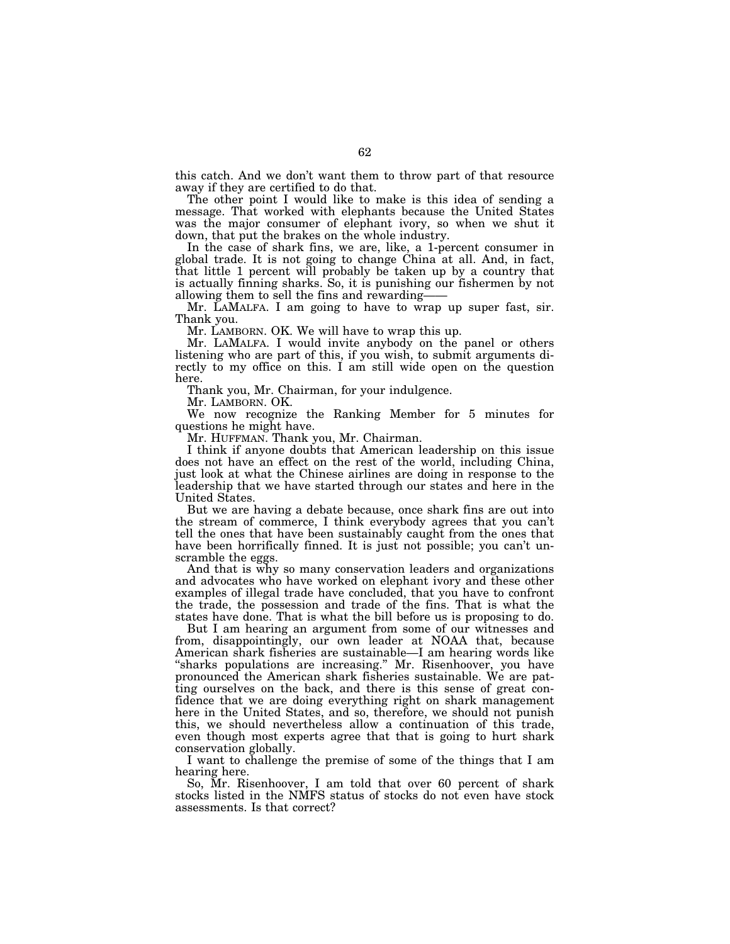this catch. And we don't want them to throw part of that resource away if they are certified to do that.

The other point I would like to make is this idea of sending a message. That worked with elephants because the United States was the major consumer of elephant ivory, so when we shut it down, that put the brakes on the whole industry.

In the case of shark fins, we are, like, a 1-percent consumer in global trade. It is not going to change China at all. And, in fact, that little 1 percent will probably be taken up by a country that is actually finning sharks. So, it is punishing our fishermen by not allowing them to sell the fins and rewarding——

Mr. LAMALFA. I am going to have to wrap up super fast, sir. Thank you.

Mr. LAMBORN. OK. We will have to wrap this up.

Mr. LAMALFA. I would invite anybody on the panel or others listening who are part of this, if you wish, to submit arguments directly to my office on this. I am still wide open on the question here.

Thank you, Mr. Chairman, for your indulgence.

Mr. LAMBORN. OK.

We now recognize the Ranking Member for 5 minutes for questions he might have.

Mr. HUFFMAN. Thank you, Mr. Chairman.

I think if anyone doubts that American leadership on this issue does not have an effect on the rest of the world, including China, just look at what the Chinese airlines are doing in response to the leadership that we have started through our states and here in the United States.

But we are having a debate because, once shark fins are out into the stream of commerce, I think everybody agrees that you can't tell the ones that have been sustainably caught from the ones that have been horrifically finned. It is just not possible; you can't unscramble the eggs.

And that is why so many conservation leaders and organizations and advocates who have worked on elephant ivory and these other examples of illegal trade have concluded, that you have to confront the trade, the possession and trade of the fins. That is what the states have done. That is what the bill before us is proposing to do.

But I am hearing an argument from some of our witnesses and from, disappointingly, our own leader at NOAA that, because American shark fisheries are sustainable—I am hearing words like "sharks populations are increasing." Mr. Risenhoover, you have pronounced the American shark fisheries sustainable. We are patting ourselves on the back, and there is this sense of great confidence that we are doing everything right on shark management here in the United States, and so, therefore, we should not punish this, we should nevertheless allow a continuation of this trade, even though most experts agree that that is going to hurt shark conservation globally.

I want to challenge the premise of some of the things that I am hearing here.

So, Mr. Risenhoover, I am told that over 60 percent of shark stocks listed in the NMFS status of stocks do not even have stock assessments. Is that correct?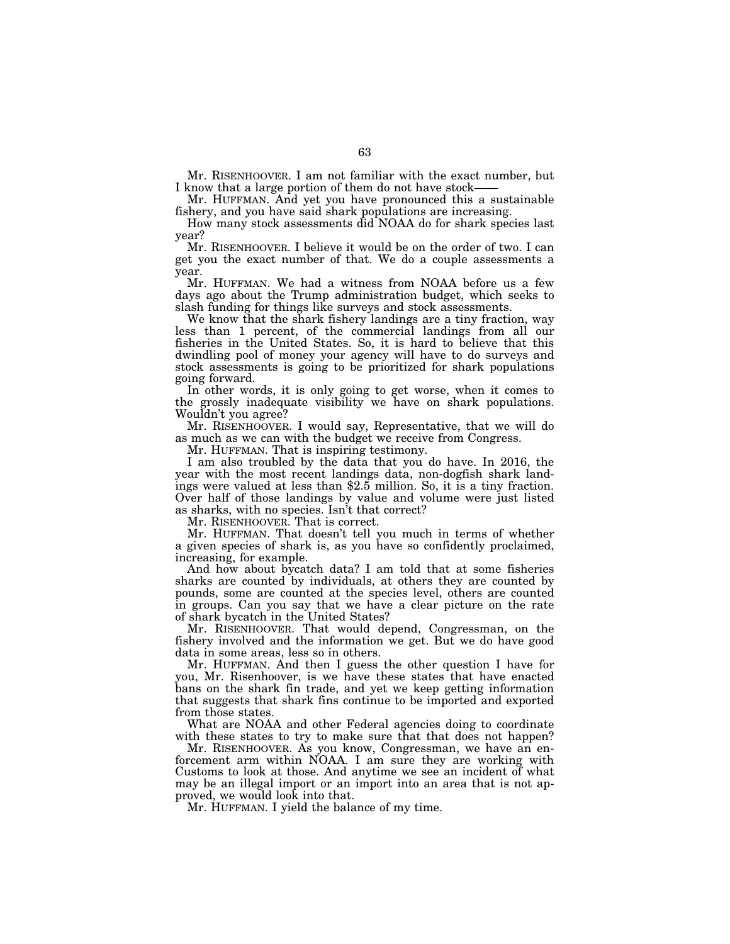Mr. RISENHOOVER. I am not familiar with the exact number, but I know that a large portion of them do not have stock-

Mr. HUFFMAN. And yet you have pronounced this a sustainable fishery, and you have said shark populations are increasing.

How many stock assessments did NOAA do for shark species last year?

Mr. RISENHOOVER. I believe it would be on the order of two. I can get you the exact number of that. We do a couple assessments a year.

Mr. HUFFMAN. We had a witness from NOAA before us a few days ago about the Trump administration budget, which seeks to slash funding for things like surveys and stock assessments.

We know that the shark fishery landings are a tiny fraction, way less than 1 percent, of the commercial landings from all our fisheries in the United States. So, it is hard to believe that this dwindling pool of money your agency will have to do surveys and stock assessments is going to be prioritized for shark populations going forward.

In other words, it is only going to get worse, when it comes to the grossly inadequate visibility we have on shark populations. Wouldn't you agree?

Mr. RISENHOOVER. I would say, Representative, that we will do as much as we can with the budget we receive from Congress.

Mr. HUFFMAN. That is inspiring testimony.

I am also troubled by the data that you do have. In 2016, the year with the most recent landings data, non-dogfish shark landings were valued at less than \$2.5 million. So, it is a tiny fraction. Over half of those landings by value and volume were just listed as sharks, with no species. Isn't that correct?

Mr. RISENHOOVER. That is correct.

Mr. HUFFMAN. That doesn't tell you much in terms of whether a given species of shark is, as you have so confidently proclaimed, increasing, for example.

And how about bycatch data? I am told that at some fisheries sharks are counted by individuals, at others they are counted by pounds, some are counted at the species level, others are counted in groups. Can you say that we have a clear picture on the rate of shark bycatch in the United States?

Mr. RISENHOOVER. That would depend, Congressman, on the fishery involved and the information we get. But we do have good data in some areas, less so in others.

Mr. HUFFMAN. And then I guess the other question I have for you, Mr. Risenhoover, is we have these states that have enacted bans on the shark fin trade, and yet we keep getting information that suggests that shark fins continue to be imported and exported from those states.

What are NOAA and other Federal agencies doing to coordinate with these states to try to make sure that that does not happen?

Mr. RISENHOOVER. As you know, Congressman, we have an enforcement arm within NOAA. I am sure they are working with Customs to look at those. And anytime we see an incident of what may be an illegal import or an import into an area that is not approved, we would look into that.

Mr. HUFFMAN. I yield the balance of my time.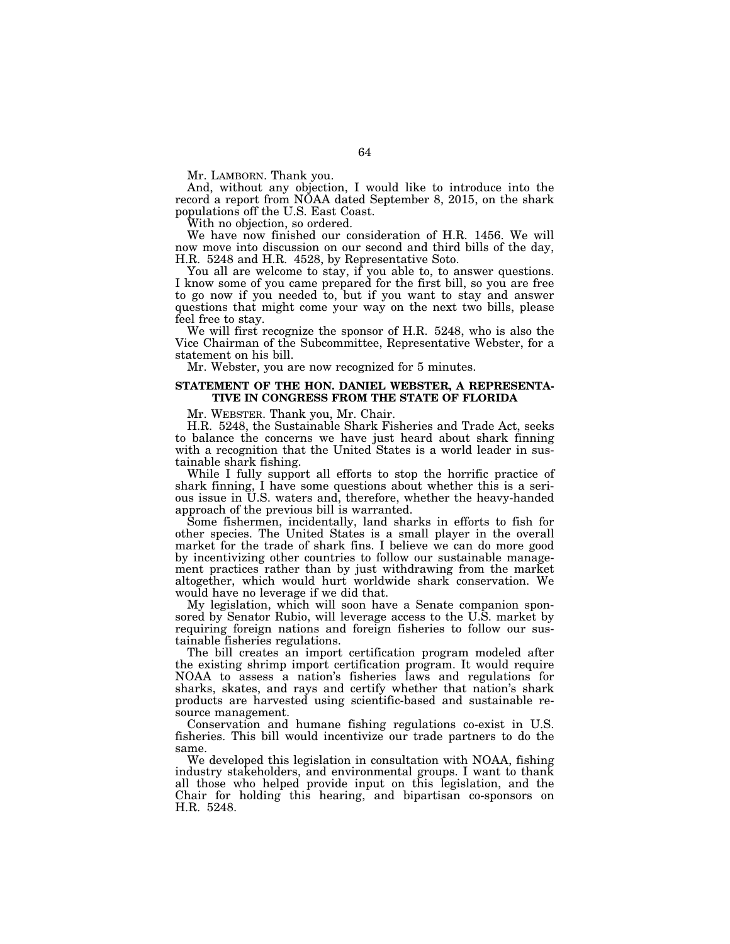Mr. LAMBORN. Thank you.

And, without any objection, I would like to introduce into the record a report from NOAA dated September 8, 2015, on the shark populations off the U.S. East Coast.

With no objection, so ordered.

We have now finished our consideration of H.R. 1456. We will now move into discussion on our second and third bills of the day, H.R. 5248 and H.R. 4528, by Representative Soto.

You all are welcome to stay, if you able to, to answer questions. I know some of you came prepared for the first bill, so you are free to go now if you needed to, but if you want to stay and answer questions that might come your way on the next two bills, please feel free to stay.

We will first recognize the sponsor of H.R. 5248, who is also the Vice Chairman of the Subcommittee, Representative Webster, for a statement on his bill.

Mr. Webster, you are now recognized for 5 minutes.

### **STATEMENT OF THE HON. DANIEL WEBSTER, A REPRESENTA-TIVE IN CONGRESS FROM THE STATE OF FLORIDA**

Mr. WEBSTER. Thank you, Mr. Chair.

H.R. 5248, the Sustainable Shark Fisheries and Trade Act, seeks to balance the concerns we have just heard about shark finning with a recognition that the United States is a world leader in sustainable shark fishing.

While I fully support all efforts to stop the horrific practice of shark finning, I have some questions about whether this is a serious issue in U.S. waters and, therefore, whether the heavy-handed approach of the previous bill is warranted.

Some fishermen, incidentally, land sharks in efforts to fish for other species. The United States is a small player in the overall market for the trade of shark fins. I believe we can do more good by incentivizing other countries to follow our sustainable management practices rather than by just withdrawing from the market altogether, which would hurt worldwide shark conservation. We would have no leverage if we did that.

My legislation, which will soon have a Senate companion sponsored by Senator Rubio, will leverage access to the U.S. market by requiring foreign nations and foreign fisheries to follow our sustainable fisheries regulations.

The bill creates an import certification program modeled after the existing shrimp import certification program. It would require NOAA to assess a nation's fisheries laws and regulations for sharks, skates, and rays and certify whether that nation's shark products are harvested using scientific-based and sustainable resource management.

Conservation and humane fishing regulations co-exist in U.S. fisheries. This bill would incentivize our trade partners to do the same.

We developed this legislation in consultation with NOAA, fishing industry stakeholders, and environmental groups. I want to thank all those who helped provide input on this legislation, and the Chair for holding this hearing, and bipartisan co-sponsors on H.R. 5248.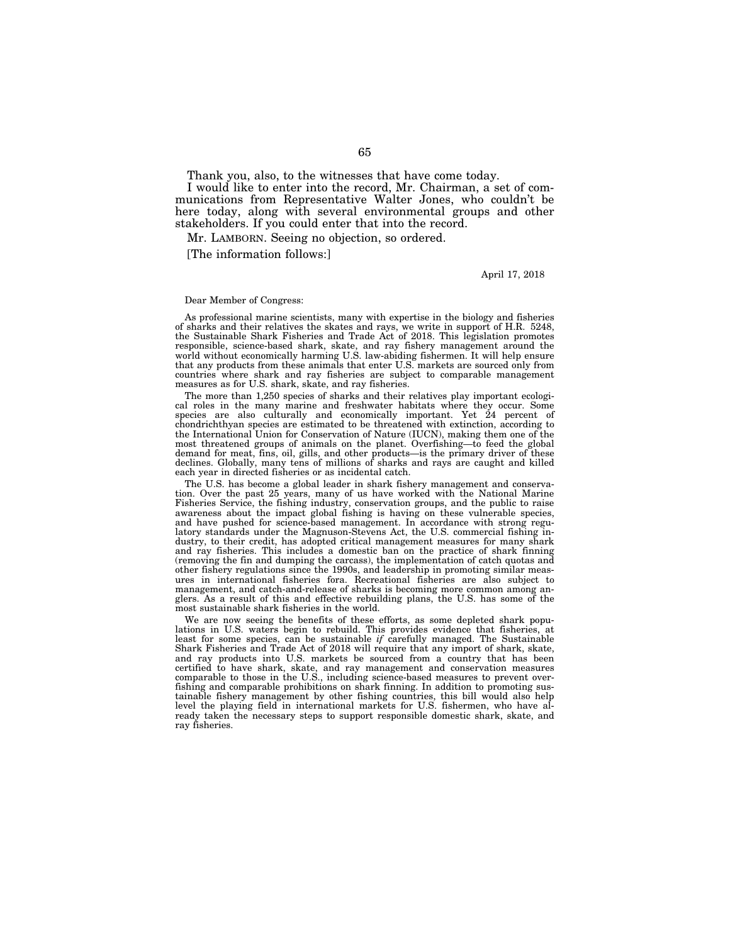Thank you, also, to the witnesses that have come today.

I would like to enter into the record, Mr. Chairman, a set of communications from Representative Walter Jones, who couldn't be here today, along with several environmental groups and other stakeholders. If you could enter that into the record.

Mr. LAMBORN. Seeing no objection, so ordered.

[The information follows:]

April 17, 2018

## Dear Member of Congress:

As professional marine scientists, many with expertise in the biology and fisheries of sharks and their relatives the skates and rays, we write in support of H.R. 5248, the Sustainable Shark Fisheries and Trade Act of 2018. This legislation promotes responsible, science-based shark, skate, and ray fishery management around the world without economically harming U.S. law-abiding fishermen. It will help ensure that any products from these animals that enter U.S. markets are sourced only from countries where shark and ray fisheries are subject to comparable management measures as for U.S. shark, skate, and ray fisheries.

The more than 1,250 species of sharks and their relatives play important ecological roles in the many marine and freshwater habitats where they occur. Some species are also culturally and economically important. Yet  $24$  percent of chondrichthyan species are estimated to be threatened with extinction, according to the International Union for Conservation of Nature (IUCN), making them one of the most threatened groups of animals on the planet. Overfishing—to feed the global demand for meat, fins, oil, gills, and other products—is the primary driver of these declines. Globally, many tens of millions of sharks and rays are caught and killed each year in directed fisheries or as incidental catch.

The U.S. has become a global leader in shark fishery management and conservation. Over the past 25 years, many of us have worked with the National Marine Fisheries Service, the fishing industry, conservation groups, and the public to raise awareness about the impact global fishing is having on these vulnerable species, and have pushed for science-based management. In accordance with strong regulatory standards under the Magnuson-Stevens Act, the U.S. commercial fishing industry, to their credit, has adopted critical management measures for many shark and ray fisheries. This includes a domestic ban on the practice of shark finning (removing the fin and dumping the carcass), the implementation of catch quotas and other fishery regulations since the 1990s, and leadership in promoting similar measures in international fisheries fora. Recreational fisheries are also subject to management, and catch-and-release of sharks is becoming more common among anglers. As a result of this and effective rebuilding plans, the U.S. has some of the most sustainable shark fisheries in the world.

We are now seeing the benefits of these efforts, as some depleted shark populations in U.S. waters begin to rebuild. This provides evidence that fisheries, at least for some species, can be sustainable *if* carefully managed. The Sustainable Shark Fisheries and Trade Act of 2018 will require that any import of shark, skate, and ray products into U.S. markets be sourced from a country that has been certified to have shark, skate, and ray management and conservation measures comparable to those in the U.S., including science-based measures to prevent overfishing and comparable prohibitions on shark finning. In addition to promoting sustainable fishery management by other fishing countries, this bill would also help level the playing field in international markets for U.S. fishermen, who have already taken the necessary steps to support responsible domestic shark, skate, and ray fisheries.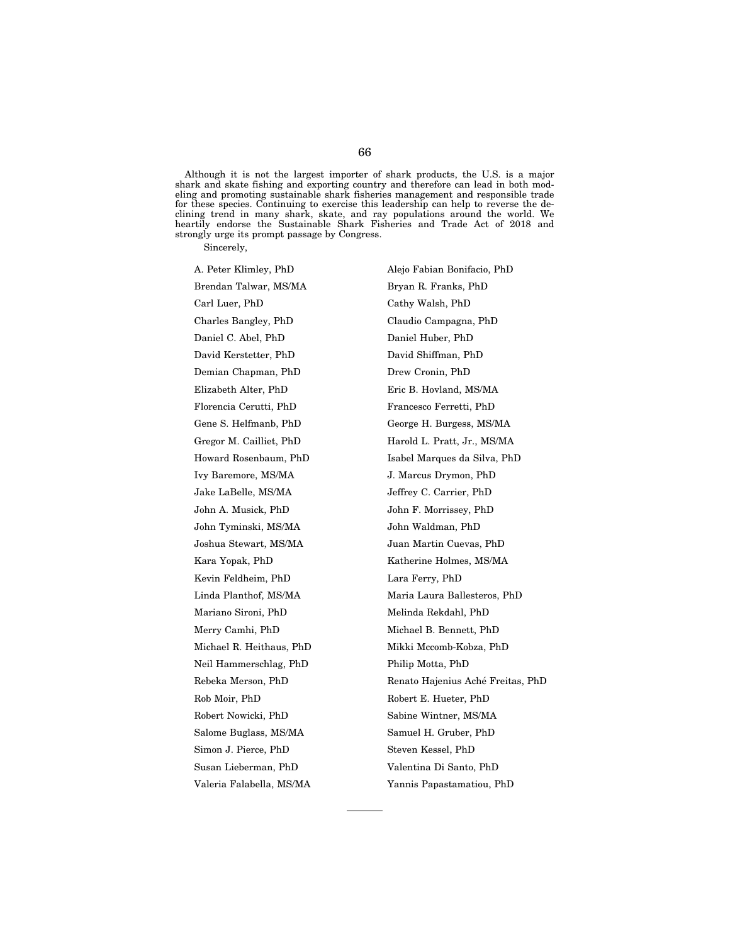Although it is not the largest importer of shark products, the U.S. is a major shark and skate fishing and exporting country and therefore can lead in both modeling and promoting sustainable shark fisheries management and responsible trade for these species. Continuing to exercise this leadership can help to reverse the declining trend in many shark, skate, and ray populations around the world. We heartily endorse the Sustainable Shark Fisheries and Trade Act of 2018 and strongly urge its prompt passage by Congress.

Sincerely,

Brendan Talwar, MS/MA Bryan R. Franks, PhD Carl Luer, PhD Cathy Walsh, PhD Charles Bangley, PhD Claudio Campagna, PhD Daniel C. Abel, PhD Daniel Huber, PhD David Kerstetter, PhD David Shiffman, PhD Demian Chapman, PhD Drew Cronin, PhD Elizabeth Alter, PhD Eric B. Hovland, MS/MA Florencia Cerutti, PhD Francesco Ferretti, PhD Ivy Baremore, MS/MA J. Marcus Drymon, PhD Jake LaBelle, MS/MA Jeffrey C. Carrier, PhD John A. Musick, PhD John F. Morrissey, PhD John Tyminski, MS/MA John Waldman, PhD Joshua Stewart, MS/MA Juan Martin Cuevas, PhD Kevin Feldheim, PhD Lara Ferry, PhD Mariano Sironi, PhD Melinda Rekdahl, PhD Merry Camhi, PhD Michael B. Bennett, PhD Neil Hammerschlag, PhD Philip Motta, PhD Rob Moir, PhD Robert E. Hueter, PhD Robert Nowicki, PhD Sabine Wintner, MS/MA Salome Buglass, MS/MA Samuel H. Gruber, PhD Simon J. Pierce, PhD Steven Kessel, PhD Susan Lieberman, PhD Valentina Di Santo, PhD

A. Peter Klimley, PhD Alejo Fabian Bonifacio, PhD Gene S. Helfmanb, PhD George H. Burgess, MS/MA Gregor M. Cailliet, PhD Harold L. Pratt, Jr., MS/MA Howard Rosenbaum, PhD Isabel Marques da Silva, PhD Kara Yopak, PhD Katherine Holmes, MS/MA Linda Planthof, MS/MA Maria Laura Ballesteros, PhD Michael R. Heithaus, PhD Mikki Mccomb-Kobza, PhD Rebeka Merson, PhD Renato Hajenius Aché Freitas, PhD Valeria Falabella, MS/MA Yannis Papastamatiou, PhD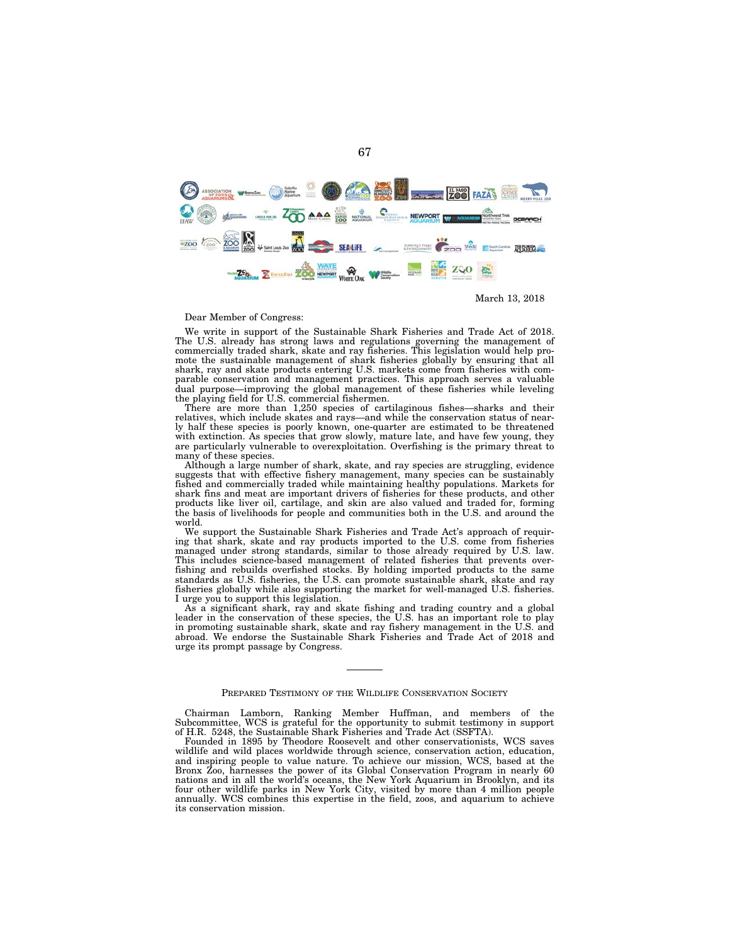

March 13, 2018

#### Dear Member of Congress:

We write in support of the Sustainable Shark Fisheries and Trade Act of 2018. The U.S. already has strong laws and regulations governing the management of commercially traded shark, skate and ray fisheries. This legislation would help promote the sustainable management of shark fisheries globally by ensuring that all shark, ray and skate products entering U.S. markets come from fisheries with comparable conservation and management practices. This approach serves a valuable dual purpose—improving the global management of these fisheries while leveling the playing field for U.S. commercial fishermen.

There are more than 1,250 species of cartilaginous fishes—sharks and their relatives, which include skates and rays—and while the conservation status of nearly half these species is poorly known, one-quarter are estimated to be threatened with extinction. As species that grow slowly, mature late, and have few young, they are particularly vulnerable to overexploitation. Overfishing is the primary threat to many of these species.

Although a large number of shark, skate, and ray species are struggling, evidence suggests that with effective fishery management, many species can be sustainably fished and commercially traded while maintaining healthy populations. Markets for shark fins and meat are important drivers of fisheries for these products, and other products like liver oil, cartilage, and skin are also valued and traded for, forming the basis of livelihoods for people and communities both in the U.S. and around the world.

We support the Sustainable Shark Fisheries and Trade Act's approach of requiring that shark, skate and ray products imported to the U.S. come from fisheries managed under strong standards, similar to those already required by U.S. law. This includes science-based management of related fisheries that prevents overfishing and rebuilds overfished stocks. By holding imported products to the same standards as U.S. fisheries, the U.S. can promote sustainable shark, skate and ray fisheries globally while also supporting the market for well-managed U.S. fisheries. I urge you to support this legislation.

As a significant shark, ray and skate fishing and trading country and a global leader in the conservation of these species, the U.S. has an important role to play in promoting sustainable shark, skate and ray fishery management in the U.S. and abroad. We endorse the Sustainable Shark Fisheries and Trade Act of 2018 and urge its prompt passage by Congress.

#### PREPARED TESTIMONY OF THE WILDLIFE CONSERVATION SOCIETY

Chairman Lamborn, Ranking Member Huffman, and members of the Subcommittee, WCS is grateful for the opportunity to submit testimony in support of H.R. 5248, the Sustainable Shark Fisheries and Trade Act (SSFTA).

Founded in 1895 by Theodore Roosevelt and other conservationists, WCS saves wildlife and wild places worldwide through science, conservation action, education, and inspiring people to value nature. To achieve our mission, WCS, based at the Bronx Zoo, harnesses the power of its Global Conservation Program in nearly 60 nations and in all the world's oceans, the New York Aquarium in Brooklyn, and its four other wildlife parks in New York City, visited by more than 4 million people annually. WCS combines this expertise in the field, zoos, and aquarium to achieve its conservation mission.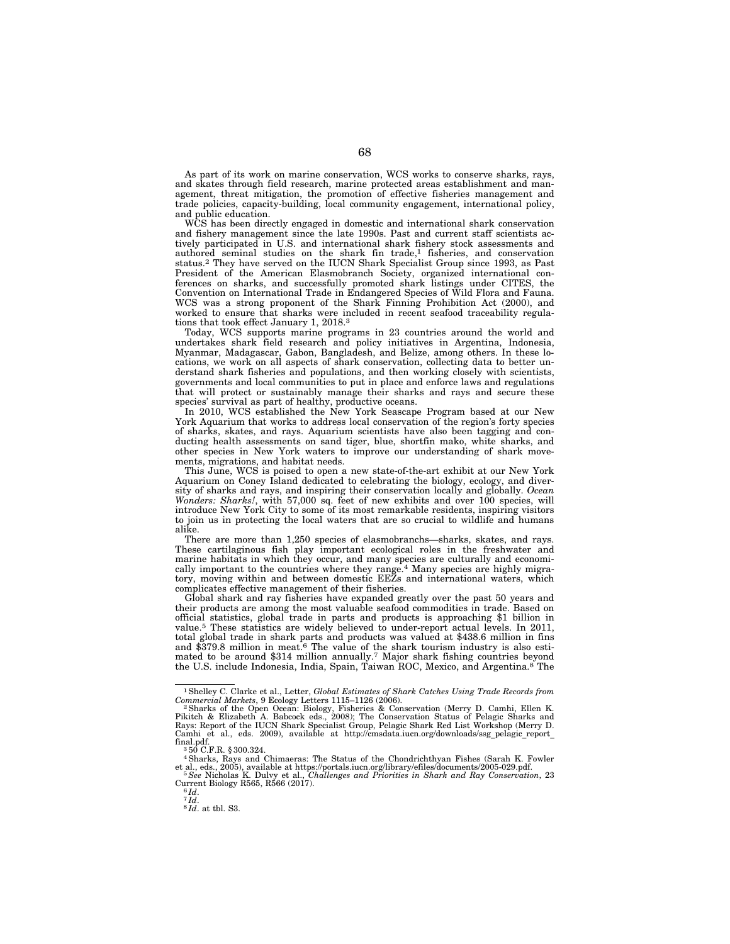As part of its work on marine conservation, WCS works to conserve sharks, rays, and skates through field research, marine protected areas establishment and management, threat mitigation, the promotion of effective fisheries management and trade policies, capacity-building, local community engagement, international policy, and public education.

WCS has been directly engaged in domestic and international shark conservation and fishery management since the late 1990s. Past and current staff scientists actively participated in U.S. and international shark fishery stock assessments and authored seminal studies on the shark fin trade,<sup>1</sup> fisheries, and conservation status.2 They have served on the IUCN Shark Specialist Group since 1993, as Past President of the American Elasmobranch Society, organized international conferences on sharks, and successfully promoted shark listings under CITES, the Convention on International Trade in Endangered Species of Wild Flora and Fauna. WCS was a strong proponent of the Shark Finning Prohibition Act (2000), and worked to ensure that sharks were included in recent seafood traceability regulations that took effect January 1, 2018.3

Today, WCS supports marine programs in 23 countries around the world and undertakes shark field research and policy initiatives in Argentina, Indonesia, Myanmar, Madagascar, Gabon, Bangladesh, and Belize, among others. In these locations, we work on all aspects of shark conservation, collecting data to better understand shark fisheries and populations, and then working closely with scientists, governments and local communities to put in place and enforce laws and regulations that will protect or sustainably manage their sharks and rays and secure these species' survival as part of healthy, productive oceans.

In 2010, WCS established the New York Seascape Program based at our New York Aquarium that works to address local conservation of the region's forty species of sharks, skates, and rays. Aquarium scientists have also been tagging and conducting health assessments on sand tiger, blue, shortfin mako, white sharks, and other species in New York waters to improve our understanding of shark movements, migrations, and habitat needs.

This June, WCS is poised to open a new state-of-the-art exhibit at our New York Aquarium on Coney Island dedicated to celebrating the biology, ecology, and diversity of sharks and rays, and inspiring their conservation locally and globally. *Ocean Wonders: Sharks!*, with 57,000 sq. feet of new exhibits and over 100 species, will introduce New York City to some of its most remarkable residents, inspiring visitors to join us in protecting the local waters that are so crucial to wildlife and humans alike.

There are more than 1,250 species of elasmobranchs—sharks, skates, and rays. These cartilaginous fish play important ecological roles in the freshwater and marine habitats in which they occur, and many species are culturally and economically important to the countries where they range.<sup>4</sup> Many species are highly migratory, moving within and between domestic EEZs and international waters, which complicates effective management of their fisheries.

Global shark and ray fisheries have expanded greatly over the past 50 years and their products are among the most valuable seafood commodities in trade. Based on official statistics, global trade in parts and products is approaching \$1 billion in value.5 These statistics are widely believed to under-report actual levels. In 2011, total global trade in shark parts and products was valued at \$438.6 million in fins and \$379.8 million in meat.6 The value of the shark tourism industry is also estimated to be around \$314 million annually.<sup>7</sup> Major shark fishing countries beyond the U.S. include Indonesia, India, Spain, Taiwan ROC, Mexico, and Argentina.<sup>8</sup> The

<sup>1</sup>Shelley C. Clarke et al., Letter, *Global Estimates of Shark Catches Using Trade Records from* 

Commercial Markets, 9 Ecology Letters 1115–1126 (2006).<br><sup>2</sup> Sharks of the Open Ocean: Biology, Fisheries & Conservation (Merry D. Camhi, Ellen K.<br>Pikitch & Elizabeth A. Babcock eds., 2008); The Conservation Status of Pelag

<sup>4</sup> Sharks, Rays and Chimaeras: The Status of the Chondrichthyan Fishes (Sarah K. Fowler et al., eds., 2005), available at https://portals.iucn.org/library/efiles/documents/2005-029.pdf. et al., eds., 2005), available at https://portals.iucn.org/library/efiles/documents/2005-029.pdf. 5*See* Nicholas K. Dulvy et al., *Challenges and Priorities in Shark and Ray Conservation*, 23

Current Biology R565, R566 (2017).<br><sup>6</sup>*Id.*<br>*<sup>7</sup>Id.* 8*1*. at tbl. S3.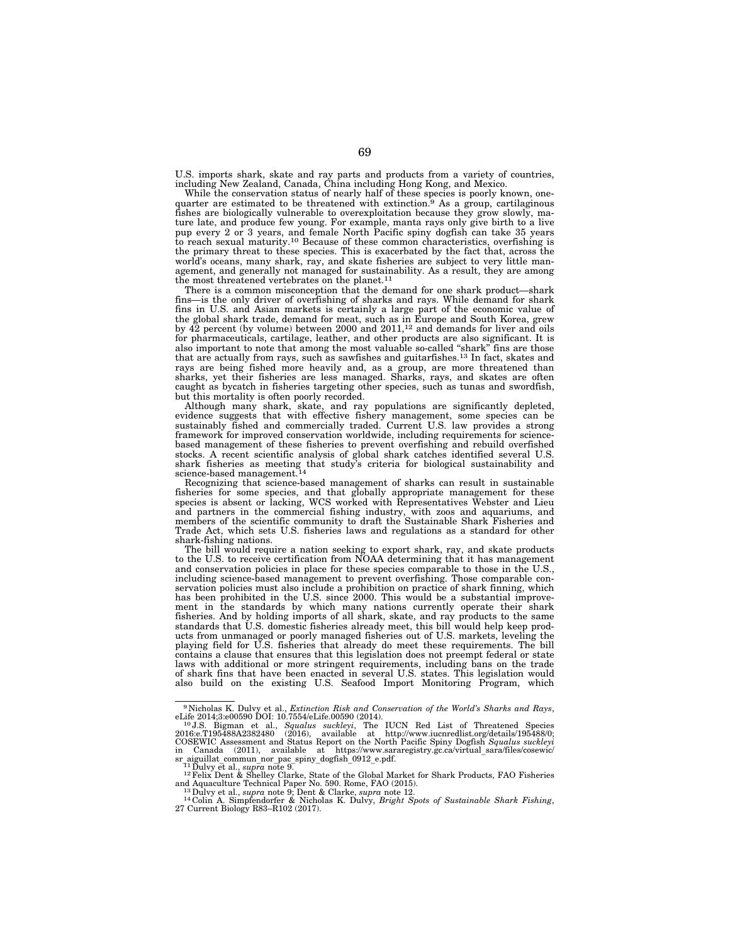U.S. imports shark, skate and ray parts and products from a variety of countries, including New Zealand, Canada, China including Hong Kong, and Mexico.

While the conservation status of nearly half of these species is poorly known, onequarter are estimated to be threatened with extinction.9 As a group, cartilaginous fishes are biologically vulnerable to overexploitation because they grow slowly, mature late, and produce few young. For example, manta rays only give birth to a live pup every 2 or 3 years, and female North Pacific spiny dogfish can take 35 years to reach sexual maturity.10 Because of these common characteristics, overfishing is the primary threat to these species. This is exacerbated by the fact that, across the world's oceans, many shark, ray, and skate fisheries are subject to very little management, and generally not managed for sustainability. As a result, they are among the most threatened vertebrates on the planet.<sup>11</sup>

There is a common misconception that the demand for one shark product—shark fins—is the only driver of overfishing of sharks and rays. While demand for shark fins in U.S. and Asian markets is certainly a large part of the economic value of the global shark trade, demand for meat, such as in Europe and South Korea, grew by  $\overline{42}$  percent (by volume) between 2000 and 2011,<sup>12</sup> and demands for liver and oils for pharmaceuticals, cartilage, leather, and other products are also significant. It is also important to note that among the most valuable so-called ''shark'' fins are those that are actually from rays, such as sawfishes and guitarfishes.13 In fact, skates and rays are being fished more heavily and, as a group, are more threatened than sharks, yet their fisheries are less managed. Sharks, rays, and skates are often caught as bycatch in fisheries targeting other species, such as tunas and swordfish, but this mortality is often poorly recorded.

Although many shark, skate, and ray populations are significantly depleted, evidence suggests that with effective fishery management, some species can be sustainably fished and commercially traded. Current U.S. law provides a strong framework for improved conservation worldwide, including requirements for sciencebased management of these fisheries to prevent overfishing and rebuild overfished stocks. A recent scientific analysis of global shark catches identified several U.S. shark fisheries as meeting that study's criteria for biological sustainability and science-based management.<sup>14</sup>

Recognizing that science-based management of sharks can result in sustainable fisheries for some species, and that globally appropriate management for these species is absent or lacking, WCS worked with Representatives Webster and Lieu and partners in the commercial fishing industry, with zoos and aquariums, and members of the scientific community to draft the Sustainable Shark Fisheries and Trade Act, which sets U.S. fisheries laws and regulations as a standard for other shark-fishing nations.

The bill would require a nation seeking to export shark, ray, and skate products to the U.S. to receive certification from NOAA determining that it has management and conservation policies in place for these species comparable to those in the U.S., including science-based management to prevent overfishing. Those comparable conservation policies must also include a prohibition on practice of shark finning, which has been prohibited in the U.S. since 2000. This would be a substantial improvement in the standards by which many nations currently operate their shark fisheries. And by holding imports of all shark, skate, and ray products to the same standards that U.S. domestic fisheries already meet, this bill would help keep products from unmanaged or poorly managed fisheries out of U.S. markets, leveling the playing field for U.S. fisheries that already do meet these requirements. The bill contains a clause that ensures that this legislation does not preempt federal or state laws with additional or more stringent requirements, including bans on the trade of shark fins that have been enacted in several U.S. states. This legislation would also build on the existing U.S. Seafood Import Monitoring Program, which

<sup>&</sup>lt;sup>9</sup> Nicholas K. Dulvy et al., *Extinction Risk and Conservation of the World's Sharks and Rays*, eLife 2014;3:e00590 DOI: 10.7554/eLife.00590 (2014).<br><sup>10</sup> J.S. Bigman et al., *Squalus suckleyi*, The IUCN Red List of Threa in Canada (2011), available at https://www.sararegistry.gc.ca/virtual\_sara/files/cosewic/<br>sr aiguillat commun nor pac spiny\_dogfish\_0912\_e.pdf.<br> $11$  Dulyy et al., *supra* note 9.

<sup>&</sup>lt;sup>12</sup> Felix Dent & Shelley Clarke, State of the Global Market for Shark Products, FAO Fisheries<br>and Aquaculture Technical Paper No. 590. Rome, FAO (2015).<br><sup>13</sup> Dulvy et al., *supra* note 9; Dent & Clarke, *supra* note 12.<br><sup></sup>

<sup>27</sup> Current Biology R83–R102 (2017).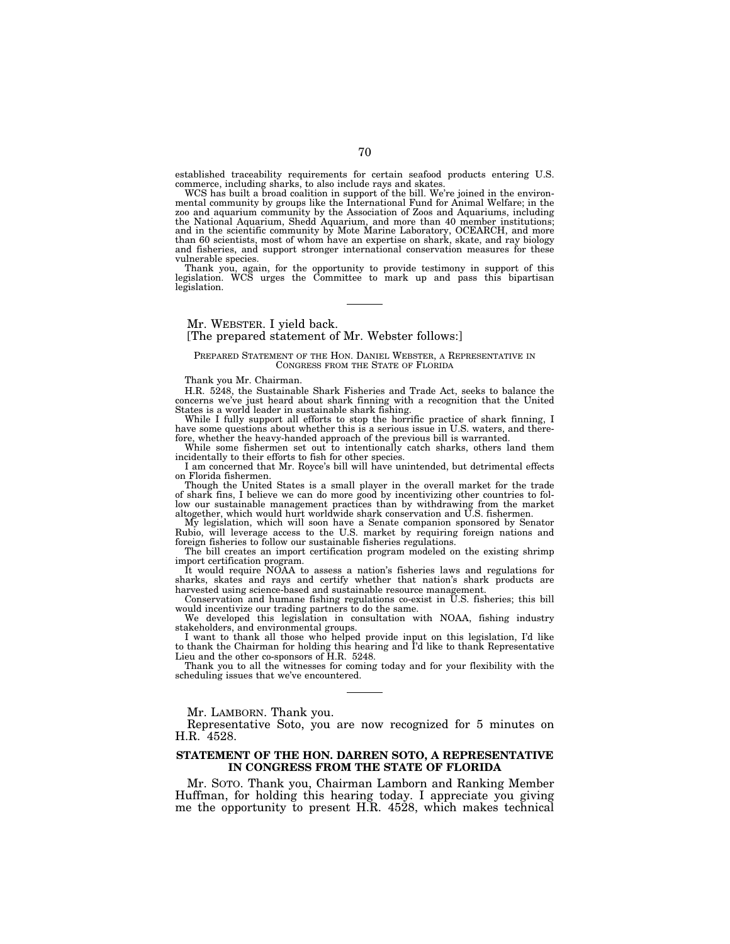established traceability requirements for certain seafood products entering U.S. commerce, including sharks, to also include rays and skates.

WCS has built a broad coalition in support of the bill. We're joined in the environmental community by groups like the International Fund for Animal Welfare; in the zoo and aquarium community by the Association of Zoos and Aquariums, including the National Aquarium, Shedd Aquarium, and more than 40 member institutions; and in the scientific community by Mote Marine Laboratory, OCEARCH, and more than 60 scientists, most of whom have an expertise on shark, skate, and ray biology and fisheries, and support stronger international conservation measures for these vulnerable species.

Thank you, again, for the opportunity to provide testimony in support of this legislation. WCS urges the Committee to mark up and pass this bipartisan legislation.

# Mr. WEBSTER. I yield back.

## [The prepared statement of Mr. Webster follows:]

#### PREPARED STATEMENT OF THE HON. DANIEL WEBSTER, A REPRESENTATIVE IN CONGRESS FROM THE STATE OF FLORIDA

Thank you Mr. Chairman.

H.R. 5248, the Sustainable Shark Fisheries and Trade Act, seeks to balance the concerns we've just heard about shark finning with a recognition that the United States is a world leader in sustainable shark fishing.

While I fully support all efforts to stop the horrific practice of shark finning, I have some questions about whether this is a serious issue in U.S. waters, and there-

fore, whether the heavy-handed approach of the previous bill is warranted. While some fishermen set out to intentionally catch sharks, others land them

incidentally to their efforts to fish for other species. I am concerned that Mr. Royce's bill will have unintended, but detrimental effects on Florida fishermen.

Though the United States is a small player in the overall market for the trade of shark fins, I believe we can do more good by incentivizing other countries to follow our sustainable management practices than by withdrawing from the market altogether, which would hurt worldwide shark conservation and U.S. fishermen.

My legislation, which will soon have a Senate companion sponsored by Senator Rubio, will leverage access to the U.S. market by requiring foreign nations and foreign fisheries to follow our sustainable fisheries regulations.

The bill creates an import certification program modeled on the existing shrimp import certification program.

It would require NOAA to assess a nation's fisheries laws and regulations for sharks, skates and rays and certify whether that nation's shark products are harvested using science-based and sustainable resource management.

Conservation and humane fishing regulations co-exist in U.S. fisheries; this bill would incentivize our trading partners to do the same.

We developed this legislation in consultation with NOAA, fishing industry stakeholders, and environmental groups.

I want to thank all those who helped provide input on this legislation, I'd like to thank the Chairman for holding this hearing and I'd like to thank Representative Lieu and the other co-sponsors of H.R. 5248.

Thank you to all the witnesses for coming today and for your flexibility with the scheduling issues that we've encountered.

Mr. LAMBORN. Thank you.

Representative Soto, you are now recognized for 5 minutes on H.R. 4528.

## **STATEMENT OF THE HON. DARREN SOTO, A REPRESENTATIVE IN CONGRESS FROM THE STATE OF FLORIDA**

Mr. SOTO. Thank you, Chairman Lamborn and Ranking Member Huffman, for holding this hearing today. I appreciate you giving me the opportunity to present H.R. 4528, which makes technical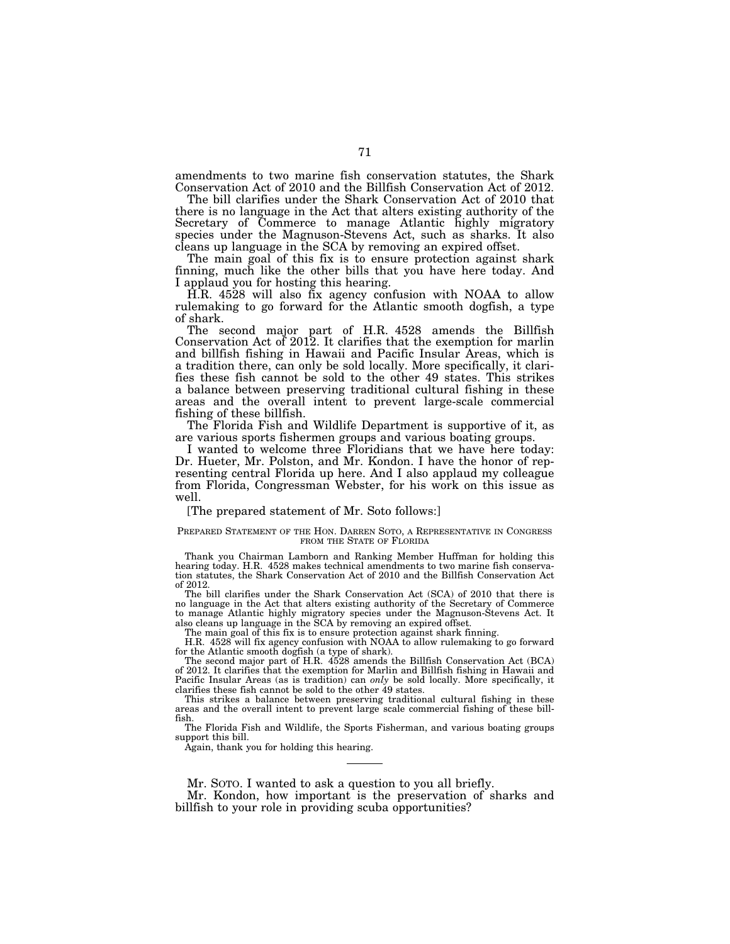amendments to two marine fish conservation statutes, the Shark Conservation Act of 2010 and the Billfish Conservation Act of 2012.

The bill clarifies under the Shark Conservation Act of 2010 that there is no language in the Act that alters existing authority of the Secretary of Commerce to manage Atlantic highly migratory species under the Magnuson-Stevens Act, such as sharks. It also cleans up language in the SCA by removing an expired offset.

The main goal of this fix is to ensure protection against shark finning, much like the other bills that you have here today. And I applaud you for hosting this hearing.

H.R. 4528 will also fix agency confusion with NOAA to allow rulemaking to go forward for the Atlantic smooth dogfish, a type of shark.

The second major part of H.R. 4528 amends the Billfish Conservation Act of 2012. It clarifies that the exemption for marlin and billfish fishing in Hawaii and Pacific Insular Areas, which is a tradition there, can only be sold locally. More specifically, it clarifies these fish cannot be sold to the other 49 states. This strikes a balance between preserving traditional cultural fishing in these areas and the overall intent to prevent large-scale commercial fishing of these billfish.

The Florida Fish and Wildlife Department is supportive of it, as are various sports fishermen groups and various boating groups.

I wanted to welcome three Floridians that we have here today: Dr. Hueter, Mr. Polston, and Mr. Kondon. I have the honor of representing central Florida up here. And I also applaud my colleague from Florida, Congressman Webster, for his work on this issue as well.

## [The prepared statement of Mr. Soto follows:]

### PREPARED STATEMENT OF THE HON. DARREN SOTO, A REPRESENTATIVE IN CONGRESS FROM THE STATE OF FLORIDA

Thank you Chairman Lamborn and Ranking Member Huffman for holding this hearing today. H.R. 4528 makes technical amendments to two marine fish conservation statutes, the Shark Conservation Act of 2010 and the Billfish Conservation Act of 2012.

The bill clarifies under the Shark Conservation Act (SCA) of 2010 that there is no language in the Act that alters existing authority of the Secretary of Commerce to manage Atlantic highly migratory species under the Magnuson-Stevens Act. It also cleans up language in the SCA by removing an expired offset.

The main goal of this fix is to ensure protection against shark finning.

H.R. 4528 will fix agency confusion with NOAA to allow rulemaking to go forward for the Atlantic smooth dogfish (a type of shark).

The second major part of H.R. 4528 amends the Billfish Conservation Act (BCA) of 2012. It clarifies that the exemption for Marlin and Billfish fishing in Hawaii and Pacific Insular Areas (as is tradition) can *only* be sold locally. More specifically, it clarifies these fish cannot be sold to the other 49 states.

This strikes a balance between preserving traditional cultural fishing in these areas and the overall intent to prevent large scale commercial fishing of these billfish.

The Florida Fish and Wildlife, the Sports Fisherman, and various boating groups support this bill.

Again, thank you for holding this hearing.

Mr. SOTO. I wanted to ask a question to you all briefly.

Mr. Kondon, how important is the preservation of sharks and billfish to your role in providing scuba opportunities?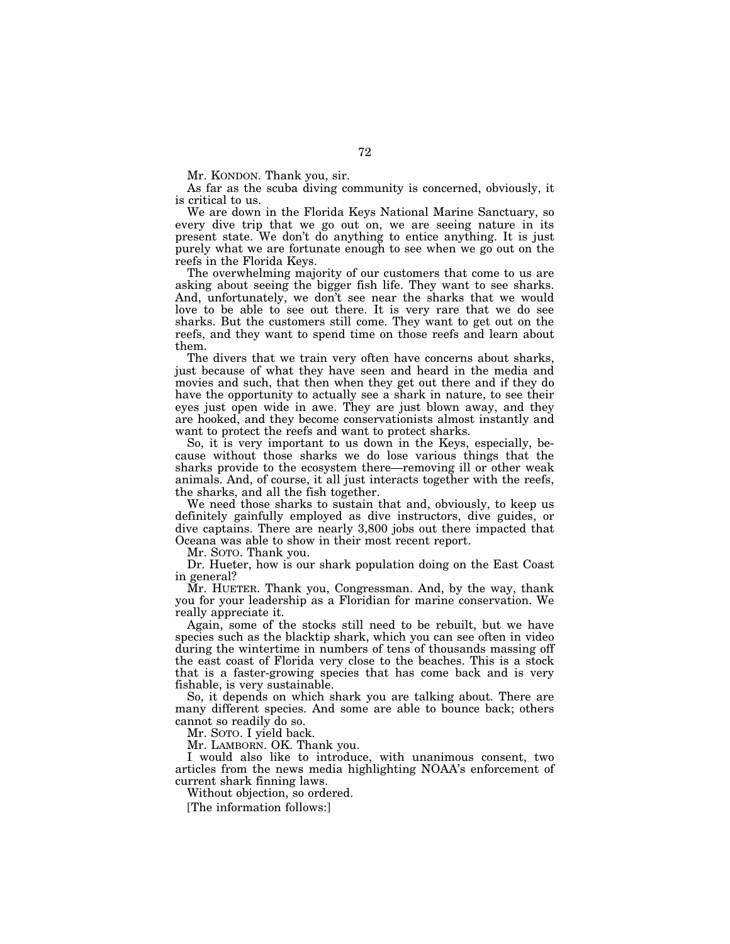Mr. KONDON. Thank you, sir.

As far as the scuba diving community is concerned, obviously, it is critical to us.

We are down in the Florida Keys National Marine Sanctuary, so every dive trip that we go out on, we are seeing nature in its present state. We don't do anything to entice anything. It is just purely what we are fortunate enough to see when we go out on the reefs in the Florida Keys.

The overwhelming majority of our customers that come to us are asking about seeing the bigger fish life. They want to see sharks. And, unfortunately, we don't see near the sharks that we would love to be able to see out there. It is very rare that we do see sharks. But the customers still come. They want to get out on the reefs, and they want to spend time on those reefs and learn about them.

The divers that we train very often have concerns about sharks, just because of what they have seen and heard in the media and movies and such, that then when they get out there and if they do have the opportunity to actually see a shark in nature, to see their eyes just open wide in awe. They are just blown away, and they are hooked, and they become conservationists almost instantly and want to protect the reefs and want to protect sharks.

So, it is very important to us down in the Keys, especially, because without those sharks we do lose various things that the sharks provide to the ecosystem there—removing ill or other weak animals. And, of course, it all just interacts together with the reefs, the sharks, and all the fish together.

We need those sharks to sustain that and, obviously, to keep us definitely gainfully employed as dive instructors, dive guides, or dive captains. There are nearly 3,800 jobs out there impacted that Oceana was able to show in their most recent report.

Mr. SOTO. Thank you.

Dr. Hueter, how is our shark population doing on the East Coast in general?

Mr. HUETER. Thank you, Congressman. And, by the way, thank you for your leadership as a Floridian for marine conservation. We really appreciate it.

Again, some of the stocks still need to be rebuilt, but we have species such as the blacktip shark, which you can see often in video during the wintertime in numbers of tens of thousands massing off the east coast of Florida very close to the beaches. This is a stock that is a faster-growing species that has come back and is very fishable, is very sustainable.

So, it depends on which shark you are talking about. There are many different species. And some are able to bounce back; others cannot so readily do so.

Mr. SOTO. I yield back.

Mr. LAMBORN. OK. Thank you.

I would also like to introduce, with unanimous consent, two articles from the news media highlighting NOAA's enforcement of current shark finning laws.

Without objection, so ordered.

[The information follows:]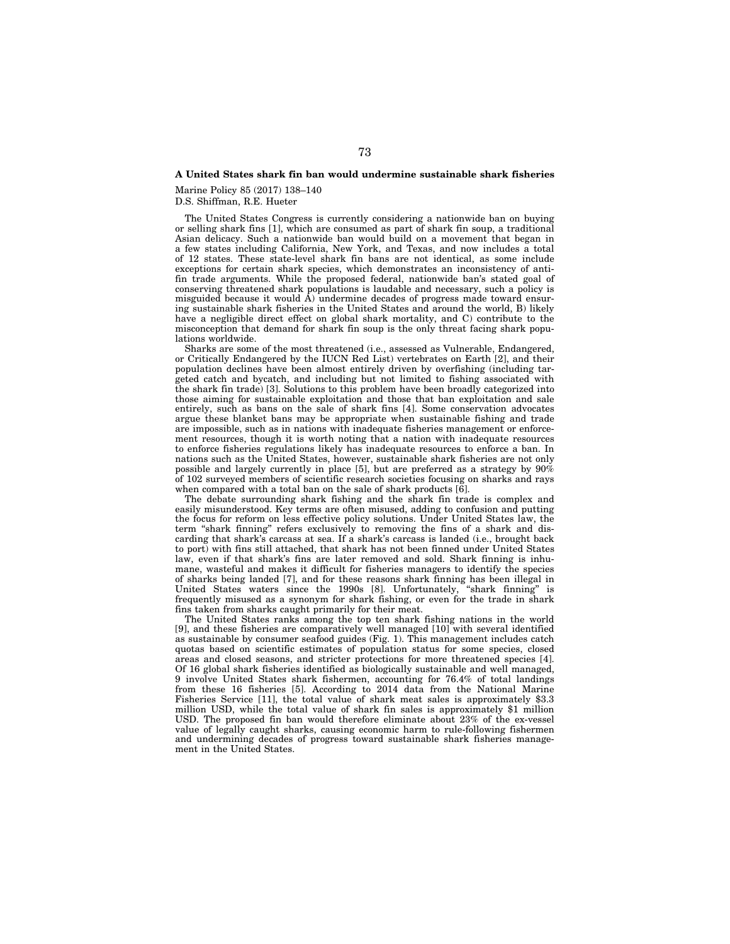## **A United States shark fin ban would undermine sustainable shark fisheries**

Marine Policy 85 (2017) 138–140

D.S. Shiffman, R.E. Hueter

The United States Congress is currently considering a nationwide ban on buying or selling shark fins [1], which are consumed as part of shark fin soup, a traditional Asian delicacy. Such a nationwide ban would build on a movement that began in a few states including California, New York, and Texas, and now includes a total of 12 states. These state-level shark fin bans are not identical, as some include exceptions for certain shark species, which demonstrates an inconsistency of antifin trade arguments. While the proposed federal, nationwide ban's stated goal of conserving threatened shark populations is laudable and necessary, such a policy is misguided because it would  $\hat{A}$ ) undermine decades of progress made toward ensuring sustainable shark fisheries in the United States and around the world, B) likely have a negligible direct effect on global shark mortality, and C) contribute to the misconception that demand for shark fin soup is the only threat facing shark populations worldwide.

Sharks are some of the most threatened (i.e., assessed as Vulnerable, Endangered, or Critically Endangered by the IUCN Red List) vertebrates on Earth [2], and their population declines have been almost entirely driven by overfishing (including targeted catch and bycatch, and including but not limited to fishing associated with the shark fin trade) [3]. Solutions to this problem have been broadly categorized into those aiming for sustainable exploitation and those that ban exploitation and sale entirely, such as bans on the sale of shark fins [4]. Some conservation advocates argue these blanket bans may be appropriate when sustainable fishing and trade are impossible, such as in nations with inadequate fisheries management or enforcement resources, though it is worth noting that a nation with inadequate resources to enforce fisheries regulations likely has inadequate resources to enforce a ban. In nations such as the United States, however, sustainable shark fisheries are not only possible and largely currently in place [5], but are preferred as a strategy by 90% of 102 surveyed members of scientific research societies focusing on sharks and rays when compared with a total ban on the sale of shark products [6].

The debate surrounding shark fishing and the shark fin trade is complex and easily misunderstood. Key terms are often misused, adding to confusion and putting the focus for reform on less effective policy solutions. Under United States law, the term "shark finning" refers exclusively to removing the fins of a shark and discarding that shark's carcass at sea. If a shark's carcass is landed (i.e., brought back to port) with fins still attached, that shark has not been finned under United States law, even if that shark's fins are later removed and sold. Shark finning is inhumane, wasteful and makes it difficult for fisheries managers to identify the species of sharks being landed [7], and for these reasons shark finning has been illegal in United States waters since the 1990s [8]. Unfortunately, ''shark finning'' is frequently misused as a synonym for shark fishing, or even for the trade in shark fins taken from sharks caught primarily for their meat.

The United States ranks among the top ten shark fishing nations in the world [9], and these fisheries are comparatively well managed [10] with several identified as sustainable by consumer seafood guides (Fig. 1). This management includes catch quotas based on scientific estimates of population status for some species, closed areas and closed seasons, and stricter protections for more threatened species [4]. Of 16 global shark fisheries identified as biologically sustainable and well managed, 9 involve United States shark fishermen, accounting for 76.4% of total landings from these 16 fisheries [5]. According to 2014 data from the National Marine Fisheries Service [11], the total value of shark meat sales is approximately \$3.3 million USD, while the total value of shark fin sales is approximately \$1 million USD. The proposed fin ban would therefore eliminate about 23% of the ex-vessel value of legally caught sharks, causing economic harm to rule-following fishermen and undermining decades of progress toward sustainable shark fisheries management in the United States.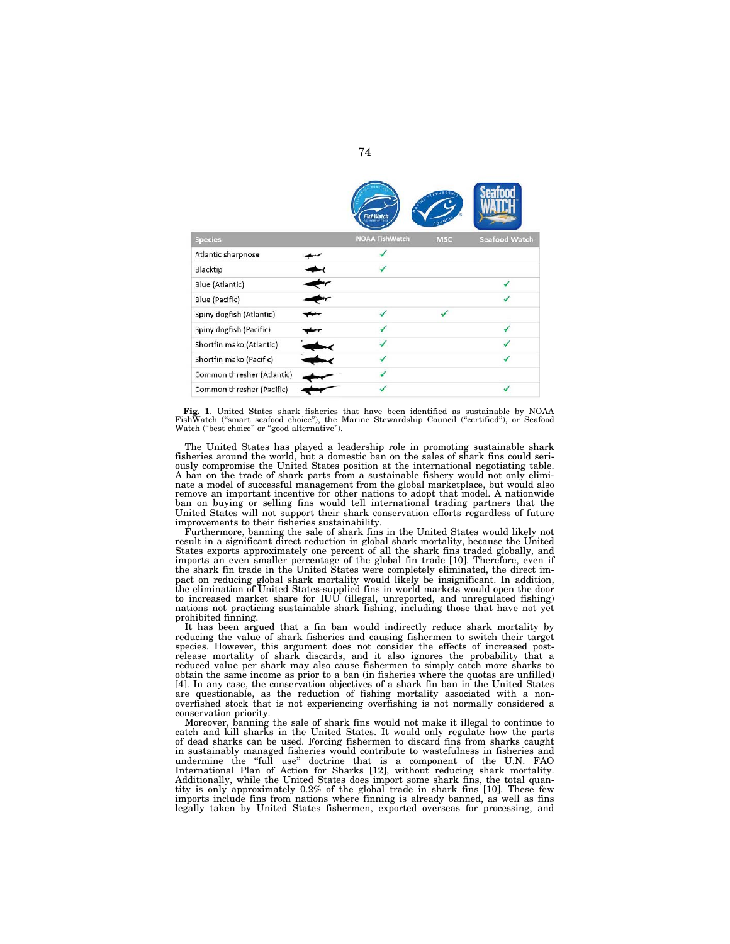|                            | FishWatch             |            |                      |
|----------------------------|-----------------------|------------|----------------------|
| <b>Species</b>             | <b>NOAA FishWatch</b> | <b>MSC</b> | <b>Seafood Watch</b> |
| Atlantic sharpnose         |                       |            |                      |
| Blacktip                   |                       |            |                      |
| Blue (Atlantic)            |                       |            |                      |
| Blue (Pacific)             |                       |            |                      |
| Spiny dogfish (Atlantic)   |                       |            |                      |
| Spiny dogfish (Pacific)    |                       |            |                      |
| Shortfin mako (Atlantic)   |                       |            |                      |
| Shortfin mako (Pacific)    |                       |            |                      |
| Common thresher (Atlantic) |                       |            |                      |
| Common thresher (Pacific)  |                       |            |                      |

Fig. 1. United States shark fisheries that have been identified as sustainable by NOAA<br>FishWatch ("smart seafood choice"), the Marine Stewardship Council ("certified"), or Seafood<br>Watch ("best choice" or "good alternative"

The United States has played a leadership role in promoting sustainable shark fisheries around the world, but a domestic ban on the sales of shark fins could seriously compromise the United States position at the international negotiating table. A ban on the trade of shark parts from a sustainable fishery would not only eliminate a model of successful management from the global marketplace, but would also remove an important incentive for other nations to adopt that model. A nationwide ban on buying or selling fins would tell international trading partners that the United States will not support their shark conservation efforts regardless of future improvements to their fisheries sustainability.

Furthermore, banning the sale of shark fins in the United States would likely not result in a significant direct reduction in global shark mortality, because the United States exports approximately one percent of all the shark fins traded globally, and imports an even smaller percentage of the global fin trade [10]. Therefore, even if the shark fin trade in the United States were completely eliminated, the direct impact on reducing global shark mortality would likely be insignificant. In addition, the elimination of United States-supplied fins in world markets would open the door to increased market share for IUU (illegal, unreported, and unregulated fishing) nations not practicing sustainable shark fishing, including those that have not yet prohibited finning.

It has been argued that a fin ban would indirectly reduce shark mortality by reducing the value of shark fisheries and causing fishermen to switch their target species. However, this argument does not consider the effects of increased postrelease mortality of shark discards, and it also ignores the probability that a reduced value per shark may also cause fishermen to simply catch more sharks to obtain the same income as prior to a ban (in fisheries where the quotas are unfilled) [4]. In any case, the conservation objectives of a shark fin ban in the United States are questionable, as the reduction of fishing mortality associated with a nonoverfished stock that is not experiencing overfishing is not normally considered a conservation priority.

Moreover, banning the sale of shark fins would not make it illegal to continue to catch and kill sharks in the United States. It would only regulate how the parts of dead sharks can be used. Forcing fishermen to discard fins from sharks caught in sustainably managed fisheries would contribute to wastefulness in fisheries and undermine the ''full use'' doctrine that is a component of the U.N. FAO International Plan of Action for Sharks [12], without reducing shark mortality. Additionally, while the United States does import some shark fins, the total quantity is only approximately  $0.2\%$  of the global trade in shark fins [10]. These few imports include fins from nations where finning is already banned, as well as fins legally taken by United States fishermen, exported overseas for processing, and

74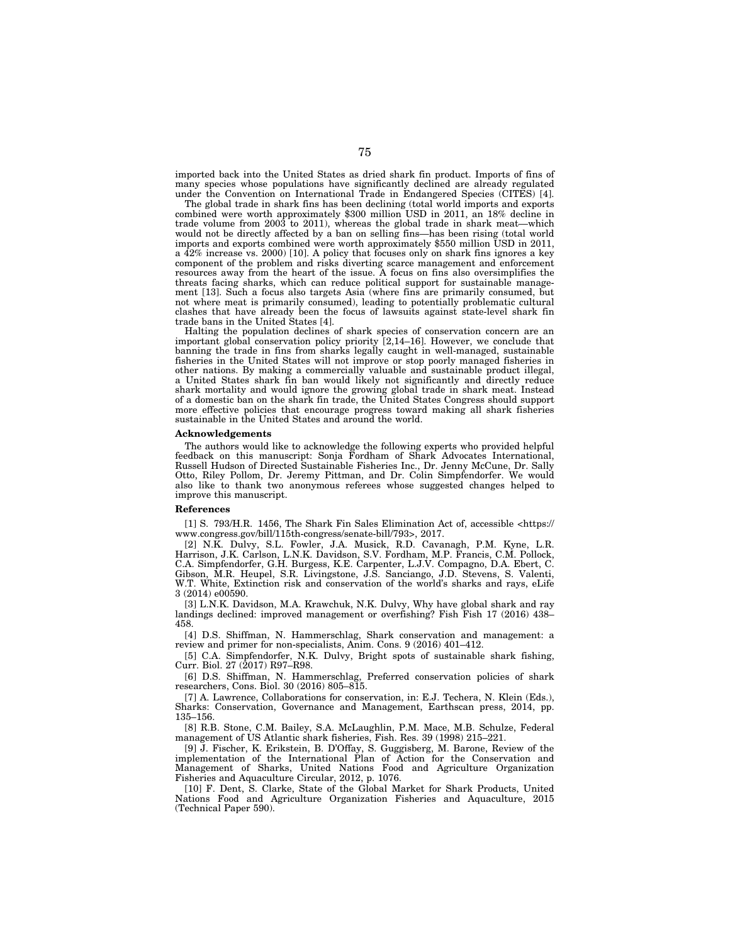imported back into the United States as dried shark fin product. Imports of fins of many species whose populations have significantly declined are already regulated under the Convention on International Trade in Endangered Species (CITES) [4].

The global trade in shark fins has been declining (total world imports and exports combined were worth approximately \$300 million USD in 2011, an 18% decline in trade volume from  $2003$  to  $2011$ ), whereas the global trade in shark meat—which would not be directly affected by a ban on selling fins—has been rising (total world imports and exports combined were worth approximately \$550 million USD in 2011, a  $42\%$  increase vs. 2000) [10]. A policy that focuses only on shark fins ignores a key component of the problem and risks diverting scarce management and enforcement resources away from the heart of the issue. A focus on fins also oversimplifies the threats facing sharks, which can reduce political support for sustainable management [13]. Such a focus also targets Asia (where fins are primarily consumed, but not where meat is primarily consumed), leading to potentially problematic cultural clashes that have already been the focus of lawsuits against state-level shark fin trade bans in the United States [4].

Halting the population declines of shark species of conservation concern are an important global conservation policy priority [2,14–16]. However, we conclude that banning the trade in fins from sharks legally caught in well-managed, sustainable fisheries in the United States will not improve or stop poorly managed fisheries in other nations. By making a commercially valuable and sustainable product illegal, a United States shark fin ban would likely not significantly and directly reduce shark mortality and would ignore the growing global trade in shark meat. Instead of a domestic ban on the shark fin trade, the United States Congress should support more effective policies that encourage progress toward making all shark fisheries sustainable in the United States and around the world.

#### **Acknowledgements**

The authors would like to acknowledge the following experts who provided helpful feedback on this manuscript: Sonja Fordham of Shark Advocates International, Russell Hudson of Directed Sustainable Fisheries Inc., Dr. Jenny McCune, Dr. Sally Otto, Riley Pollom, Dr. Jeremy Pittman, and Dr. Colin Simpfendorfer. We would also like to thank two anonymous referees whose suggested changes helped to improve this manuscript.

### **References**

[1] S. 793/H.R. 1456, The Shark Fin Sales Elimination Act of, accessible <https:// www.congress.gov/bill/115th-congress/senate-bill/793>, 2017.

[2] N.K. Dulvy, S.L. Fowler, J.A. Musick, R.D. Cavanagh, P.M. Kyne, L.R. Harrison, J.K. Carlson, L.N.K. Davidson, S.V. Fordham, M.P. Francis, C.M. Pollock, C.A. Simpfendorfer, G.H. Burgess, K.E. Carpenter, L.J.V. Compagno, D.A. Ebert, C. Gibson, M.R. Heupel, S.R. Livingstone, J.S. Sanciango, J.D. Stevens, S. Valenti, W.T. White, Extinction risk and conservation of the world's sharks and rays, eLife 3 (2014) e00590.

[3] L.N.K. Davidson, M.A. Krawchuk, N.K. Dulvy, Why have global shark and ray landings declined: improved management or overfishing? Fish Fish 17 (2016) 438– 458.

[4] D.S. Shiffman, N. Hammerschlag, Shark conservation and management: a review and primer for non-specialists, Anim. Cons. 9 (2016) 401–412.

[5] C.A. Simpfendorfer, N.K. Dulvy, Bright spots of sustainable shark fishing, Curr. Biol. 27 (2017) R97–R98.

[6] D.S. Shiffman, N. Hammerschlag, Preferred conservation policies of shark researchers, Cons. Biol. 30 (2016) 805–815.

[7] A. Lawrence, Collaborations for conservation, in: E.J. Techera, N. Klein (Eds.), Sharks: Conservation, Governance and Management, Earthscan press, 2014, pp. 135–156.

[8] R.B. Stone, C.M. Bailey, S.A. McLaughlin, P.M. Mace, M.B. Schulze, Federal management of US Atlantic shark fisheries, Fish. Res. 39 (1998) 215–221.

[9] J. Fischer, K. Erikstein, B. D'Offay, S. Guggisberg, M. Barone, Review of the implementation of the International Plan of Action for the Conservation and Management of Sharks, United Nations Food and Agriculture Organization Fisheries and Aquaculture Circular, 2012, p. 1076.

[10] F. Dent, S. Clarke, State of the Global Market for Shark Products, United Nations Food and Agriculture Organization Fisheries and Aquaculture, 2015 (Technical Paper 590).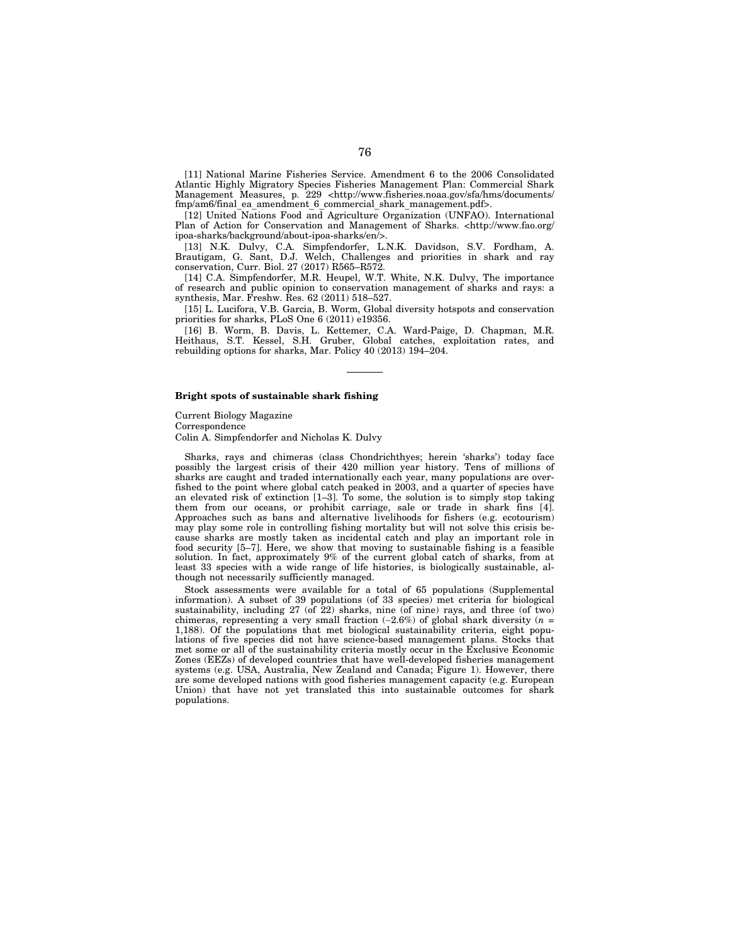[11] National Marine Fisheries Service. Amendment 6 to the 2006 Consolidated Atlantic Highly Migratory Species Fisheries Management Plan: Commercial Shark Management Measures, p. 229 <http://www.fisheries.noaa.gov/sfa/hms/documents/ fmp/am6/final\_ea\_amendment\_6\_commercial\_shark\_management.pdf>.

[12] United Nations Food and Agriculture Organization (UNFAO). International Plan of Action for Conservation and Management of Sharks. <http://www.fao.org/ ipoa-sharks/background/about-ipoa-sharks/en/>.

[13] N.K. Dulvy, C.A. Simpfendorfer, L.N.K. Davidson, S.V. Fordham, A. Brautigam, G. Sant, D.J. Welch, Challenges and priorities in shark and ray conservation, Curr. Biol. 27 (2017) R565–R572.

[14] C.A. Simpfendorfer, M.R. Heupel, W.T. White, N.K. Dulvy, The importance of research and public opinion to conservation management of sharks and rays: a synthesis, Mar. Freshw. Res. 62 (2011) 518–527.

[15] L. Lucifora, V.B. Garcia, B. Worm, Global diversity hotspots and conservation priorities for sharks, PLoS One 6 (2011) e19356.

[16] B. Worm, B. Davis, L. Kettemer, C.A. Ward-Paige, D. Chapman, M.R. Heithaus, S.T. Kessel, S.H. Gruber, Global catches, exploitation rates, and rebuilding options for sharks, Mar. Policy 40 (2013) 194–204.

#### **Bright spots of sustainable shark fishing**

Current Biology Magazine

Correspondence

Colin A. Simpfendorfer and Nicholas K. Dulvy

Sharks, rays and chimeras (class Chondrichthyes; herein 'sharks') today face possibly the largest crisis of their 420 million year history. Tens of millions of sharks are caught and traded internationally each year, many populations are overfished to the point where global catch peaked in 2003, and a quarter of species have an elevated risk of extinction [1–3]. To some, the solution is to simply stop taking them from our oceans, or prohibit carriage, sale or trade in shark fins [4]. Approaches such as bans and alternative livelihoods for fishers (e.g. ecotourism) may play some role in controlling fishing mortality but will not solve this crisis because sharks are mostly taken as incidental catch and play an important role in food security [5–7]. Here, we show that moving to sustainable fishing is a feasible solution. In fact, approximately 9% of the current global catch of sharks, from at least 33 species with a wide range of life histories, is biologically sustainable, although not necessarily sufficiently managed.

Stock assessments were available for a total of 65 populations (Supplemental information). A subset of 39 populations (of 33 species) met criteria for biological sustainability, including  $27$  (of  $22$ ) sharks, nine (of nine) rays, and three (of two) chimeras, representing a very small fraction (∼2.6%) of global shark diversity (*n* = 1,188). Of the populations that met biological sustainability criteria, eight populations of five species did not have science-based management plans. Stocks that met some or all of the sustainability criteria mostly occur in the Exclusive Economic Zones (EEZs) of developed countries that have well-developed fisheries management systems (e.g. USA, Australia, New Zealand and Canada; Figure 1). However, there are some developed nations with good fisheries management capacity (e.g. European Union) that have not yet translated this into sustainable outcomes for shark populations.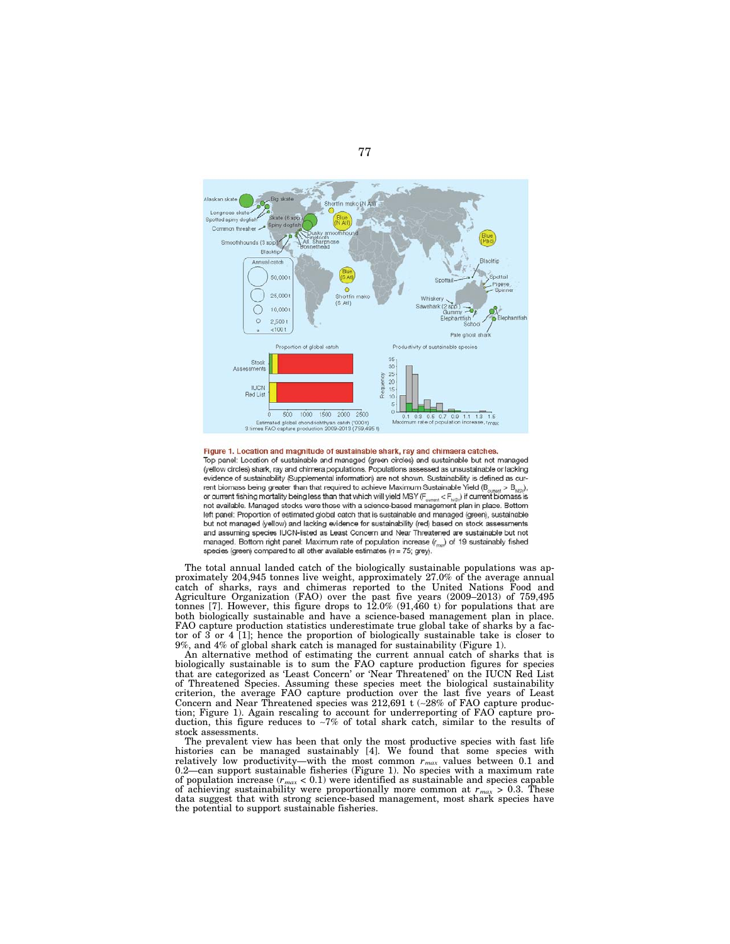

Top panel: Location of sustainable and managed (green circles) and sustainable but not managed (yellow circles) shark, ray and chimera populations. Populations assessed as unsustainable or lacking evidence of sustainability (Supplemental information) are not shown. Sustainability is defined as current biomass being greater than that required to achieve Maximum Sustainable Yield ( $B_{current} > B_{MSS}$ ), or current fishing mortality being less than that which will yield MSY ( $F_{\text{current}}$  <  $F_{\text{MS}}$ ) if current biomass is not available. Managed stocks were those with a science-based management plan in place. Bottom left panel: Proportion of estimated global catch that is sustainable and managed (green), sustainable but not managed (yellow) and lacking evidence for sustainability (red) based on stock assessments and assuming species IUCN-listed as Least Concern and Near Threatened are sustainable but not managed. Bottom right panel: Maximum rate of population increase  $(r_{\text{max}})$  of 19 sustainably fished species (green) compared to all other available estimates ( $n = 75$ ; grey).

The total annual landed catch of the biologically sustainable populations was approximately 204,945 tonnes live weight, approximately 27.0% of the average annual catch of sharks, rays and chimeras reported to the United Nations Food and Agriculture Organization (FAO) over the past five years (2009–2013) of 759,495 tonnes [7]. However, this figure drops to 12.0% (91,460 t) for populations that are both biologically sustainable and have a science-based management plan in place. FAO capture production statistics underestimate true global take of sharks by a factor of 3 or 4 [1]; hence the proportion of biologically sustainable take is closer to 9%, and 4% of global shark catch is managed for sustainability (Figure 1).

An alternative method of estimating the current annual catch of sharks that is biologically sustainable is to sum the FAO capture production figures for species that are categorized as 'Least Concern' or 'Near Threatened' on the IUCN Red List of Threatened Species. Assuming these species meet the biological sustainability criterion, the average FAO capture production over the last five years of Least Concern and Near Threatened species was 212,691 t (∼28% of FAO capture production; Figure 1). Again rescaling to account for underreporting of FAO capture production, this figure reduces to ∼7% of total shark catch, similar to the results of stock assessments.

The prevalent view has been that only the most productive species with fast life histories can be managed sustainably [4]. We found that some species with relatively low productivity—with the most common  $r_{max}$  values between 0.1 and 0.2—can support sustainable fisheries (Figure 1). No species with a maximum rate of population increase  $(r_{max} < 0.1)$  were identified as sustainable and species capable of achieving sustainability were proportionally more common at  $r_{max} > 0.3$ . These data suggest that with strong science-based management, most shark species have the potential to support sustainable fisheries.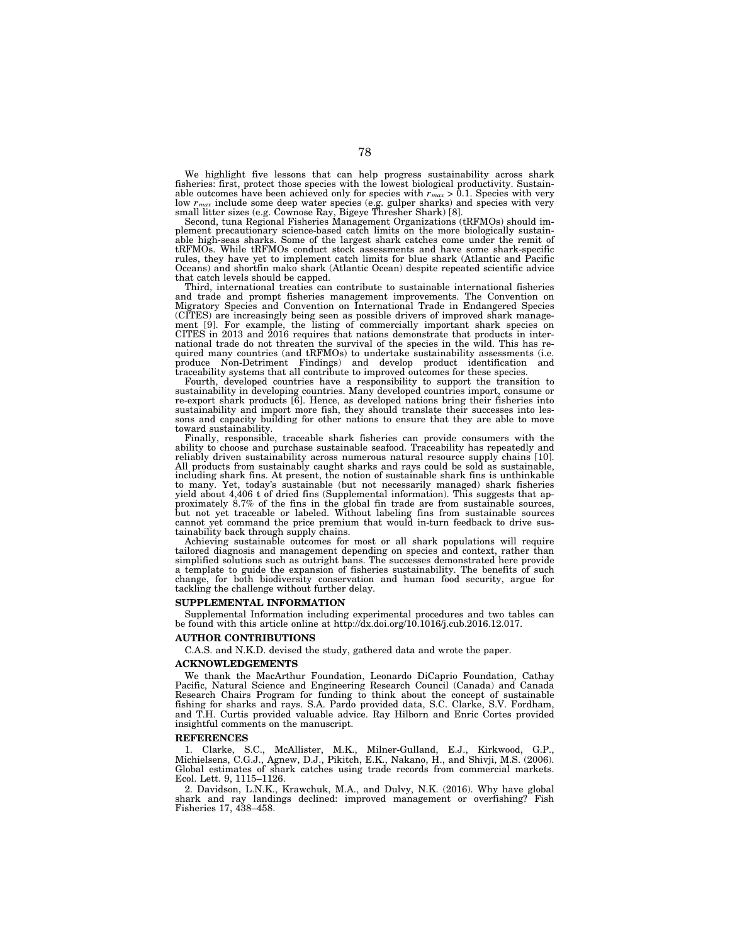We highlight five lessons that can help progress sustainability across shark fisheries: first, protect those species with the lowest biological productivity. Sustainable outcomes have been achieved only for species with  $r_{max} > 0.1$ . Species with very low  $r_{max}$  include some deep water species (e.g. gulper sharks) and species with very small litter sizes (e.g. Cownose Ray, Bigeye Thresher Shark) [8]. Second, tuna Regional Fisheries Management Organizations (tRFMOs) sho

plement precautionary science-based catch limits on the more biologically sustain-able high-seas sharks. Some of the largest shark catches come under the remit of the mean seasonal stock of the measurements and have some shark-specific rules, they have yet to implement catch limits for blue shark (Atlantic and Pacific Oceans) and shortfin mako shark (Atlantic Ocean) despite repeated scientific advice that catch levels should be capped.

Third, international treaties can contribute to sustainable international fisheries and trade and prompt fisheries management improvements. The Convention on Migratory Species and Convention on International Trade in Endangered Species (CITES) are increasingly being seen as possible drivers of improved shark manage-ment [9]. For example, the listing of commercially important shark species on CITES in 2013 and 2016 requires that nations demonstrate that products in inter-national trade do not threaten the survival of the species in the wild. This has required many countries (and tRFMOs) to undertake sustainability assessments (i.e.<br>produce Non-Detriment Findings) and develop product identification and<br>traceability systems that all contribute to improved outcomes for thes

Fourth, developed countries have a responsibility to support the transition to sustainability in developing countries. Many developed countries import, consume or re-export shark products [6]. Hence, as developed nations bring their fisheries into sustainability and import more fish, they should translate their successes into lessons and capacity building for other nations to ensure that they are able to move toward sustainability.

Finally, responsible, traceable shark fisheries can provide consumers with the ability to choose and purchase sustainable seafood. Traceability has repeatedly and reliably driven sustainability across numerous natural resource supply chains [10]. All products from sustainably caught sharks and rays could be sold as sustainable, including shark fins. At present, the notion of sustainable shark fins is unthinkable to many. Yet, today's sustainable (but not necessarily managed) shark fisheries yield about 4,406 t of dried fins (Supplemental information). This suggests that approximately 8.7% of the fins in the global fin trade are from sustainable sources,<br>but not yet traceable or labeled. Without labeling fins from sustainable sources<br>cannot yet command the price premium that would in-turn fe

Achieving sustainable outcomes for most or all shark populations will require tailored diagnosis and management depending on species and context, rather than simplified solutions such as outright bans. The successes demonstrated here provide a template to guide the expansion of fisheries sustainability. The benefits of such change, for both biodiversity conservation and human food security, argue for tackling the challenge without further delay.

### **SUPPLEMENTAL INFORMATION**

Supplemental Information including experimental procedures and two tables can be found with this article online at http://dx.doi.org/10.1016/j.cub.2016.12.017.

### **AUTHOR CONTRIBUTIONS**

C.A.S. and N.K.D. devised the study, gathered data and wrote the paper.

#### **ACKNOWLEDGEMENTS**

We thank the MacArthur Foundation, Leonardo DiCaprio Foundation, Cathay Pacific, Natural Science and Engineering Research Council (Canada) and Canada Research Chairs Program for funding to think about the concept of sustainable fishing for sharks and rays. S.A. Pardo provided data, S.C. Clarke, S.V. Fordham, and T.H. Curtis provided valuable advice. Ray Hilborn and Enric Cortes provided insightful comments on the manuscript.

#### **REFERENCES**

1. Clarke, S.C., McAllister, M.K., Milner-Gulland, E.J., Kirkwood, G.P., Michielsens, C.G.J., Agnew, D.J., Pikitch, E.K., Nakano, H., and Shivji, M.S. (2006). Global estimates of shark catches using trade records from commercial markets. Ecol. Lett. 9, 1115–1126.

2. Davidson, L.N.K., Krawchuk, M.A., and Dulvy, N.K. (2016). Why have global shark and ray landings declined: improved management or overfishing? Fish Fisheries 17, 438–458.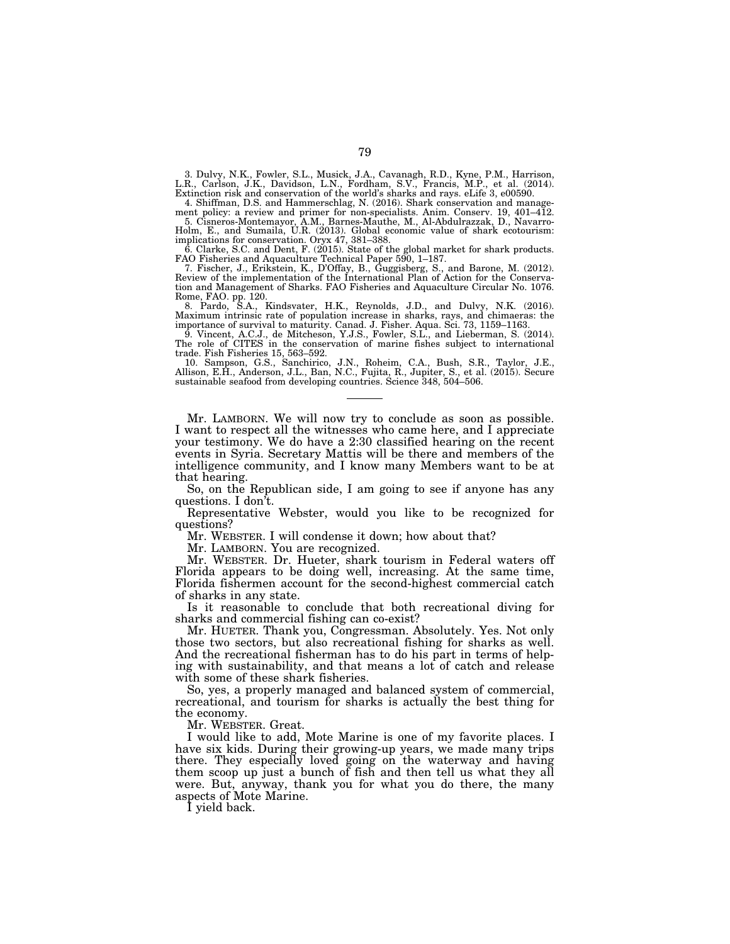3. Dulvy, N.K., Fowler, S.L., Musick, J.A., Cavanagh, R.D., Kyne, P.M., Harrison,<br>L.R., Carlson, J.K., Davidson, L.N., Fordham, S.V., Francis, M.P., et al. (2014).<br>Extinction risk and conservation of the world's sharks and

4. Shiffman, D.S. and Hammerschlag, N. (2016). Shark conservation and manage-

ment policy: a review and primer for non-specialists. Anim. Conserv. 19, 401–412.<br>5. Cisneros-Montemayor, A.M., Barnes-Mauthe, M., Al-Abdulrazzak, D., Navarro-<br>Holm, E., and Sumaila, U.R. (2013). Global economic value of s

Review of the implementation of the International Plan of Action for the Conserva-tion and Management of Sharks. FAO Fisheries and Aquaculture Circular No. 1076. Rome, FAO. pp. 120. 8. Pardo, S.A., Kindsvater, H.K., Reynolds, J.D., and Dulvy, N.K. (2016).

Maximum intrinsic rate of population increase in sharks, rays, and chimaeras: the importance of survival to maturity. Canad. J. Fisher. Aqua. Sci. 73, 1159–1163.

9. Vincent, A.C.J., de Mitcheson, Y.J.S., Fowler, S.L., and Lieberman, S. (2014). The role of CITES in the conservation of marine fishes subject to international

trade. Fish Fisheries 15, 563–592.<br>10. Sampson, G.S., Sanchirico, J.N., Roheim, C.A., Bush, S.R., Taylor, J.E.,<br>Allison, E.H., Anderson, J.L., Ban, N.C., Fujita, R., Jupiter, S., et al. (2015). Secure<br>sustainable seafood f

Mr. LAMBORN. We will now try to conclude as soon as possible. I want to respect all the witnesses who came here, and I appreciate your testimony. We do have a 2:30 classified hearing on the recent events in Syria. Secretary Mattis will be there and members of the intelligence community, and I know many Members want to be at that hearing.

So, on the Republican side, I am going to see if anyone has any questions. I don't.

Representative Webster, would you like to be recognized for questions?

Mr. WEBSTER. I will condense it down; how about that?

Mr. LAMBORN. You are recognized.

Mr. WEBSTER. Dr. Hueter, shark tourism in Federal waters off Florida appears to be doing well, increasing. At the same time, Florida fishermen account for the second-highest commercial catch of sharks in any state.

Is it reasonable to conclude that both recreational diving for sharks and commercial fishing can co-exist?

Mr. HUETER. Thank you, Congressman. Absolutely. Yes. Not only those two sectors, but also recreational fishing for sharks as well. And the recreational fisherman has to do his part in terms of helping with sustainability, and that means a lot of catch and release with some of these shark fisheries.

So, yes, a properly managed and balanced system of commercial, recreational, and tourism for sharks is actually the best thing for the economy.

Mr. WEBSTER. Great.

I would like to add, Mote Marine is one of my favorite places. I have six kids. During their growing-up years, we made many trips there. They especially loved going on the waterway and having them scoop up just a bunch of fish and then tell us what they all were. But, anyway, thank you for what you do there, the many aspects of Mote Marine.

I yield back.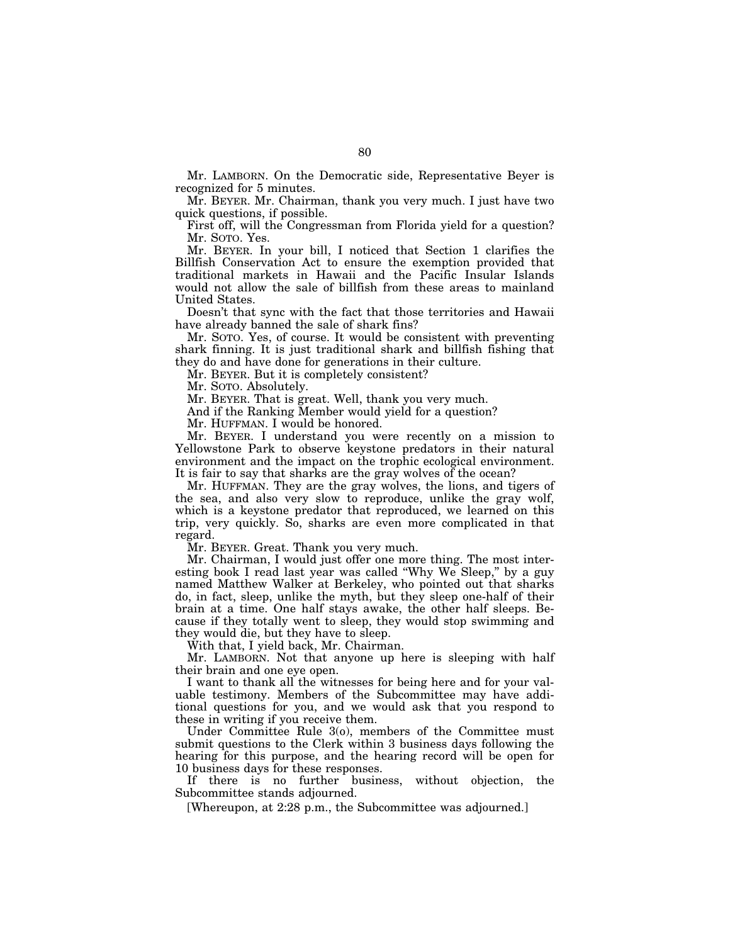Mr. LAMBORN. On the Democratic side, Representative Beyer is recognized for 5 minutes.

Mr. BEYER. Mr. Chairman, thank you very much. I just have two quick questions, if possible.

First off, will the Congressman from Florida yield for a question? Mr. SOTO. Yes.

Mr. BEYER. In your bill, I noticed that Section 1 clarifies the Billfish Conservation Act to ensure the exemption provided that traditional markets in Hawaii and the Pacific Insular Islands would not allow the sale of billfish from these areas to mainland United States.

Doesn't that sync with the fact that those territories and Hawaii have already banned the sale of shark fins?

Mr. SOTO. Yes, of course. It would be consistent with preventing shark finning. It is just traditional shark and billfish fishing that they do and have done for generations in their culture.

Mr. BEYER. But it is completely consistent?

Mr. SOTO. Absolutely.

Mr. BEYER. That is great. Well, thank you very much.

And if the Ranking Member would yield for a question?

Mr. HUFFMAN. I would be honored.

Mr. BEYER. I understand you were recently on a mission to Yellowstone Park to observe keystone predators in their natural environment and the impact on the trophic ecological environment. It is fair to say that sharks are the gray wolves of the ocean?

Mr. HUFFMAN. They are the gray wolves, the lions, and tigers of the sea, and also very slow to reproduce, unlike the gray wolf, which is a keystone predator that reproduced, we learned on this trip, very quickly. So, sharks are even more complicated in that regard.

Mr. BEYER. Great. Thank you very much.

Mr. Chairman, I would just offer one more thing. The most interesting book I read last year was called "Why We Sleep," by a guy named Matthew Walker at Berkeley, who pointed out that sharks do, in fact, sleep, unlike the myth, but they sleep one-half of their brain at a time. One half stays awake, the other half sleeps. Because if they totally went to sleep, they would stop swimming and they would die, but they have to sleep.

With that, I yield back, Mr. Chairman.

Mr. LAMBORN. Not that anyone up here is sleeping with half their brain and one eye open.

I want to thank all the witnesses for being here and for your valuable testimony. Members of the Subcommittee may have additional questions for you, and we would ask that you respond to these in writing if you receive them.

Under Committee Rule 3(o), members of the Committee must submit questions to the Clerk within 3 business days following the hearing for this purpose, and the hearing record will be open for 10 business days for these responses.

If there is no further business, without objection, the Subcommittee stands adjourned.

[Whereupon, at 2:28 p.m., the Subcommittee was adjourned.]